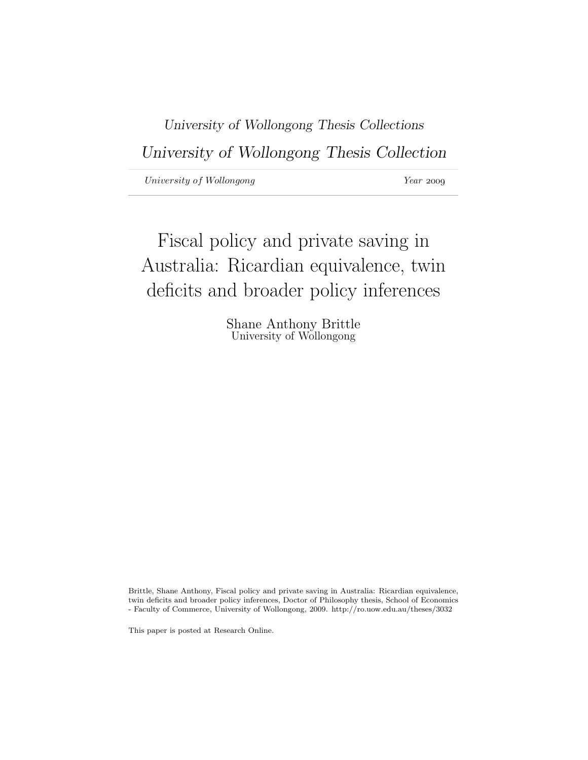University of Wollongong Thesis Collections University of Wollongong Thesis Collection

University of Wollongong Year 2009

Fiscal policy and private saving in Australia: Ricardian equivalence, twin deficits and broader policy inferences

> Shane Anthony Brittle University of Wollongong

Brittle, Shane Anthony, Fiscal policy and private saving in Australia: Ricardian equivalence, twin deficits and broader policy inferences, Doctor of Philosophy thesis, School of Economics - Faculty of Commerce, University of Wollongong, 2009. http://ro.uow.edu.au/theses/3032

This paper is posted at Research Online.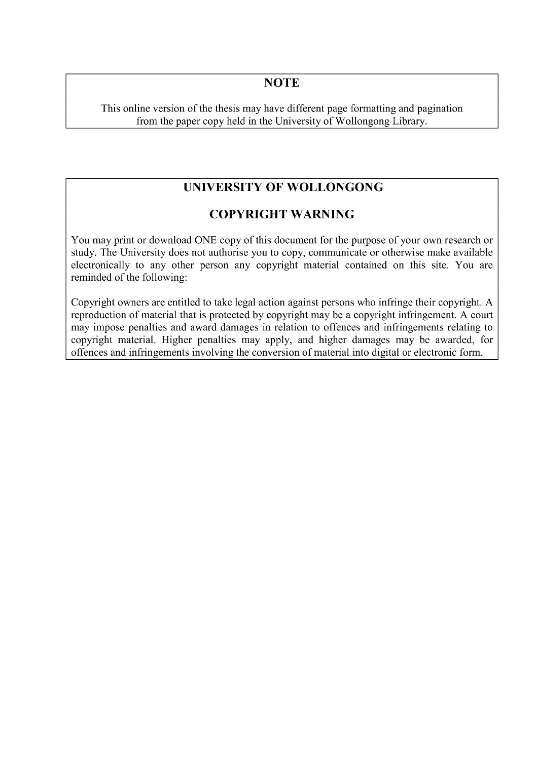## **NOTE**

This online version of the thesis may have different page formatting and pagination from the paper copy held in the University of Wollongong Library.

# **UNIVERSITY OF WOLLONGONG**

## **COPYRIGHT WARNING**

You may print or download ONE copy of this document for the purpose of your own research or study. The University does not authorise you to copy, communicate or otherwise make available electronically to any other person any copyright material contained on this site. You are reminded of the following:

Copyright owners are entitled to take legal action against persons who infringe their copyright. A reproduction of material that is protected by copyright may be a copyright infringement. A court may impose penalties and award damages in relation to offences and infringements relating to copyright material. Higher penalties may apply, and higher damages may be awarded, for offences and infringements involving the conversion of material into digital or electronic form.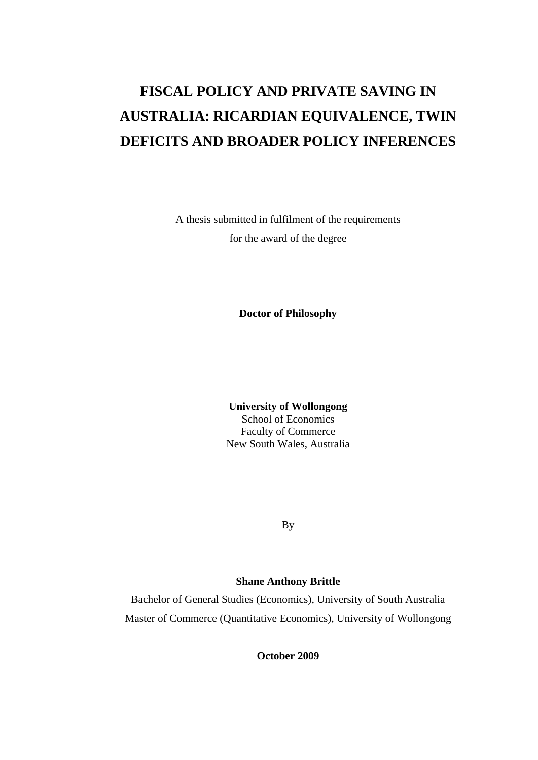# **FISCAL POLICY AND PRIVATE SAVING IN AUSTRALIA: RICARDIAN EQUIVALENCE, TWIN DEFICITS AND BROADER POLICY INFERENCES**

A thesis submitted in fulfilment of the requirements for the award of the degree

**Doctor of Philosophy**

**University of Wollongong**  School of Economics Faculty of Commerce New South Wales, Australia

By

### **Shane Anthony Brittle**

Bachelor of General Studies (Economics), University of South Australia Master of Commerce (Quantitative Economics), University of Wollongong

**October 2009**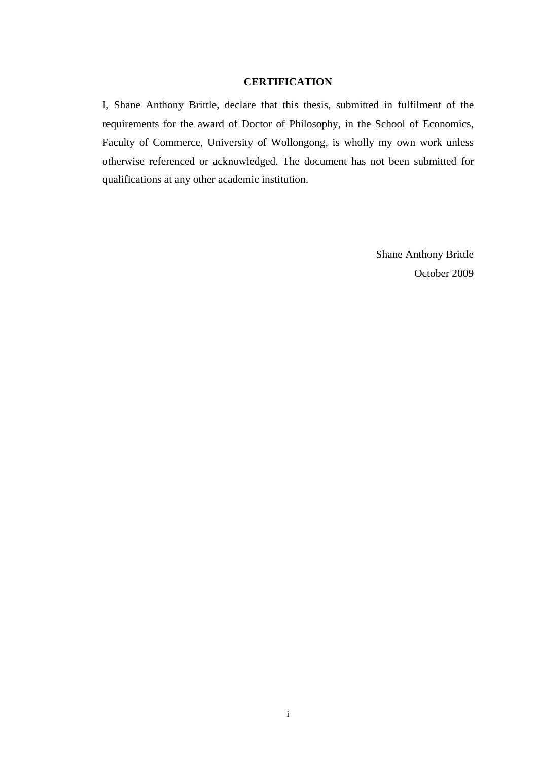#### **CERTIFICATION**

<span id="page-3-0"></span>I, Shane Anthony Brittle, declare that this thesis, submitted in fulfilment of the requirements for the award of Doctor of Philosophy, in the School of Economics, Faculty of Commerce, University of Wollongong, is wholly my own work unless otherwise referenced or acknowledged. The document has not been submitted for qualifications at any other academic institution.

> Shane Anthony Brittle October 2009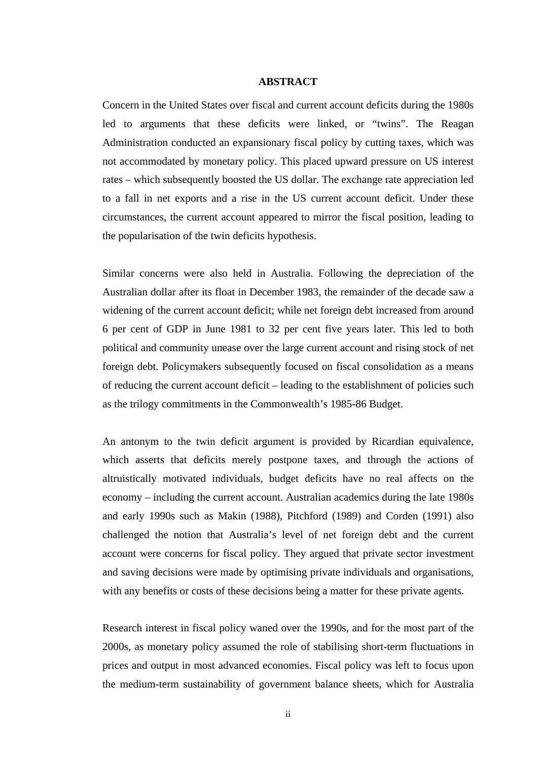#### **ABSTRACT**

<span id="page-4-0"></span>Concern in the United States over fiscal and current account deficits during the 1980s led to arguments that these deficits were linked, or "twins". The Reagan Administration conducted an expansionary fiscal policy by cutting taxes, which was not accommodated by monetary policy. This placed upward pressure on US interest rates – which subsequently boosted the US dollar. The exchange rate appreciation led to a fall in net exports and a rise in the US current account deficit. Under these circumstances, the current account appeared to mirror the fiscal position, leading to the popularisation of the twin deficits hypothesis.

Similar concerns were also held in Australia. Following the depreciation of the Australian dollar after its float in December 1983, the remainder of the decade saw a widening of the current account deficit; while net foreign debt increased from around 6 per cent of GDP in June 1981 to 32 per cent five years later. This led to both political and community unease over the large current account and rising stock of net foreign debt. Policymakers subsequently focused on fiscal consolidation as a means of reducing the current account deficit – leading to the establishment of policies such as the trilogy commitments in the Commonwealth's 1985-86 Budget.

An antonym to the twin deficit argument is provided by Ricardian equivalence, which asserts that deficits merely postpone taxes, and through the actions of altruistically motivated individuals, budget deficits have no real affects on the economy – including the current account. Australian academics during the late 1980s and early 1990s such as Makin (1988), Pitchford (1989) and Corden (1991) also challenged the notion that Australia's level of net foreign debt and the current account were concerns for fiscal policy. They argued that private sector investment and saving decisions were made by optimising private individuals and organisations, with any benefits or costs of these decisions being a matter for these private agents.

Research interest in fiscal policy waned over the 1990s, and for the most part of the 2000s, as monetary policy assumed the role of stabilising short-term fluctuations in prices and output in most advanced economies. Fiscal policy was left to focus upon the medium-term sustainability of government balance sheets, which for Australia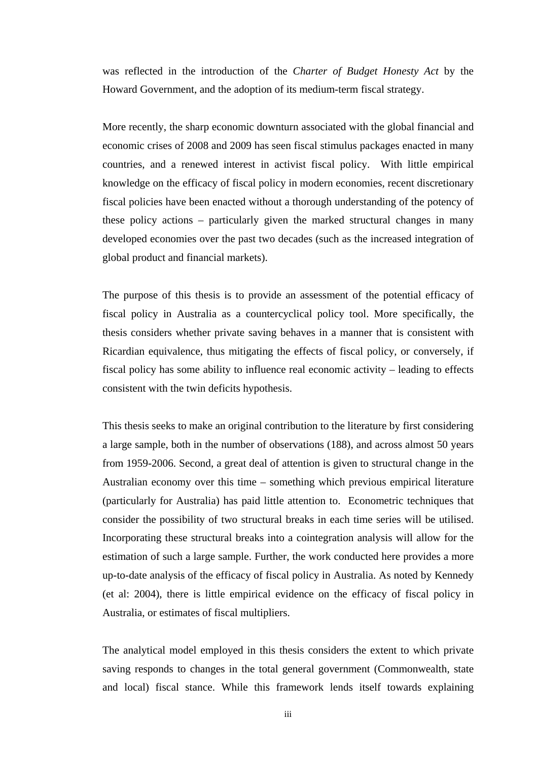was reflected in the introduction of the *Charter of Budget Honesty Act* by the Howard Government, and the adoption of its medium-term fiscal strategy.

More recently, the sharp economic downturn associated with the global financial and economic crises of 2008 and 2009 has seen fiscal stimulus packages enacted in many countries, and a renewed interest in activist fiscal policy. With little empirical knowledge on the efficacy of fiscal policy in modern economies, recent discretionary fiscal policies have been enacted without a thorough understanding of the potency of these policy actions – particularly given the marked structural changes in many developed economies over the past two decades (such as the increased integration of global product and financial markets).

The purpose of this thesis is to provide an assessment of the potential efficacy of fiscal policy in Australia as a countercyclical policy tool. More specifically, the thesis considers whether private saving behaves in a manner that is consistent with Ricardian equivalence, thus mitigating the effects of fiscal policy, or conversely, if fiscal policy has some ability to influence real economic activity – leading to effects consistent with the twin deficits hypothesis.

This thesis seeks to make an original contribution to the literature by first considering a large sample, both in the number of observations (188), and across almost 50 years from 1959-2006. Second, a great deal of attention is given to structural change in the Australian economy over this time – something which previous empirical literature (particularly for Australia) has paid little attention to. Econometric techniques that consider the possibility of two structural breaks in each time series will be utilised. Incorporating these structural breaks into a cointegration analysis will allow for the estimation of such a large sample. Further, the work conducted here provides a more up-to-date analysis of the efficacy of fiscal policy in Australia. As noted by Kennedy (et al: 2004), there is little empirical evidence on the efficacy of fiscal policy in Australia, or estimates of fiscal multipliers.

The analytical model employed in this thesis considers the extent to which private saving responds to changes in the total general government (Commonwealth, state and local) fiscal stance. While this framework lends itself towards explaining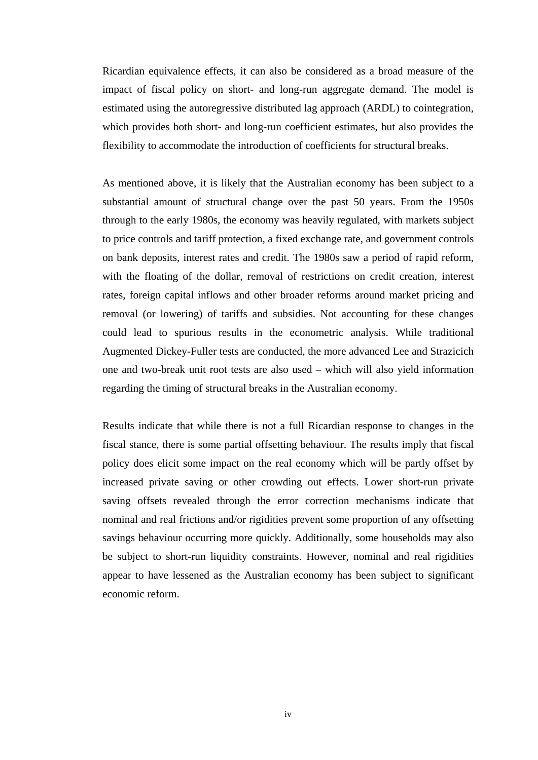Ricardian equivalence effects, it can also be considered as a broad measure of the impact of fiscal policy on short- and long-run aggregate demand. The model is estimated using the autoregressive distributed lag approach (ARDL) to cointegration, which provides both short- and long-run coefficient estimates, but also provides the flexibility to accommodate the introduction of coefficients for structural breaks.

As mentioned above, it is likely that the Australian economy has been subject to a substantial amount of structural change over the past 50 years. From the 1950s through to the early 1980s, the economy was heavily regulated, with markets subject to price controls and tariff protection, a fixed exchange rate, and government controls on bank deposits, interest rates and credit. The 1980s saw a period of rapid reform, with the floating of the dollar, removal of restrictions on credit creation, interest rates, foreign capital inflows and other broader reforms around market pricing and removal (or lowering) of tariffs and subsidies. Not accounting for these changes could lead to spurious results in the econometric analysis. While traditional Augmented Dickey-Fuller tests are conducted, the more advanced Lee and Strazicich one and two-break unit root tests are also used – which will also yield information regarding the timing of structural breaks in the Australian economy.

Results indicate that while there is not a full Ricardian response to changes in the fiscal stance, there is some partial offsetting behaviour. The results imply that fiscal policy does elicit some impact on the real economy which will be partly offset by increased private saving or other crowding out effects. Lower short-run private saving offsets revealed through the error correction mechanisms indicate that nominal and real frictions and/or rigidities prevent some proportion of any offsetting savings behaviour occurring more quickly. Additionally, some households may also be subject to short-run liquidity constraints. However, nominal and real rigidities appear to have lessened as the Australian economy has been subject to significant economic reform.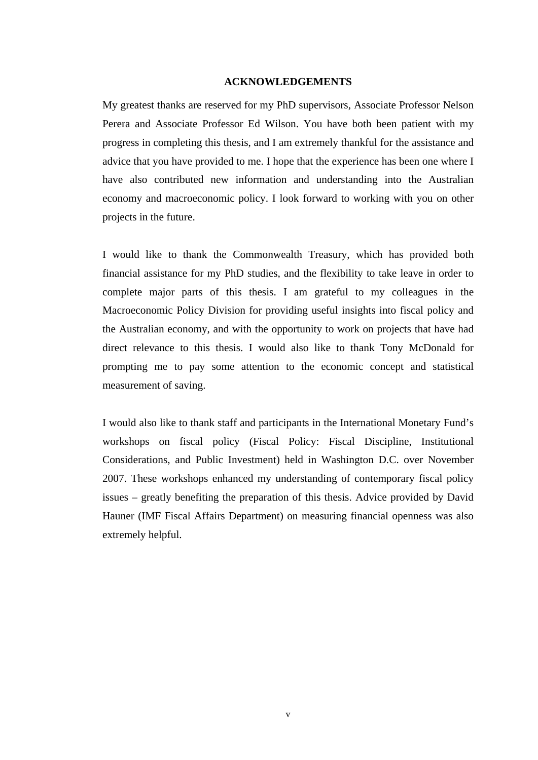#### **ACKNOWLEDGEMENTS**

<span id="page-7-0"></span>My greatest thanks are reserved for my PhD supervisors, Associate Professor Nelson Perera and Associate Professor Ed Wilson. You have both been patient with my progress in completing this thesis, and I am extremely thankful for the assistance and advice that you have provided to me. I hope that the experience has been one where I have also contributed new information and understanding into the Australian economy and macroeconomic policy. I look forward to working with you on other projects in the future.

I would like to thank the Commonwealth Treasury, which has provided both financial assistance for my PhD studies, and the flexibility to take leave in order to complete major parts of this thesis. I am grateful to my colleagues in the Macroeconomic Policy Division for providing useful insights into fiscal policy and the Australian economy, and with the opportunity to work on projects that have had direct relevance to this thesis. I would also like to thank Tony McDonald for prompting me to pay some attention to the economic concept and statistical measurement of saving.

I would also like to thank staff and participants in the International Monetary Fund's workshops on fiscal policy (Fiscal Policy: Fiscal Discipline, Institutional Considerations, and Public Investment) held in Washington D.C. over November 2007. These workshops enhanced my understanding of contemporary fiscal policy issues – greatly benefiting the preparation of this thesis. Advice provided by David Hauner (IMF Fiscal Affairs Department) on measuring financial openness was also extremely helpful.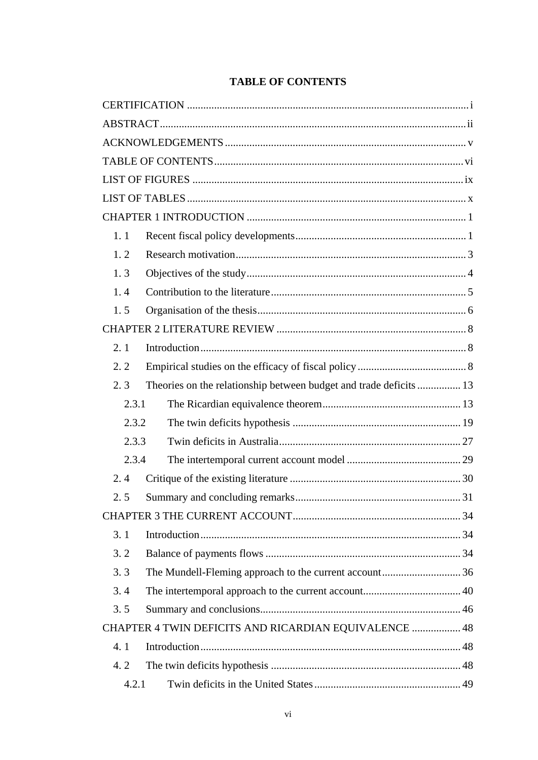<span id="page-8-0"></span>

| 1.1  |                                                                    |    |  |  |
|------|--------------------------------------------------------------------|----|--|--|
| 1.2  |                                                                    |    |  |  |
| 1.3  |                                                                    |    |  |  |
| 1.4  |                                                                    |    |  |  |
| 1.5  |                                                                    |    |  |  |
|      |                                                                    |    |  |  |
| 2.1  |                                                                    |    |  |  |
| 2.2  |                                                                    |    |  |  |
| 2, 3 | Theories on the relationship between budget and trade deficits  13 |    |  |  |
|      | 2.3.1                                                              |    |  |  |
|      | 2.3.2                                                              |    |  |  |
|      | 2.3.3                                                              |    |  |  |
|      | 2.3.4                                                              |    |  |  |
| 2.4  |                                                                    |    |  |  |
| 2.5  |                                                                    | 31 |  |  |
|      |                                                                    |    |  |  |
| 3.1  |                                                                    |    |  |  |
| 3.2  |                                                                    |    |  |  |
| 3.3  |                                                                    |    |  |  |
| 3.4  |                                                                    |    |  |  |
| 3.5  |                                                                    |    |  |  |
|      | CHAPTER 4 TWIN DEFICITS AND RICARDIAN EQUIVALENCE  48              |    |  |  |
| 4.1  |                                                                    |    |  |  |
| 4.2  |                                                                    |    |  |  |
|      | 4.2.1                                                              |    |  |  |
|      |                                                                    |    |  |  |

## **TABLE OF CONTENTS**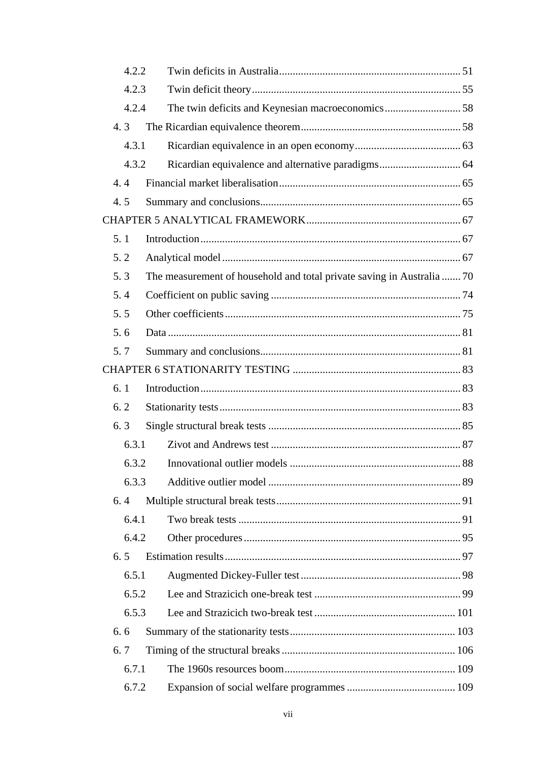| 4.2.2 |                                                                        |  |
|-------|------------------------------------------------------------------------|--|
| 4.2.3 |                                                                        |  |
| 4.2.4 | The twin deficits and Keynesian macroeconomics58                       |  |
| 4.3   |                                                                        |  |
| 4.3.1 |                                                                        |  |
| 4.3.2 |                                                                        |  |
| 4.4   |                                                                        |  |
| 4.5   |                                                                        |  |
|       |                                                                        |  |
| 5.1   |                                                                        |  |
| 5.2   |                                                                        |  |
| 5.3   | The measurement of household and total private saving in Australia  70 |  |
| 5.4   |                                                                        |  |
| 5.5   |                                                                        |  |
| 5.6   |                                                                        |  |
| 5.7   |                                                                        |  |
|       |                                                                        |  |
| 6.1   |                                                                        |  |
| 6.2   |                                                                        |  |
| 6.3   |                                                                        |  |
| 6.3.1 |                                                                        |  |
| 6.3.2 |                                                                        |  |
| 6.3.3 |                                                                        |  |
| 6.4   |                                                                        |  |
| 6.4.1 |                                                                        |  |
| 6.4.2 |                                                                        |  |
| 6.5   |                                                                        |  |
| 6.5.1 |                                                                        |  |
| 6.5.2 |                                                                        |  |
| 6.5.3 |                                                                        |  |
| 6.6   |                                                                        |  |
| 6.7   |                                                                        |  |
| 6.7.1 |                                                                        |  |
| 6.7.2 |                                                                        |  |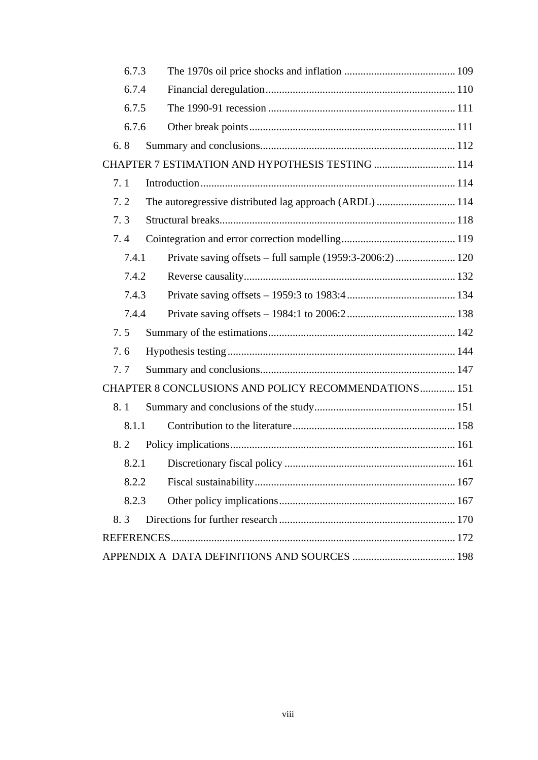| 6.7.3 |                                                         |  |  |  |
|-------|---------------------------------------------------------|--|--|--|
| 6.7.4 |                                                         |  |  |  |
| 6.7.5 |                                                         |  |  |  |
| 6.7.6 |                                                         |  |  |  |
| 6.8   |                                                         |  |  |  |
|       | CHAPTER 7 ESTIMATION AND HYPOTHESIS TESTING  114        |  |  |  |
| 7.1   |                                                         |  |  |  |
| 7.2   | The autoregressive distributed lag approach (ARDL)  114 |  |  |  |
| 7.3   |                                                         |  |  |  |
| 7.4   |                                                         |  |  |  |
| 7.4.1 |                                                         |  |  |  |
| 7.4.2 |                                                         |  |  |  |
| 7.4.3 |                                                         |  |  |  |
| 7.4.4 |                                                         |  |  |  |
| 7.5   |                                                         |  |  |  |
| 7.6   |                                                         |  |  |  |
| 7.7   |                                                         |  |  |  |
|       | CHAPTER 8 CONCLUSIONS AND POLICY RECOMMENDATIONS 151    |  |  |  |
| 8.1   |                                                         |  |  |  |
| 8.1.1 |                                                         |  |  |  |
| 8.2   |                                                         |  |  |  |
| 8.2.1 |                                                         |  |  |  |
| 8.2.2 |                                                         |  |  |  |
| 8.2.3 |                                                         |  |  |  |
| 8.3   |                                                         |  |  |  |
|       |                                                         |  |  |  |
|       |                                                         |  |  |  |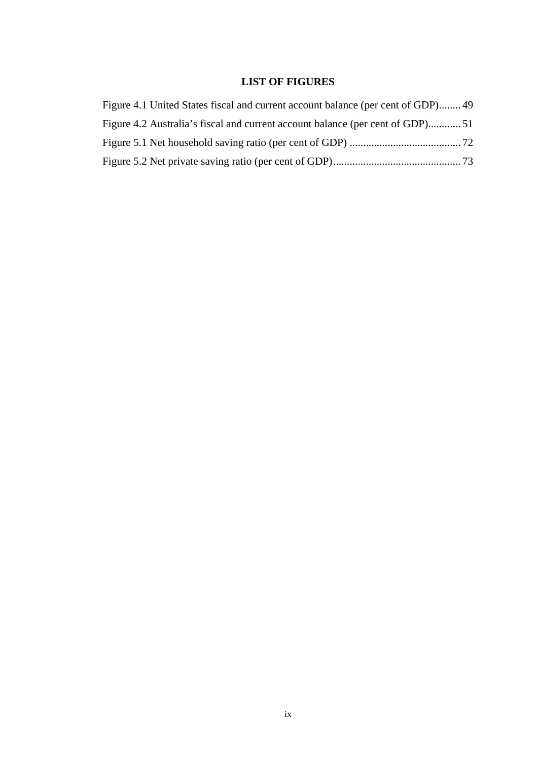## **LIST OF FIGURES**

<span id="page-11-0"></span>

| Figure 4.1 United States fiscal and current account balance (per cent of GDP) 49 |  |
|----------------------------------------------------------------------------------|--|
| Figure 4.2 Australia's fiscal and current account balance (per cent of GDP)51    |  |
|                                                                                  |  |
|                                                                                  |  |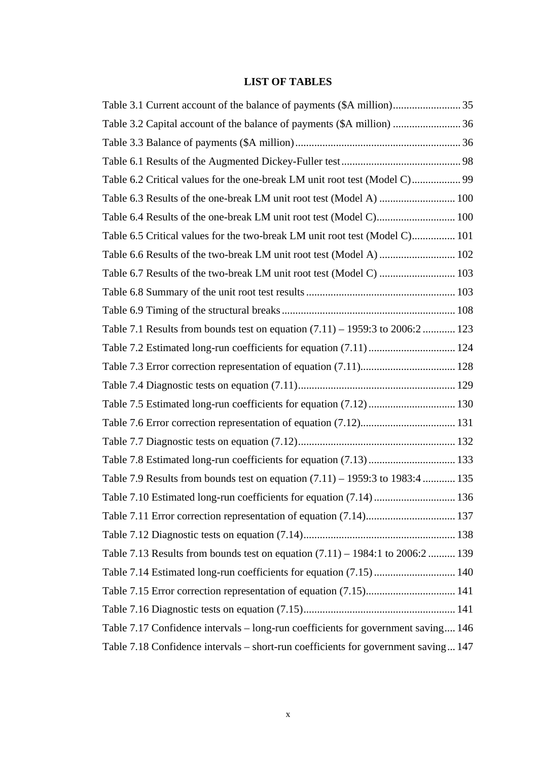## **LIST OF TABLES**

<span id="page-12-0"></span>

| Table 3.2 Capital account of the balance of payments (\$A million)  36             |  |
|------------------------------------------------------------------------------------|--|
|                                                                                    |  |
|                                                                                    |  |
| Table 6.2 Critical values for the one-break LM unit root test (Model C) 99         |  |
| Table 6.3 Results of the one-break LM unit root test (Model A)  100                |  |
| Table 6.4 Results of the one-break LM unit root test (Model C) 100                 |  |
| Table 6.5 Critical values for the two-break LM unit root test (Model C) 101        |  |
|                                                                                    |  |
| Table 6.7 Results of the two-break LM unit root test (Model C)  103                |  |
|                                                                                    |  |
|                                                                                    |  |
| Table 7.1 Results from bounds test on equation (7.11) – 1959:3 to 2006:2  123      |  |
| Table 7.2 Estimated long-run coefficients for equation (7.11)  124                 |  |
|                                                                                    |  |
|                                                                                    |  |
| Table 7.5 Estimated long-run coefficients for equation (7.12)  130                 |  |
|                                                                                    |  |
|                                                                                    |  |
| Table 7.8 Estimated long-run coefficients for equation (7.13)  133                 |  |
| Table 7.9 Results from bounds test on equation (7.11) – 1959:3 to 1983:4  135      |  |
| Table 7.10 Estimated long-run coefficients for equation (7.14)  136                |  |
|                                                                                    |  |
|                                                                                    |  |
| Table 7.13 Results from bounds test on equation (7.11) – 1984:1 to 2006:2  139     |  |
| Table 7.14 Estimated long-run coefficients for equation (7.15)  140                |  |
| Table 7.15 Error correction representation of equation (7.15) 141                  |  |
|                                                                                    |  |
| Table 7.17 Confidence intervals - long-run coefficients for government saving 146  |  |
| Table 7.18 Confidence intervals – short-run coefficients for government saving 147 |  |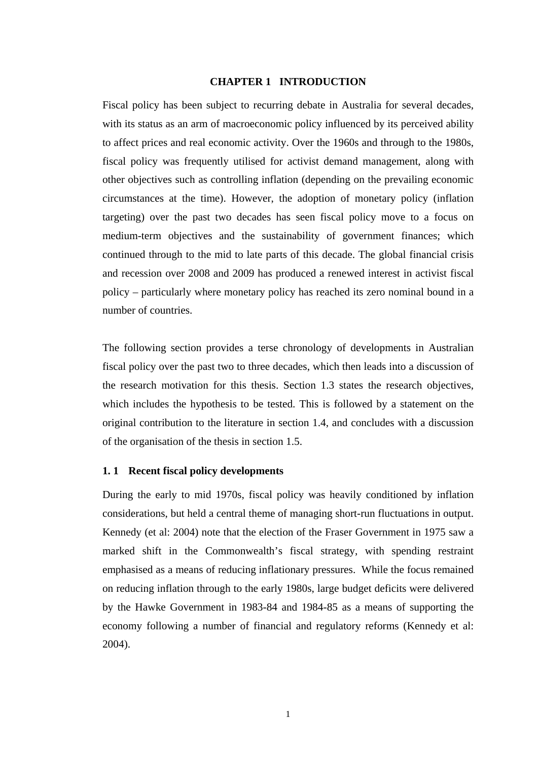#### **CHAPTER 1 INTRODUCTION**

<span id="page-13-0"></span>Fiscal policy has been subject to recurring debate in Australia for several decades, with its status as an arm of macroeconomic policy influenced by its perceived ability to affect prices and real economic activity. Over the 1960s and through to the 1980s, fiscal policy was frequently utilised for activist demand management, along with other objectives such as controlling inflation (depending on the prevailing economic circumstances at the time). However, the adoption of monetary policy (inflation targeting) over the past two decades has seen fiscal policy move to a focus on medium-term objectives and the sustainability of government finances; which continued through to the mid to late parts of this decade. The global financial crisis and recession over 2008 and 2009 has produced a renewed interest in activist fiscal policy – particularly where monetary policy has reached its zero nominal bound in a number of countries.

The following section provides a terse chronology of developments in Australian fiscal policy over the past two to three decades, which then leads into a discussion of the research motivation for this thesis. Section 1.3 states the research objectives, which includes the hypothesis to be tested. This is followed by a statement on the original contribution to the literature in section 1.4, and concludes with a discussion of the organisation of the thesis in section 1.5.

#### <span id="page-13-1"></span>**1. 1 Recent fiscal policy developments**

During the early to mid 1970s, fiscal policy was heavily conditioned by inflation considerations, but held a central theme of managing short-run fluctuations in output. Kennedy (et al: 2004) note that the election of the Fraser Government in 1975 saw a marked shift in the Commonwealth's fiscal strategy, with spending restraint emphasised as a means of reducing inflationary pressures. While the focus remained on reducing inflation through to the early 1980s, large budget deficits were delivered by the Hawke Government in 1983-84 and 1984-85 as a means of supporting the economy following a number of financial and regulatory reforms (Kennedy et al: 2004).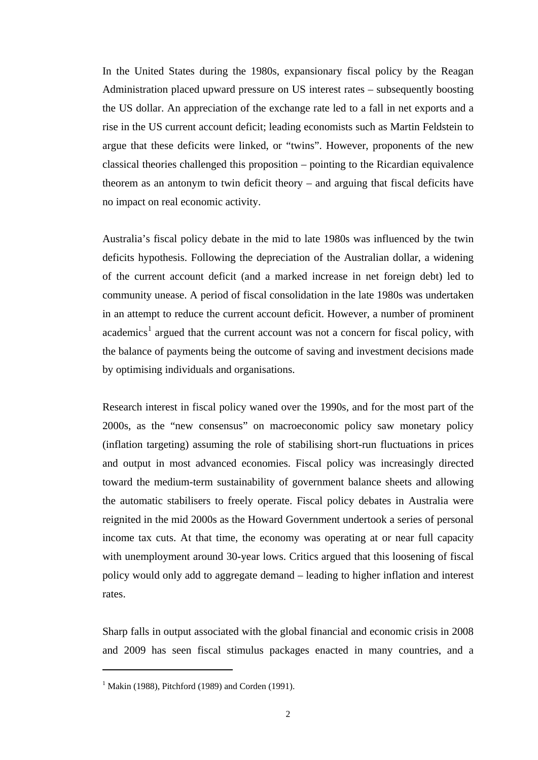In the United States during the 1980s, expansionary fiscal policy by the Reagan Administration placed upward pressure on US interest rates – subsequently boosting the US dollar. An appreciation of the exchange rate led to a fall in net exports and a rise in the US current account deficit; leading economists such as Martin Feldstein to argue that these deficits were linked, or "twins". However, proponents of the new classical theories challenged this proposition – pointing to the Ricardian equivalence theorem as an antonym to twin deficit theory – and arguing that fiscal deficits have no impact on real economic activity.

Australia's fiscal policy debate in the mid to late 1980s was influenced by the twin deficits hypothesis. Following the depreciation of the Australian dollar, a widening of the current account deficit (and a marked increase in net foreign debt) led to community unease. A period of fiscal consolidation in the late 1980s was undertaken in an attempt to reduce the current account deficit. However, a number of prominent academics<sup>[1](#page-14-0)</sup> argued that the current account was not a concern for fiscal policy, with the balance of payments being the outcome of saving and investment decisions made by optimising individuals and organisations.

Research interest in fiscal policy waned over the 1990s, and for the most part of the 2000s, as the "new consensus" on macroeconomic policy saw monetary policy (inflation targeting) assuming the role of stabilising short-run fluctuations in prices and output in most advanced economies. Fiscal policy was increasingly directed toward the medium-term sustainability of government balance sheets and allowing the automatic stabilisers to freely operate. Fiscal policy debates in Australia were reignited in the mid 2000s as the Howard Government undertook a series of personal income tax cuts. At that time, the economy was operating at or near full capacity with unemployment around 30-year lows. Critics argued that this loosening of fiscal policy would only add to aggregate demand – leading to higher inflation and interest rates.

Sharp falls in output associated with the global financial and economic crisis in 2008 and 2009 has seen fiscal stimulus packages enacted in many countries, and a

 $\overline{a}$ 

<span id="page-14-0"></span> $1$  Makin (1988), Pitchford (1989) and Corden (1991).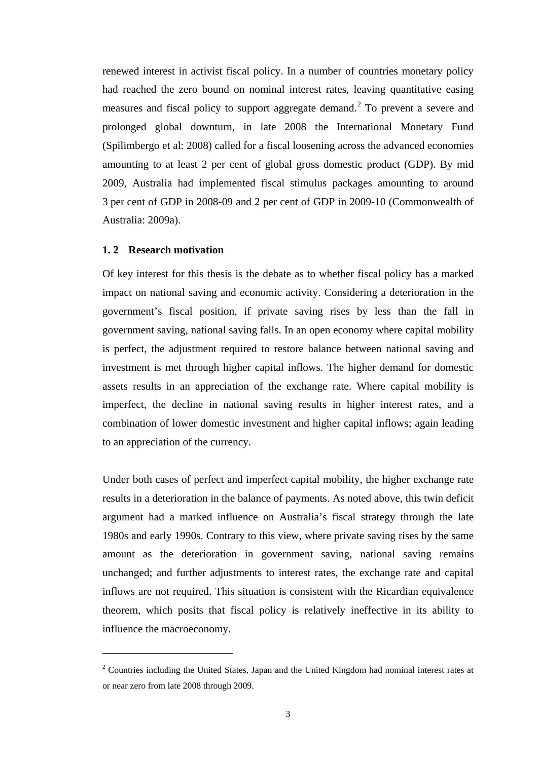renewed interest in activist fiscal policy. In a number of countries monetary policy had reached the zero bound on nominal interest rates, leaving quantitative easing measures and fiscal policy to support aggregate demand.<sup>[2](#page-15-1)</sup> To prevent a severe and prolonged global downturn, in late 2008 the International Monetary Fund (Spilimbergo et al: 2008) called for a fiscal loosening across the advanced economies amounting to at least 2 per cent of global gross domestic product (GDP). By mid 2009, Australia had implemented fiscal stimulus packages amounting to around 3 per cent of GDP in 2008-09 and 2 per cent of GDP in 2009-10 (Commonwealth of Australia: 2009a).

#### <span id="page-15-0"></span>**1. 2 Research motivation**

 $\overline{a}$ 

Of key interest for this thesis is the debate as to whether fiscal policy has a marked impact on national saving and economic activity. Considering a deterioration in the government's fiscal position, if private saving rises by less than the fall in government saving, national saving falls. In an open economy where capital mobility is perfect, the adjustment required to restore balance between national saving and investment is met through higher capital inflows. The higher demand for domestic assets results in an appreciation of the exchange rate. Where capital mobility is imperfect, the decline in national saving results in higher interest rates, and a combination of lower domestic investment and higher capital inflows; again leading to an appreciation of the currency.

Under both cases of perfect and imperfect capital mobility, the higher exchange rate results in a deterioration in the balance of payments. As noted above, this twin deficit argument had a marked influence on Australia's fiscal strategy through the late 1980s and early 1990s. Contrary to this view, where private saving rises by the same amount as the deterioration in government saving, national saving remains unchanged; and further adjustments to interest rates, the exchange rate and capital inflows are not required. This situation is consistent with the Ricardian equivalence theorem, which posits that fiscal policy is relatively ineffective in its ability to influence the macroeconomy.

<span id="page-15-1"></span> $2^2$  Countries including the United States, Japan and the United Kingdom had nominal interest rates at or near zero from late 2008 through 2009.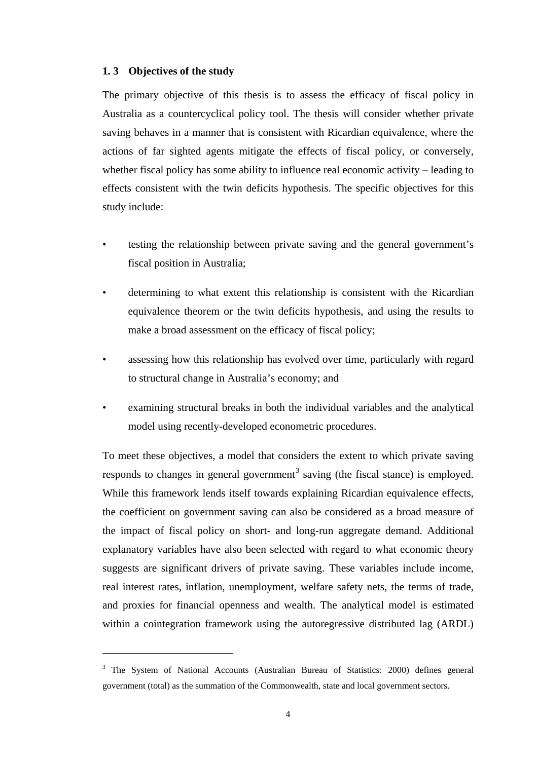#### <span id="page-16-0"></span>**1. 3 Objectives of the study**

 $\overline{a}$ 

The primary objective of this thesis is to assess the efficacy of fiscal policy in Australia as a countercyclical policy tool. The thesis will consider whether private saving behaves in a manner that is consistent with Ricardian equivalence, where the actions of far sighted agents mitigate the effects of fiscal policy, or conversely, whether fiscal policy has some ability to influence real economic activity – leading to effects consistent with the twin deficits hypothesis. The specific objectives for this study include:

- testing the relationship between private saving and the general government's fiscal position in Australia;
- determining to what extent this relationship is consistent with the Ricardian equivalence theorem or the twin deficits hypothesis, and using the results to make a broad assessment on the efficacy of fiscal policy;
- assessing how this relationship has evolved over time, particularly with regard to structural change in Australia's economy; and
- examining structural breaks in both the individual variables and the analytical model using recently-developed econometric procedures.

To meet these objectives, a model that considers the extent to which private saving responds to changes in general government<sup>[3](#page-16-1)</sup> saving (the fiscal stance) is employed. While this framework lends itself towards explaining Ricardian equivalence effects, the coefficient on government saving can also be considered as a broad measure of the impact of fiscal policy on short- and long-run aggregate demand. Additional explanatory variables have also been selected with regard to what economic theory suggests are significant drivers of private saving. These variables include income, real interest rates, inflation, unemployment, welfare safety nets, the terms of trade, and proxies for financial openness and wealth. The analytical model is estimated within a cointegration framework using the autoregressive distributed lag (ARDL)

<span id="page-16-1"></span><sup>&</sup>lt;sup>3</sup> The System of National Accounts (Australian Bureau of Statistics: 2000) defines general government (total) as the summation of the Commonwealth, state and local government sectors.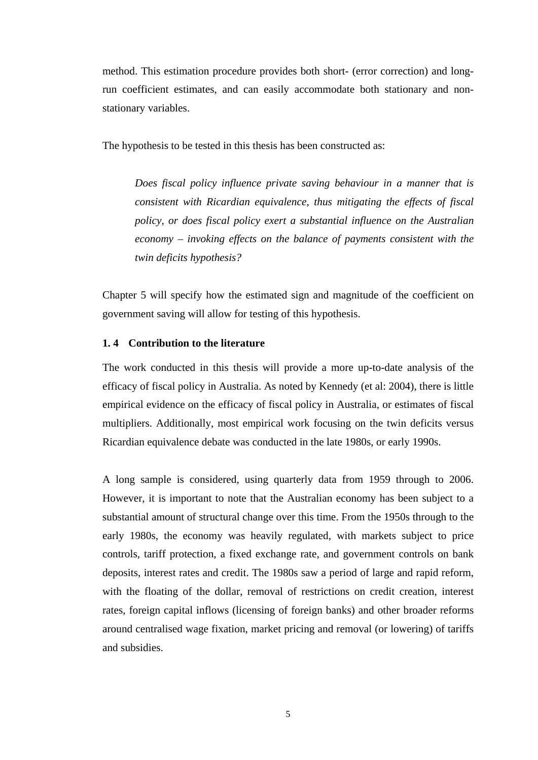method. This estimation procedure provides both short- (error correction) and longrun coefficient estimates, and can easily accommodate both stationary and nonstationary variables.

The hypothesis to be tested in this thesis has been constructed as:

*Does fiscal policy influence private saving behaviour in a manner that is consistent with Ricardian equivalence, thus mitigating the effects of fiscal policy, or does fiscal policy exert a substantial influence on the Australian economy – invoking effects on the balance of payments consistent with the twin deficits hypothesis?* 

Chapter 5 will specify how the estimated sign and magnitude of the coefficient on government saving will allow for testing of this hypothesis.

#### <span id="page-17-0"></span>**1. 4 Contribution to the literature**

The work conducted in this thesis will provide a more up-to-date analysis of the efficacy of fiscal policy in Australia. As noted by Kennedy (et al: 2004), there is little empirical evidence on the efficacy of fiscal policy in Australia, or estimates of fiscal multipliers. Additionally, most empirical work focusing on the twin deficits versus Ricardian equivalence debate was conducted in the late 1980s, or early 1990s.

A long sample is considered, using quarterly data from 1959 through to 2006. However, it is important to note that the Australian economy has been subject to a substantial amount of structural change over this time. From the 1950s through to the early 1980s, the economy was heavily regulated, with markets subject to price controls, tariff protection, a fixed exchange rate, and government controls on bank deposits, interest rates and credit. The 1980s saw a period of large and rapid reform, with the floating of the dollar, removal of restrictions on credit creation, interest rates, foreign capital inflows (licensing of foreign banks) and other broader reforms around centralised wage fixation, market pricing and removal (or lowering) of tariffs and subsidies.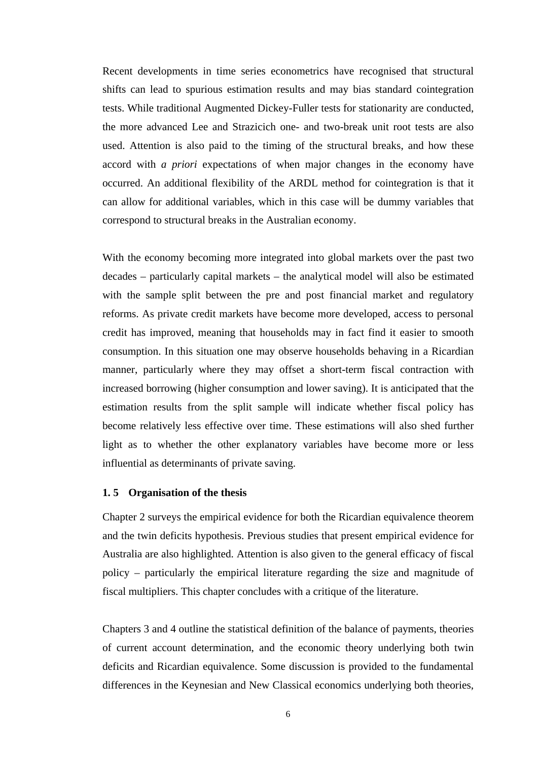Recent developments in time series econometrics have recognised that structural shifts can lead to spurious estimation results and may bias standard cointegration tests. While traditional Augmented Dickey-Fuller tests for stationarity are conducted, the more advanced Lee and Strazicich one- and two-break unit root tests are also used. Attention is also paid to the timing of the structural breaks, and how these accord with *a priori* expectations of when major changes in the economy have occurred. An additional flexibility of the ARDL method for cointegration is that it can allow for additional variables, which in this case will be dummy variables that correspond to structural breaks in the Australian economy.

With the economy becoming more integrated into global markets over the past two decades – particularly capital markets – the analytical model will also be estimated with the sample split between the pre and post financial market and regulatory reforms. As private credit markets have become more developed, access to personal credit has improved, meaning that households may in fact find it easier to smooth consumption. In this situation one may observe households behaving in a Ricardian manner, particularly where they may offset a short-term fiscal contraction with increased borrowing (higher consumption and lower saving). It is anticipated that the estimation results from the split sample will indicate whether fiscal policy has become relatively less effective over time. These estimations will also shed further light as to whether the other explanatory variables have become more or less influential as determinants of private saving.

#### <span id="page-18-0"></span>**1. 5 Organisation of the thesis**

Chapter 2 surveys the empirical evidence for both the Ricardian equivalence theorem and the twin deficits hypothesis. Previous studies that present empirical evidence for Australia are also highlighted. Attention is also given to the general efficacy of fiscal policy – particularly the empirical literature regarding the size and magnitude of fiscal multipliers. This chapter concludes with a critique of the literature.

Chapters 3 and 4 outline the statistical definition of the balance of payments, theories of current account determination, and the economic theory underlying both twin deficits and Ricardian equivalence. Some discussion is provided to the fundamental differences in the Keynesian and New Classical economics underlying both theories,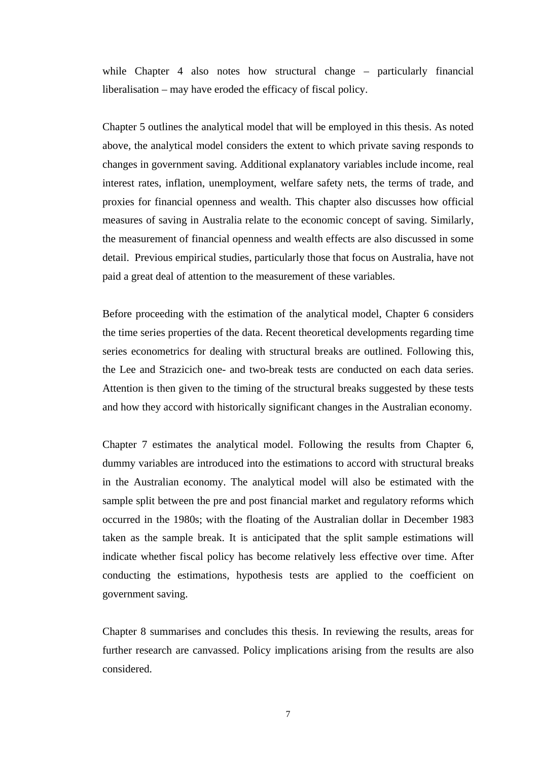while Chapter 4 also notes how structural change – particularly financial liberalisation – may have eroded the efficacy of fiscal policy.

Chapter 5 outlines the analytical model that will be employed in this thesis. As noted above, the analytical model considers the extent to which private saving responds to changes in government saving. Additional explanatory variables include income, real interest rates, inflation, unemployment, welfare safety nets, the terms of trade, and proxies for financial openness and wealth. This chapter also discusses how official measures of saving in Australia relate to the economic concept of saving. Similarly, the measurement of financial openness and wealth effects are also discussed in some detail. Previous empirical studies, particularly those that focus on Australia, have not paid a great deal of attention to the measurement of these variables.

Before proceeding with the estimation of the analytical model, Chapter 6 considers the time series properties of the data. Recent theoretical developments regarding time series econometrics for dealing with structural breaks are outlined. Following this, the Lee and Strazicich one- and two-break tests are conducted on each data series. Attention is then given to the timing of the structural breaks suggested by these tests and how they accord with historically significant changes in the Australian economy.

Chapter 7 estimates the analytical model. Following the results from Chapter 6, dummy variables are introduced into the estimations to accord with structural breaks in the Australian economy. The analytical model will also be estimated with the sample split between the pre and post financial market and regulatory reforms which occurred in the 1980s; with the floating of the Australian dollar in December 1983 taken as the sample break. It is anticipated that the split sample estimations will indicate whether fiscal policy has become relatively less effective over time. After conducting the estimations, hypothesis tests are applied to the coefficient on government saving.

Chapter 8 summarises and concludes this thesis. In reviewing the results, areas for further research are canvassed. Policy implications arising from the results are also considered.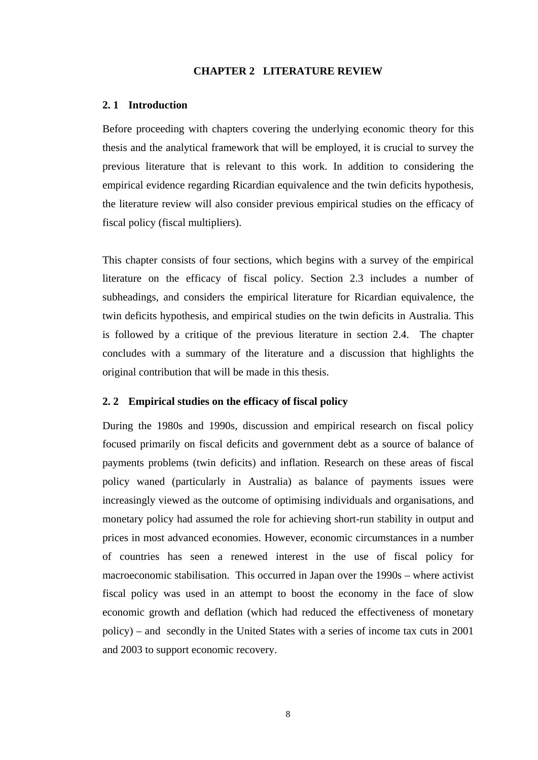#### **CHAPTER 2 LITERATURE REVIEW**

#### <span id="page-20-1"></span><span id="page-20-0"></span>**2. 1 Introduction**

Before proceeding with chapters covering the underlying economic theory for this thesis and the analytical framework that will be employed, it is crucial to survey the previous literature that is relevant to this work. In addition to considering the empirical evidence regarding Ricardian equivalence and the twin deficits hypothesis, the literature review will also consider previous empirical studies on the efficacy of fiscal policy (fiscal multipliers).

This chapter consists of four sections, which begins with a survey of the empirical literature on the efficacy of fiscal policy. Section 2.3 includes a number of subheadings, and considers the empirical literature for Ricardian equivalence, the twin deficits hypothesis, and empirical studies on the twin deficits in Australia. This is followed by a critique of the previous literature in section 2.4. The chapter concludes with a summary of the literature and a discussion that highlights the original contribution that will be made in this thesis.

#### <span id="page-20-2"></span>**2. 2 Empirical studies on the efficacy of fiscal policy**

During the 1980s and 1990s, discussion and empirical research on fiscal policy focused primarily on fiscal deficits and government debt as a source of balance of payments problems (twin deficits) and inflation. Research on these areas of fiscal policy waned (particularly in Australia) as balance of payments issues were increasingly viewed as the outcome of optimising individuals and organisations, and monetary policy had assumed the role for achieving short-run stability in output and prices in most advanced economies. However, economic circumstances in a number of countries has seen a renewed interest in the use of fiscal policy for macroeconomic stabilisation. This occurred in Japan over the 1990s – where activist fiscal policy was used in an attempt to boost the economy in the face of slow economic growth and deflation (which had reduced the effectiveness of monetary policy) – and secondly in the United States with a series of income tax cuts in 2001 and 2003 to support economic recovery.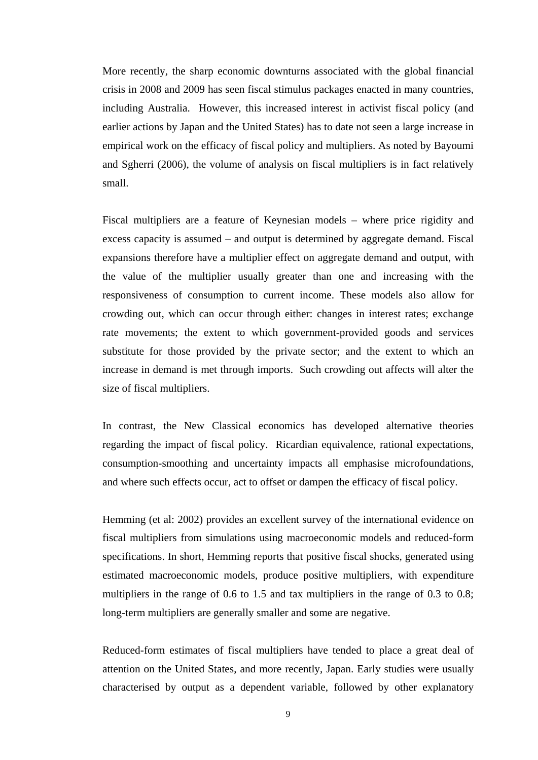More recently, the sharp economic downturns associated with the global financial crisis in 2008 and 2009 has seen fiscal stimulus packages enacted in many countries, including Australia. However, this increased interest in activist fiscal policy (and earlier actions by Japan and the United States) has to date not seen a large increase in empirical work on the efficacy of fiscal policy and multipliers. As noted by Bayoumi and Sgherri (2006), the volume of analysis on fiscal multipliers is in fact relatively small.

Fiscal multipliers are a feature of Keynesian models – where price rigidity and excess capacity is assumed – and output is determined by aggregate demand. Fiscal expansions therefore have a multiplier effect on aggregate demand and output, with the value of the multiplier usually greater than one and increasing with the responsiveness of consumption to current income. These models also allow for crowding out, which can occur through either: changes in interest rates; exchange rate movements; the extent to which government-provided goods and services substitute for those provided by the private sector; and the extent to which an increase in demand is met through imports. Such crowding out affects will alter the size of fiscal multipliers.

In contrast, the New Classical economics has developed alternative theories regarding the impact of fiscal policy. Ricardian equivalence, rational expectations, consumption-smoothing and uncertainty impacts all emphasise microfoundations, and where such effects occur, act to offset or dampen the efficacy of fiscal policy.

Hemming (et al: 2002) provides an excellent survey of the international evidence on fiscal multipliers from simulations using macroeconomic models and reduced-form specifications. In short, Hemming reports that positive fiscal shocks, generated using estimated macroeconomic models, produce positive multipliers, with expenditure multipliers in the range of 0.6 to 1.5 and tax multipliers in the range of 0.3 to 0.8; long-term multipliers are generally smaller and some are negative.

Reduced-form estimates of fiscal multipliers have tended to place a great deal of attention on the United States, and more recently, Japan. Early studies were usually characterised by output as a dependent variable, followed by other explanatory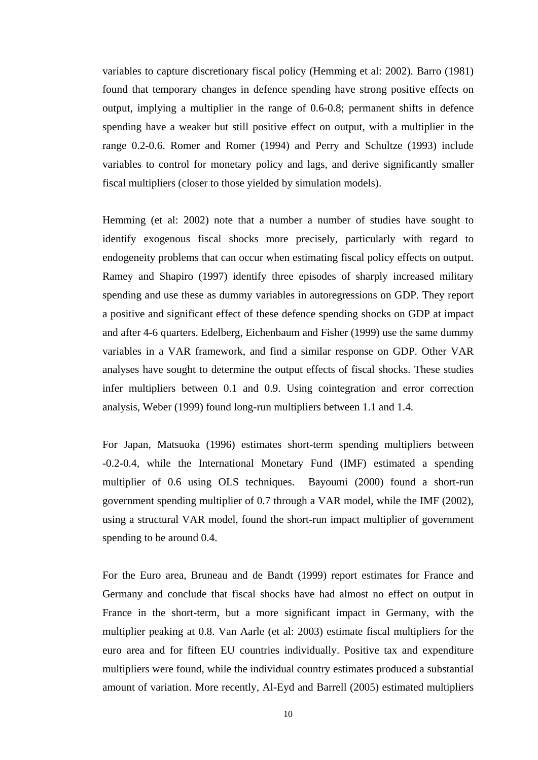variables to capture discretionary fiscal policy (Hemming et al: 2002). Barro (1981) found that temporary changes in defence spending have strong positive effects on output, implying a multiplier in the range of 0.6-0.8; permanent shifts in defence spending have a weaker but still positive effect on output, with a multiplier in the range 0.2-0.6. Romer and Romer (1994) and Perry and Schultze (1993) include variables to control for monetary policy and lags, and derive significantly smaller fiscal multipliers (closer to those yielded by simulation models).

Hemming (et al: 2002) note that a number a number of studies have sought to identify exogenous fiscal shocks more precisely, particularly with regard to endogeneity problems that can occur when estimating fiscal policy effects on output. Ramey and Shapiro (1997) identify three episodes of sharply increased military spending and use these as dummy variables in autoregressions on GDP. They report a positive and significant effect of these defence spending shocks on GDP at impact and after 4-6 quarters. Edelberg, Eichenbaum and Fisher (1999) use the same dummy variables in a VAR framework, and find a similar response on GDP. Other VAR analyses have sought to determine the output effects of fiscal shocks. These studies infer multipliers between 0.1 and 0.9. Using cointegration and error correction analysis, Weber (1999) found long-run multipliers between 1.1 and 1.4.

For Japan, Matsuoka (1996) estimates short-term spending multipliers between -0.2-0.4, while the International Monetary Fund (IMF) estimated a spending multiplier of 0.6 using OLS techniques. Bayoumi (2000) found a short-run government spending multiplier of 0.7 through a VAR model, while the IMF (2002), using a structural VAR model, found the short-run impact multiplier of government spending to be around 0.4.

For the Euro area, Bruneau and de Bandt (1999) report estimates for France and Germany and conclude that fiscal shocks have had almost no effect on output in France in the short-term, but a more significant impact in Germany, with the multiplier peaking at 0.8. Van Aarle (et al: 2003) estimate fiscal multipliers for the euro area and for fifteen EU countries individually. Positive tax and expenditure multipliers were found, while the individual country estimates produced a substantial amount of variation. More recently, Al-Eyd and Barrell (2005) estimated multipliers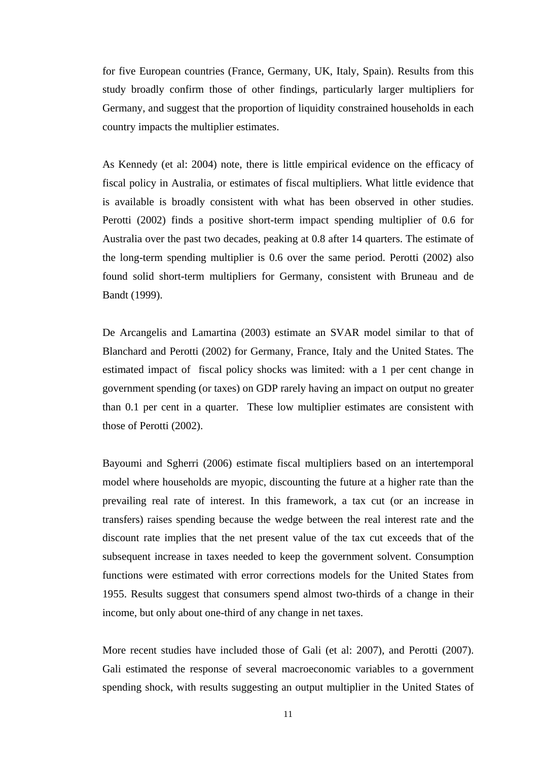for five European countries (France, Germany, UK, Italy, Spain). Results from this study broadly confirm those of other findings, particularly larger multipliers for Germany, and suggest that the proportion of liquidity constrained households in each country impacts the multiplier estimates.

As Kennedy (et al: 2004) note, there is little empirical evidence on the efficacy of fiscal policy in Australia, or estimates of fiscal multipliers. What little evidence that is available is broadly consistent with what has been observed in other studies. Perotti (2002) finds a positive short-term impact spending multiplier of 0.6 for Australia over the past two decades, peaking at 0.8 after 14 quarters. The estimate of the long-term spending multiplier is 0.6 over the same period. Perotti (2002) also found solid short-term multipliers for Germany, consistent with Bruneau and de Bandt (1999).

De Arcangelis and Lamartina (2003) estimate an SVAR model similar to that of Blanchard and Perotti (2002) for Germany, France, Italy and the United States. The estimated impact of fiscal policy shocks was limited: with a 1 per cent change in government spending (or taxes) on GDP rarely having an impact on output no greater than 0.1 per cent in a quarter. These low multiplier estimates are consistent with those of Perotti (2002).

Bayoumi and Sgherri (2006) estimate fiscal multipliers based on an intertemporal model where households are myopic, discounting the future at a higher rate than the prevailing real rate of interest. In this framework, a tax cut (or an increase in transfers) raises spending because the wedge between the real interest rate and the discount rate implies that the net present value of the tax cut exceeds that of the subsequent increase in taxes needed to keep the government solvent. Consumption functions were estimated with error corrections models for the United States from 1955. Results suggest that consumers spend almost two-thirds of a change in their income, but only about one-third of any change in net taxes.

More recent studies have included those of Gali (et al: 2007), and Perotti (2007). Gali estimated the response of several macroeconomic variables to a government spending shock, with results suggesting an output multiplier in the United States of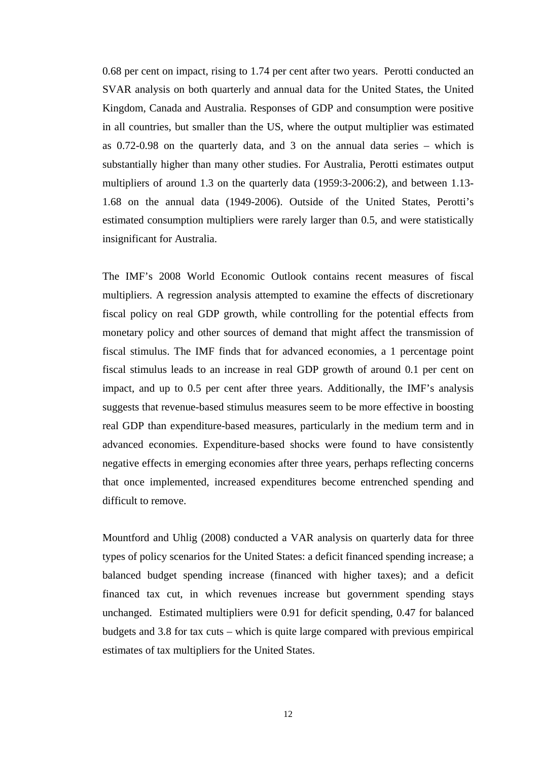0.68 per cent on impact, rising to 1.74 per cent after two years. Perotti conducted an SVAR analysis on both quarterly and annual data for the United States, the United Kingdom, Canada and Australia. Responses of GDP and consumption were positive in all countries, but smaller than the US, where the output multiplier was estimated as 0.72-0.98 on the quarterly data, and 3 on the annual data series – which is substantially higher than many other studies. For Australia, Perotti estimates output multipliers of around 1.3 on the quarterly data (1959:3-2006:2), and between 1.13- 1.68 on the annual data (1949-2006). Outside of the United States, Perotti's estimated consumption multipliers were rarely larger than 0.5, and were statistically insignificant for Australia.

The IMF's 2008 World Economic Outlook contains recent measures of fiscal multipliers. A regression analysis attempted to examine the effects of discretionary fiscal policy on real GDP growth, while controlling for the potential effects from monetary policy and other sources of demand that might affect the transmission of fiscal stimulus. The IMF finds that for advanced economies, a 1 percentage point fiscal stimulus leads to an increase in real GDP growth of around 0.1 per cent on impact, and up to 0.5 per cent after three years. Additionally, the IMF's analysis suggests that revenue-based stimulus measures seem to be more effective in boosting real GDP than expenditure-based measures, particularly in the medium term and in advanced economies. Expenditure-based shocks were found to have consistently negative effects in emerging economies after three years, perhaps reflecting concerns that once implemented, increased expenditures become entrenched spending and difficult to remove.

Mountford and Uhlig (2008) conducted a VAR analysis on quarterly data for three types of policy scenarios for the United States: a deficit financed spending increase; a balanced budget spending increase (financed with higher taxes); and a deficit financed tax cut, in which revenues increase but government spending stays unchanged. Estimated multipliers were 0.91 for deficit spending, 0.47 for balanced budgets and 3.8 for tax cuts – which is quite large compared with previous empirical estimates of tax multipliers for the United States.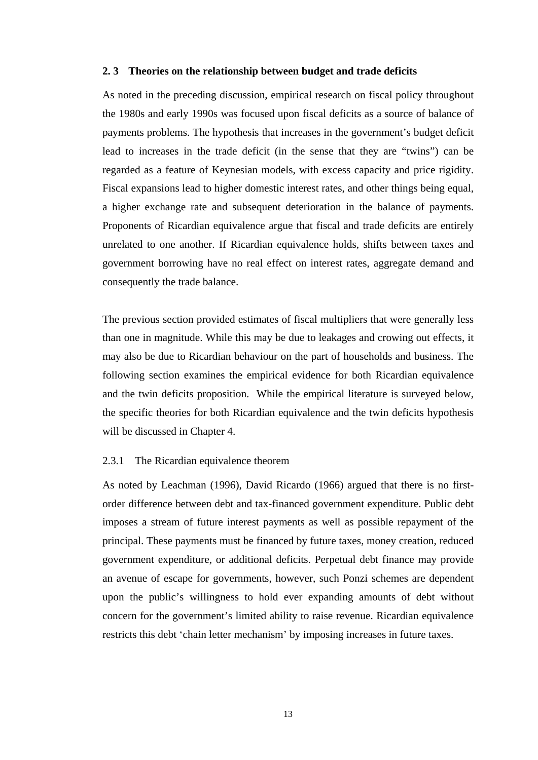#### <span id="page-25-0"></span>**2. 3 Theories on the relationship between budget and trade deficits**

As noted in the preceding discussion, empirical research on fiscal policy throughout the 1980s and early 1990s was focused upon fiscal deficits as a source of balance of payments problems. The hypothesis that increases in the government's budget deficit lead to increases in the trade deficit (in the sense that they are "twins") can be regarded as a feature of Keynesian models, with excess capacity and price rigidity. Fiscal expansions lead to higher domestic interest rates, and other things being equal, a higher exchange rate and subsequent deterioration in the balance of payments. Proponents of Ricardian equivalence argue that fiscal and trade deficits are entirely unrelated to one another. If Ricardian equivalence holds, shifts between taxes and government borrowing have no real effect on interest rates, aggregate demand and consequently the trade balance.

The previous section provided estimates of fiscal multipliers that were generally less than one in magnitude. While this may be due to leakages and crowing out effects, it may also be due to Ricardian behaviour on the part of households and business. The following section examines the empirical evidence for both Ricardian equivalence and the twin deficits proposition. While the empirical literature is surveyed below, the specific theories for both Ricardian equivalence and the twin deficits hypothesis will be discussed in Chapter 4.

#### <span id="page-25-1"></span>2.3.1 The Ricardian equivalence theorem

As noted by Leachman (1996), David Ricardo (1966) argued that there is no firstorder difference between debt and tax-financed government expenditure. Public debt imposes a stream of future interest payments as well as possible repayment of the principal. These payments must be financed by future taxes, money creation, reduced government expenditure, or additional deficits. Perpetual debt finance may provide an avenue of escape for governments, however, such Ponzi schemes are dependent upon the public's willingness to hold ever expanding amounts of debt without concern for the government's limited ability to raise revenue. Ricardian equivalence restricts this debt 'chain letter mechanism' by imposing increases in future taxes.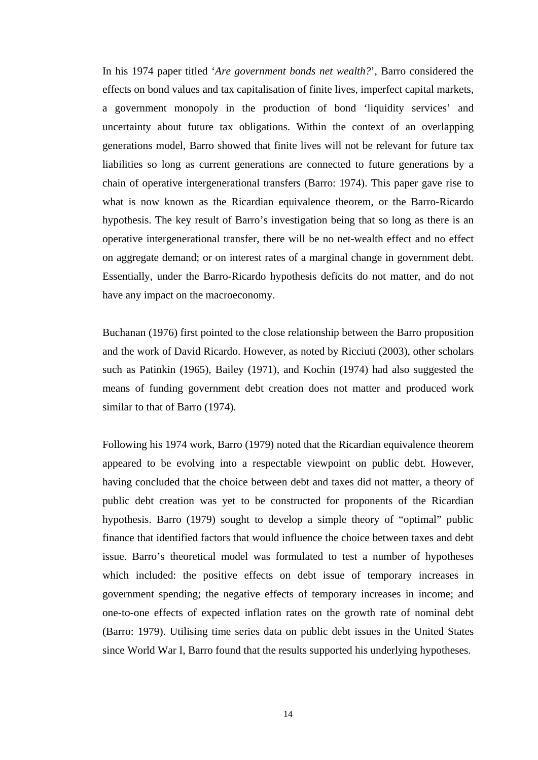In his 1974 paper titled '*Are government bonds net wealth?*', Barro considered the effects on bond values and tax capitalisation of finite lives, imperfect capital markets, a government monopoly in the production of bond 'liquidity services' and uncertainty about future tax obligations. Within the context of an overlapping generations model, Barro showed that finite lives will not be relevant for future tax liabilities so long as current generations are connected to future generations by a chain of operative intergenerational transfers (Barro: 1974). This paper gave rise to what is now known as the Ricardian equivalence theorem, or the Barro-Ricardo hypothesis. The key result of Barro's investigation being that so long as there is an operative intergenerational transfer, there will be no net-wealth effect and no effect on aggregate demand; or on interest rates of a marginal change in government debt. Essentially, under the Barro-Ricardo hypothesis deficits do not matter, and do not have any impact on the macroeconomy.

Buchanan (1976) first pointed to the close relationship between the Barro proposition and the work of David Ricardo. However, as noted by Ricciuti (2003), other scholars such as Patinkin (1965), Bailey (1971), and Kochin (1974) had also suggested the means of funding government debt creation does not matter and produced work similar to that of Barro (1974).

Following his 1974 work, Barro (1979) noted that the Ricardian equivalence theorem appeared to be evolving into a respectable viewpoint on public debt. However, having concluded that the choice between debt and taxes did not matter, a theory of public debt creation was yet to be constructed for proponents of the Ricardian hypothesis. Barro (1979) sought to develop a simple theory of "optimal" public finance that identified factors that would influence the choice between taxes and debt issue. Barro's theoretical model was formulated to test a number of hypotheses which included: the positive effects on debt issue of temporary increases in government spending; the negative effects of temporary increases in income; and one-to-one effects of expected inflation rates on the growth rate of nominal debt (Barro: 1979). Utilising time series data on public debt issues in the United States since World War I, Barro found that the results supported his underlying hypotheses.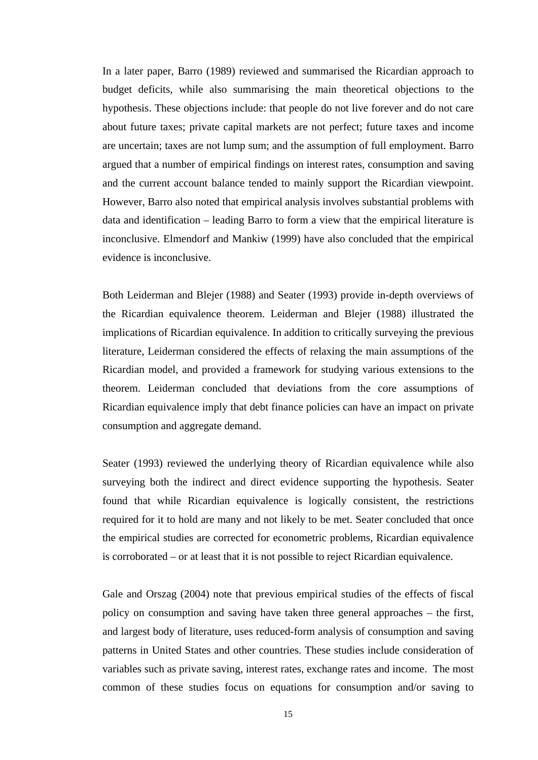In a later paper, Barro (1989) reviewed and summarised the Ricardian approach to budget deficits, while also summarising the main theoretical objections to the hypothesis. These objections include: that people do not live forever and do not care about future taxes; private capital markets are not perfect; future taxes and income are uncertain; taxes are not lump sum; and the assumption of full employment. Barro argued that a number of empirical findings on interest rates, consumption and saving and the current account balance tended to mainly support the Ricardian viewpoint. However, Barro also noted that empirical analysis involves substantial problems with data and identification – leading Barro to form a view that the empirical literature is inconclusive. Elmendorf and Mankiw (1999) have also concluded that the empirical evidence is inconclusive.

Both Leiderman and Blejer (1988) and Seater (1993) provide in-depth overviews of the Ricardian equivalence theorem. Leiderman and Blejer (1988) illustrated the implications of Ricardian equivalence. In addition to critically surveying the previous literature, Leiderman considered the effects of relaxing the main assumptions of the Ricardian model, and provided a framework for studying various extensions to the theorem. Leiderman concluded that deviations from the core assumptions of Ricardian equivalence imply that debt finance policies can have an impact on private consumption and aggregate demand.

Seater (1993) reviewed the underlying theory of Ricardian equivalence while also surveying both the indirect and direct evidence supporting the hypothesis. Seater found that while Ricardian equivalence is logically consistent, the restrictions required for it to hold are many and not likely to be met. Seater concluded that once the empirical studies are corrected for econometric problems, Ricardian equivalence is corroborated – or at least that it is not possible to reject Ricardian equivalence.

Gale and Orszag (2004) note that previous empirical studies of the effects of fiscal policy on consumption and saving have taken three general approaches – the first, and largest body of literature, uses reduced-form analysis of consumption and saving patterns in United States and other countries. These studies include consideration of variables such as private saving, interest rates, exchange rates and income. The most common of these studies focus on equations for consumption and/or saving to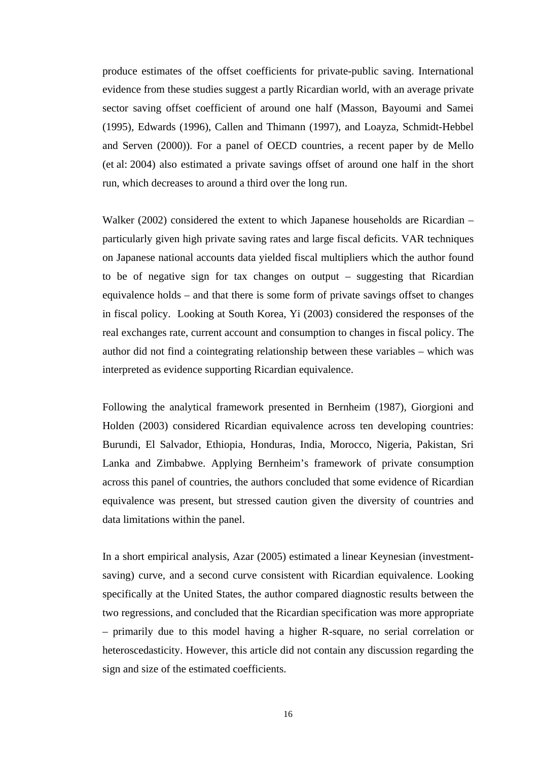produce estimates of the offset coefficients for private-public saving. International evidence from these studies suggest a partly Ricardian world, with an average private sector saving offset coefficient of around one half (Masson, Bayoumi and Samei (1995), Edwards (1996), Callen and Thimann (1997), and Loayza, Schmidt-Hebbel and Serven (2000)). For a panel of OECD countries, a recent paper by de Mello (et al: 2004) also estimated a private savings offset of around one half in the short run, which decreases to around a third over the long run.

Walker (2002) considered the extent to which Japanese households are Ricardian – particularly given high private saving rates and large fiscal deficits. VAR techniques on Japanese national accounts data yielded fiscal multipliers which the author found to be of negative sign for tax changes on output – suggesting that Ricardian equivalence holds – and that there is some form of private savings offset to changes in fiscal policy. Looking at South Korea, Yi (2003) considered the responses of the real exchanges rate, current account and consumption to changes in fiscal policy. The author did not find a cointegrating relationship between these variables – which was interpreted as evidence supporting Ricardian equivalence.

Following the analytical framework presented in Bernheim (1987), Giorgioni and Holden (2003) considered Ricardian equivalence across ten developing countries: Burundi, El Salvador, Ethiopia, Honduras, India, Morocco, Nigeria, Pakistan, Sri Lanka and Zimbabwe. Applying Bernheim's framework of private consumption across this panel of countries, the authors concluded that some evidence of Ricardian equivalence was present, but stressed caution given the diversity of countries and data limitations within the panel.

In a short empirical analysis, Azar (2005) estimated a linear Keynesian (investmentsaving) curve, and a second curve consistent with Ricardian equivalence. Looking specifically at the United States, the author compared diagnostic results between the two regressions, and concluded that the Ricardian specification was more appropriate – primarily due to this model having a higher R-square, no serial correlation or heteroscedasticity. However, this article did not contain any discussion regarding the sign and size of the estimated coefficients.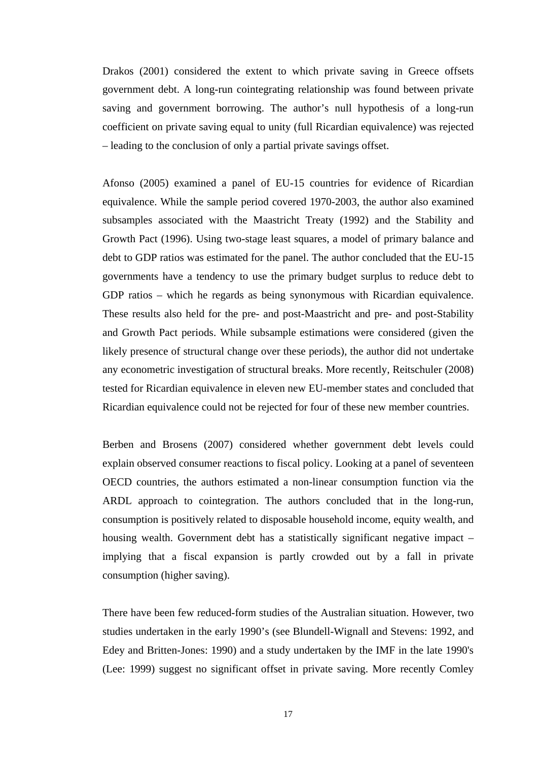Drakos (2001) considered the extent to which private saving in Greece offsets government debt. A long-run cointegrating relationship was found between private saving and government borrowing. The author's null hypothesis of a long-run coefficient on private saving equal to unity (full Ricardian equivalence) was rejected – leading to the conclusion of only a partial private savings offset.

Afonso (2005) examined a panel of EU-15 countries for evidence of Ricardian equivalence. While the sample period covered 1970-2003, the author also examined subsamples associated with the Maastricht Treaty (1992) and the Stability and Growth Pact (1996). Using two-stage least squares, a model of primary balance and debt to GDP ratios was estimated for the panel. The author concluded that the EU-15 governments have a tendency to use the primary budget surplus to reduce debt to GDP ratios – which he regards as being synonymous with Ricardian equivalence. These results also held for the pre- and post-Maastricht and pre- and post-Stability and Growth Pact periods. While subsample estimations were considered (given the likely presence of structural change over these periods), the author did not undertake any econometric investigation of structural breaks. More recently, Reitschuler (2008) tested for Ricardian equivalence in eleven new EU-member states and concluded that Ricardian equivalence could not be rejected for four of these new member countries.

Berben and Brosens (2007) considered whether government debt levels could explain observed consumer reactions to fiscal policy. Looking at a panel of seventeen OECD countries, the authors estimated a non-linear consumption function via the ARDL approach to cointegration. The authors concluded that in the long-run, consumption is positively related to disposable household income, equity wealth, and housing wealth. Government debt has a statistically significant negative impact – implying that a fiscal expansion is partly crowded out by a fall in private consumption (higher saving).

There have been few reduced-form studies of the Australian situation. However, two studies undertaken in the early 1990's (see Blundell-Wignall and Stevens: 1992, and Edey and Britten-Jones: 1990) and a study undertaken by the IMF in the late 1990's (Lee: 1999) suggest no significant offset in private saving. More recently Comley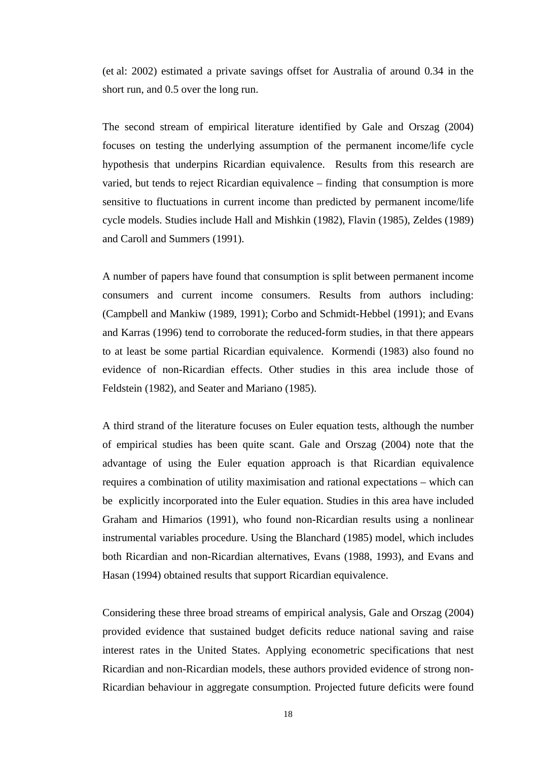(et al: 2002) estimated a private savings offset for Australia of around 0.34 in the short run, and 0.5 over the long run.

The second stream of empirical literature identified by Gale and Orszag (2004) focuses on testing the underlying assumption of the permanent income/life cycle hypothesis that underpins Ricardian equivalence. Results from this research are varied, but tends to reject Ricardian equivalence – finding that consumption is more sensitive to fluctuations in current income than predicted by permanent income/life cycle models. Studies include Hall and Mishkin (1982), Flavin (1985), Zeldes (1989) and Caroll and Summers (1991).

A number of papers have found that consumption is split between permanent income consumers and current income consumers. Results from authors including: (Campbell and Mankiw (1989, 1991); Corbo and Schmidt-Hebbel (1991); and Evans and Karras (1996) tend to corroborate the reduced-form studies, in that there appears to at least be some partial Ricardian equivalence. Kormendi (1983) also found no evidence of non-Ricardian effects. Other studies in this area include those of Feldstein (1982), and Seater and Mariano (1985).

A third strand of the literature focuses on Euler equation tests, although the number of empirical studies has been quite scant. Gale and Orszag (2004) note that the advantage of using the Euler equation approach is that Ricardian equivalence requires a combination of utility maximisation and rational expectations – which can be explicitly incorporated into the Euler equation. Studies in this area have included Graham and Himarios (1991), who found non-Ricardian results using a nonlinear instrumental variables procedure. Using the Blanchard (1985) model, which includes both Ricardian and non-Ricardian alternatives, Evans (1988, 1993), and Evans and Hasan (1994) obtained results that support Ricardian equivalence.

Considering these three broad streams of empirical analysis, Gale and Orszag (2004) provided evidence that sustained budget deficits reduce national saving and raise interest rates in the United States. Applying econometric specifications that nest Ricardian and non-Ricardian models, these authors provided evidence of strong non-Ricardian behaviour in aggregate consumption. Projected future deficits were found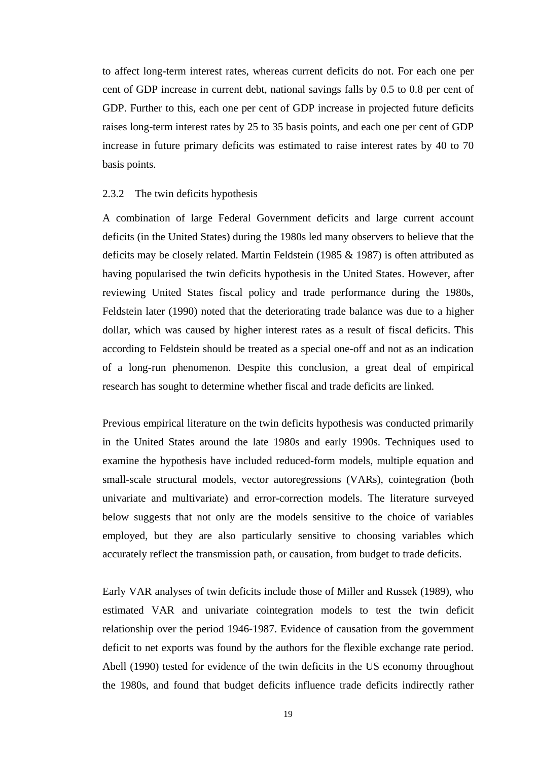to affect long-term interest rates, whereas current deficits do not. For each one per cent of GDP increase in current debt, national savings falls by 0.5 to 0.8 per cent of GDP. Further to this, each one per cent of GDP increase in projected future deficits raises long-term interest rates by 25 to 35 basis points, and each one per cent of GDP increase in future primary deficits was estimated to raise interest rates by 40 to 70 basis points.

#### <span id="page-31-0"></span>2.3.2 The twin deficits hypothesis

A combination of large Federal Government deficits and large current account deficits (in the United States) during the 1980s led many observers to believe that the deficits may be closely related. Martin Feldstein (1985 & 1987) is often attributed as having popularised the twin deficits hypothesis in the United States. However, after reviewing United States fiscal policy and trade performance during the 1980s, Feldstein later (1990) noted that the deteriorating trade balance was due to a higher dollar, which was caused by higher interest rates as a result of fiscal deficits. This according to Feldstein should be treated as a special one-off and not as an indication of a long-run phenomenon. Despite this conclusion, a great deal of empirical research has sought to determine whether fiscal and trade deficits are linked.

Previous empirical literature on the twin deficits hypothesis was conducted primarily in the United States around the late 1980s and early 1990s. Techniques used to examine the hypothesis have included reduced-form models, multiple equation and small-scale structural models, vector autoregressions (VARs), cointegration (both univariate and multivariate) and error-correction models. The literature surveyed below suggests that not only are the models sensitive to the choice of variables employed, but they are also particularly sensitive to choosing variables which accurately reflect the transmission path, or causation, from budget to trade deficits.

Early VAR analyses of twin deficits include those of Miller and Russek (1989), who estimated VAR and univariate cointegration models to test the twin deficit relationship over the period 1946-1987. Evidence of causation from the government deficit to net exports was found by the authors for the flexible exchange rate period. Abell (1990) tested for evidence of the twin deficits in the US economy throughout the 1980s, and found that budget deficits influence trade deficits indirectly rather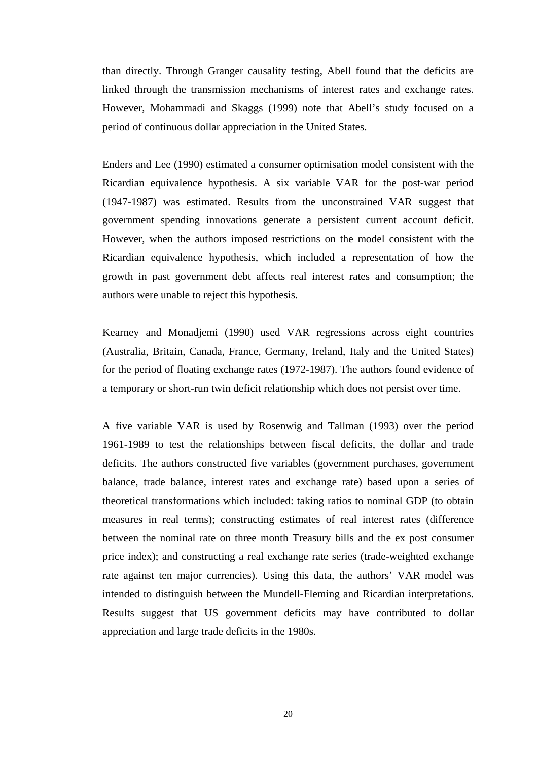than directly. Through Granger causality testing, Abell found that the deficits are linked through the transmission mechanisms of interest rates and exchange rates. However, Mohammadi and Skaggs (1999) note that Abell's study focused on a period of continuous dollar appreciation in the United States.

Enders and Lee (1990) estimated a consumer optimisation model consistent with the Ricardian equivalence hypothesis. A six variable VAR for the post-war period (1947-1987) was estimated. Results from the unconstrained VAR suggest that government spending innovations generate a persistent current account deficit. However, when the authors imposed restrictions on the model consistent with the Ricardian equivalence hypothesis, which included a representation of how the growth in past government debt affects real interest rates and consumption; the authors were unable to reject this hypothesis.

Kearney and Monadjemi (1990) used VAR regressions across eight countries (Australia, Britain, Canada, France, Germany, Ireland, Italy and the United States) for the period of floating exchange rates (1972-1987). The authors found evidence of a temporary or short-run twin deficit relationship which does not persist over time.

A five variable VAR is used by Rosenwig and Tallman (1993) over the period 1961-1989 to test the relationships between fiscal deficits, the dollar and trade deficits. The authors constructed five variables (government purchases, government balance, trade balance, interest rates and exchange rate) based upon a series of theoretical transformations which included: taking ratios to nominal GDP (to obtain measures in real terms); constructing estimates of real interest rates (difference between the nominal rate on three month Treasury bills and the ex post consumer price index); and constructing a real exchange rate series (trade-weighted exchange rate against ten major currencies). Using this data, the authors' VAR model was intended to distinguish between the Mundell-Fleming and Ricardian interpretations. Results suggest that US government deficits may have contributed to dollar appreciation and large trade deficits in the 1980s.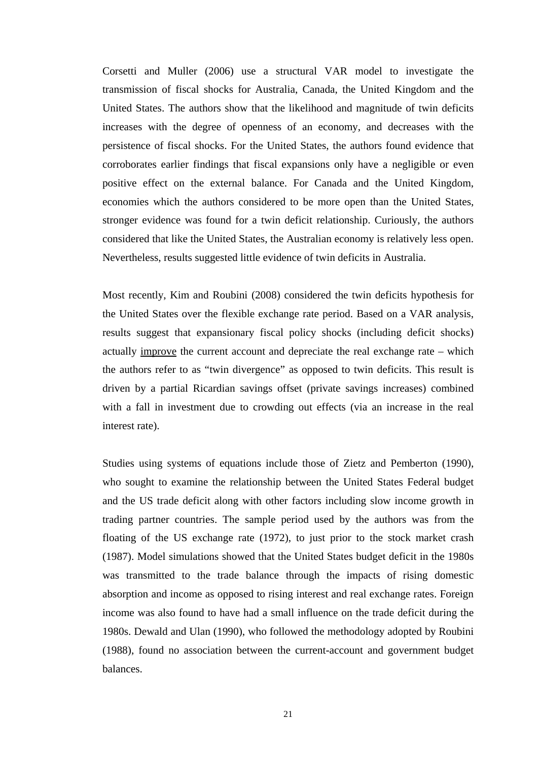Corsetti and Muller (2006) use a structural VAR model to investigate the transmission of fiscal shocks for Australia, Canada, the United Kingdom and the United States. The authors show that the likelihood and magnitude of twin deficits increases with the degree of openness of an economy, and decreases with the persistence of fiscal shocks. For the United States, the authors found evidence that corroborates earlier findings that fiscal expansions only have a negligible or even positive effect on the external balance. For Canada and the United Kingdom, economies which the authors considered to be more open than the United States, stronger evidence was found for a twin deficit relationship. Curiously, the authors considered that like the United States, the Australian economy is relatively less open. Nevertheless, results suggested little evidence of twin deficits in Australia.

Most recently, Kim and Roubini (2008) considered the twin deficits hypothesis for the United States over the flexible exchange rate period. Based on a VAR analysis, results suggest that expansionary fiscal policy shocks (including deficit shocks) actually improve the current account and depreciate the real exchange rate – which the authors refer to as "twin divergence" as opposed to twin deficits. This result is driven by a partial Ricardian savings offset (private savings increases) combined with a fall in investment due to crowding out effects (via an increase in the real interest rate).

Studies using systems of equations include those of Zietz and Pemberton (1990), who sought to examine the relationship between the United States Federal budget and the US trade deficit along with other factors including slow income growth in trading partner countries. The sample period used by the authors was from the floating of the US exchange rate (1972), to just prior to the stock market crash (1987). Model simulations showed that the United States budget deficit in the 1980s was transmitted to the trade balance through the impacts of rising domestic absorption and income as opposed to rising interest and real exchange rates. Foreign income was also found to have had a small influence on the trade deficit during the 1980s. Dewald and Ulan (1990), who followed the methodology adopted by Roubini (1988), found no association between the current-account and government budget balances.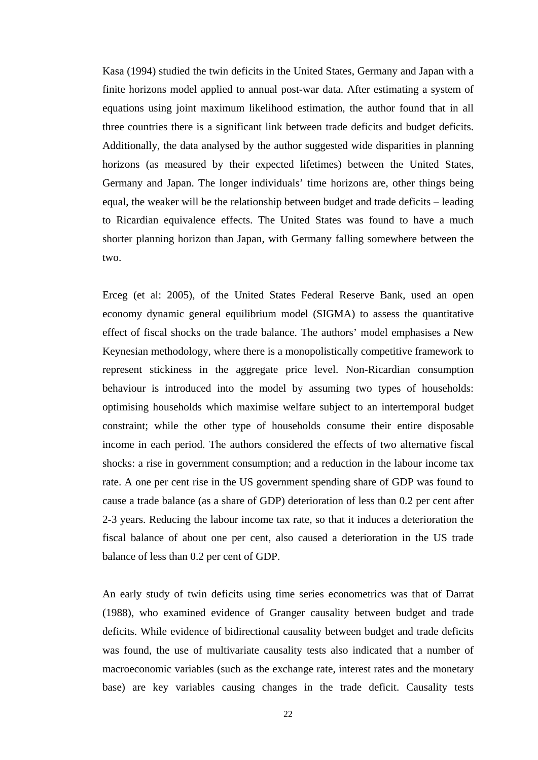Kasa (1994) studied the twin deficits in the United States, Germany and Japan with a finite horizons model applied to annual post-war data. After estimating a system of equations using joint maximum likelihood estimation, the author found that in all three countries there is a significant link between trade deficits and budget deficits. Additionally, the data analysed by the author suggested wide disparities in planning horizons (as measured by their expected lifetimes) between the United States, Germany and Japan. The longer individuals' time horizons are, other things being equal, the weaker will be the relationship between budget and trade deficits – leading to Ricardian equivalence effects. The United States was found to have a much shorter planning horizon than Japan, with Germany falling somewhere between the two.

Erceg (et al: 2005), of the United States Federal Reserve Bank, used an open economy dynamic general equilibrium model (SIGMA) to assess the quantitative effect of fiscal shocks on the trade balance. The authors' model emphasises a New Keynesian methodology, where there is a monopolistically competitive framework to represent stickiness in the aggregate price level. Non-Ricardian consumption behaviour is introduced into the model by assuming two types of households: optimising households which maximise welfare subject to an intertemporal budget constraint; while the other type of households consume their entire disposable income in each period. The authors considered the effects of two alternative fiscal shocks: a rise in government consumption; and a reduction in the labour income tax rate. A one per cent rise in the US government spending share of GDP was found to cause a trade balance (as a share of GDP) deterioration of less than 0.2 per cent after 2-3 years. Reducing the labour income tax rate, so that it induces a deterioration the fiscal balance of about one per cent, also caused a deterioration in the US trade balance of less than 0.2 per cent of GDP.

An early study of twin deficits using time series econometrics was that of Darrat (1988), who examined evidence of Granger causality between budget and trade deficits. While evidence of bidirectional causality between budget and trade deficits was found, the use of multivariate causality tests also indicated that a number of macroeconomic variables (such as the exchange rate, interest rates and the monetary base) are key variables causing changes in the trade deficit. Causality tests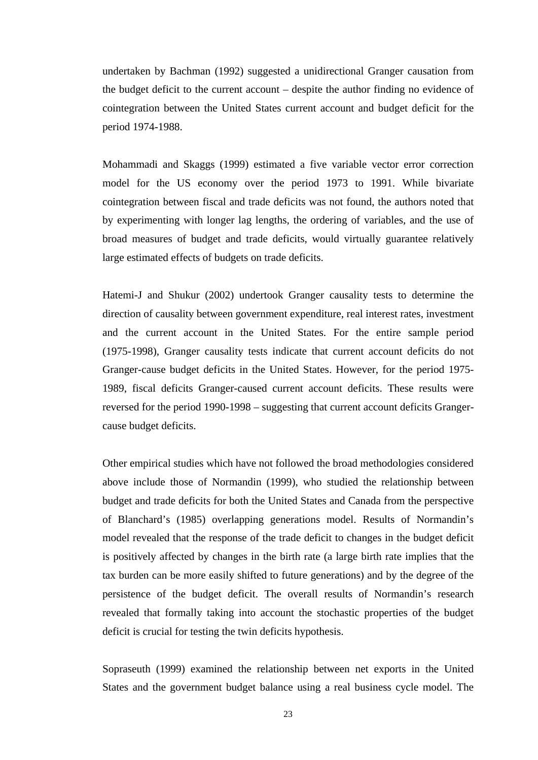undertaken by Bachman (1992) suggested a unidirectional Granger causation from the budget deficit to the current account – despite the author finding no evidence of cointegration between the United States current account and budget deficit for the period 1974-1988.

Mohammadi and Skaggs (1999) estimated a five variable vector error correction model for the US economy over the period 1973 to 1991. While bivariate cointegration between fiscal and trade deficits was not found, the authors noted that by experimenting with longer lag lengths, the ordering of variables, and the use of broad measures of budget and trade deficits, would virtually guarantee relatively large estimated effects of budgets on trade deficits.

Hatemi-J and Shukur (2002) undertook Granger causality tests to determine the direction of causality between government expenditure, real interest rates, investment and the current account in the United States. For the entire sample period (1975-1998), Granger causality tests indicate that current account deficits do not Granger-cause budget deficits in the United States. However, for the period 1975- 1989, fiscal deficits Granger-caused current account deficits. These results were reversed for the period 1990-1998 – suggesting that current account deficits Grangercause budget deficits.

Other empirical studies which have not followed the broad methodologies considered above include those of Normandin (1999), who studied the relationship between budget and trade deficits for both the United States and Canada from the perspective of Blanchard's (1985) overlapping generations model. Results of Normandin's model revealed that the response of the trade deficit to changes in the budget deficit is positively affected by changes in the birth rate (a large birth rate implies that the tax burden can be more easily shifted to future generations) and by the degree of the persistence of the budget deficit. The overall results of Normandin's research revealed that formally taking into account the stochastic properties of the budget deficit is crucial for testing the twin deficits hypothesis.

Sopraseuth (1999) examined the relationship between net exports in the United States and the government budget balance using a real business cycle model. The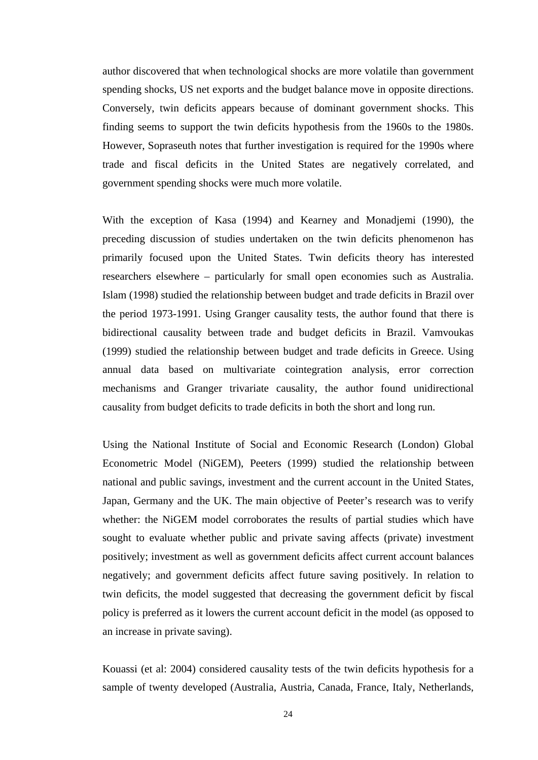author discovered that when technological shocks are more volatile than government spending shocks, US net exports and the budget balance move in opposite directions. Conversely, twin deficits appears because of dominant government shocks. This finding seems to support the twin deficits hypothesis from the 1960s to the 1980s. However, Sopraseuth notes that further investigation is required for the 1990s where trade and fiscal deficits in the United States are negatively correlated, and government spending shocks were much more volatile.

With the exception of Kasa (1994) and Kearney and Monadjemi (1990), the preceding discussion of studies undertaken on the twin deficits phenomenon has primarily focused upon the United States. Twin deficits theory has interested researchers elsewhere – particularly for small open economies such as Australia. Islam (1998) studied the relationship between budget and trade deficits in Brazil over the period 1973-1991. Using Granger causality tests, the author found that there is bidirectional causality between trade and budget deficits in Brazil. Vamvoukas (1999) studied the relationship between budget and trade deficits in Greece. Using annual data based on multivariate cointegration analysis, error correction mechanisms and Granger trivariate causality, the author found unidirectional causality from budget deficits to trade deficits in both the short and long run.

Using the National Institute of Social and Economic Research (London) Global Econometric Model (NiGEM), Peeters (1999) studied the relationship between national and public savings, investment and the current account in the United States, Japan, Germany and the UK. The main objective of Peeter's research was to verify whether: the NiGEM model corroborates the results of partial studies which have sought to evaluate whether public and private saving affects (private) investment positively; investment as well as government deficits affect current account balances negatively; and government deficits affect future saving positively. In relation to twin deficits, the model suggested that decreasing the government deficit by fiscal policy is preferred as it lowers the current account deficit in the model (as opposed to an increase in private saving).

Kouassi (et al: 2004) considered causality tests of the twin deficits hypothesis for a sample of twenty developed (Australia, Austria, Canada, France, Italy, Netherlands,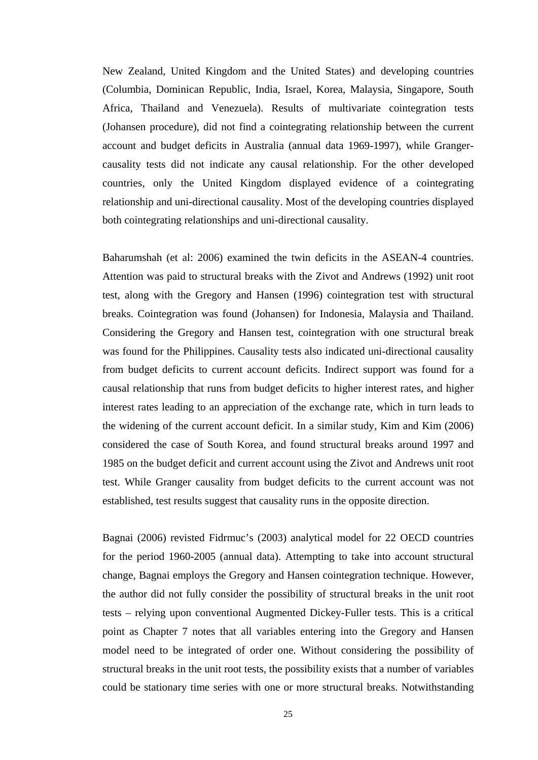New Zealand, United Kingdom and the United States) and developing countries (Columbia, Dominican Republic, India, Israel, Korea, Malaysia, Singapore, South Africa, Thailand and Venezuela). Results of multivariate cointegration tests (Johansen procedure), did not find a cointegrating relationship between the current account and budget deficits in Australia (annual data 1969-1997), while Grangercausality tests did not indicate any causal relationship. For the other developed countries, only the United Kingdom displayed evidence of a cointegrating relationship and uni-directional causality. Most of the developing countries displayed both cointegrating relationships and uni-directional causality.

Baharumshah (et al: 2006) examined the twin deficits in the ASEAN-4 countries. Attention was paid to structural breaks with the Zivot and Andrews (1992) unit root test, along with the Gregory and Hansen (1996) cointegration test with structural breaks. Cointegration was found (Johansen) for Indonesia, Malaysia and Thailand. Considering the Gregory and Hansen test, cointegration with one structural break was found for the Philippines. Causality tests also indicated uni-directional causality from budget deficits to current account deficits. Indirect support was found for a causal relationship that runs from budget deficits to higher interest rates, and higher interest rates leading to an appreciation of the exchange rate, which in turn leads to the widening of the current account deficit. In a similar study, Kim and Kim (2006) considered the case of South Korea, and found structural breaks around 1997 and 1985 on the budget deficit and current account using the Zivot and Andrews unit root test. While Granger causality from budget deficits to the current account was not established, test results suggest that causality runs in the opposite direction.

Bagnai (2006) revisted Fidrmuc's (2003) analytical model for 22 OECD countries for the period 1960-2005 (annual data). Attempting to take into account structural change, Bagnai employs the Gregory and Hansen cointegration technique. However, the author did not fully consider the possibility of structural breaks in the unit root tests – relying upon conventional Augmented Dickey-Fuller tests. This is a critical point as Chapter 7 notes that all variables entering into the Gregory and Hansen model need to be integrated of order one. Without considering the possibility of structural breaks in the unit root tests, the possibility exists that a number of variables could be stationary time series with one or more structural breaks. Notwithstanding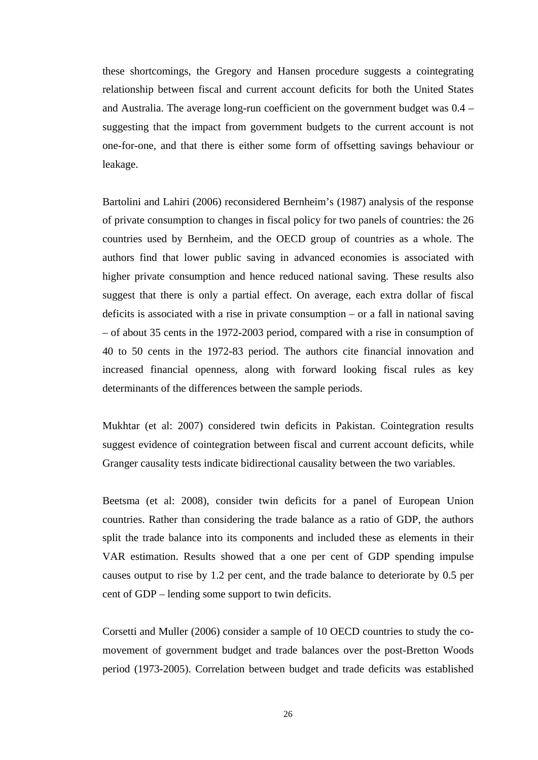these shortcomings, the Gregory and Hansen procedure suggests a cointegrating relationship between fiscal and current account deficits for both the United States and Australia. The average long-run coefficient on the government budget was 0.4 – suggesting that the impact from government budgets to the current account is not one-for-one, and that there is either some form of offsetting savings behaviour or leakage.

Bartolini and Lahiri (2006) reconsidered Bernheim's (1987) analysis of the response of private consumption to changes in fiscal policy for two panels of countries: the 26 countries used by Bernheim, and the OECD group of countries as a whole. The authors find that lower public saving in advanced economies is associated with higher private consumption and hence reduced national saving. These results also suggest that there is only a partial effect. On average, each extra dollar of fiscal deficits is associated with a rise in private consumption – or a fall in national saving – of about 35 cents in the 1972-2003 period, compared with a rise in consumption of 40 to 50 cents in the 1972-83 period. The authors cite financial innovation and increased financial openness, along with forward looking fiscal rules as key determinants of the differences between the sample periods.

Mukhtar (et al: 2007) considered twin deficits in Pakistan. Cointegration results suggest evidence of cointegration between fiscal and current account deficits, while Granger causality tests indicate bidirectional causality between the two variables.

Beetsma (et al: 2008), consider twin deficits for a panel of European Union countries. Rather than considering the trade balance as a ratio of GDP, the authors split the trade balance into its components and included these as elements in their VAR estimation. Results showed that a one per cent of GDP spending impulse causes output to rise by 1.2 per cent, and the trade balance to deteriorate by 0.5 per cent of GDP – lending some support to twin deficits.

Corsetti and Muller (2006) consider a sample of 10 OECD countries to study the comovement of government budget and trade balances over the post-Bretton Woods period (1973-2005). Correlation between budget and trade deficits was established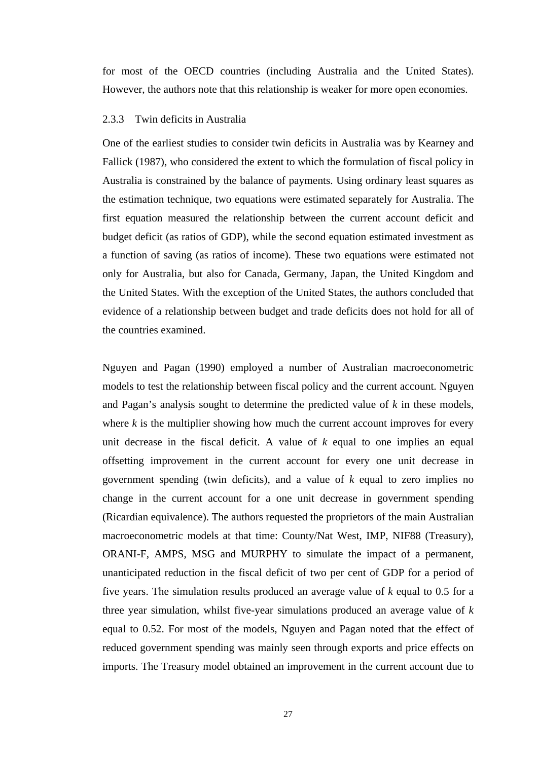for most of the OECD countries (including Australia and the United States). However, the authors note that this relationship is weaker for more open economies.

## 2.3.3 Twin deficits in Australia

One of the earliest studies to consider twin deficits in Australia was by Kearney and Fallick (1987), who considered the extent to which the formulation of fiscal policy in Australia is constrained by the balance of payments. Using ordinary least squares as the estimation technique, two equations were estimated separately for Australia. The first equation measured the relationship between the current account deficit and budget deficit (as ratios of GDP), while the second equation estimated investment as a function of saving (as ratios of income). These two equations were estimated not only for Australia, but also for Canada, Germany, Japan, the United Kingdom and the United States. With the exception of the United States, the authors concluded that evidence of a relationship between budget and trade deficits does not hold for all of the countries examined.

Nguyen and Pagan (1990) employed a number of Australian macroeconometric models to test the relationship between fiscal policy and the current account. Nguyen and Pagan's analysis sought to determine the predicted value of *k* in these models, where  $k$  is the multiplier showing how much the current account improves for every unit decrease in the fiscal deficit. A value of *k* equal to one implies an equal offsetting improvement in the current account for every one unit decrease in government spending (twin deficits), and a value of *k* equal to zero implies no change in the current account for a one unit decrease in government spending (Ricardian equivalence). The authors requested the proprietors of the main Australian macroeconometric models at that time: County/Nat West, IMP, NIF88 (Treasury), ORANI-F, AMPS, MSG and MURPHY to simulate the impact of a permanent, unanticipated reduction in the fiscal deficit of two per cent of GDP for a period of five years. The simulation results produced an average value of *k* equal to 0.5 for a three year simulation, whilst five-year simulations produced an average value of *k* equal to 0.52. For most of the models, Nguyen and Pagan noted that the effect of reduced government spending was mainly seen through exports and price effects on imports. The Treasury model obtained an improvement in the current account due to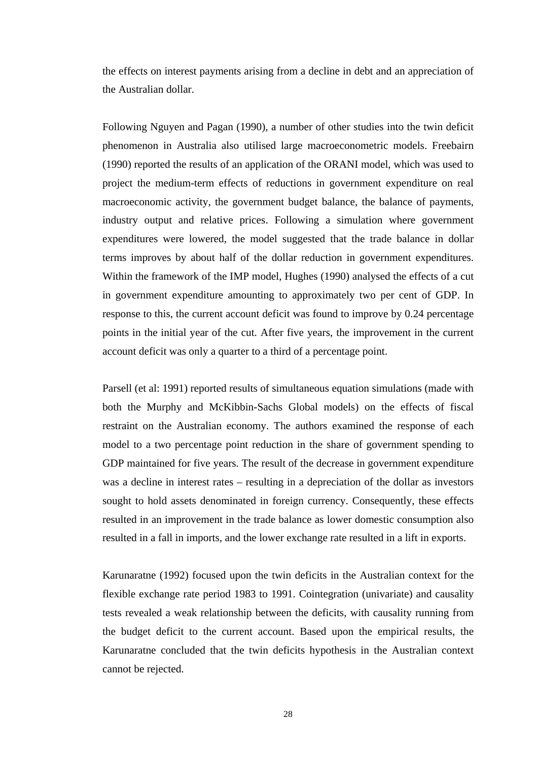the effects on interest payments arising from a decline in debt and an appreciation of the Australian dollar.

Following Nguyen and Pagan (1990), a number of other studies into the twin deficit phenomenon in Australia also utilised large macroeconometric models. Freebairn (1990) reported the results of an application of the ORANI model, which was used to project the medium-term effects of reductions in government expenditure on real macroeconomic activity, the government budget balance, the balance of payments, industry output and relative prices. Following a simulation where government expenditures were lowered, the model suggested that the trade balance in dollar terms improves by about half of the dollar reduction in government expenditures. Within the framework of the IMP model, Hughes (1990) analysed the effects of a cut in government expenditure amounting to approximately two per cent of GDP. In response to this, the current account deficit was found to improve by 0.24 percentage points in the initial year of the cut. After five years, the improvement in the current account deficit was only a quarter to a third of a percentage point.

Parsell (et al: 1991) reported results of simultaneous equation simulations (made with both the Murphy and McKibbin-Sachs Global models) on the effects of fiscal restraint on the Australian economy. The authors examined the response of each model to a two percentage point reduction in the share of government spending to GDP maintained for five years. The result of the decrease in government expenditure was a decline in interest rates – resulting in a depreciation of the dollar as investors sought to hold assets denominated in foreign currency. Consequently, these effects resulted in an improvement in the trade balance as lower domestic consumption also resulted in a fall in imports, and the lower exchange rate resulted in a lift in exports.

Karunaratne (1992) focused upon the twin deficits in the Australian context for the flexible exchange rate period 1983 to 1991. Cointegration (univariate) and causality tests revealed a weak relationship between the deficits, with causality running from the budget deficit to the current account. Based upon the empirical results, the Karunaratne concluded that the twin deficits hypothesis in the Australian context cannot be rejected.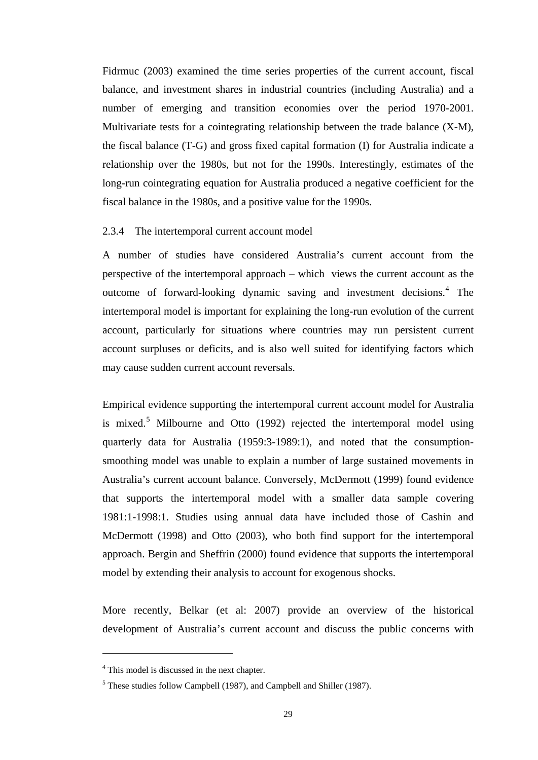Fidrmuc (2003) examined the time series properties of the current account, fiscal balance, and investment shares in industrial countries (including Australia) and a number of emerging and transition economies over the period 1970-2001. Multivariate tests for a cointegrating relationship between the trade balance (X-M), the fiscal balance (T-G) and gross fixed capital formation (I) for Australia indicate a relationship over the 1980s, but not for the 1990s. Interestingly, estimates of the long-run cointegrating equation for Australia produced a negative coefficient for the fiscal balance in the 1980s, and a positive value for the 1990s.

# 2.3.4 The intertemporal current account model

A number of studies have considered Australia's current account from the perspective of the intertemporal approach – which views the current account as the outcome of forward-looking dynamic saving and investment decisions.<sup>[4](#page-41-0)</sup> The intertemporal model is important for explaining the long-run evolution of the current account, particularly for situations where countries may run persistent current account surpluses or deficits, and is also well suited for identifying factors which may cause sudden current account reversals.

Empirical evidence supporting the intertemporal current account model for Australia is mixed.<sup>[5](#page-41-1)</sup> Milbourne and Otto  $(1992)$  rejected the intertemporal model using quarterly data for Australia (1959:3-1989:1), and noted that the consumptionsmoothing model was unable to explain a number of large sustained movements in Australia's current account balance. Conversely, McDermott (1999) found evidence that supports the intertemporal model with a smaller data sample covering 1981:1-1998:1. Studies using annual data have included those of Cashin and McDermott (1998) and Otto (2003), who both find support for the intertemporal approach. Bergin and Sheffrin (2000) found evidence that supports the intertemporal model by extending their analysis to account for exogenous shocks.

More recently, Belkar (et al: 2007) provide an overview of the historical development of Australia's current account and discuss the public concerns with

 $\overline{a}$ 

<span id="page-41-0"></span><sup>&</sup>lt;sup>4</sup> This model is discussed in the next chapter.

<span id="page-41-1"></span><sup>&</sup>lt;sup>5</sup> These studies follow Campbell (1987), and Campbell and Shiller (1987).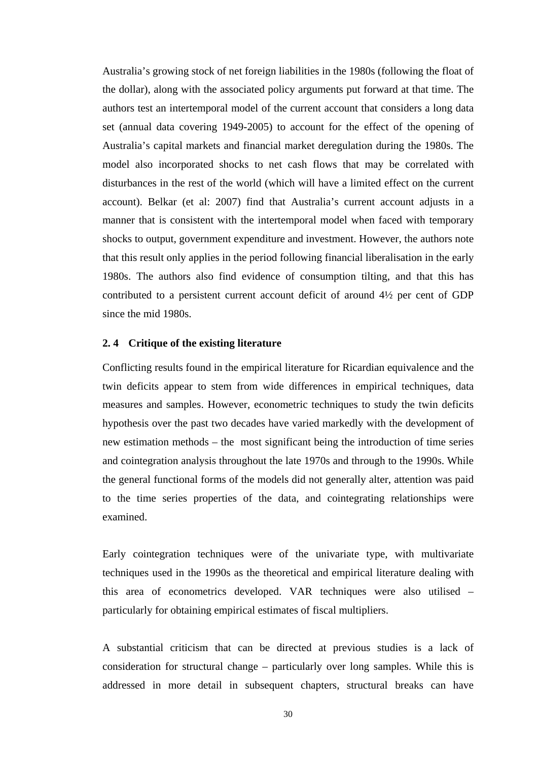Australia's growing stock of net foreign liabilities in the 1980s (following the float of the dollar), along with the associated policy arguments put forward at that time. The authors test an intertemporal model of the current account that considers a long data set (annual data covering 1949-2005) to account for the effect of the opening of Australia's capital markets and financial market deregulation during the 1980s. The model also incorporated shocks to net cash flows that may be correlated with disturbances in the rest of the world (which will have a limited effect on the current account). Belkar (et al: 2007) find that Australia's current account adjusts in a manner that is consistent with the intertemporal model when faced with temporary shocks to output, government expenditure and investment. However, the authors note that this result only applies in the period following financial liberalisation in the early 1980s. The authors also find evidence of consumption tilting, and that this has contributed to a persistent current account deficit of around 4½ per cent of GDP since the mid 1980s.

## **2. 4 Critique of the existing literature**

Conflicting results found in the empirical literature for Ricardian equivalence and the twin deficits appear to stem from wide differences in empirical techniques, data measures and samples. However, econometric techniques to study the twin deficits hypothesis over the past two decades have varied markedly with the development of new estimation methods – the most significant being the introduction of time series and cointegration analysis throughout the late 1970s and through to the 1990s. While the general functional forms of the models did not generally alter, attention was paid to the time series properties of the data, and cointegrating relationships were examined.

Early cointegration techniques were of the univariate type, with multivariate techniques used in the 1990s as the theoretical and empirical literature dealing with this area of econometrics developed. VAR techniques were also utilised – particularly for obtaining empirical estimates of fiscal multipliers.

A substantial criticism that can be directed at previous studies is a lack of consideration for structural change – particularly over long samples. While this is addressed in more detail in subsequent chapters, structural breaks can have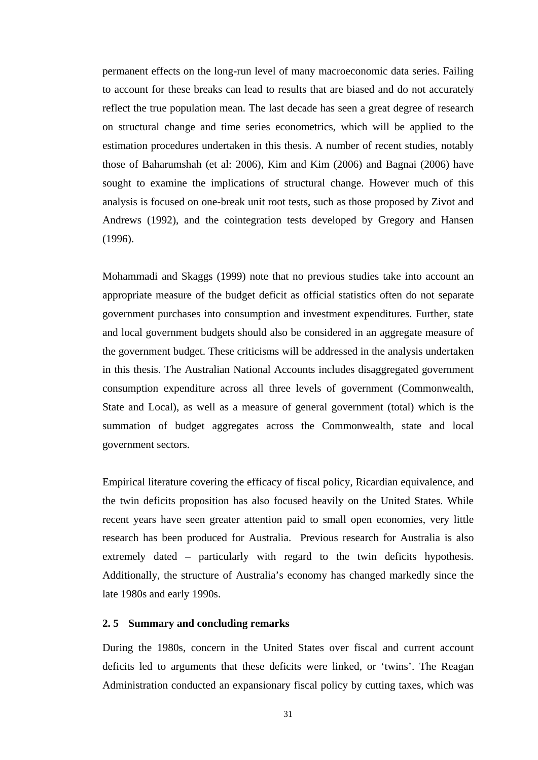permanent effects on the long-run level of many macroeconomic data series. Failing to account for these breaks can lead to results that are biased and do not accurately reflect the true population mean. The last decade has seen a great degree of research on structural change and time series econometrics, which will be applied to the estimation procedures undertaken in this thesis. A number of recent studies, notably those of Baharumshah (et al: 2006), Kim and Kim (2006) and Bagnai (2006) have sought to examine the implications of structural change. However much of this analysis is focused on one-break unit root tests, such as those proposed by Zivot and Andrews (1992), and the cointegration tests developed by Gregory and Hansen (1996).

Mohammadi and Skaggs (1999) note that no previous studies take into account an appropriate measure of the budget deficit as official statistics often do not separate government purchases into consumption and investment expenditures. Further, state and local government budgets should also be considered in an aggregate measure of the government budget. These criticisms will be addressed in the analysis undertaken in this thesis. The Australian National Accounts includes disaggregated government consumption expenditure across all three levels of government (Commonwealth, State and Local), as well as a measure of general government (total) which is the summation of budget aggregates across the Commonwealth, state and local government sectors.

Empirical literature covering the efficacy of fiscal policy, Ricardian equivalence, and the twin deficits proposition has also focused heavily on the United States. While recent years have seen greater attention paid to small open economies, very little research has been produced for Australia. Previous research for Australia is also extremely dated – particularly with regard to the twin deficits hypothesis. Additionally, the structure of Australia's economy has changed markedly since the late 1980s and early 1990s.

# **2. 5 Summary and concluding remarks**

During the 1980s, concern in the United States over fiscal and current account deficits led to arguments that these deficits were linked, or 'twins'. The Reagan Administration conducted an expansionary fiscal policy by cutting taxes, which was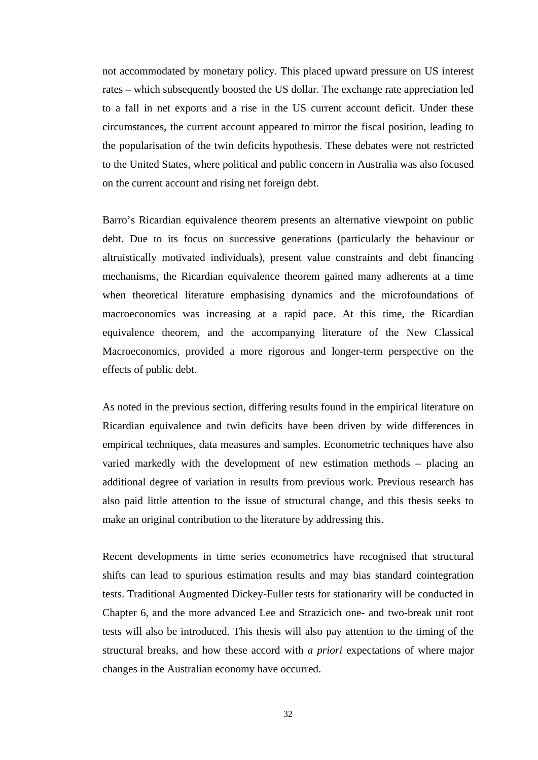not accommodated by monetary policy. This placed upward pressure on US interest rates – which subsequently boosted the US dollar. The exchange rate appreciation led to a fall in net exports and a rise in the US current account deficit. Under these circumstances, the current account appeared to mirror the fiscal position, leading to the popularisation of the twin deficits hypothesis. These debates were not restricted to the United States, where political and public concern in Australia was also focused on the current account and rising net foreign debt.

Barro's Ricardian equivalence theorem presents an alternative viewpoint on public debt. Due to its focus on successive generations (particularly the behaviour or altruistically motivated individuals), present value constraints and debt financing mechanisms, the Ricardian equivalence theorem gained many adherents at a time when theoretical literature emphasising dynamics and the microfoundations of macroeconomics was increasing at a rapid pace. At this time, the Ricardian equivalence theorem, and the accompanying literature of the New Classical Macroeconomics, provided a more rigorous and longer-term perspective on the effects of public debt.

As noted in the previous section, differing results found in the empirical literature on Ricardian equivalence and twin deficits have been driven by wide differences in empirical techniques, data measures and samples. Econometric techniques have also varied markedly with the development of new estimation methods – placing an additional degree of variation in results from previous work. Previous research has also paid little attention to the issue of structural change, and this thesis seeks to make an original contribution to the literature by addressing this.

Recent developments in time series econometrics have recognised that structural shifts can lead to spurious estimation results and may bias standard cointegration tests. Traditional Augmented Dickey-Fuller tests for stationarity will be conducted in Chapter 6, and the more advanced Lee and Strazicich one- and two-break unit root tests will also be introduced. This thesis will also pay attention to the timing of the structural breaks, and how these accord with *a priori* expectations of where major changes in the Australian economy have occurred.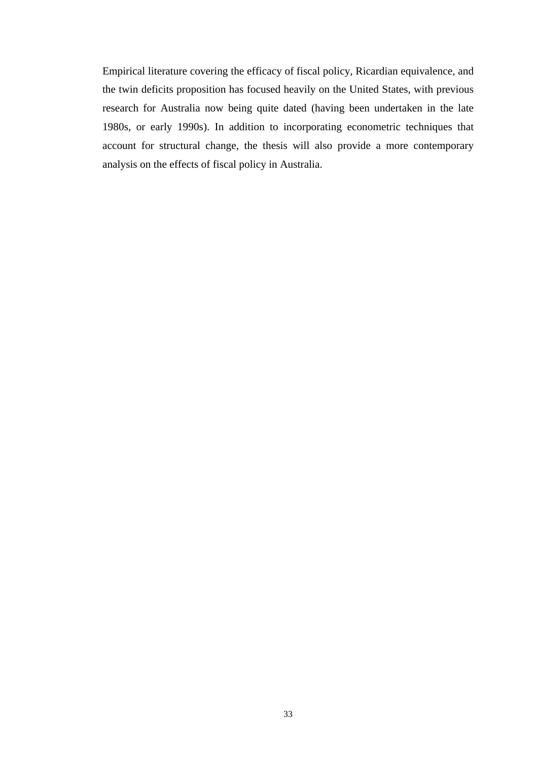Empirical literature covering the efficacy of fiscal policy, Ricardian equivalence, and the twin deficits proposition has focused heavily on the United States, with previous research for Australia now being quite dated (having been undertaken in the late 1980s, or early 1990s). In addition to incorporating econometric techniques that account for structural change, the thesis will also provide a more contemporary analysis on the effects of fiscal policy in Australia.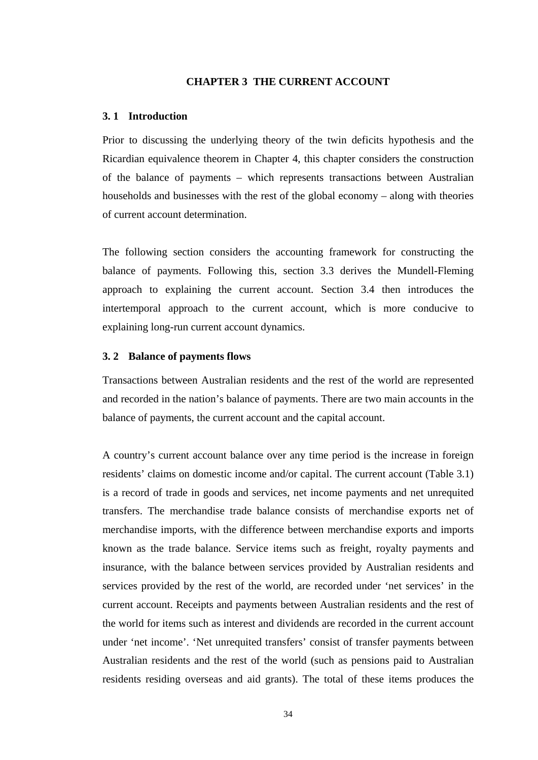#### **CHAPTER 3 THE CURRENT ACCOUNT**

# **3. 1 Introduction**

Prior to discussing the underlying theory of the twin deficits hypothesis and the Ricardian equivalence theorem in Chapter 4, this chapter considers the construction of the balance of payments – which represents transactions between Australian households and businesses with the rest of the global economy – along with theories of current account determination.

The following section considers the accounting framework for constructing the balance of payments. Following this, section 3.3 derives the Mundell-Fleming approach to explaining the current account. Section 3.4 then introduces the intertemporal approach to the current account, which is more conducive to explaining long-run current account dynamics.

## **3. 2 Balance of payments flows**

Transactions between Australian residents and the rest of the world are represented and recorded in the nation's balance of payments. There are two main accounts in the balance of payments, the current account and the capital account.

A country's current account balance over any time period is the increase in foreign residents' claims on domestic income and/or capital. The current account (Table 3.1) is a record of trade in goods and services, net income payments and net unrequited transfers. The merchandise trade balance consists of merchandise exports net of merchandise imports, with the difference between merchandise exports and imports known as the trade balance. Service items such as freight, royalty payments and insurance, with the balance between services provided by Australian residents and services provided by the rest of the world, are recorded under 'net services' in the current account. Receipts and payments between Australian residents and the rest of the world for items such as interest and dividends are recorded in the current account under 'net income'. 'Net unrequited transfers' consist of transfer payments between Australian residents and the rest of the world (such as pensions paid to Australian residents residing overseas and aid grants). The total of these items produces the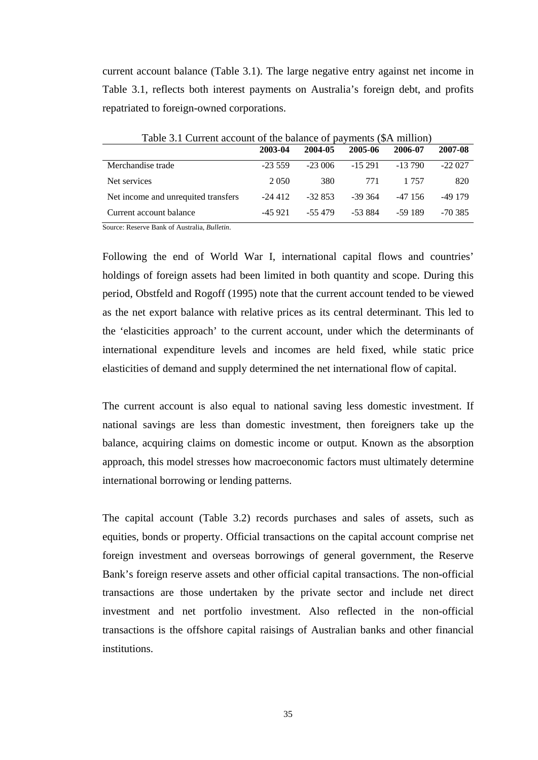current account balance (Table 3.1). The large negative entry against net income in Table 3.1, reflects both interest payments on Australia's foreign debt, and profits repatriated to foreign-owned corporations.

|                                     | 2003-04   | 2004-05  | 2005-06   | 2006-07  | 2007-08   |
|-------------------------------------|-----------|----------|-----------|----------|-----------|
| Merchandise trade                   | $-23.559$ | $-23006$ | $-15291$  | $-13790$ | $-22027$  |
| Net services                        | 2 0 5 0   | 380      | 771       | 1 7 5 7  | 820       |
| Net income and unrequited transfers | $-24412$  | $-32853$ | $-39.364$ | -47 156  | $-49179$  |
| Current account balance             | $-45921$  | $-55479$ | -53.884   | -59 189  | $-70.385$ |

Table 3.1 Current account of the balance of payments (\$A million)

Source: Reserve Bank of Australia, *Bulletin*.

Following the end of World War I, international capital flows and countries' holdings of foreign assets had been limited in both quantity and scope. During this period, Obstfeld and Rogoff (1995) note that the current account tended to be viewed as the net export balance with relative prices as its central determinant. This led to the 'elasticities approach' to the current account, under which the determinants of international expenditure levels and incomes are held fixed, while static price elasticities of demand and supply determined the net international flow of capital.

The current account is also equal to national saving less domestic investment. If national savings are less than domestic investment, then foreigners take up the balance, acquiring claims on domestic income or output. Known as the absorption approach, this model stresses how macroeconomic factors must ultimately determine international borrowing or lending patterns.

The capital account (Table 3.2) records purchases and sales of assets, such as equities, bonds or property. Official transactions on the capital account comprise net foreign investment and overseas borrowings of general government, the Reserve Bank's foreign reserve assets and other official capital transactions. The non-official transactions are those undertaken by the private sector and include net direct investment and net portfolio investment. Also reflected in the non-official transactions is the offshore capital raisings of Australian banks and other financial institutions.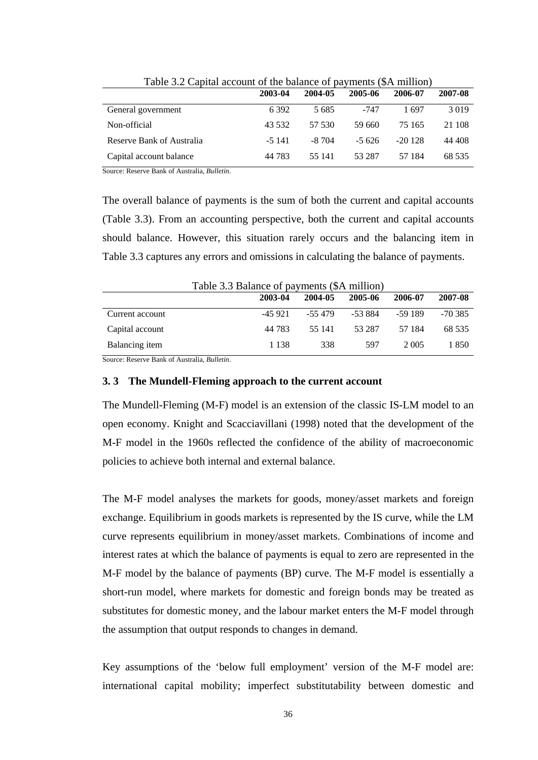|                           | 2003-04  | 2004-05 | 2005-06 | 2006-07  | 2007-08 |
|---------------------------|----------|---------|---------|----------|---------|
| General government        | 6 3 9 2  | 5 6 8 5 | -747    | 1 697    | 3019    |
| Non-official              | 43 532   | 57 530  | 59 660  | 75 165   | 21 108  |
| Reserve Bank of Australia | $-5$ 141 | $-8704$ | $-5626$ | $-20128$ | 44 408  |
| Capital account balance   | 44 783   | 55 141  | 53 287  | 57 184   | 68 535  |

Table 3.2 Capital account of the balance of payments (\$A million)

Source: Reserve Bank of Australia, *Bulletin*.

The overall balance of payments is the sum of both the current and capital accounts (Table 3.3). From an accounting perspective, both the current and capital accounts should balance. However, this situation rarely occurs and the balancing item in Table 3.3 captures any errors and omissions in calculating the balance of payments.

| Table 3.3 Balance of payments (\$A million) |          |         |         |         |           |  |  |
|---------------------------------------------|----------|---------|---------|---------|-----------|--|--|
|                                             | 2003-04  | 2004-05 | 2005-06 | 2006-07 | 2007-08   |  |  |
| Current account                             | $-45921$ | -55 479 | -53 884 | -59 189 | $-70.385$ |  |  |
| Capital account                             | 44 783   | 55 141  | 53 287  | 57 184  | 68 535    |  |  |
| Balancing item                              | 1 1 3 8  | 338     | 597     | 2.005   | 1 850     |  |  |

Source: Reserve Bank of Australia, *Bulletin*.

# **3. 3 The Mundell-Fleming approach to the current account**

The Mundell-Fleming (M-F) model is an extension of the classic IS-LM model to an open economy. Knight and Scacciavillani (1998) noted that the development of the M-F model in the 1960s reflected the confidence of the ability of macroeconomic policies to achieve both internal and external balance.

The M-F model analyses the markets for goods, money/asset markets and foreign exchange. Equilibrium in goods markets is represented by the IS curve, while the LM curve represents equilibrium in money/asset markets. Combinations of income and interest rates at which the balance of payments is equal to zero are represented in the M-F model by the balance of payments (BP) curve. The M-F model is essentially a short-run model, where markets for domestic and foreign bonds may be treated as substitutes for domestic money, and the labour market enters the M-F model through the assumption that output responds to changes in demand.

Key assumptions of the 'below full employment' version of the M-F model are: international capital mobility; imperfect substitutability between domestic and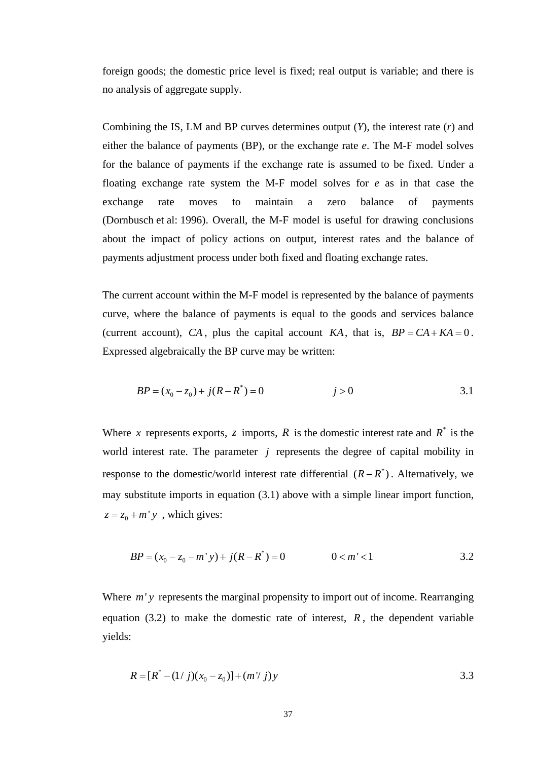foreign goods; the domestic price level is fixed; real output is variable; and there is no analysis of aggregate supply.

Combining the IS, LM and BP curves determines output (*Y*), the interest rate (*r*) and either the balance of payments (BP), or the exchange rate *e*. The M-F model solves for the balance of payments if the exchange rate is assumed to be fixed. Under a floating exchange rate system the M-F model solves for *e* as in that case the exchange rate moves to maintain a zero balance of payments (Dornbusch et al: 1996). Overall, the M-F model is useful for drawing conclusions about the impact of policy actions on output, interest rates and the balance of payments adjustment process under both fixed and floating exchange rates.

The current account within the M-F model is represented by the balance of payments curve, where the balance of payments is equal to the goods and services balance (current account), CA, plus the capital account KA, that is,  $BP = CA + KA = 0$ . Expressed algebraically the BP curve may be written:

$$
BP = (x_0 - z_0) + j(R - R^*) = 0 \qquad j > 0
$$

Where *x* represents exports, *z* imports, *R* is the domestic interest rate and  $R^*$  is the world interest rate. The parameter *j* represents the degree of capital mobility in response to the domestic/world interest rate differential  $(R - R^*)$ . Alternatively, we may substitute imports in equation (3.1) above with a simple linear import function,  $z = z_0 + m'y$ , which gives:

$$
BP = (x_0 - z_0 - m'y) + j(R - R^*) = 0 \qquad 0 < m' < 1 \qquad 3.2
$$

Where *m'* y represents the marginal propensity to import out of income. Rearranging equation  $(3.2)$  to make the domestic rate of interest,  $R$ , the dependent variable yields:

$$
R = [R^* - (1/j)(x_0 - z_0)] + (m'j)y
$$
 3.3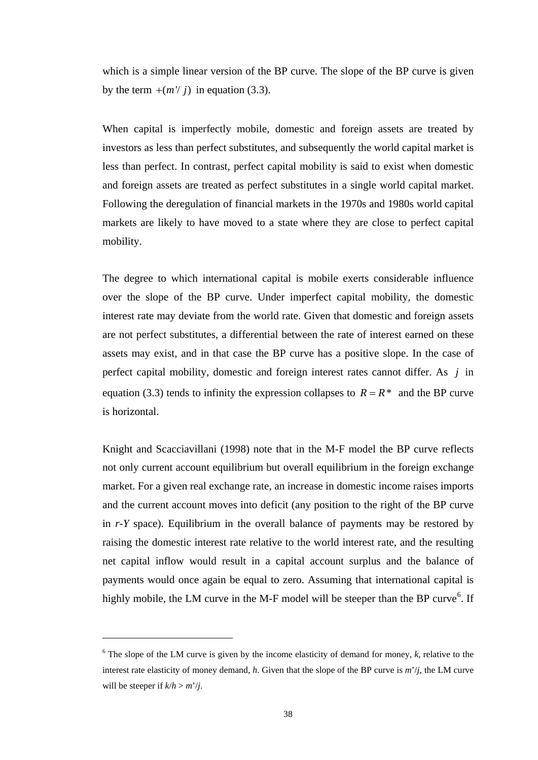which is a simple linear version of the BP curve. The slope of the BP curve is given by the term  $+(m'/i)$  in equation (3.3).

When capital is imperfectly mobile, domestic and foreign assets are treated by investors as less than perfect substitutes, and subsequently the world capital market is less than perfect. In contrast, perfect capital mobility is said to exist when domestic and foreign assets are treated as perfect substitutes in a single world capital market. Following the deregulation of financial markets in the 1970s and 1980s world capital markets are likely to have moved to a state where they are close to perfect capital mobility.

The degree to which international capital is mobile exerts considerable influence over the slope of the BP curve. Under imperfect capital mobility, the domestic interest rate may deviate from the world rate. Given that domestic and foreign assets are not perfect substitutes, a differential between the rate of interest earned on these assets may exist, and in that case the BP curve has a positive slope. In the case of perfect capital mobility, domestic and foreign interest rates cannot differ. As *j* in equation (3.3) tends to infinity the expression collapses to  $R = R^*$  and the BP curve is horizontal.

Knight and Scacciavillani (1998) note that in the M-F model the BP curve reflects not only current account equilibrium but overall equilibrium in the foreign exchange market. For a given real exchange rate, an increase in domestic income raises imports and the current account moves into deficit (any position to the right of the BP curve in *r-Y* space). Equilibrium in the overall balance of payments may be restored by raising the domestic interest rate relative to the world interest rate, and the resulting net capital inflow would result in a capital account surplus and the balance of payments would once again be equal to zero. Assuming that international capital is highly mobile, the LM curve in the M-F model will be steeper than the BP curve<sup>[6](#page-50-0)</sup>. If

 $\overline{a}$ 

<span id="page-50-0"></span> $6$  The slope of the LM curve is given by the income elasticity of demand for money,  $k$ , relative to the interest rate elasticity of money demand, *h*. Given that the slope of the BP curve is *m*'/*j*, the LM curve will be steeper if  $k/h > m'/j$ .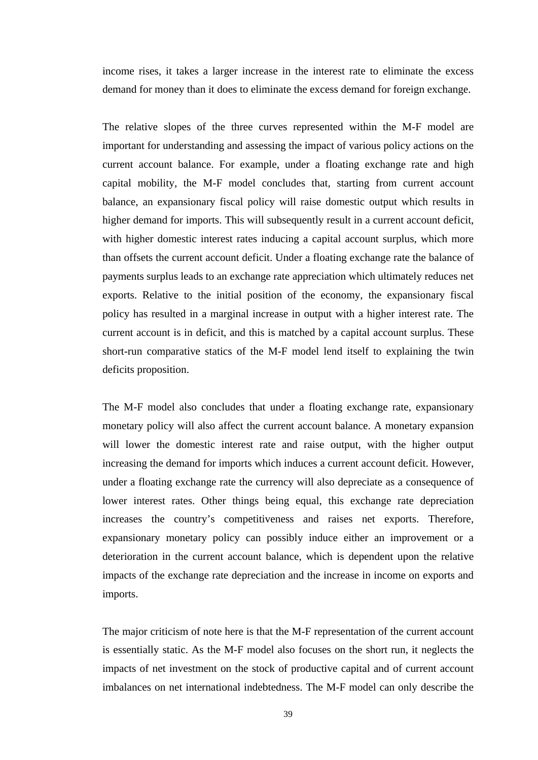income rises, it takes a larger increase in the interest rate to eliminate the excess demand for money than it does to eliminate the excess demand for foreign exchange.

The relative slopes of the three curves represented within the M-F model are important for understanding and assessing the impact of various policy actions on the current account balance. For example, under a floating exchange rate and high capital mobility, the M-F model concludes that, starting from current account balance, an expansionary fiscal policy will raise domestic output which results in higher demand for imports. This will subsequently result in a current account deficit, with higher domestic interest rates inducing a capital account surplus, which more than offsets the current account deficit. Under a floating exchange rate the balance of payments surplus leads to an exchange rate appreciation which ultimately reduces net exports. Relative to the initial position of the economy, the expansionary fiscal policy has resulted in a marginal increase in output with a higher interest rate. The current account is in deficit, and this is matched by a capital account surplus. These short-run comparative statics of the M-F model lend itself to explaining the twin deficits proposition.

The M-F model also concludes that under a floating exchange rate, expansionary monetary policy will also affect the current account balance. A monetary expansion will lower the domestic interest rate and raise output, with the higher output increasing the demand for imports which induces a current account deficit. However, under a floating exchange rate the currency will also depreciate as a consequence of lower interest rates. Other things being equal, this exchange rate depreciation increases the country's competitiveness and raises net exports. Therefore, expansionary monetary policy can possibly induce either an improvement or a deterioration in the current account balance, which is dependent upon the relative impacts of the exchange rate depreciation and the increase in income on exports and imports.

The major criticism of note here is that the M-F representation of the current account is essentially static. As the M-F model also focuses on the short run, it neglects the impacts of net investment on the stock of productive capital and of current account imbalances on net international indebtedness. The M-F model can only describe the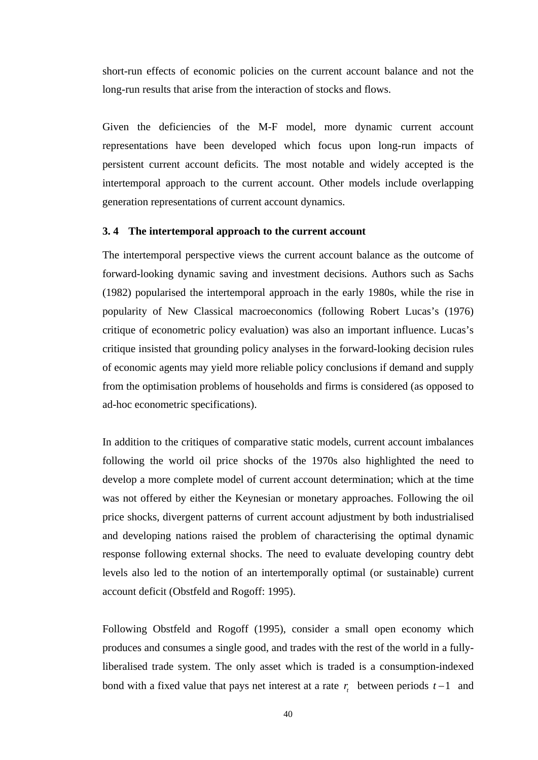short-run effects of economic policies on the current account balance and not the long-run results that arise from the interaction of stocks and flows.

Given the deficiencies of the M-F model, more dynamic current account representations have been developed which focus upon long-run impacts of persistent current account deficits. The most notable and widely accepted is the intertemporal approach to the current account. Other models include overlapping generation representations of current account dynamics.

# **3. 4 The intertemporal approach to the current account**

The intertemporal perspective views the current account balance as the outcome of forward-looking dynamic saving and investment decisions. Authors such as Sachs (1982) popularised the intertemporal approach in the early 1980s, while the rise in popularity of New Classical macroeconomics (following Robert Lucas's (1976) critique of econometric policy evaluation) was also an important influence. Lucas's critique insisted that grounding policy analyses in the forward-looking decision rules of economic agents may yield more reliable policy conclusions if demand and supply from the optimisation problems of households and firms is considered (as opposed to ad-hoc econometric specifications).

In addition to the critiques of comparative static models, current account imbalances following the world oil price shocks of the 1970s also highlighted the need to develop a more complete model of current account determination; which at the time was not offered by either the Keynesian or monetary approaches. Following the oil price shocks, divergent patterns of current account adjustment by both industrialised and developing nations raised the problem of characterising the optimal dynamic response following external shocks. The need to evaluate developing country debt levels also led to the notion of an intertemporally optimal (or sustainable) current account deficit (Obstfeld and Rogoff: 1995).

Following Obstfeld and Rogoff (1995), consider a small open economy which produces and consumes a single good, and trades with the rest of the world in a fullyliberalised trade system. The only asset which is traded is a consumption-indexed bond with a fixed value that pays net interest at a rate *tr* between periods *t* −1 and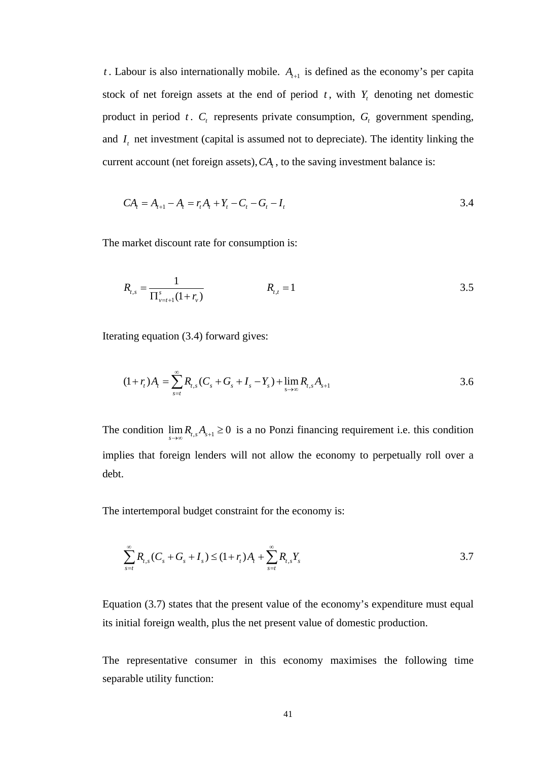*t*. Labour is also internationally mobile.  $A_{t+1}$  is defined as the economy's per capita stock of net foreign assets at the end of period  $t$ , with  $Y<sub>t</sub>$  denoting net domestic product in period  $t$ .  $C_t$  represents private consumption,  $G_t$  government spending, and  $I_t$  net investment (capital is assumed not to depreciate). The identity linking the current account (net foreign assets),  $CA<sub>t</sub>$ , to the saving investment balance is:

$$
CAt = At+1 - At = rtAt + Yt - Ct - Gt - It
$$
 (3.4)

The market discount rate for consumption is:

$$
R_{t,s} = \frac{1}{\prod_{\nu=t+1}^{s}(1+r_{\nu})}
$$
  $R_{t,t} = 1$  3.5

Iterating equation (3.4) forward gives:

$$
(1+r_t)A_t = \sum_{s=t}^{\infty} R_{t,s}(C_s + G_s + I_s - Y_s) + \lim_{s \to \infty} R_{t,s}A_{s+1}
$$

The condition  $\lim_{s\to\infty} R_{t,s} A_{s+1} \geq 0$  is a no Ponzi financing requirement i.e. this condition implies that foreign lenders will not allow the economy to perpetually roll over a debt.

The intertemporal budget constraint for the economy is:

$$
\sum_{s=t}^{\infty} R_{t,s}(C_s + G_s + I_s) \le (1 + r_t)A_t + \sum_{s=t}^{\infty} R_{t,s}Y_s
$$

Equation (3.7) states that the present value of the economy's expenditure must equal its initial foreign wealth, plus the net present value of domestic production.

The representative consumer in this economy maximises the following time separable utility function: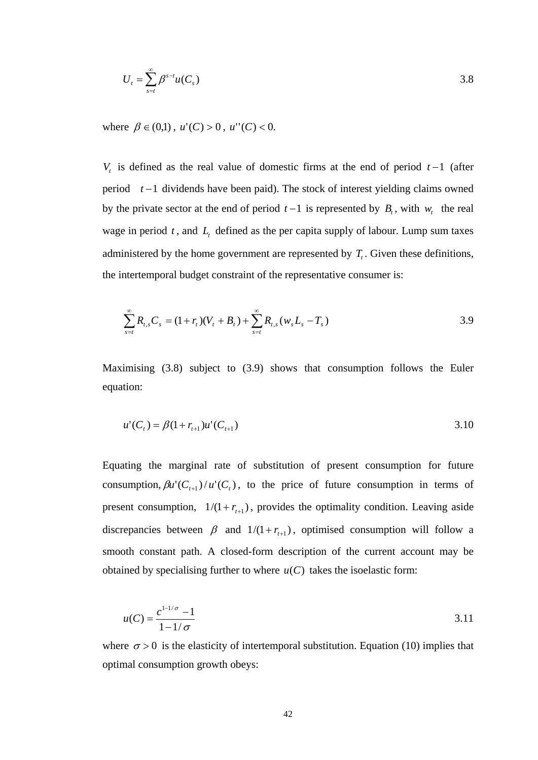$$
U_t = \sum_{s=t}^{\infty} \beta^{s-t} u(C_s)
$$
 3.8

where  $\beta \in (0,1)$ ,  $u'(C) > 0$ ,  $u''(C) < 0$ .

*V<sub>t</sub>* is defined as the real value of domestic firms at the end of period  $t-1$  (after period *t* −1 dividends have been paid). The stock of interest yielding claims owned by the private sector at the end of period  $t-1$  is represented by  $B_t$ , with  $w_t$  the real wage in period  $t$ , and  $L_t$  defined as the per capita supply of labour. Lump sum taxes administered by the home government are represented by  $T_t$ . Given these definitions, the intertemporal budget constraint of the representative consumer is:

$$
\sum_{s=t}^{\infty} R_{t,s} C_s = (1+r_t)(V_t + B_t) + \sum_{s=t}^{\infty} R_{t,s} (w_s L_s - T_s)
$$

Maximising (3.8) subject to (3.9) shows that consumption follows the Euler equation:

$$
u'(Ct) = \beta(1 + rt+1)u'(Ct+1)
$$
 3.10

Equating the marginal rate of substitution of present consumption for future consumption,  $\beta u'(C_{t+1})/u'(C_t)$ , to the price of future consumption in terms of present consumption,  $1/(1 + r_{t+1})$ , provides the optimality condition. Leaving aside discrepancies between  $\beta$  and  $1/(1 + r_{t+1})$ , optimised consumption will follow a smooth constant path. A closed-form description of the current account may be obtained by specialising further to where  $u(C)$  takes the isoelastic form:

$$
u(C) = \frac{c^{1-1/\sigma} - 1}{1 - 1/\sigma}
$$
 3.11

where  $\sigma > 0$  is the elasticity of intertemporal substitution. Equation (10) implies that optimal consumption growth obeys: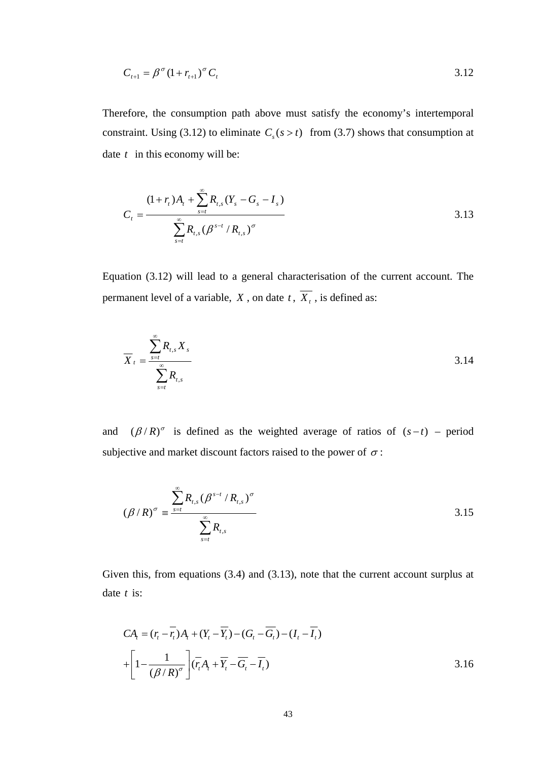$$
C_{t+1} = \beta^{\sigma} (1 + r_{t+1})^{\sigma} C_t
$$
 3.12

Therefore, the consumption path above must satisfy the economy's intertemporal constraint. Using (3.12) to eliminate  $C_s$  ( $s > t$ ) from (3.7) shows that consumption at date *t* in this economy will be:

$$
C_{t} = \frac{(1+r_{t})A_{t} + \sum_{s=t}^{\infty} R_{t,s}(Y_{s} - G_{s} - I_{s})}{\sum_{s=t}^{\infty} R_{t,s}(\beta^{s-t} / R_{t,s})^{\sigma}}
$$
 3.13

Equation (3.12) will lead to a general characterisation of the current account. The permanent level of a variable, *X*, on date  $t$ ,  $\overline{X_t}$ , is defined as:

$$
\overline{X}_{t} = \frac{\sum_{s=t}^{\infty} R_{t,s} X_{s}}{\sum_{s=t}^{\infty} R_{t,s}}
$$
\n
$$
\tag{3.14}
$$

and  $(\beta/R)^\sigma$  is defined as the weighted average of ratios of  $(s-t)$  – period subjective and market discount factors raised to the power of  $\sigma$ :

$$
(\beta/R)^{\sigma} = \frac{\sum_{s=t}^{\infty} R_{t,s} (\beta^{s-t} / R_{t,s})^{\sigma}}{\sum_{s=t}^{\infty} R_{t,s}}
$$
 3.15

Given this, from equations (3.4) and (3.13), note that the current account surplus at date *t* is:

$$
CAt = (rt - \overline{rt})At + (Yt - \overline{Y}t) - (Gt - \overline{G}t) - (It - \overline{I}t)
$$
  
+ 
$$
\left[1 - \frac{1}{(\beta/R)^{\sigma}}\right] (\overline{rt}At + \overline{Y}t - \overline{G}t - \overline{I}t)
$$
 3.16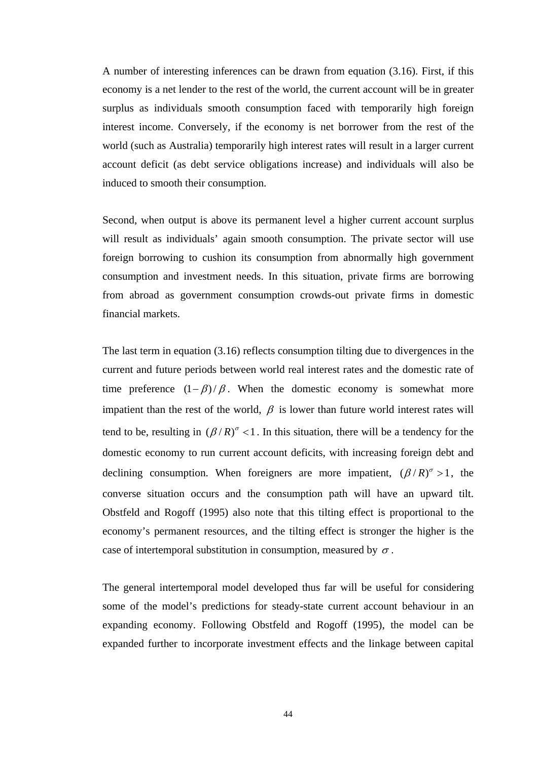A number of interesting inferences can be drawn from equation (3.16). First, if this economy is a net lender to the rest of the world, the current account will be in greater surplus as individuals smooth consumption faced with temporarily high foreign interest income. Conversely, if the economy is net borrower from the rest of the world (such as Australia) temporarily high interest rates will result in a larger current account deficit (as debt service obligations increase) and individuals will also be induced to smooth their consumption.

Second, when output is above its permanent level a higher current account surplus will result as individuals' again smooth consumption. The private sector will use foreign borrowing to cushion its consumption from abnormally high government consumption and investment needs. In this situation, private firms are borrowing from abroad as government consumption crowds-out private firms in domestic financial markets.

The last term in equation (3.16) reflects consumption tilting due to divergences in the current and future periods between world real interest rates and the domestic rate of time preference  $(1 - \beta) / \beta$ . When the domestic economy is somewhat more impatient than the rest of the world,  $\beta$  is lower than future world interest rates will tend to be, resulting in  $(\beta / R)^{\sigma}$  < 1. In this situation, there will be a tendency for the domestic economy to run current account deficits, with increasing foreign debt and declining consumption. When foreigners are more impatient,  $(\beta/R)^{\sigma} > 1$ , the converse situation occurs and the consumption path will have an upward tilt. Obstfeld and Rogoff (1995) also note that this tilting effect is proportional to the economy's permanent resources, and the tilting effect is stronger the higher is the case of intertemporal substitution in consumption, measured by  $\sigma$ .

The general intertemporal model developed thus far will be useful for considering some of the model's predictions for steady-state current account behaviour in an expanding economy. Following Obstfeld and Rogoff (1995), the model can be expanded further to incorporate investment effects and the linkage between capital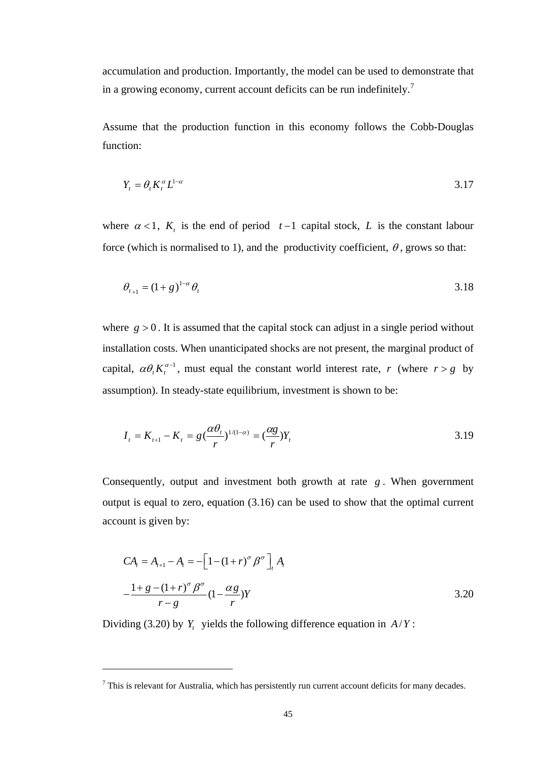accumulation and production. Importantly, the model can be used to demonstrate that in a growing economy, current account deficits can be run indefinitely.[7](#page-57-0)

Assume that the production function in this economy follows the Cobb-Douglas function:

$$
Y_t = \theta_t K_t^{\alpha} L^{1-\alpha} \tag{3.17}
$$

where  $\alpha < 1$ ,  $K_t$  is the end of period  $t-1$  capital stock, *L* is the constant labour force (which is normalised to 1), and the productivity coefficient,  $\theta$ , grows so that:

$$
\theta_{t+1} = (1+g)^{1-\alpha} \theta_t \tag{3.18}
$$

where  $g > 0$ . It is assumed that the capital stock can adjust in a single period without installation costs. When unanticipated shocks are not present, the marginal product of capital,  $\alpha \theta_t K_t^{\alpha-1}$ , must equal the constant world interest rate, *r* (where *r* > *g* by assumption). In steady-state equilibrium, investment is shown to be:

$$
I_t = K_{t+1} - K_t = g\left(\frac{\alpha \theta_t}{r}\right)^{1/(1-\alpha)} = \left(\frac{\alpha g}{r}\right)Y_t
$$
 (3.19)

Consequently, output and investment both growth at rate *g* . When government output is equal to zero, equation (3.16) can be used to show that the optimal current account is given by:

$$
CA_{t} = A_{t+1} - A_{t} = -\left[1 - (1+r)^{\sigma} \beta^{\sigma}\right]_{t} A_{t}
$$
  

$$
-\frac{1 + g - (1+r)^{\sigma} \beta^{\sigma}}{r - g} (1 - \frac{\alpha g}{r}) Y
$$
 (3.20)

Dividing (3.20) by  $Y_t$  yields the following difference equation in  $A/Y$ :

 $\overline{a}$ 

<span id="page-57-0"></span> $<sup>7</sup>$  This is relevant for Australia, which has persistently run current account deficits for many decades.</sup>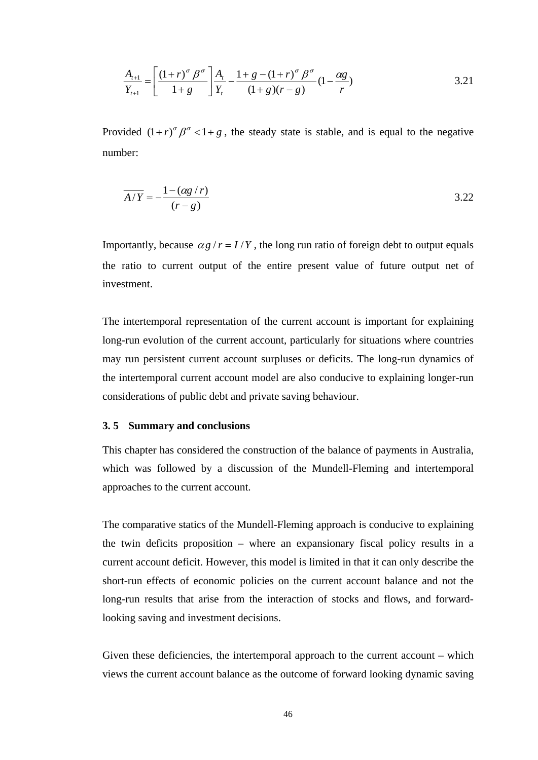$$
\frac{A_{t+1}}{Y_{t+1}} = \left[ \frac{(1+r)^\sigma \beta^\sigma}{1+g} \right] \frac{A_t}{Y_t} - \frac{1+g-(1+r)^\sigma \beta^\sigma}{(1+g)(r-g)} (1-\frac{\alpha g}{r})
$$
\n3.21

Provided  $(1 + r)^{\sigma} \beta^{\sigma} < 1 + g$ , the steady state is stable, and is equal to the negative number:

$$
\overline{A/Y} = -\frac{1 - (\alpha g/r)}{(r - g)}
$$
3.22

Importantly, because  $\alpha g / r = I/Y$ , the long run ratio of foreign debt to output equals the ratio to current output of the entire present value of future output net of investment.

The intertemporal representation of the current account is important for explaining long-run evolution of the current account, particularly for situations where countries may run persistent current account surpluses or deficits. The long-run dynamics of the intertemporal current account model are also conducive to explaining longer-run considerations of public debt and private saving behaviour.

### **3. 5 Summary and conclusions**

This chapter has considered the construction of the balance of payments in Australia, which was followed by a discussion of the Mundell-Fleming and intertemporal approaches to the current account.

The comparative statics of the Mundell-Fleming approach is conducive to explaining the twin deficits proposition – where an expansionary fiscal policy results in a current account deficit. However, this model is limited in that it can only describe the short-run effects of economic policies on the current account balance and not the long-run results that arise from the interaction of stocks and flows, and forwardlooking saving and investment decisions.

Given these deficiencies, the intertemporal approach to the current account – which views the current account balance as the outcome of forward looking dynamic saving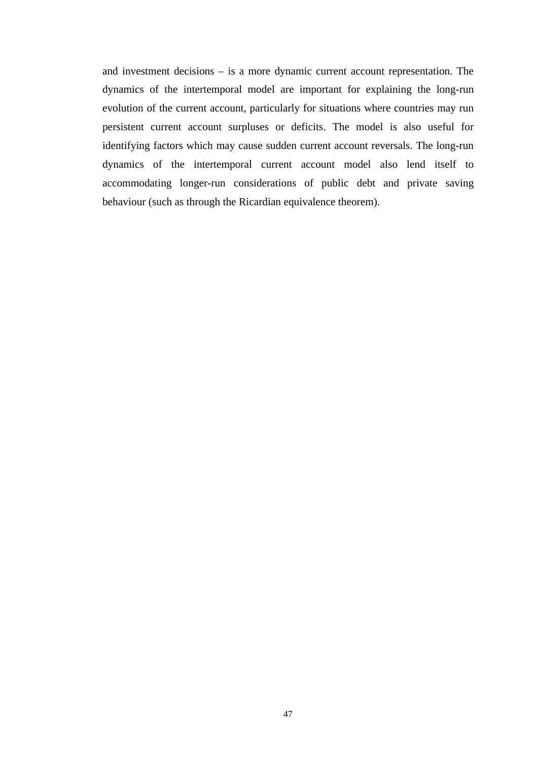and investment decisions – is a more dynamic current account representation. The dynamics of the intertemporal model are important for explaining the long-run evolution of the current account, particularly for situations where countries may run persistent current account surpluses or deficits. The model is also useful for identifying factors which may cause sudden current account reversals. The long-run dynamics of the intertemporal current account model also lend itself to accommodating longer-run considerations of public debt and private saving behaviour (such as through the Ricardian equivalence theorem).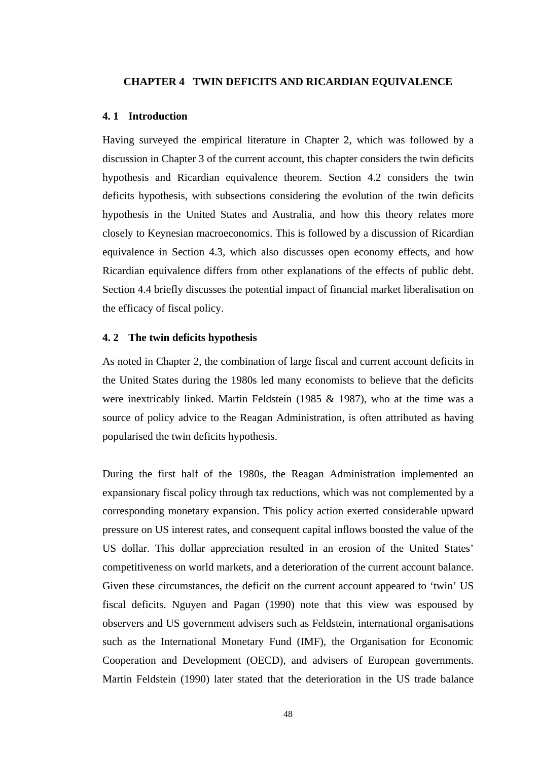#### **CHAPTER 4 TWIN DEFICITS AND RICARDIAN EQUIVALENCE**

#### **4. 1 Introduction**

Having surveyed the empirical literature in Chapter 2, which was followed by a discussion in Chapter 3 of the current account, this chapter considers the twin deficits hypothesis and Ricardian equivalence theorem. Section 4.2 considers the twin deficits hypothesis, with subsections considering the evolution of the twin deficits hypothesis in the United States and Australia, and how this theory relates more closely to Keynesian macroeconomics. This is followed by a discussion of Ricardian equivalence in Section 4.3, which also discusses open economy effects, and how Ricardian equivalence differs from other explanations of the effects of public debt. Section 4.4 briefly discusses the potential impact of financial market liberalisation on the efficacy of fiscal policy.

## **4. 2 The twin deficits hypothesis**

As noted in Chapter 2, the combination of large fiscal and current account deficits in the United States during the 1980s led many economists to believe that the deficits were inextricably linked. Martin Feldstein (1985 & 1987), who at the time was a source of policy advice to the Reagan Administration, is often attributed as having popularised the twin deficits hypothesis.

During the first half of the 1980s, the Reagan Administration implemented an expansionary fiscal policy through tax reductions, which was not complemented by a corresponding monetary expansion. This policy action exerted considerable upward pressure on US interest rates, and consequent capital inflows boosted the value of the US dollar. This dollar appreciation resulted in an erosion of the United States' competitiveness on world markets, and a deterioration of the current account balance. Given these circumstances, the deficit on the current account appeared to 'twin' US fiscal deficits. Nguyen and Pagan (1990) note that this view was espoused by observers and US government advisers such as Feldstein, international organisations such as the International Monetary Fund (IMF), the Organisation for Economic Cooperation and Development (OECD), and advisers of European governments. Martin Feldstein (1990) later stated that the deterioration in the US trade balance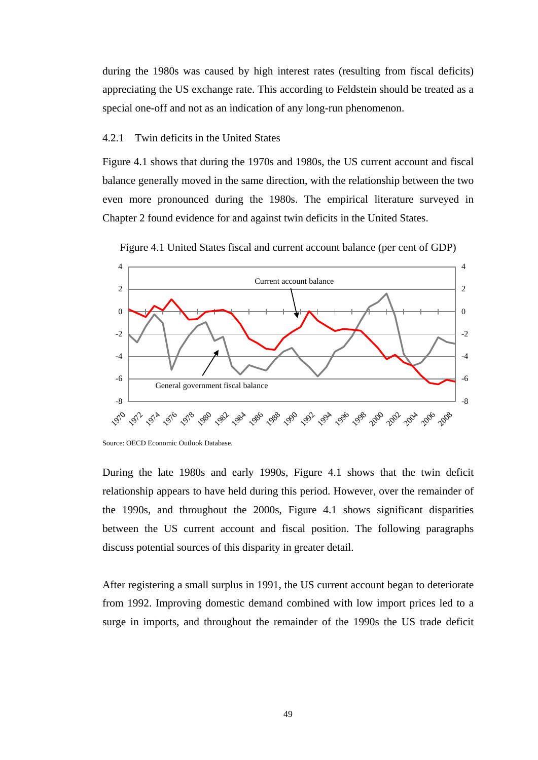during the 1980s was caused by high interest rates (resulting from fiscal deficits) appreciating the US exchange rate. This according to Feldstein should be treated as a special one-off and not as an indication of any long-run phenomenon.

## 4.2.1 Twin deficits in the United States

Figure 4.1 shows that during the 1970s and 1980s, the US current account and fiscal balance generally moved in the same direction, with the relationship between the two even more pronounced during the 1980s. The empirical literature surveyed in Chapter 2 found evidence for and against twin deficits in the United States.



Figure 4.1 United States fiscal and current account balance (per cent of GDP)

During the late 1980s and early 1990s, Figure 4.1 shows that the twin deficit relationship appears to have held during this period. However, over the remainder of the 1990s, and throughout the 2000s, Figure 4.1 shows significant disparities between the US current account and fiscal position. The following paragraphs discuss potential sources of this disparity in greater detail.

After registering a small surplus in 1991, the US current account began to deteriorate from 1992. Improving domestic demand combined with low import prices led to a surge in imports, and throughout the remainder of the 1990s the US trade deficit

Source: OECD Economic Outlook Database.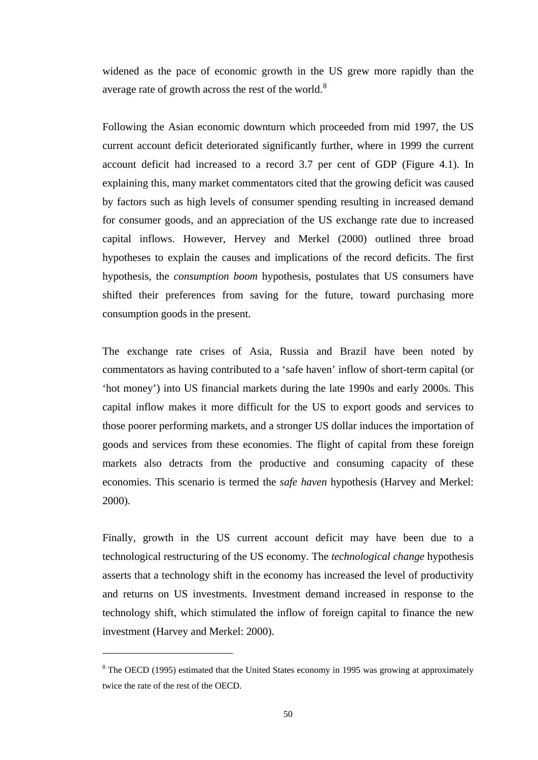widened as the pace of economic growth in the US grew more rapidly than the average rate of growth across the rest of the world.<sup>[8](#page-62-0)</sup>

Following the Asian economic downturn which proceeded from mid 1997, the US current account deficit deteriorated significantly further, where in 1999 the current account deficit had increased to a record 3.7 per cent of GDP (Figure 4.1). In explaining this, many market commentators cited that the growing deficit was caused by factors such as high levels of consumer spending resulting in increased demand for consumer goods, and an appreciation of the US exchange rate due to increased capital inflows. However, Hervey and Merkel (2000) outlined three broad hypotheses to explain the causes and implications of the record deficits. The first hypothesis, the *consumption boom* hypothesis, postulates that US consumers have shifted their preferences from saving for the future, toward purchasing more consumption goods in the present.

The exchange rate crises of Asia, Russia and Brazil have been noted by commentators as having contributed to a 'safe haven' inflow of short-term capital (or 'hot money') into US financial markets during the late 1990s and early 2000s. This capital inflow makes it more difficult for the US to export goods and services to those poorer performing markets, and a stronger US dollar induces the importation of goods and services from these economies. The flight of capital from these foreign markets also detracts from the productive and consuming capacity of these economies. This scenario is termed the *safe haven* hypothesis (Harvey and Merkel: 2000).

Finally, growth in the US current account deficit may have been due to a technological restructuring of the US economy. The *technological change* hypothesis asserts that a technology shift in the economy has increased the level of productivity and returns on US investments. Investment demand increased in response to the technology shift, which stimulated the inflow of foreign capital to finance the new investment (Harvey and Merkel: 2000).

<span id="page-62-0"></span><sup>&</sup>lt;sup>8</sup> The OECD (1995) estimated that the United States economy in 1995 was growing at approximately twice the rate of the rest of the OECD.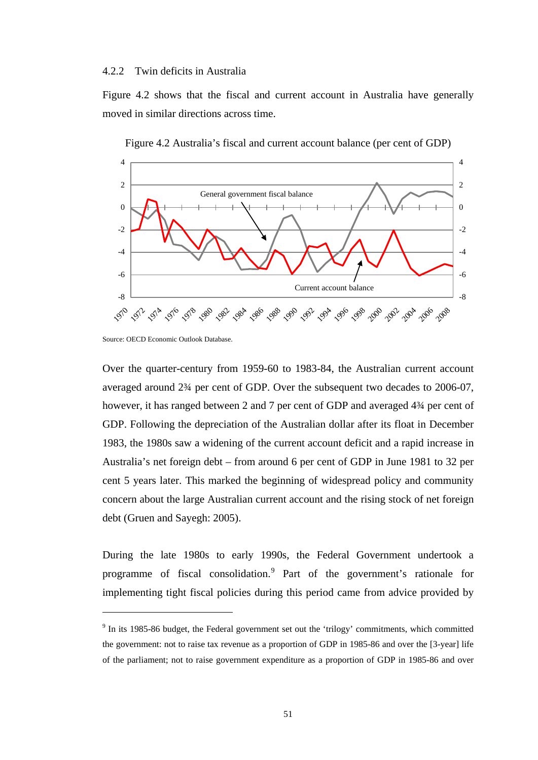#### 4.2.2 Twin deficits in Australia

Figure 4.2 shows that the fiscal and current account in Australia have generally moved in similar directions across time.



Figure 4.2 Australia's fiscal and current account balance (per cent of GDP)

Source: OECD Economic Outlook Database.

 $\overline{a}$ 

Over the quarter-century from 1959-60 to 1983-84, the Australian current account averaged around 2¾ per cent of GDP. Over the subsequent two decades to 2006-07, however, it has ranged between 2 and 7 per cent of GDP and averaged  $4\frac{3}{4}$  per cent of GDP. Following the depreciation of the Australian dollar after its float in December 1983, the 1980s saw a widening of the current account deficit and a rapid increase in Australia's net foreign debt – from around 6 per cent of GDP in June 1981 to 32 per cent 5 years later. This marked the beginning of widespread policy and community concern about the large Australian current account and the rising stock of net foreign debt (Gruen and Sayegh: 2005).

During the late 1980s to early 1990s, the Federal Government undertook a programme of fiscal consolidation.<sup>[9](#page-63-0)</sup> Part of the government's rationale for implementing tight fiscal policies during this period came from advice provided by

<span id="page-63-0"></span><sup>&</sup>lt;sup>9</sup> In its 1985-86 budget, the Federal government set out the 'trilogy' commitments, which committed the government: not to raise tax revenue as a proportion of GDP in 1985-86 and over the [3-year] life of the parliament; not to raise government expenditure as a proportion of GDP in 1985-86 and over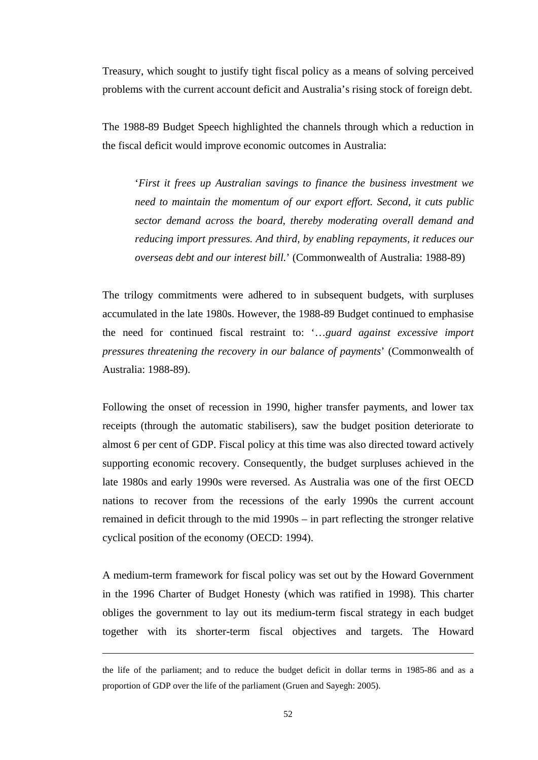Treasury, which sought to justify tight fiscal policy as a means of solving perceived problems with the current account deficit and Australia's rising stock of foreign debt.

The 1988-89 Budget Speech highlighted the channels through which a reduction in the fiscal deficit would improve economic outcomes in Australia:

'*First it frees up Australian savings to finance the business investment we need to maintain the momentum of our export effort. Second, it cuts public sector demand across the board, thereby moderating overall demand and reducing import pressures. And third, by enabling repayments, it reduces our overseas debt and our interest bill.*' (Commonwealth of Australia: 1988-89)

The trilogy commitments were adhered to in subsequent budgets, with surpluses accumulated in the late 1980s. However, the 1988-89 Budget continued to emphasise the need for continued fiscal restraint to: '…*guard against excessive import pressures threatening the recovery in our balance of payments*' (Commonwealth of Australia: 1988-89).

Following the onset of recession in 1990, higher transfer payments, and lower tax receipts (through the automatic stabilisers), saw the budget position deteriorate to almost 6 per cent of GDP. Fiscal policy at this time was also directed toward actively supporting economic recovery. Consequently, the budget surpluses achieved in the late 1980s and early 1990s were reversed. As Australia was one of the first OECD nations to recover from the recessions of the early 1990s the current account remained in deficit through to the mid 1990s – in part reflecting the stronger relative cyclical position of the economy (OECD: 1994).

A medium-term framework for fiscal policy was set out by the Howard Government in the 1996 Charter of Budget Honesty (which was ratified in 1998). This charter obliges the government to lay out its medium-term fiscal strategy in each budget together with its shorter-term fiscal objectives and targets. The Howard

 $\overline{a}$ 

the life of the parliament; and to reduce the budget deficit in dollar terms in 1985-86 and as a proportion of GDP over the life of the parliament (Gruen and Sayegh: 2005).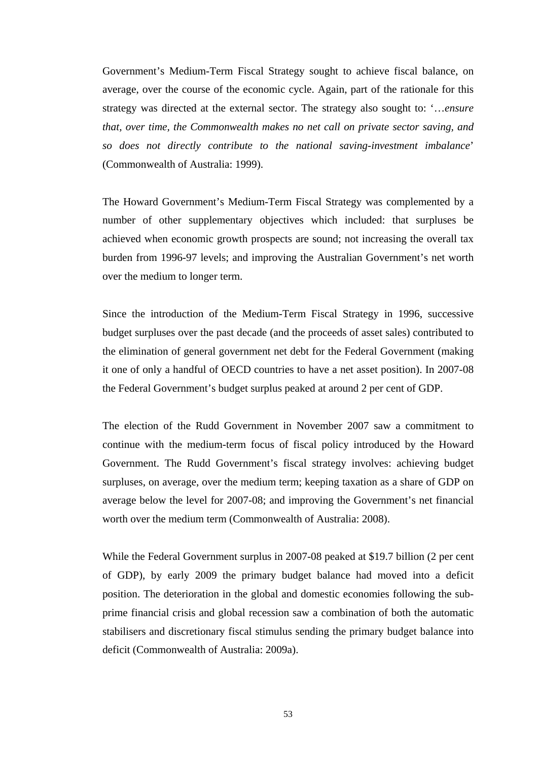Government's Medium-Term Fiscal Strategy sought to achieve fiscal balance, on average, over the course of the economic cycle. Again, part of the rationale for this strategy was directed at the external sector. The strategy also sought to: '…*ensure that, over time, the Commonwealth makes no net call on private sector saving, and so does not directly contribute to the national saving-investment imbalance*' (Commonwealth of Australia: 1999).

The Howard Government's Medium-Term Fiscal Strategy was complemented by a number of other supplementary objectives which included: that surpluses be achieved when economic growth prospects are sound; not increasing the overall tax burden from 1996-97 levels; and improving the Australian Government's net worth over the medium to longer term.

Since the introduction of the Medium-Term Fiscal Strategy in 1996, successive budget surpluses over the past decade (and the proceeds of asset sales) contributed to the elimination of general government net debt for the Federal Government (making it one of only a handful of OECD countries to have a net asset position). In 2007-08 the Federal Government's budget surplus peaked at around 2 per cent of GDP.

The election of the Rudd Government in November 2007 saw a commitment to continue with the medium-term focus of fiscal policy introduced by the Howard Government. The Rudd Government's fiscal strategy involves: achieving budget surpluses, on average, over the medium term; keeping taxation as a share of GDP on average below the level for 2007-08; and improving the Government's net financial worth over the medium term (Commonwealth of Australia: 2008).

While the Federal Government surplus in 2007-08 peaked at \$19.7 billion (2 per cent of GDP), by early 2009 the primary budget balance had moved into a deficit position. The deterioration in the global and domestic economies following the subprime financial crisis and global recession saw a combination of both the automatic stabilisers and discretionary fiscal stimulus sending the primary budget balance into deficit (Commonwealth of Australia: 2009a).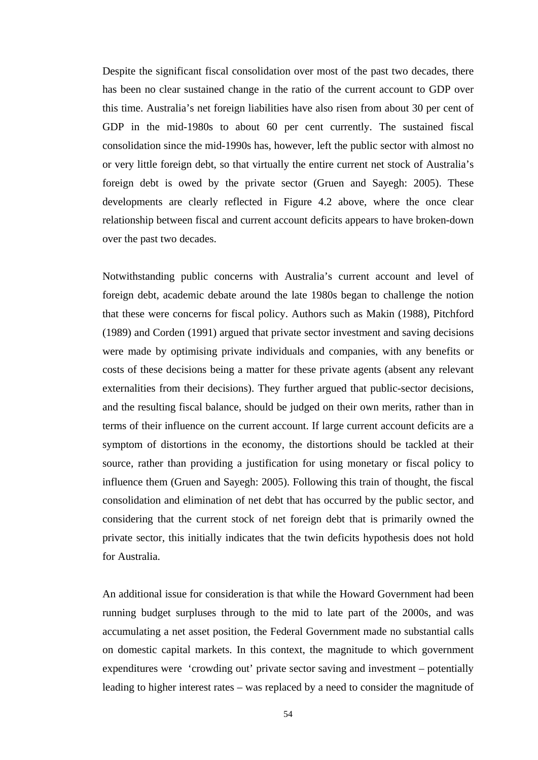Despite the significant fiscal consolidation over most of the past two decades, there has been no clear sustained change in the ratio of the current account to GDP over this time. Australia's net foreign liabilities have also risen from about 30 per cent of GDP in the mid-1980s to about 60 per cent currently. The sustained fiscal consolidation since the mid-1990s has, however, left the public sector with almost no or very little foreign debt, so that virtually the entire current net stock of Australia's foreign debt is owed by the private sector (Gruen and Sayegh: 2005). These developments are clearly reflected in Figure 4.2 above, where the once clear relationship between fiscal and current account deficits appears to have broken-down over the past two decades.

Notwithstanding public concerns with Australia's current account and level of foreign debt, academic debate around the late 1980s began to challenge the notion that these were concerns for fiscal policy. Authors such as Makin (1988), Pitchford (1989) and Corden (1991) argued that private sector investment and saving decisions were made by optimising private individuals and companies, with any benefits or costs of these decisions being a matter for these private agents (absent any relevant externalities from their decisions). They further argued that public-sector decisions, and the resulting fiscal balance, should be judged on their own merits, rather than in terms of their influence on the current account. If large current account deficits are a symptom of distortions in the economy, the distortions should be tackled at their source, rather than providing a justification for using monetary or fiscal policy to influence them (Gruen and Sayegh: 2005). Following this train of thought, the fiscal consolidation and elimination of net debt that has occurred by the public sector, and considering that the current stock of net foreign debt that is primarily owned the private sector, this initially indicates that the twin deficits hypothesis does not hold for Australia.

An additional issue for consideration is that while the Howard Government had been running budget surpluses through to the mid to late part of the 2000s, and was accumulating a net asset position, the Federal Government made no substantial calls on domestic capital markets. In this context, the magnitude to which government expenditures were 'crowding out' private sector saving and investment – potentially leading to higher interest rates – was replaced by a need to consider the magnitude of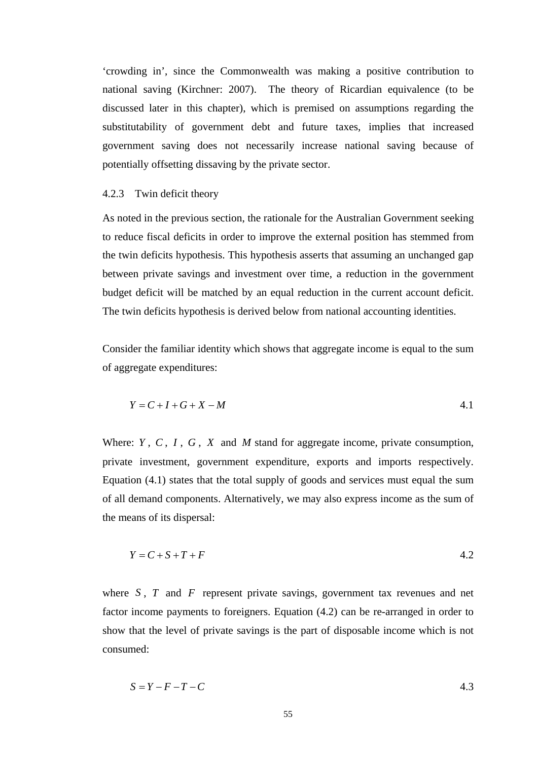'crowding in', since the Commonwealth was making a positive contribution to national saving (Kirchner: 2007). The theory of Ricardian equivalence (to be discussed later in this chapter), which is premised on assumptions regarding the substitutability of government debt and future taxes, implies that increased government saving does not necessarily increase national saving because of potentially offsetting dissaving by the private sector.

# 4.2.3 Twin deficit theory

As noted in the previous section, the rationale for the Australian Government seeking to reduce fiscal deficits in order to improve the external position has stemmed from the twin deficits hypothesis. This hypothesis asserts that assuming an unchanged gap between private savings and investment over time, a reduction in the government budget deficit will be matched by an equal reduction in the current account deficit. The twin deficits hypothesis is derived below from national accounting identities.

Consider the familiar identity which shows that aggregate income is equal to the sum of aggregate expenditures:

$$
Y = C + I + G + X - M \tag{4.1}
$$

Where: *Y* , *C* , *I* , *G* , *X* and *M* stand for aggregate income, private consumption, private investment, government expenditure, exports and imports respectively. Equation (4.1) states that the total supply of goods and services must equal the sum of all demand components. Alternatively, we may also express income as the sum of the means of its dispersal:

$$
Y = C + S + T + F \tag{4.2}
$$

where *S*, *T* and *F* represent private savings, government tax revenues and net factor income payments to foreigners. Equation (4.2) can be re-arranged in order to show that the level of private savings is the part of disposable income which is not consumed:

$$
S = Y - F - T - C \tag{4.3}
$$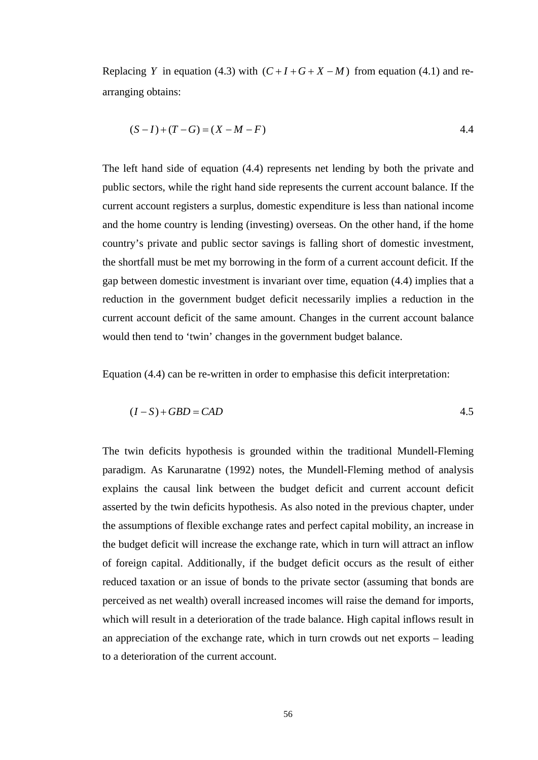Replacing *Y* in equation (4.3) with  $(C+I+G+X-M)$  from equation (4.1) and rearranging obtains:

$$
(S-I) + (T-G) = (X - M - F)
$$
 4.4

The left hand side of equation (4.4) represents net lending by both the private and public sectors, while the right hand side represents the current account balance. If the current account registers a surplus, domestic expenditure is less than national income and the home country is lending (investing) overseas. On the other hand, if the home country's private and public sector savings is falling short of domestic investment, the shortfall must be met my borrowing in the form of a current account deficit. If the gap between domestic investment is invariant over time, equation (4.4) implies that a reduction in the government budget deficit necessarily implies a reduction in the current account deficit of the same amount. Changes in the current account balance would then tend to 'twin' changes in the government budget balance.

Equation (4.4) can be re-written in order to emphasise this deficit interpretation:

$$
(I-S) + GBD = CAD \tag{4.5}
$$

The twin deficits hypothesis is grounded within the traditional Mundell-Fleming paradigm. As Karunaratne (1992) notes, the Mundell-Fleming method of analysis explains the causal link between the budget deficit and current account deficit asserted by the twin deficits hypothesis. As also noted in the previous chapter, under the assumptions of flexible exchange rates and perfect capital mobility, an increase in the budget deficit will increase the exchange rate, which in turn will attract an inflow of foreign capital. Additionally, if the budget deficit occurs as the result of either reduced taxation or an issue of bonds to the private sector (assuming that bonds are perceived as net wealth) overall increased incomes will raise the demand for imports, which will result in a deterioration of the trade balance. High capital inflows result in an appreciation of the exchange rate, which in turn crowds out net exports – leading to a deterioration of the current account.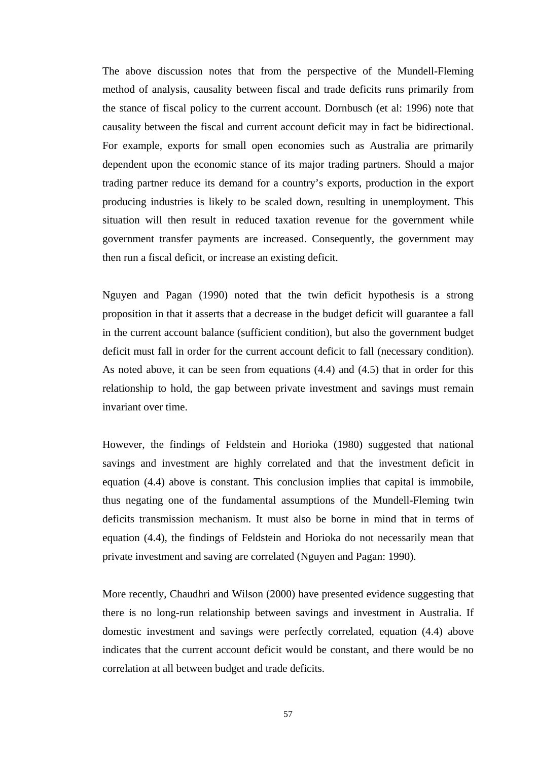The above discussion notes that from the perspective of the Mundell-Fleming method of analysis, causality between fiscal and trade deficits runs primarily from the stance of fiscal policy to the current account. Dornbusch (et al: 1996) note that causality between the fiscal and current account deficit may in fact be bidirectional. For example, exports for small open economies such as Australia are primarily dependent upon the economic stance of its major trading partners. Should a major trading partner reduce its demand for a country's exports, production in the export producing industries is likely to be scaled down, resulting in unemployment. This situation will then result in reduced taxation revenue for the government while government transfer payments are increased. Consequently, the government may then run a fiscal deficit, or increase an existing deficit.

Nguyen and Pagan (1990) noted that the twin deficit hypothesis is a strong proposition in that it asserts that a decrease in the budget deficit will guarantee a fall in the current account balance (sufficient condition), but also the government budget deficit must fall in order for the current account deficit to fall (necessary condition). As noted above, it can be seen from equations (4.4) and (4.5) that in order for this relationship to hold, the gap between private investment and savings must remain invariant over time.

However, the findings of Feldstein and Horioka (1980) suggested that national savings and investment are highly correlated and that the investment deficit in equation (4.4) above is constant. This conclusion implies that capital is immobile, thus negating one of the fundamental assumptions of the Mundell-Fleming twin deficits transmission mechanism. It must also be borne in mind that in terms of equation (4.4), the findings of Feldstein and Horioka do not necessarily mean that private investment and saving are correlated (Nguyen and Pagan: 1990).

More recently, Chaudhri and Wilson (2000) have presented evidence suggesting that there is no long-run relationship between savings and investment in Australia. If domestic investment and savings were perfectly correlated, equation (4.4) above indicates that the current account deficit would be constant, and there would be no correlation at all between budget and trade deficits.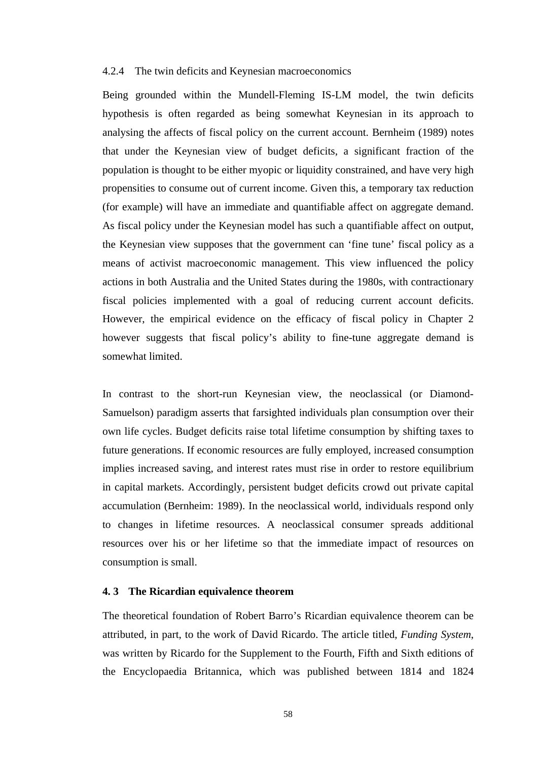## 4.2.4 The twin deficits and Keynesian macroeconomics

Being grounded within the Mundell-Fleming IS-LM model, the twin deficits hypothesis is often regarded as being somewhat Keynesian in its approach to analysing the affects of fiscal policy on the current account. Bernheim (1989) notes that under the Keynesian view of budget deficits, a significant fraction of the population is thought to be either myopic or liquidity constrained, and have very high propensities to consume out of current income. Given this, a temporary tax reduction (for example) will have an immediate and quantifiable affect on aggregate demand. As fiscal policy under the Keynesian model has such a quantifiable affect on output, the Keynesian view supposes that the government can 'fine tune' fiscal policy as a means of activist macroeconomic management. This view influenced the policy actions in both Australia and the United States during the 1980s, with contractionary fiscal policies implemented with a goal of reducing current account deficits. However, the empirical evidence on the efficacy of fiscal policy in Chapter 2 however suggests that fiscal policy's ability to fine-tune aggregate demand is somewhat limited.

In contrast to the short-run Keynesian view, the neoclassical (or Diamond-Samuelson) paradigm asserts that farsighted individuals plan consumption over their own life cycles. Budget deficits raise total lifetime consumption by shifting taxes to future generations. If economic resources are fully employed, increased consumption implies increased saving, and interest rates must rise in order to restore equilibrium in capital markets. Accordingly, persistent budget deficits crowd out private capital accumulation (Bernheim: 1989). In the neoclassical world, individuals respond only to changes in lifetime resources. A neoclassical consumer spreads additional resources over his or her lifetime so that the immediate impact of resources on consumption is small.

# **4. 3 The Ricardian equivalence theorem**

The theoretical foundation of Robert Barro's Ricardian equivalence theorem can be attributed, in part, to the work of David Ricardo. The article titled, *Funding System*, was written by Ricardo for the Supplement to the Fourth, Fifth and Sixth editions of the Encyclopaedia Britannica, which was published between 1814 and 1824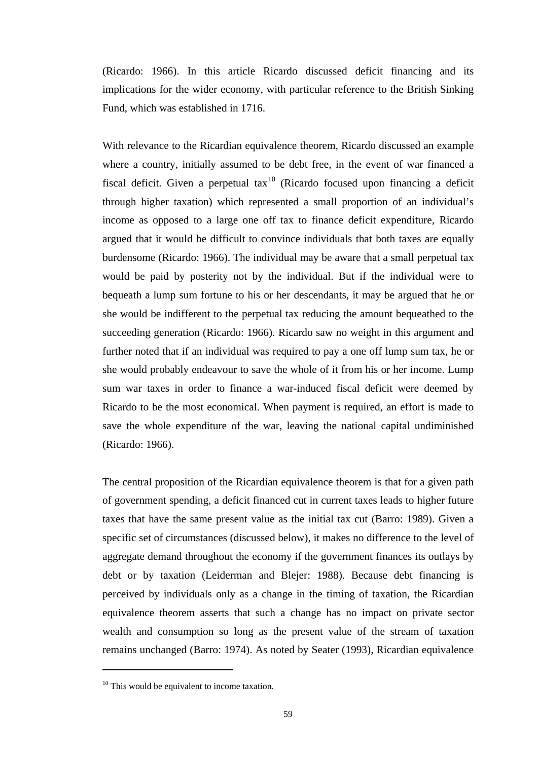(Ricardo: 1966). In this article Ricardo discussed deficit financing and its implications for the wider economy, with particular reference to the British Sinking Fund, which was established in 1716.

With relevance to the Ricardian equivalence theorem, Ricardo discussed an example where a country, initially assumed to be debt free, in the event of war financed a fiscal deficit. Given a perpetual  $\text{tax}^{10}$  (Ricardo focused upon financing a deficit through higher taxation) which represented a small proportion of an individual's income as opposed to a large one off tax to finance deficit expenditure, Ricardo argued that it would be difficult to convince individuals that both taxes are equally burdensome (Ricardo: 1966). The individual may be aware that a small perpetual tax would be paid by posterity not by the individual. But if the individual were to bequeath a lump sum fortune to his or her descendants, it may be argued that he or she would be indifferent to the perpetual tax reducing the amount bequeathed to the succeeding generation (Ricardo: 1966). Ricardo saw no weight in this argument and further noted that if an individual was required to pay a one off lump sum tax, he or she would probably endeavour to save the whole of it from his or her income. Lump sum war taxes in order to finance a war-induced fiscal deficit were deemed by Ricardo to be the most economical. When payment is required, an effort is made to save the whole expenditure of the war, leaving the national capital undiminished (Ricardo: 1966).

The central proposition of the Ricardian equivalence theorem is that for a given path of government spending, a deficit financed cut in current taxes leads to higher future taxes that have the same present value as the initial tax cut (Barro: 1989). Given a specific set of circumstances (discussed below), it makes no difference to the level of aggregate demand throughout the economy if the government finances its outlays by debt or by taxation (Leiderman and Blejer: 1988). Because debt financing is perceived by individuals only as a change in the timing of taxation, the Ricardian equivalence theorem asserts that such a change has no impact on private sector wealth and consumption so long as the present value of the stream of taxation remains unchanged (Barro: 1974). As noted by Seater (1993), Ricardian equivalence

 $\overline{a}$ 

<span id="page-71-0"></span><sup>&</sup>lt;sup>10</sup> This would be equivalent to income taxation.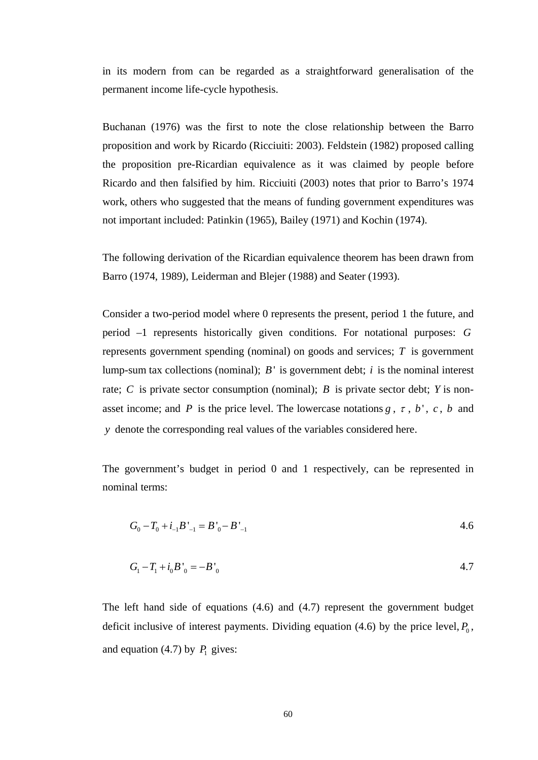in its modern from can be regarded as a straightforward generalisation of the permanent income life-cycle hypothesis.

Buchanan (1976) was the first to note the close relationship between the Barro proposition and work by Ricardo (Ricciuiti: 2003). Feldstein (1982) proposed calling the proposition pre-Ricardian equivalence as it was claimed by people before Ricardo and then falsified by him. Ricciuiti (2003) notes that prior to Barro's 1974 work, others who suggested that the means of funding government expenditures was not important included: Patinkin (1965), Bailey (1971) and Kochin (1974).

The following derivation of the Ricardian equivalence theorem has been drawn from Barro (1974, 1989), Leiderman and Blejer (1988) and Seater (1993).

Consider a two-period model where 0 represents the present, period 1 the future, and period –1 represents historically given conditions. For notational purposes: *G* represents government spending (nominal) on goods and services; *T* is government lump-sum tax collections (nominal);  $B'$  is government debt;  $i$  is the nominal interest rate; *C* is private sector consumption (nominal); *B* is private sector debt; *Y* is nonasset income; and *P* is the price level. The lowercase notations  $g$ ,  $\tau$ ,  $b'$ ,  $c$ ,  $b$  and *y* denote the corresponding real values of the variables considered here.

The government's budget in period 0 and 1 respectively, can be represented in nominal terms:

$$
G_0 - T_0 + i_{-1}B'_{-1} = B'_0 - B'_{-1}
$$

$$
G_1 - T_1 + i_0 B'_0 = -B'_0
$$
 4.7

The left hand side of equations (4.6) and (4.7) represent the government budget deficit inclusive of interest payments. Dividing equation  $(4.6)$  by the price level,  $P_0$ , and equation (4.7) by  $P_1$  gives: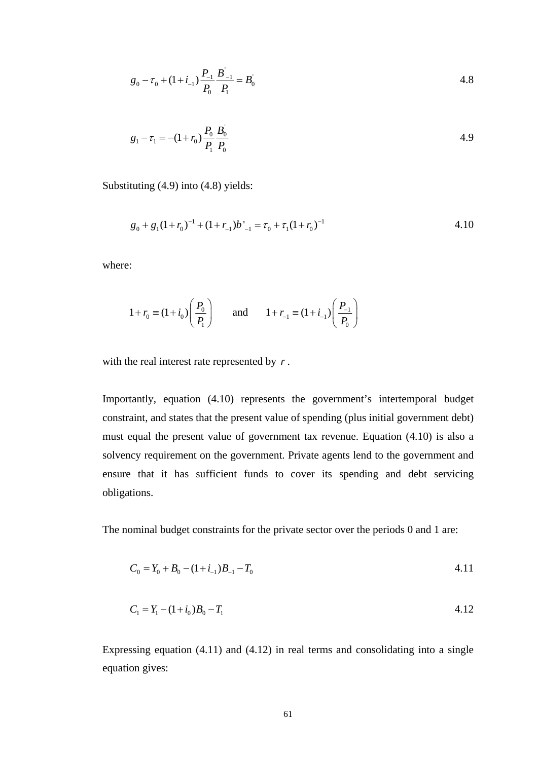$$
g_0 - \tau_0 + (1 + i_{-1}) \frac{P_{-1}}{P_0} \frac{B^{'-1}}{P_1} = B_0^{'}
$$
 4.8

$$
g_1 - \tau_1 = -(1 + r_0) \frac{P_0}{P_1} \frac{B_0}{P_0}
$$

Substituting (4.9) into (4.8) yields:

$$
g_0 + g_1(1 + r_0)^{-1} + (1 + r_{-1})b'_{-1} = \tau_0 + \tau_1(1 + r_0)^{-1}
$$

where:

$$
1 + r_0 \equiv (1 + i_0) \left( \frac{P_0}{P_1} \right)
$$
 and  $1 + r_{-1} \equiv (1 + i_{-1}) \left( \frac{P_{-1}}{P_0} \right)$ 

with the real interest rate represented by *r* .

Importantly, equation (4.10) represents the government's intertemporal budget constraint, and states that the present value of spending (plus initial government debt) must equal the present value of government tax revenue. Equation (4.10) is also a solvency requirement on the government. Private agents lend to the government and ensure that it has sufficient funds to cover its spending and debt servicing obligations.

The nominal budget constraints for the private sector over the periods 0 and 1 are:

$$
C_0 = Y_0 + B_0 - (1 + i_{-1})B_{-1} - T_0
$$

$$
C_1 = Y_1 - (1 + i_0)B_0 - T_1 \tag{4.12}
$$

Expressing equation (4.11) and (4.12) in real terms and consolidating into a single equation gives: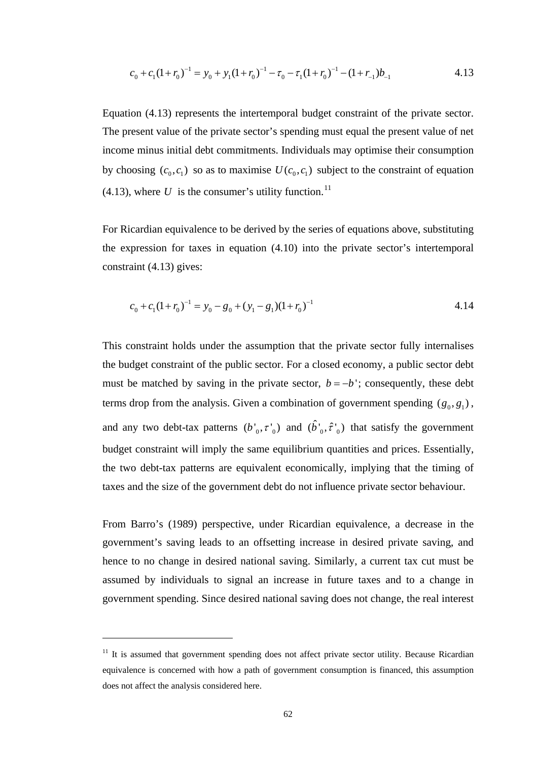$$
c_0 + c_1(1 + r_0)^{-1} = y_0 + y_1(1 + r_0)^{-1} - \tau_0 - \tau_1(1 + r_0)^{-1} - (1 + r_{-1})b_{-1}
$$

Equation (4.13) represents the intertemporal budget constraint of the private sector. The present value of the private sector's spending must equal the present value of net income minus initial debt commitments. Individuals may optimise their consumption by choosing  $(c_0, c_1)$  so as to maximise  $U(c_0, c_1)$  subject to the constraint of equation  $(4.13)$ , where U is the consumer's utility function.<sup>11</sup>

For Ricardian equivalence to be derived by the series of equations above, substituting the expression for taxes in equation (4.10) into the private sector's intertemporal constraint (4.13) gives:

$$
c_0 + c_1(1 + r_0)^{-1} = y_0 - g_0 + (y_1 - g_1)(1 + r_0)^{-1}
$$

This constraint holds under the assumption that the private sector fully internalises the budget constraint of the public sector. For a closed economy, a public sector debt must be matched by saving in the private sector,  $b = -b'$ ; consequently, these debt terms drop from the analysis. Given a combination of government spending  $(g_0, g_1)$ , and any two debt-tax patterns  $(b', \tau')$  and  $(\hat{b}', \hat{\tau}')$  that satisfy the government budget constraint will imply the same equilibrium quantities and prices. Essentially, the two debt-tax patterns are equivalent economically, implying that the timing of taxes and the size of the government debt do not influence private sector behaviour.

From Barro's (1989) perspective, under Ricardian equivalence, a decrease in the government's saving leads to an offsetting increase in desired private saving, and hence to no change in desired national saving. Similarly, a current tax cut must be assumed by individuals to signal an increase in future taxes and to a change in government spending. Since desired national saving does not change, the real interest

<span id="page-74-0"></span><sup>&</sup>lt;sup>11</sup> It is assumed that government spending does not affect private sector utility. Because Ricardian equivalence is concerned with how a path of government consumption is financed, this assumption does not affect the analysis considered here.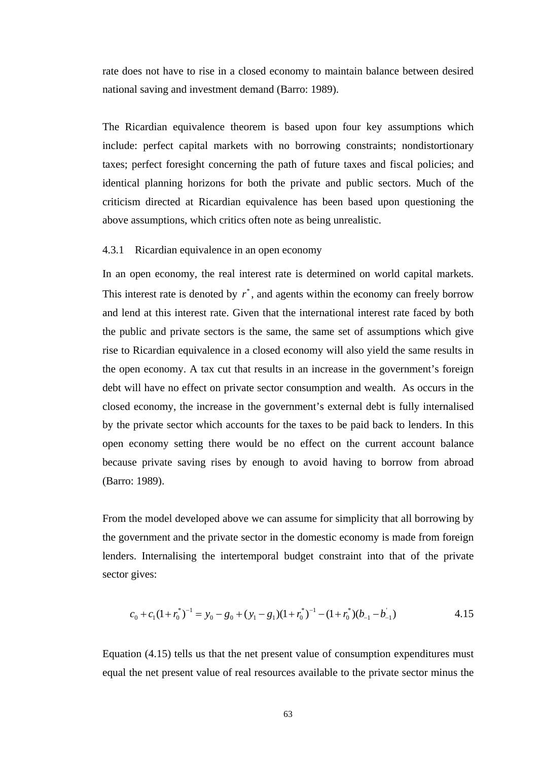rate does not have to rise in a closed economy to maintain balance between desired national saving and investment demand (Barro: 1989).

The Ricardian equivalence theorem is based upon four key assumptions which include: perfect capital markets with no borrowing constraints; nondistortionary taxes; perfect foresight concerning the path of future taxes and fiscal policies; and identical planning horizons for both the private and public sectors. Much of the criticism directed at Ricardian equivalence has been based upon questioning the above assumptions, which critics often note as being unrealistic.

## 4.3.1 Ricardian equivalence in an open economy

In an open economy, the real interest rate is determined on world capital markets. This interest rate is denoted by  $r^*$ , and agents within the economy can freely borrow and lend at this interest rate. Given that the international interest rate faced by both the public and private sectors is the same, the same set of assumptions which give rise to Ricardian equivalence in a closed economy will also yield the same results in the open economy. A tax cut that results in an increase in the government's foreign debt will have no effect on private sector consumption and wealth. As occurs in the closed economy, the increase in the government's external debt is fully internalised by the private sector which accounts for the taxes to be paid back to lenders. In this open economy setting there would be no effect on the current account balance because private saving rises by enough to avoid having to borrow from abroad (Barro: 1989).

From the model developed above we can assume for simplicity that all borrowing by the government and the private sector in the domestic economy is made from foreign lenders. Internalising the intertemporal budget constraint into that of the private sector gives:

$$
c_0 + c_1(1 + r_0^*)^{-1} = y_0 - g_0 + (y_1 - g_1)(1 + r_0^*)^{-1} - (1 + r_0^*)(b_{-1} - b_{-1}')
$$

Equation (4.15) tells us that the net present value of consumption expenditures must equal the net present value of real resources available to the private sector minus the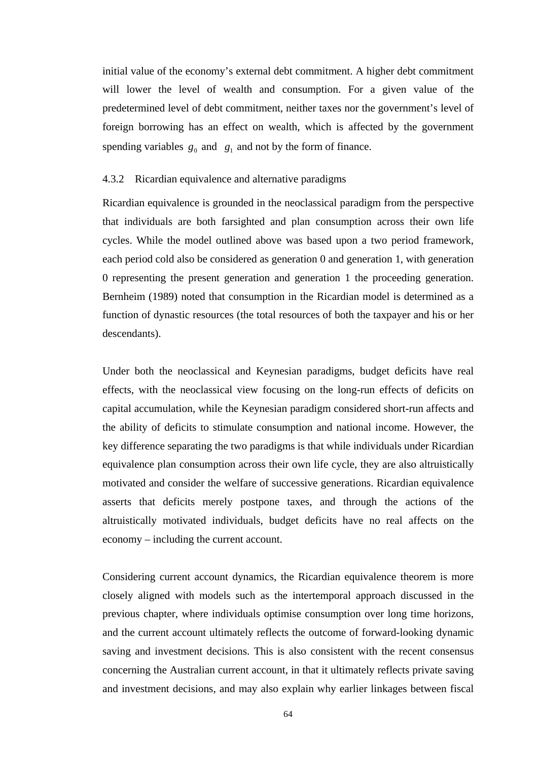initial value of the economy's external debt commitment. A higher debt commitment will lower the level of wealth and consumption. For a given value of the predetermined level of debt commitment, neither taxes nor the government's level of foreign borrowing has an effect on wealth, which is affected by the government spending variables  $g_0$  and  $g_1$  and not by the form of finance.

## 4.3.2 Ricardian equivalence and alternative paradigms

Ricardian equivalence is grounded in the neoclassical paradigm from the perspective that individuals are both farsighted and plan consumption across their own life cycles. While the model outlined above was based upon a two period framework, each period cold also be considered as generation 0 and generation 1, with generation 0 representing the present generation and generation 1 the proceeding generation. Bernheim (1989) noted that consumption in the Ricardian model is determined as a function of dynastic resources (the total resources of both the taxpayer and his or her descendants).

Under both the neoclassical and Keynesian paradigms, budget deficits have real effects, with the neoclassical view focusing on the long-run effects of deficits on capital accumulation, while the Keynesian paradigm considered short-run affects and the ability of deficits to stimulate consumption and national income. However, the key difference separating the two paradigms is that while individuals under Ricardian equivalence plan consumption across their own life cycle, they are also altruistically motivated and consider the welfare of successive generations. Ricardian equivalence asserts that deficits merely postpone taxes, and through the actions of the altruistically motivated individuals, budget deficits have no real affects on the economy – including the current account.

Considering current account dynamics, the Ricardian equivalence theorem is more closely aligned with models such as the intertemporal approach discussed in the previous chapter, where individuals optimise consumption over long time horizons, and the current account ultimately reflects the outcome of forward-looking dynamic saving and investment decisions. This is also consistent with the recent consensus concerning the Australian current account, in that it ultimately reflects private saving and investment decisions, and may also explain why earlier linkages between fiscal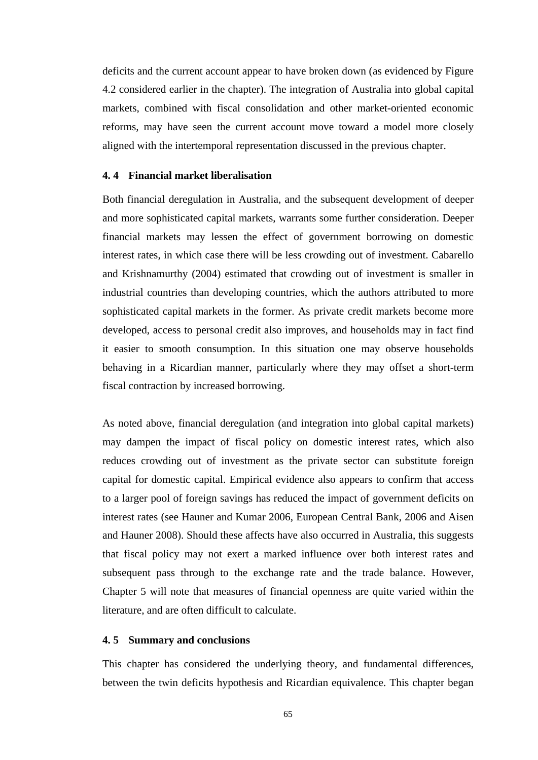deficits and the current account appear to have broken down (as evidenced by Figure 4.2 considered earlier in the chapter). The integration of Australia into global capital markets, combined with fiscal consolidation and other market-oriented economic reforms, may have seen the current account move toward a model more closely aligned with the intertemporal representation discussed in the previous chapter.

# **4. 4 Financial market liberalisation**

Both financial deregulation in Australia, and the subsequent development of deeper and more sophisticated capital markets, warrants some further consideration. Deeper financial markets may lessen the effect of government borrowing on domestic interest rates, in which case there will be less crowding out of investment. Cabarello and Krishnamurthy (2004) estimated that crowding out of investment is smaller in industrial countries than developing countries, which the authors attributed to more sophisticated capital markets in the former. As private credit markets become more developed, access to personal credit also improves, and households may in fact find it easier to smooth consumption. In this situation one may observe households behaving in a Ricardian manner, particularly where they may offset a short-term fiscal contraction by increased borrowing.

As noted above, financial deregulation (and integration into global capital markets) may dampen the impact of fiscal policy on domestic interest rates, which also reduces crowding out of investment as the private sector can substitute foreign capital for domestic capital. Empirical evidence also appears to confirm that access to a larger pool of foreign savings has reduced the impact of government deficits on interest rates (see Hauner and Kumar 2006, European Central Bank, 2006 and Aisen and Hauner 2008). Should these affects have also occurred in Australia, this suggests that fiscal policy may not exert a marked influence over both interest rates and subsequent pass through to the exchange rate and the trade balance. However, Chapter 5 will note that measures of financial openness are quite varied within the literature, and are often difficult to calculate.

## **4. 5 Summary and conclusions**

This chapter has considered the underlying theory, and fundamental differences, between the twin deficits hypothesis and Ricardian equivalence. This chapter began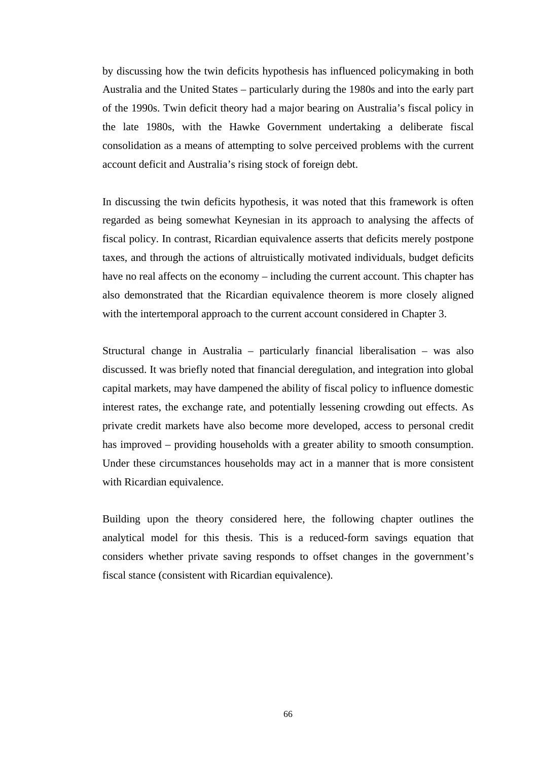by discussing how the twin deficits hypothesis has influenced policymaking in both Australia and the United States – particularly during the 1980s and into the early part of the 1990s. Twin deficit theory had a major bearing on Australia's fiscal policy in the late 1980s, with the Hawke Government undertaking a deliberate fiscal consolidation as a means of attempting to solve perceived problems with the current account deficit and Australia's rising stock of foreign debt.

In discussing the twin deficits hypothesis, it was noted that this framework is often regarded as being somewhat Keynesian in its approach to analysing the affects of fiscal policy. In contrast, Ricardian equivalence asserts that deficits merely postpone taxes, and through the actions of altruistically motivated individuals, budget deficits have no real affects on the economy – including the current account. This chapter has also demonstrated that the Ricardian equivalence theorem is more closely aligned with the intertemporal approach to the current account considered in Chapter 3.

Structural change in Australia – particularly financial liberalisation – was also discussed. It was briefly noted that financial deregulation, and integration into global capital markets, may have dampened the ability of fiscal policy to influence domestic interest rates, the exchange rate, and potentially lessening crowding out effects. As private credit markets have also become more developed, access to personal credit has improved – providing households with a greater ability to smooth consumption. Under these circumstances households may act in a manner that is more consistent with Ricardian equivalence.

Building upon the theory considered here, the following chapter outlines the analytical model for this thesis. This is a reduced-form savings equation that considers whether private saving responds to offset changes in the government's fiscal stance (consistent with Ricardian equivalence).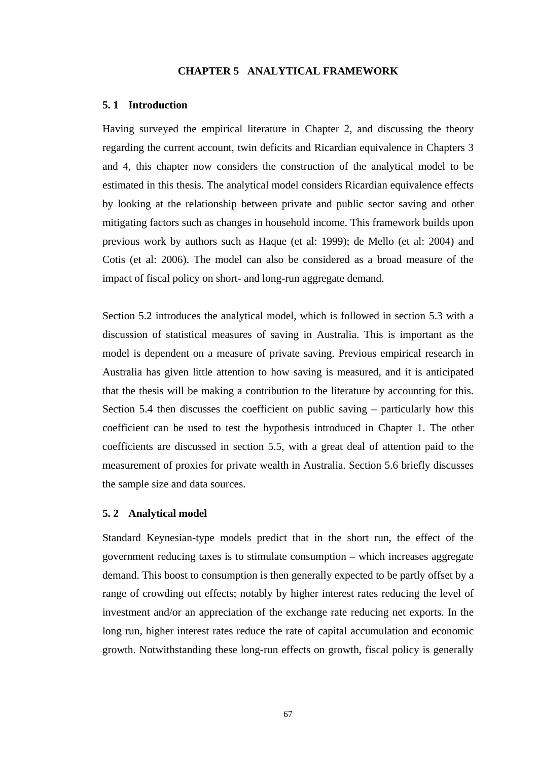### **CHAPTER 5 ANALYTICAL FRAMEWORK**

#### **5. 1 Introduction**

Having surveyed the empirical literature in Chapter 2, and discussing the theory regarding the current account, twin deficits and Ricardian equivalence in Chapters 3 and 4, this chapter now considers the construction of the analytical model to be estimated in this thesis. The analytical model considers Ricardian equivalence effects by looking at the relationship between private and public sector saving and other mitigating factors such as changes in household income. This framework builds upon previous work by authors such as Haque (et al: 1999); de Mello (et al: 2004) and Cotis (et al: 2006). The model can also be considered as a broad measure of the impact of fiscal policy on short- and long-run aggregate demand.

Section 5.2 introduces the analytical model, which is followed in section 5.3 with a discussion of statistical measures of saving in Australia. This is important as the model is dependent on a measure of private saving. Previous empirical research in Australia has given little attention to how saving is measured, and it is anticipated that the thesis will be making a contribution to the literature by accounting for this. Section 5.4 then discusses the coefficient on public saving – particularly how this coefficient can be used to test the hypothesis introduced in Chapter 1. The other coefficients are discussed in section 5.5, with a great deal of attention paid to the measurement of proxies for private wealth in Australia. Section 5.6 briefly discusses the sample size and data sources.

## **5. 2 Analytical model**

Standard Keynesian-type models predict that in the short run, the effect of the government reducing taxes is to stimulate consumption – which increases aggregate demand. This boost to consumption is then generally expected to be partly offset by a range of crowding out effects; notably by higher interest rates reducing the level of investment and/or an appreciation of the exchange rate reducing net exports. In the long run, higher interest rates reduce the rate of capital accumulation and economic growth. Notwithstanding these long-run effects on growth, fiscal policy is generally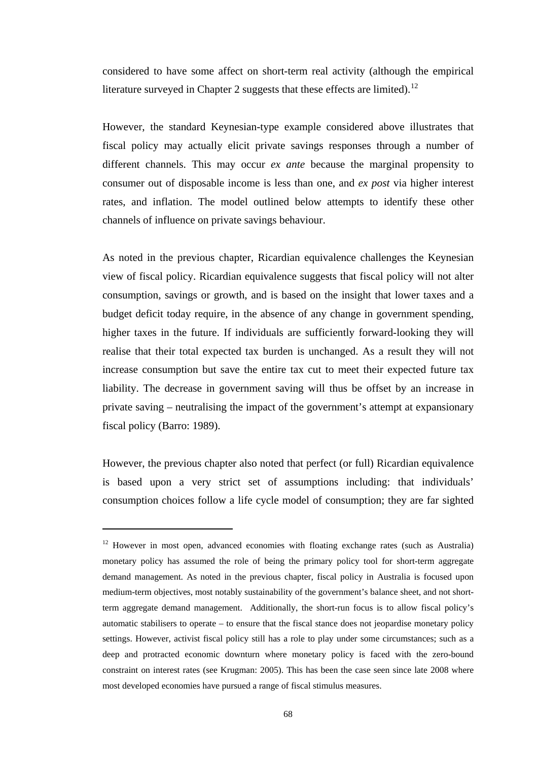considered to have some affect on short-term real activity (although the empirical literature surveyed in Chapter 2 suggests that these effects are limited).<sup>[12](#page-80-0)</sup>

However, the standard Keynesian-type example considered above illustrates that fiscal policy may actually elicit private savings responses through a number of different channels. This may occur *ex ante* because the marginal propensity to consumer out of disposable income is less than one, and *ex post* via higher interest rates, and inflation. The model outlined below attempts to identify these other channels of influence on private savings behaviour.

As noted in the previous chapter, Ricardian equivalence challenges the Keynesian view of fiscal policy. Ricardian equivalence suggests that fiscal policy will not alter consumption, savings or growth, and is based on the insight that lower taxes and a budget deficit today require, in the absence of any change in government spending, higher taxes in the future. If individuals are sufficiently forward-looking they will realise that their total expected tax burden is unchanged. As a result they will not increase consumption but save the entire tax cut to meet their expected future tax liability. The decrease in government saving will thus be offset by an increase in private saving – neutralising the impact of the government's attempt at expansionary fiscal policy (Barro: 1989).

However, the previous chapter also noted that perfect (or full) Ricardian equivalence is based upon a very strict set of assumptions including: that individuals' consumption choices follow a life cycle model of consumption; they are far sighted

 $\overline{a}$ 

<span id="page-80-0"></span> $12$  However in most open, advanced economies with floating exchange rates (such as Australia) monetary policy has assumed the role of being the primary policy tool for short-term aggregate demand management. As noted in the previous chapter, fiscal policy in Australia is focused upon medium-term objectives, most notably sustainability of the government's balance sheet, and not shortterm aggregate demand management. Additionally, the short-run focus is to allow fiscal policy's automatic stabilisers to operate – to ensure that the fiscal stance does not jeopardise monetary policy settings. However, activist fiscal policy still has a role to play under some circumstances; such as a deep and protracted economic downturn where monetary policy is faced with the zero-bound constraint on interest rates (see Krugman: 2005). This has been the case seen since late 2008 where most developed economies have pursued a range of fiscal stimulus measures.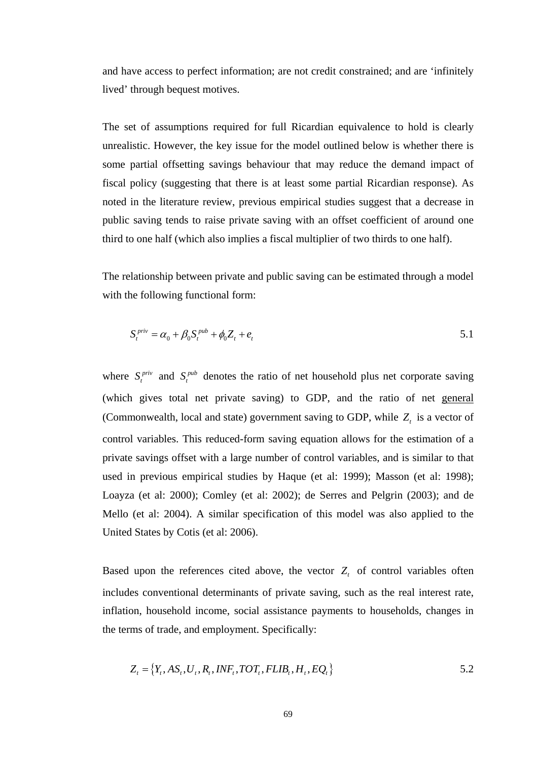and have access to perfect information; are not credit constrained; and are 'infinitely lived' through bequest motives.

The set of assumptions required for full Ricardian equivalence to hold is clearly unrealistic. However, the key issue for the model outlined below is whether there is some partial offsetting savings behaviour that may reduce the demand impact of fiscal policy (suggesting that there is at least some partial Ricardian response). As noted in the literature review, previous empirical studies suggest that a decrease in public saving tends to raise private saving with an offset coefficient of around one third to one half (which also implies a fiscal multiplier of two thirds to one half).

The relationship between private and public saving can be estimated through a model with the following functional form:

$$
S_t^{priv} = \alpha_0 + \beta_0 S_t^{pub} + \phi_0 Z_t + e_t
$$

where  $S_t^{priv}$  and  $S_t^{pub}$  denotes the ratio of net household plus net corporate saving (which gives total net private saving) to GDP, and the ratio of net general (Commonwealth, local and state) government saving to GDP, while  $Z_t$  is a vector of control variables. This reduced-form saving equation allows for the estimation of a private savings offset with a large number of control variables, and is similar to that used in previous empirical studies by Haque (et al: 1999); Masson (et al: 1998); Loayza (et al: 2000); Comley (et al: 2002); de Serres and Pelgrin (2003); and de Mello (et al: 2004). A similar specification of this model was also applied to the United States by Cotis (et al: 2006).

Based upon the references cited above, the vector  $Z<sub>t</sub>$  of control variables often includes conventional determinants of private saving, such as the real interest rate, inflation, household income, social assistance payments to households, changes in the terms of trade, and employment. Specifically:

$$
Z_t = \{Y_t, AS_t, U_t, R_t, INF_t, TOT_t, FLIB_t, H_t, EQ_t\}
$$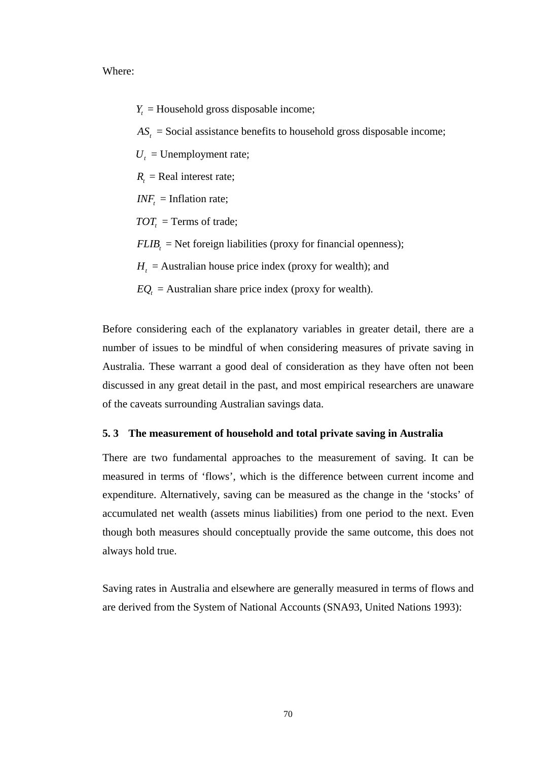Where:

 $Y_t$  = Household gross disposable income;

 $AS<sub>t</sub>$  = Social assistance benefits to household gross disposable income;

 $U_t$  = Unemployment rate;

 $R<sub>i</sub>$  = Real interest rate;

 $INF<sub>t</sub> = Inflation rate;$ 

 $TOT<sub>t</sub>$  = Terms of trade;

 $FLIB$ <sub>z</sub> = Net foreign liabilities (proxy for financial openness);

 $H_t$  = Australian house price index (proxy for wealth); and

 $EQ<sub>t</sub> =$  Australian share price index (proxy for wealth).

Before considering each of the explanatory variables in greater detail, there are a number of issues to be mindful of when considering measures of private saving in Australia. These warrant a good deal of consideration as they have often not been discussed in any great detail in the past, and most empirical researchers are unaware of the caveats surrounding Australian savings data.

## **5. 3 The measurement of household and total private saving in Australia**

There are two fundamental approaches to the measurement of saving. It can be measured in terms of 'flows', which is the difference between current income and expenditure. Alternatively, saving can be measured as the change in the 'stocks' of accumulated net wealth (assets minus liabilities) from one period to the next. Even though both measures should conceptually provide the same outcome, this does not always hold true.

Saving rates in Australia and elsewhere are generally measured in terms of flows and are derived from the System of National Accounts (SNA93, United Nations 1993):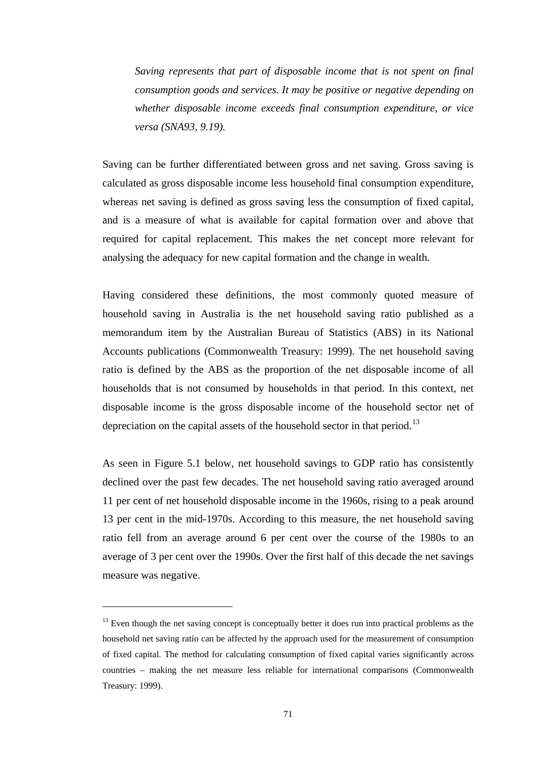*Saving represents that part of disposable income that is not spent on final consumption goods and services. It may be positive or negative depending on whether disposable income exceeds final consumption expenditure, or vice versa (SNA93, 9.19).* 

Saving can be further differentiated between gross and net saving. Gross saving is calculated as gross disposable income less household final consumption expenditure, whereas net saving is defined as gross saving less the consumption of fixed capital, and is a measure of what is available for capital formation over and above that required for capital replacement. This makes the net concept more relevant for analysing the adequacy for new capital formation and the change in wealth.

Having considered these definitions, the most commonly quoted measure of household saving in Australia is the net household saving ratio published as a memorandum item by the Australian Bureau of Statistics (ABS) in its National Accounts publications (Commonwealth Treasury: 1999). The net household saving ratio is defined by the ABS as the proportion of the net disposable income of all households that is not consumed by households in that period. In this context, net disposable income is the gross disposable income of the household sector net of depreciation on the capital assets of the household sector in that period.<sup>[13](#page-83-0)</sup>

As seen in Figure 5.1 below, net household savings to GDP ratio has consistently declined over the past few decades. The net household saving ratio averaged around 11 per cent of net household disposable income in the 1960s, rising to a peak around 13 per cent in the mid-1970s. According to this measure, the net household saving ratio fell from an average around 6 per cent over the course of the 1980s to an average of 3 per cent over the 1990s. Over the first half of this decade the net savings measure was negative.

<span id="page-83-0"></span><sup>&</sup>lt;sup>13</sup> Even though the net saving concept is conceptually better it does run into practical problems as the household net saving ratio can be affected by the approach used for the measurement of consumption of fixed capital. The method for calculating consumption of fixed capital varies significantly across countries – making the net measure less reliable for international comparisons (Commonwealth Treasury: 1999).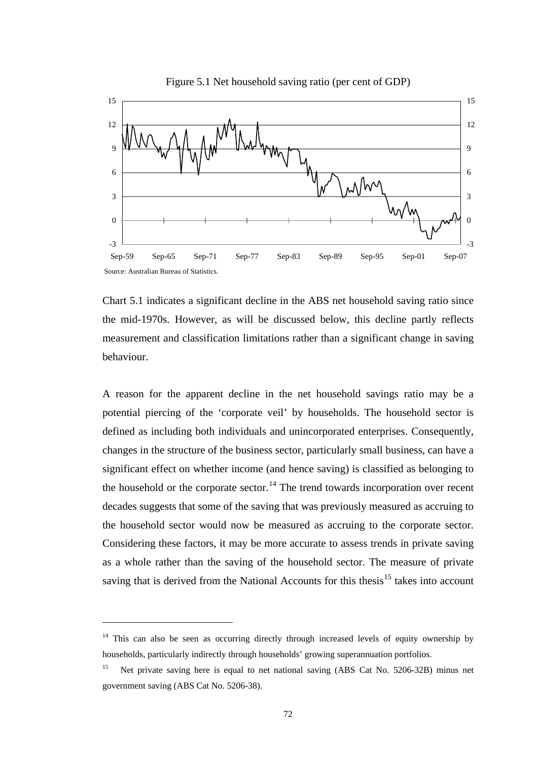

Figure 5.1 Net household saving ratio (per cent of GDP)

Chart 5.1 indicates a significant decline in the ABS net household saving ratio since the mid-1970s. However, as will be discussed below, this decline partly reflects measurement and classification limitations rather than a significant change in saving behaviour.

A reason for the apparent decline in the net household savings ratio may be a potential piercing of the 'corporate veil' by households. The household sector is defined as including both individuals and unincorporated enterprises. Consequently, changes in the structure of the business sector, particularly small business, can have a significant effect on whether income (and hence saving) is classified as belonging to the household or the corporate sector.<sup>14</sup> The trend towards incorporation over recent decades suggests that some of the saving that was previously measured as accruing to the household sector would now be measured as accruing to the corporate sector. Considering these factors, it may be more accurate to assess trends in private saving as a whole rather than the saving of the household sector. The measure of private saving that is derived from the National Accounts for this thesis $1<sup>5</sup>$  takes into account

<span id="page-84-0"></span><sup>&</sup>lt;sup>14</sup> This can also be seen as occurring directly through increased levels of equity ownership by households, particularly indirectly through households' growing superannuation portfolios.

<span id="page-84-1"></span><sup>&</sup>lt;sup>15</sup> Net private saving here is equal to net national saving (ABS Cat No. 5206-32B) minus net government saving (ABS Cat No. 5206-38).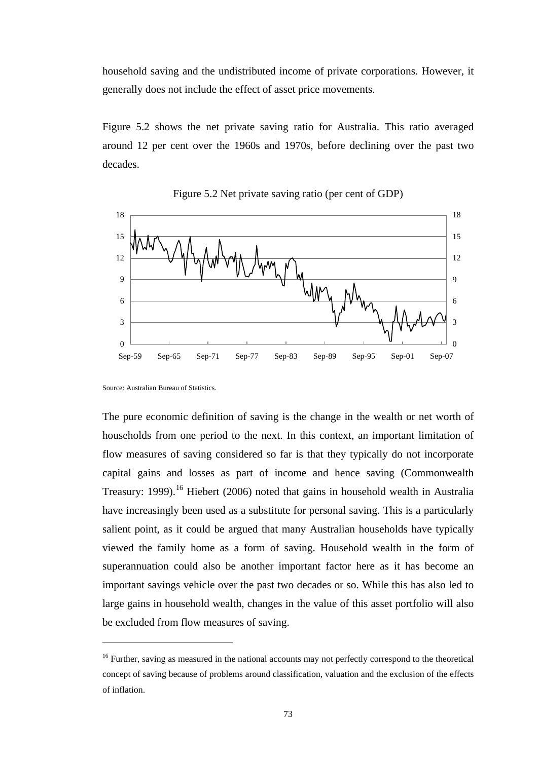household saving and the undistributed income of private corporations. However, it generally does not include the effect of asset price movements.

Figure 5.2 shows the net private saving ratio for Australia. This ratio averaged around 12 per cent over the 1960s and 1970s, before declining over the past two decades.





 $\overline{a}$ 

The pure economic definition of saving is the change in the wealth or net worth of households from one period to the next. In this context, an important limitation of flow measures of saving considered so far is that they typically do not incorporate capital gains and losses as part of income and hence saving (Commonwealth Treasury: 1999).<sup>16</sup> Hiebert (2006) noted that gains in household wealth in Australia have increasingly been used as a substitute for personal saving. This is a particularly salient point, as it could be argued that many Australian households have typically viewed the family home as a form of saving. Household wealth in the form of superannuation could also be another important factor here as it has become an important savings vehicle over the past two decades or so. While this has also led to large gains in household wealth, changes in the value of this asset portfolio will also be excluded from flow measures of saving.

Source: Australian Bureau of Statistics.

<span id="page-85-0"></span><sup>&</sup>lt;sup>16</sup> Further, saving as measured in the national accounts may not perfectly correspond to the theoretical concept of saving because of problems around classification, valuation and the exclusion of the effects of inflation.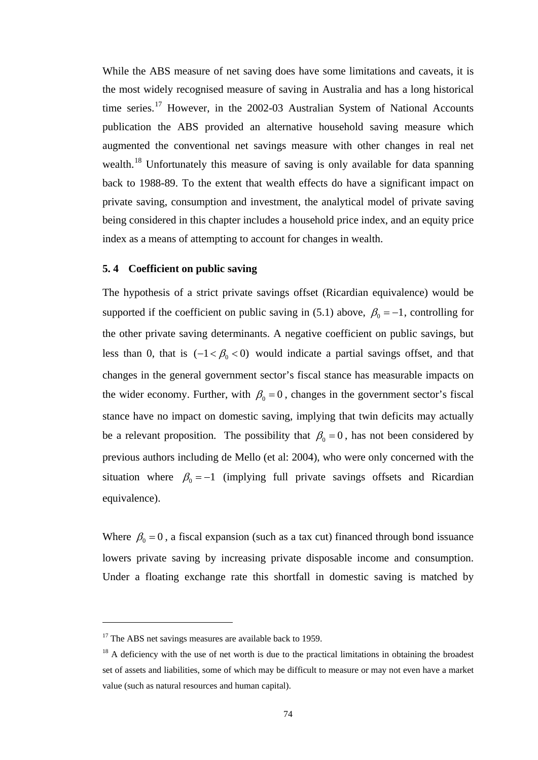While the ABS measure of net saving does have some limitations and caveats, it is the most widely recognised measure of saving in Australia and has a long historical time series.<sup>[17](#page-86-0)</sup> However, in the 2002-03 Australian System of National Accounts publication the ABS provided an alternative household saving measure which augmented the conventional net savings measure with other changes in real net wealth.<sup>18</sup> Unfortunately this measure of saving is only available for data spanning back to 1988-89. To the extent that wealth effects do have a significant impact on private saving, consumption and investment, the analytical model of private saving being considered in this chapter includes a household price index, and an equity price index as a means of attempting to account for changes in wealth.

## **5. 4 Coefficient on public saving**

The hypothesis of a strict private savings offset (Ricardian equivalence) would be supported if the coefficient on public saving in (5.1) above,  $\beta_0 = -1$ , controlling for the other private saving determinants. A negative coefficient on public savings, but less than 0, that is  $(-1 < \beta_0 < 0)$  would indicate a partial savings offset, and that changes in the general government sector's fiscal stance has measurable impacts on the wider economy. Further, with  $\beta_0 = 0$ , changes in the government sector's fiscal stance have no impact on domestic saving, implying that twin deficits may actually be a relevant proposition. The possibility that  $\beta_0 = 0$ , has not been considered by previous authors including de Mello (et al: 2004), who were only concerned with the situation where  $\beta_0 = -1$  (implying full private savings offsets and Ricardian equivalence).

Where  $\beta_0 = 0$ , a fiscal expansion (such as a tax cut) financed through bond issuance lowers private saving by increasing private disposable income and consumption. Under a floating exchange rate this shortfall in domestic saving is matched by

<span id="page-86-0"></span><sup>&</sup>lt;sup>17</sup> The ABS net savings measures are available back to 1959.

<span id="page-86-1"></span> $18$  A deficiency with the use of net worth is due to the practical limitations in obtaining the broadest set of assets and liabilities, some of which may be difficult to measure or may not even have a market value (such as natural resources and human capital).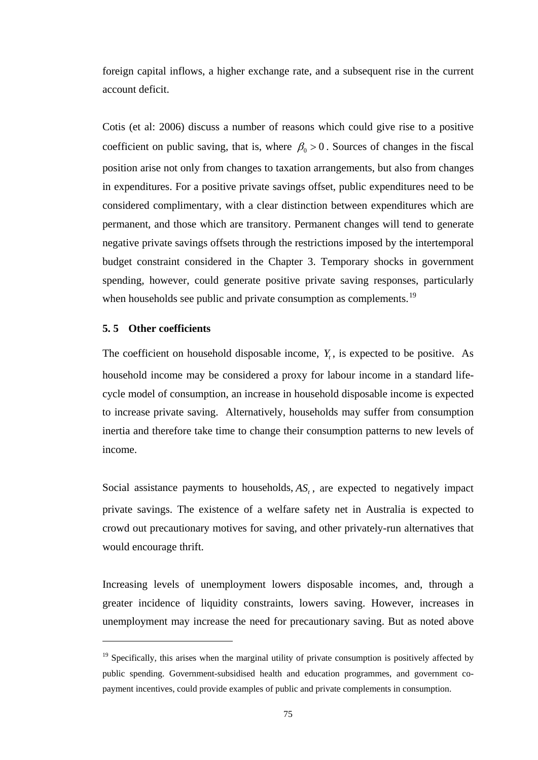foreign capital inflows, a higher exchange rate, and a subsequent rise in the current account deficit.

Cotis (et al: 2006) discuss a number of reasons which could give rise to a positive coefficient on public saving, that is, where  $\beta_0 > 0$ . Sources of changes in the fiscal position arise not only from changes to taxation arrangements, but also from changes in expenditures. For a positive private savings offset, public expenditures need to be considered complimentary, with a clear distinction between expenditures which are permanent, and those which are transitory. Permanent changes will tend to generate negative private savings offsets through the restrictions imposed by the intertemporal budget constraint considered in the Chapter 3. Temporary shocks in government spending, however, could generate positive private saving responses, particularly when households see public and private consumption as complements.<sup>[19](#page-87-0)</sup>

## **5. 5 Other coefficients**

 $\overline{a}$ 

The coefficient on household disposable income,  $Y_t$ , is expected to be positive. As household income may be considered a proxy for labour income in a standard lifecycle model of consumption, an increase in household disposable income is expected to increase private saving. Alternatively, households may suffer from consumption inertia and therefore take time to change their consumption patterns to new levels of income.

Social assistance payments to households,  $AS_t$ , are expected to negatively impact private savings. The existence of a welfare safety net in Australia is expected to crowd out precautionary motives for saving, and other privately-run alternatives that would encourage thrift.

Increasing levels of unemployment lowers disposable incomes, and, through a greater incidence of liquidity constraints, lowers saving. However, increases in unemployment may increase the need for precautionary saving. But as noted above

<span id="page-87-0"></span><sup>&</sup>lt;sup>19</sup> Specifically, this arises when the marginal utility of private consumption is positively affected by public spending. Government-subsidised health and education programmes, and government copayment incentives, could provide examples of public and private complements in consumption.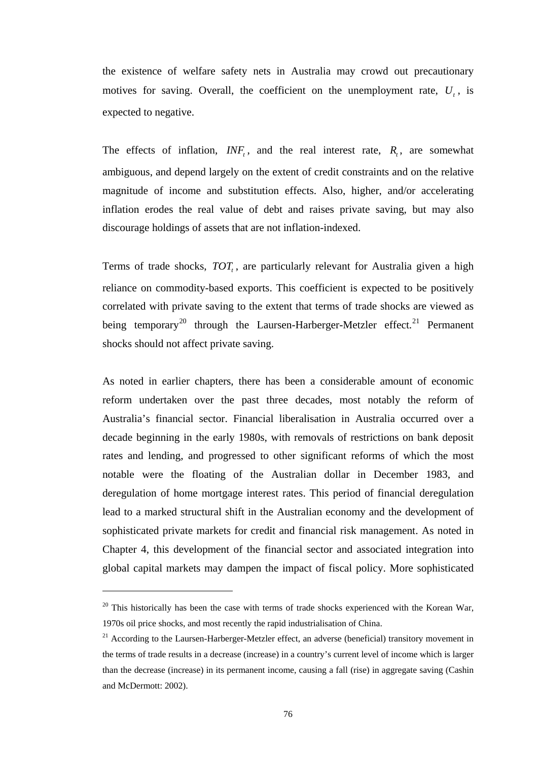the existence of welfare safety nets in Australia may crowd out precautionary motives for saving. Overall, the coefficient on the unemployment rate,  $U_t$ , is expected to negative.

The effects of inflation,  $INF_t$ , and the real interest rate,  $R_t$ , are somewhat ambiguous, and depend largely on the extent of credit constraints and on the relative magnitude of income and substitution effects. Also, higher, and/or accelerating inflation erodes the real value of debt and raises private saving, but may also discourage holdings of assets that are not inflation-indexed.

Terms of trade shocks,  $TOT<sub>r</sub>$ , are particularly relevant for Australia given a high reliance on commodity-based exports. This coefficient is expected to be positively correlated with private saving to the extent that terms of trade shocks are viewed as being temporary<sup>20</sup> through the Laursen-Harberger-Metzler effect.<sup>[21](#page-88-1)</sup> Permanent shocks should not affect private saving.

As noted in earlier chapters, there has been a considerable amount of economic reform undertaken over the past three decades, most notably the reform of Australia's financial sector. Financial liberalisation in Australia occurred over a decade beginning in the early 1980s, with removals of restrictions on bank deposit rates and lending, and progressed to other significant reforms of which the most notable were the floating of the Australian dollar in December 1983, and deregulation of home mortgage interest rates. This period of financial deregulation lead to a marked structural shift in the Australian economy and the development of sophisticated private markets for credit and financial risk management. As noted in Chapter 4, this development of the financial sector and associated integration into global capital markets may dampen the impact of fiscal policy. More sophisticated

 $\overline{a}$ 

<span id="page-88-0"></span> $20$  This historically has been the case with terms of trade shocks experienced with the Korean War, 1970s oil price shocks, and most recently the rapid industrialisation of China.

<span id="page-88-1"></span> $21$  According to the Laursen-Harberger-Metzler effect, an adverse (beneficial) transitory movement in the terms of trade results in a decrease (increase) in a country's current level of income which is larger than the decrease (increase) in its permanent income, causing a fall (rise) in aggregate saving (Cashin and McDermott: 2002).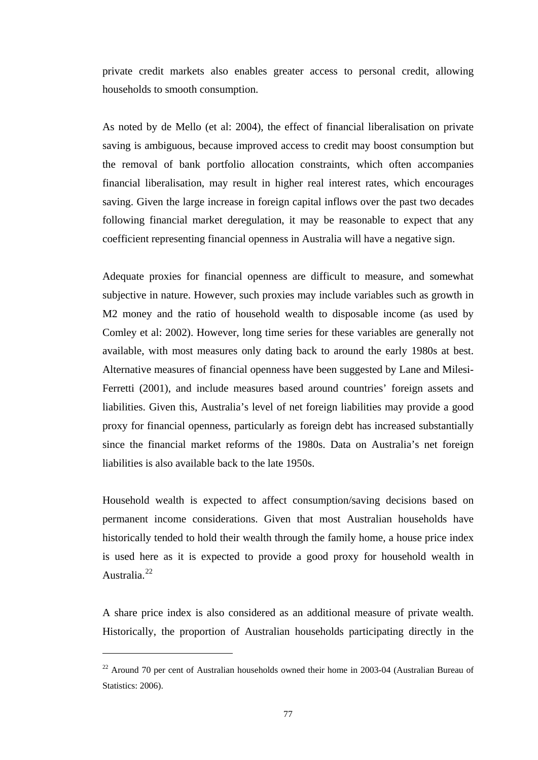private credit markets also enables greater access to personal credit, allowing households to smooth consumption.

As noted by de Mello (et al: 2004), the effect of financial liberalisation on private saving is ambiguous, because improved access to credit may boost consumption but the removal of bank portfolio allocation constraints, which often accompanies financial liberalisation, may result in higher real interest rates, which encourages saving. Given the large increase in foreign capital inflows over the past two decades following financial market deregulation, it may be reasonable to expect that any coefficient representing financial openness in Australia will have a negative sign.

Adequate proxies for financial openness are difficult to measure, and somewhat subjective in nature. However, such proxies may include variables such as growth in M2 money and the ratio of household wealth to disposable income (as used by Comley et al: 2002). However, long time series for these variables are generally not available, with most measures only dating back to around the early 1980s at best. Alternative measures of financial openness have been suggested by Lane and Milesi-Ferretti (2001), and include measures based around countries' foreign assets and liabilities. Given this, Australia's level of net foreign liabilities may provide a good proxy for financial openness, particularly as foreign debt has increased substantially since the financial market reforms of the 1980s. Data on Australia's net foreign liabilities is also available back to the late 1950s.

Household wealth is expected to affect consumption/saving decisions based on permanent income considerations. Given that most Australian households have historically tended to hold their wealth through the family home, a house price index is used here as it is expected to provide a good proxy for household wealth in Australia.[22](#page-89-0)

A share price index is also considered as an additional measure of private wealth. Historically, the proportion of Australian households participating directly in the

<span id="page-89-0"></span><sup>&</sup>lt;sup>22</sup> Around 70 per cent of Australian households owned their home in 2003-04 (Australian Bureau of Statistics: 2006).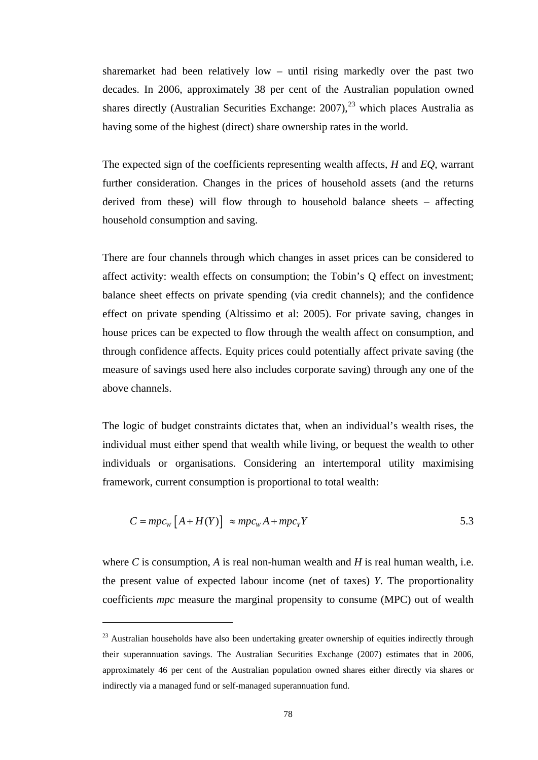sharemarket had been relatively low – until rising markedly over the past two decades. In 2006, approximately 38 per cent of the Australian population owned shares directly (Australian Securities Exchange:  $2007$ ),  $^{23}$  $^{23}$  $^{23}$  which places Australia as having some of the highest (direct) share ownership rates in the world.

The expected sign of the coefficients representing wealth affects, *H* and *EQ*, warrant further consideration. Changes in the prices of household assets (and the returns derived from these) will flow through to household balance sheets – affecting household consumption and saving.

There are four channels through which changes in asset prices can be considered to affect activity: wealth effects on consumption; the Tobin's Q effect on investment; balance sheet effects on private spending (via credit channels); and the confidence effect on private spending (Altissimo et al: 2005). For private saving, changes in house prices can be expected to flow through the wealth affect on consumption, and through confidence affects. Equity prices could potentially affect private saving (the measure of savings used here also includes corporate saving) through any one of the above channels.

The logic of budget constraints dictates that, when an individual's wealth rises, the individual must either spend that wealth while living, or bequest the wealth to other individuals or organisations. Considering an intertemporal utility maximising framework, current consumption is proportional to total wealth:

$$
C = mpc_w \left[ A + H(Y) \right] \approx mpc_w A + mpc_Y Y \tag{5.3}
$$

where  $C$  is consumption,  $A$  is real non-human wealth and  $H$  is real human wealth, i.e. the present value of expected labour income (net of taxes) *Y*. The proportionality coefficients *mpc* measure the marginal propensity to consume (MPC) out of wealth

<span id="page-90-0"></span><sup>&</sup>lt;sup>23</sup> Australian households have also been undertaking greater ownership of equities indirectly through their superannuation savings. The Australian Securities Exchange (2007) estimates that in 2006, approximately 46 per cent of the Australian population owned shares either directly via shares or indirectly via a managed fund or self-managed superannuation fund.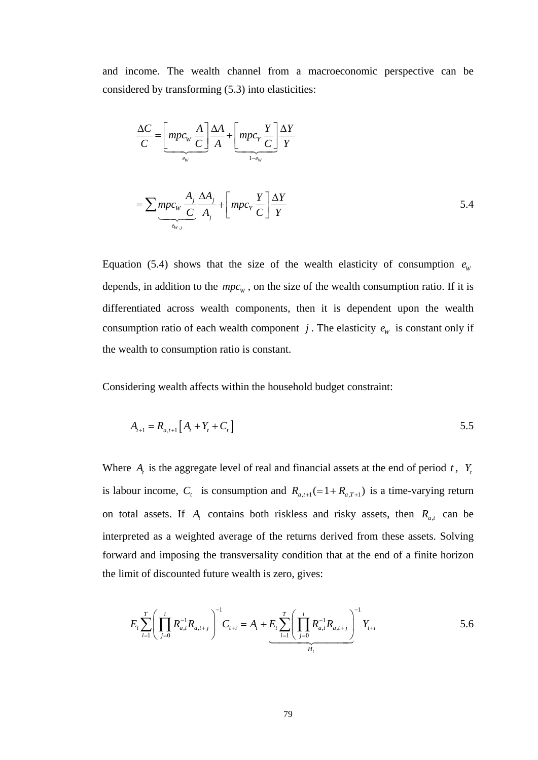and income. The wealth channel from a macroeconomic perspective can be considered by transforming (5.3) into elasticities:

$$
\frac{\Delta C}{C} = \left[ m p c_{\rm w} \frac{A}{C} \right] \frac{\Delta A}{A} + \left[ m p c_{\rm y} \frac{Y}{C} \right] \frac{\Delta Y}{Y}
$$

$$
= \sum_{\substack{e_{\rm w}}} m p c_{\rm w} \frac{A_j}{C} \frac{\Delta A_j}{A_j} + \left[ m p c_{\rm y} \frac{Y}{C} \right] \frac{\Delta Y}{Y}
$$
5.4

Equation (5.4) shows that the size of the wealth elasticity of consumption  $e_w$ depends, in addition to the  $mpc_w$ , on the size of the wealth consumption ratio. If it is differentiated across wealth components, then it is dependent upon the wealth consumption ratio of each wealth component *j*. The elasticity  $e_w$  is constant only if the wealth to consumption ratio is constant.

Considering wealth affects within the household budget constraint:

$$
A_{t+1} = R_{a,t+1} \left[ A_t + Y_t + C_t \right] \tag{5.5}
$$

Where  $A_t$  is the aggregate level of real and financial assets at the end of period  $t$ ,  $Y_t$ is labour income,  $C_t$  is consumption and  $R_{a,t+1} (= 1 + R_{a,T+1})$  is a time-varying return on total assets. If  $A_t$  contains both riskless and risky assets, then  $R_{a,t}$  can be interpreted as a weighted average of the returns derived from these assets. Solving forward and imposing the transversality condition that at the end of a finite horizon the limit of discounted future wealth is zero, gives:

$$
E_{t} \sum_{i=1}^{T} \left( \prod_{j=0}^{i} R_{a,t}^{-1} R_{a,t+j} \right)^{-1} C_{t+i} = A_{t} + E_{t} \sum_{i=1}^{T} \left( \prod_{j=0}^{i} R_{a,t}^{-1} R_{a,t+j} \right)^{-1} Y_{t+i}
$$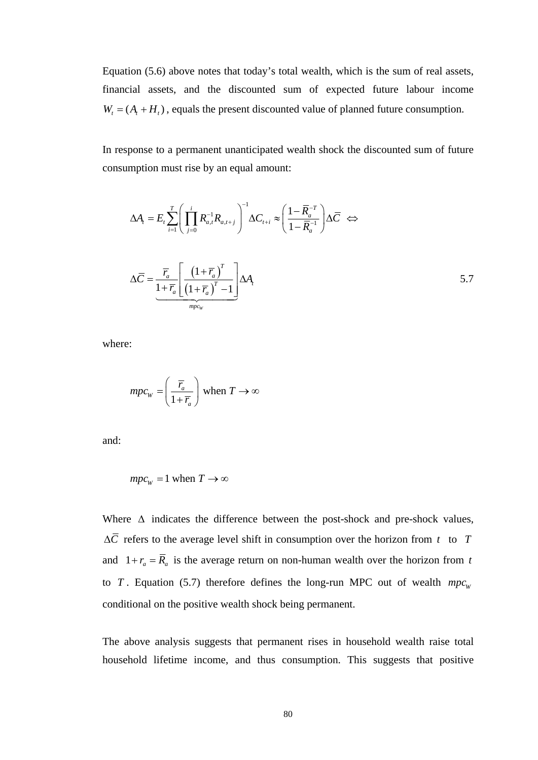Equation (5.6) above notes that today's total wealth, which is the sum of real assets, financial assets, and the discounted sum of expected future labour income  $W_t = (A_t + H_t)$ , equals the present discounted value of planned future consumption.

In response to a permanent unanticipated wealth shock the discounted sum of future consumption must rise by an equal amount:

$$
\Delta A_{t} = E_{t} \sum_{i=1}^{T} \left( \prod_{j=0}^{i} R_{a,t}^{-1} R_{a,t+j} \right)^{-1} \Delta C_{t+i} \approx \left( \frac{1 - \overline{R}_{a}^{-T}}{1 - \overline{R}_{a}^{-1}} \right) \Delta \overline{C} \iff
$$

$$
\Delta \overline{C} = \underbrace{\overline{r}_{a}}_{1 + \overline{r}_{a}} \left[ \frac{\left( 1 + \overline{r}_{a} \right)^{T}}{\left( 1 + \overline{r}_{a} \right)^{T} - 1} \right] \Delta A_{t}
$$

$$
\Delta A_{t}
$$

where:

$$
mpc_{w} = \left(\frac{\overline{r}_{a}}{1 + \overline{r}_{a}}\right) \text{ when } T \to \infty
$$

and:

$$
mpc_w = 1 \text{ when } T \to \infty
$$

Where  $\Delta$  indicates the difference between the post-shock and pre-shock values,  $\Delta \overline{C}$  refers to the average level shift in consumption over the horizon from *t* to *T* and  $1 + r_a = \overline{R}_a$  is the average return on non-human wealth over the horizon from *t* to *T*. Equation (5.7) therefore defines the long-run MPC out of wealth  $mpc_w$ conditional on the positive wealth shock being permanent.

The above analysis suggests that permanent rises in household wealth raise total household lifetime income, and thus consumption. This suggests that positive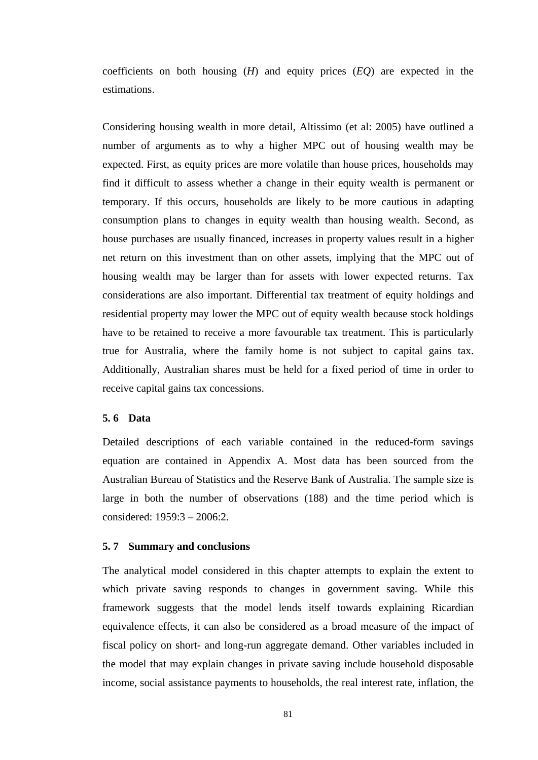coefficients on both housing (*H*) and equity prices (*EQ*) are expected in the estimations.

Considering housing wealth in more detail, Altissimo (et al: 2005) have outlined a number of arguments as to why a higher MPC out of housing wealth may be expected. First, as equity prices are more volatile than house prices, households may find it difficult to assess whether a change in their equity wealth is permanent or temporary. If this occurs, households are likely to be more cautious in adapting consumption plans to changes in equity wealth than housing wealth. Second, as house purchases are usually financed, increases in property values result in a higher net return on this investment than on other assets, implying that the MPC out of housing wealth may be larger than for assets with lower expected returns. Tax considerations are also important. Differential tax treatment of equity holdings and residential property may lower the MPC out of equity wealth because stock holdings have to be retained to receive a more favourable tax treatment. This is particularly true for Australia, where the family home is not subject to capital gains tax. Additionally, Australian shares must be held for a fixed period of time in order to receive capital gains tax concessions.

## **5. 6 Data**

Detailed descriptions of each variable contained in the reduced-form savings equation are contained in Appendix A. Most data has been sourced from the Australian Bureau of Statistics and the Reserve Bank of Australia. The sample size is large in both the number of observations (188) and the time period which is considered: 1959:3 – 2006:2.

#### **5. 7 Summary and conclusions**

The analytical model considered in this chapter attempts to explain the extent to which private saving responds to changes in government saving. While this framework suggests that the model lends itself towards explaining Ricardian equivalence effects, it can also be considered as a broad measure of the impact of fiscal policy on short- and long-run aggregate demand. Other variables included in the model that may explain changes in private saving include household disposable income, social assistance payments to households, the real interest rate, inflation, the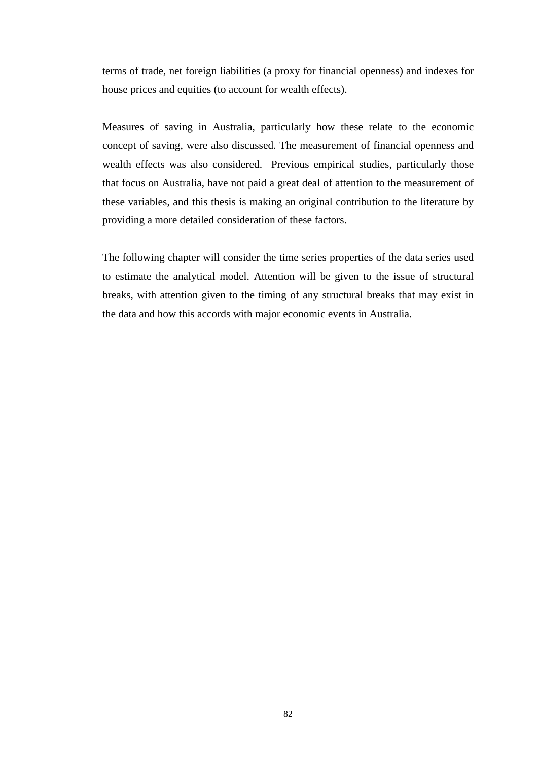terms of trade, net foreign liabilities (a proxy for financial openness) and indexes for house prices and equities (to account for wealth effects).

Measures of saving in Australia, particularly how these relate to the economic concept of saving, were also discussed. The measurement of financial openness and wealth effects was also considered. Previous empirical studies, particularly those that focus on Australia, have not paid a great deal of attention to the measurement of these variables, and this thesis is making an original contribution to the literature by providing a more detailed consideration of these factors.

The following chapter will consider the time series properties of the data series used to estimate the analytical model. Attention will be given to the issue of structural breaks, with attention given to the timing of any structural breaks that may exist in the data and how this accords with major economic events in Australia.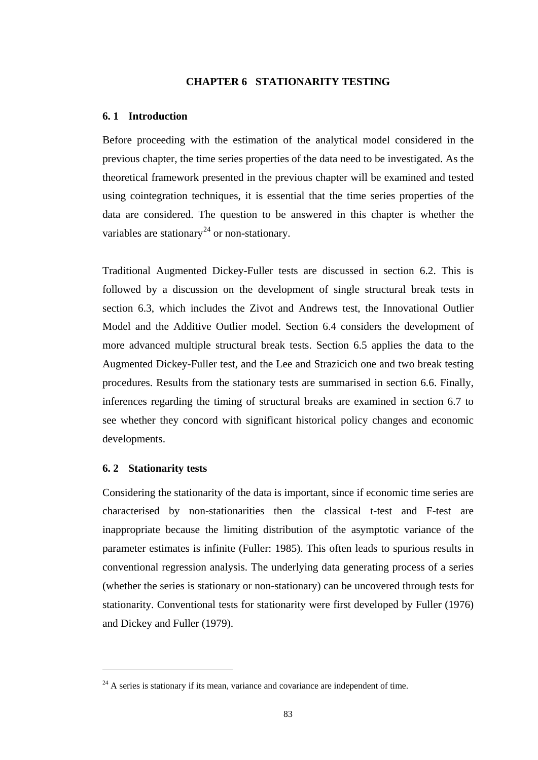#### **CHAPTER 6 STATIONARITY TESTING**

## **6. 1 Introduction**

Before proceeding with the estimation of the analytical model considered in the previous chapter, the time series properties of the data need to be investigated. As the theoretical framework presented in the previous chapter will be examined and tested using cointegration techniques, it is essential that the time series properties of the data are considered. The question to be answered in this chapter is whether the variables are stationary<sup>[24](#page-95-0)</sup> or non-stationary.

Traditional Augmented Dickey-Fuller tests are discussed in section 6.2. This is followed by a discussion on the development of single structural break tests in section 6.3, which includes the Zivot and Andrews test, the Innovational Outlier Model and the Additive Outlier model. Section 6.4 considers the development of more advanced multiple structural break tests. Section 6.5 applies the data to the Augmented Dickey-Fuller test, and the Lee and Strazicich one and two break testing procedures. Results from the stationary tests are summarised in section 6.6. Finally, inferences regarding the timing of structural breaks are examined in section 6.7 to see whether they concord with significant historical policy changes and economic developments.

## **6. 2 Stationarity tests**

Considering the stationarity of the data is important, since if economic time series are characterised by non-stationarities then the classical t-test and F-test are inappropriate because the limiting distribution of the asymptotic variance of the parameter estimates is infinite (Fuller: 1985). This often leads to spurious results in conventional regression analysis. The underlying data generating process of a series (whether the series is stationary or non-stationary) can be uncovered through tests for stationarity. Conventional tests for stationarity were first developed by Fuller (1976) and Dickey and Fuller (1979).

<span id="page-95-0"></span> $24$  A series is stationary if its mean, variance and covariance are independent of time.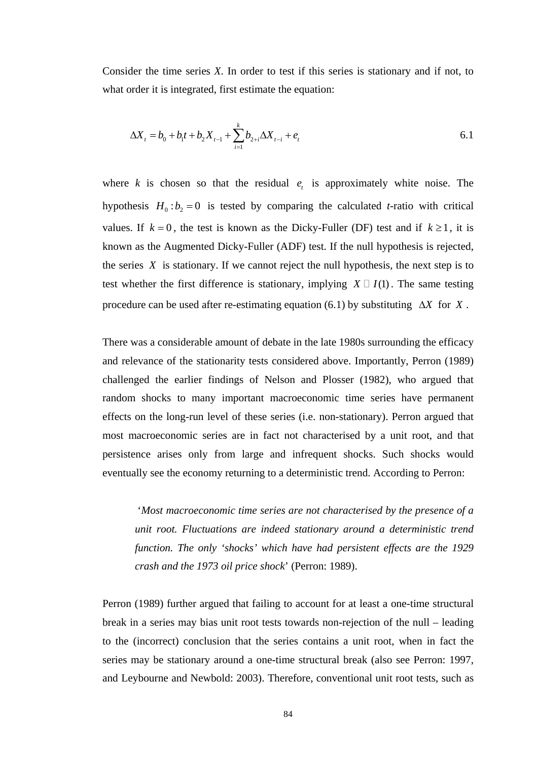Consider the time series *X*. In order to test if this series is stationary and if not, to what order it is integrated, first estimate the equation:

$$
\Delta X_t = b_0 + b_1 t + b_2 X_{t-1} + \sum_{i=1}^k b_{2+i} \Delta X_{t-i} + e_t
$$

where  $k$  is chosen so that the residual  $e_k$  is approximately white noise. The hypothesis  $H_0: b_2 = 0$  is tested by comparing the calculated *t*-ratio with critical values. If  $k = 0$ , the test is known as the Dicky-Fuller (DF) test and if  $k \ge 1$ , it is known as the Augmented Dicky-Fuller (ADF) test. If the null hypothesis is rejected, the series  $X$  is stationary. If we cannot reject the null hypothesis, the next step is to test whether the first difference is stationary, implying  $X \square I(1)$ . The same testing procedure can be used after re-estimating equation (6.1) by substituting  $\Delta X$  for *X*.

There was a considerable amount of debate in the late 1980s surrounding the efficacy and relevance of the stationarity tests considered above. Importantly, Perron (1989) challenged the earlier findings of Nelson and Plosser (1982), who argued that random shocks to many important macroeconomic time series have permanent effects on the long-run level of these series (i.e. non-stationary). Perron argued that most macroeconomic series are in fact not characterised by a unit root, and that persistence arises only from large and infrequent shocks. Such shocks would eventually see the economy returning to a deterministic trend. According to Perron:

 '*Most macroeconomic time series are not characterised by the presence of a unit root. Fluctuations are indeed stationary around a deterministic trend function. The only 'shocks' which have had persistent effects are the 1929 crash and the 1973 oil price shock*' (Perron: 1989).

Perron (1989) further argued that failing to account for at least a one-time structural break in a series may bias unit root tests towards non-rejection of the null – leading to the (incorrect) conclusion that the series contains a unit root, when in fact the series may be stationary around a one-time structural break (also see Perron: 1997, and Leybourne and Newbold: 2003). Therefore, conventional unit root tests, such as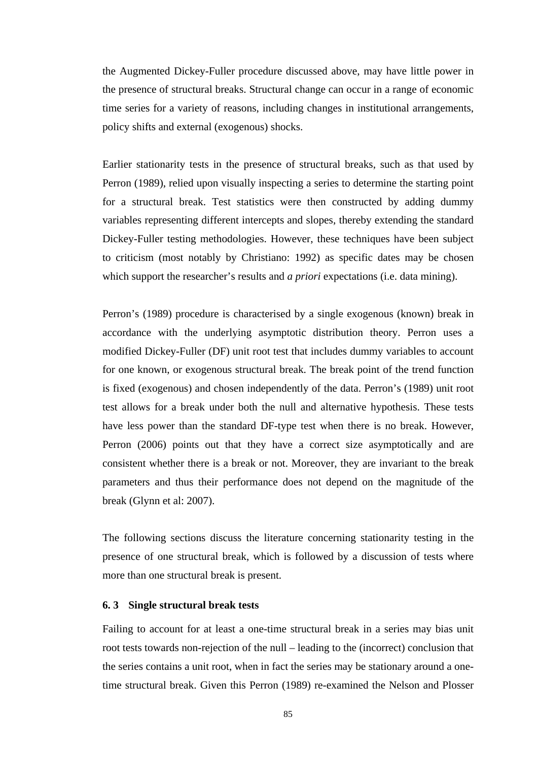the Augmented Dickey-Fuller procedure discussed above, may have little power in the presence of structural breaks. Structural change can occur in a range of economic time series for a variety of reasons, including changes in institutional arrangements, policy shifts and external (exogenous) shocks.

Earlier stationarity tests in the presence of structural breaks, such as that used by Perron (1989), relied upon visually inspecting a series to determine the starting point for a structural break. Test statistics were then constructed by adding dummy variables representing different intercepts and slopes, thereby extending the standard Dickey-Fuller testing methodologies. However, these techniques have been subject to criticism (most notably by Christiano: 1992) as specific dates may be chosen which support the researcher's results and *a priori* expectations (i.e. data mining).

Perron's (1989) procedure is characterised by a single exogenous (known) break in accordance with the underlying asymptotic distribution theory. Perron uses a modified Dickey-Fuller (DF) unit root test that includes dummy variables to account for one known, or exogenous structural break. The break point of the trend function is fixed (exogenous) and chosen independently of the data. Perron's (1989) unit root test allows for a break under both the null and alternative hypothesis. These tests have less power than the standard DF-type test when there is no break. However, Perron (2006) points out that they have a correct size asymptotically and are consistent whether there is a break or not. Moreover, they are invariant to the break parameters and thus their performance does not depend on the magnitude of the break (Glynn et al: 2007).

The following sections discuss the literature concerning stationarity testing in the presence of one structural break, which is followed by a discussion of tests where more than one structural break is present.

#### **6. 3 Single structural break tests**

Failing to account for at least a one-time structural break in a series may bias unit root tests towards non-rejection of the null – leading to the (incorrect) conclusion that the series contains a unit root, when in fact the series may be stationary around a onetime structural break. Given this Perron (1989) re-examined the Nelson and Plosser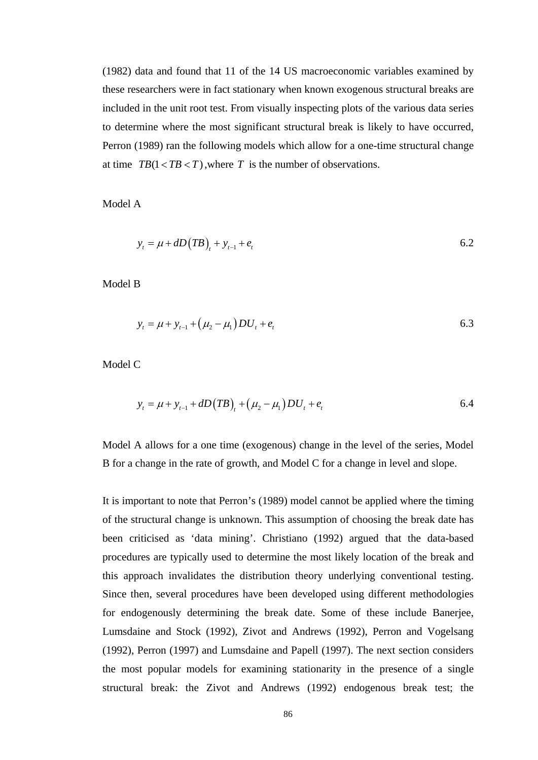(1982) data and found that 11 of the 14 US macroeconomic variables examined by these researchers were in fact stationary when known exogenous structural breaks are included in the unit root test. From visually inspecting plots of the various data series to determine where the most significant structural break is likely to have occurred, Perron (1989) ran the following models which allow for a one-time structural change at time  $TB(1 < TB < T)$ , where *T* is the number of observations.

Model A

$$
y_t = \mu + dD(TB)_t + y_{t-1} + e_t
$$

Model B

$$
y_t = \mu + y_{t-1} + (\mu_2 - \mu_1)DU_t + e_t
$$

Model C

$$
y_t = \mu + y_{t-1} + dD(TB)_t + (\mu_2 - \mu_1)DU_t + e_t
$$

Model A allows for a one time (exogenous) change in the level of the series, Model B for a change in the rate of growth, and Model C for a change in level and slope.

It is important to note that Perron's (1989) model cannot be applied where the timing of the structural change is unknown. This assumption of choosing the break date has been criticised as 'data mining'. Christiano (1992) argued that the data-based procedures are typically used to determine the most likely location of the break and this approach invalidates the distribution theory underlying conventional testing. Since then, several procedures have been developed using different methodologies for endogenously determining the break date. Some of these include Banerjee, Lumsdaine and Stock (1992), Zivot and Andrews (1992), Perron and Vogelsang (1992), Perron (1997) and Lumsdaine and Papell (1997). The next section considers the most popular models for examining stationarity in the presence of a single structural break: the Zivot and Andrews (1992) endogenous break test; the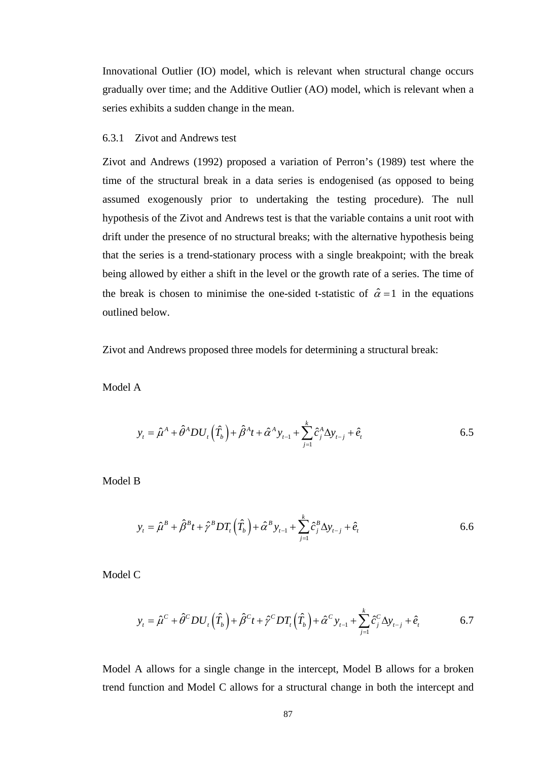Innovational Outlier (IO) model, which is relevant when structural change occurs gradually over time; and the Additive Outlier (AO) model, which is relevant when a series exhibits a sudden change in the mean.

### 6.3.1 Zivot and Andrews test

Zivot and Andrews (1992) proposed a variation of Perron's (1989) test where the time of the structural break in a data series is endogenised (as opposed to being assumed exogenously prior to undertaking the testing procedure). The null hypothesis of the Zivot and Andrews test is that the variable contains a unit root with drift under the presence of no structural breaks; with the alternative hypothesis being that the series is a trend-stationary process with a single breakpoint; with the break being allowed by either a shift in the level or the growth rate of a series. The time of the break is chosen to minimise the one-sided t-statistic of  $\hat{\alpha} = 1$  in the equations outlined below.

Zivot and Andrews proposed three models for determining a structural break:

Model A

$$
y_{t} = \hat{\mu}^{A} + \hat{\theta}^{A}DU_{t}(\hat{T}_{b}) + \hat{\beta}^{A}t + \hat{\alpha}^{A}y_{t-1} + \sum_{j=1}^{k} \hat{c}_{j}^{A}\Delta y_{t-j} + \hat{e}_{t}
$$

Model B

$$
y_{t} = \hat{\mu}^{B} + \hat{\beta}^{B} t + \hat{\gamma}^{B} D T_{t} (\hat{T}_{b}) + \hat{\alpha}^{B} y_{t-1} + \sum_{j=1}^{k} \hat{c}_{j}^{B} \Delta y_{t-j} + \hat{e}_{t}
$$

Model C

$$
y_{t} = \hat{\mu}^{C} + \hat{\theta}^{C}DU_{t}(\hat{T}_{b}) + \hat{\beta}^{C}t + \hat{\gamma}^{C}DT_{t}(\hat{T}_{b}) + \hat{\alpha}^{C}y_{t-1} + \sum_{j=1}^{k} \hat{c}_{j}^{C}\Delta y_{t-j} + \hat{e}_{t}
$$

Model A allows for a single change in the intercept, Model B allows for a broken trend function and Model C allows for a structural change in both the intercept and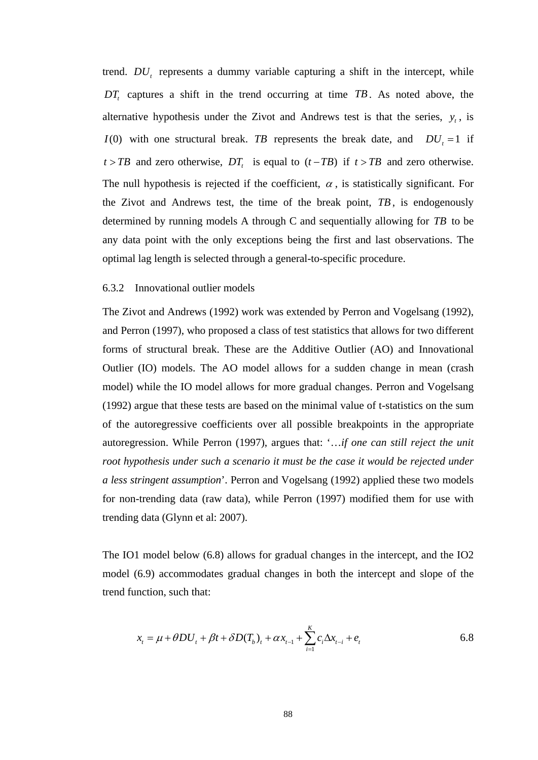trend. *DU<sub>r</sub>* represents a dummy variable capturing a shift in the intercept, while *DT*, captures a shift in the trend occurring at time *TB*. As noted above, the alternative hypothesis under the Zivot and Andrews test is that the series,  $y_t$ , is *I*(0) with one structural break. *TB* represents the break date, and  $DU_1 = 1$  if  $t > TB$  and zero otherwise, *DT*, is equal to  $(t - TB)$  if  $t > TB$  and zero otherwise. The null hypothesis is rejected if the coefficient,  $\alpha$ , is statistically significant. For the Zivot and Andrews test, the time of the break point, *TB*, is endogenously determined by running models A through C and sequentially allowing for *TB* to be any data point with the only exceptions being the first and last observations. The optimal lag length is selected through a general-to-specific procedure.

## 6.3.2 Innovational outlier models

The Zivot and Andrews (1992) work was extended by Perron and Vogelsang (1992), and Perron (1997), who proposed a class of test statistics that allows for two different forms of structural break. These are the Additive Outlier (AO) and Innovational Outlier (IO) models. The AO model allows for a sudden change in mean (crash model) while the IO model allows for more gradual changes. Perron and Vogelsang (1992) argue that these tests are based on the minimal value of t-statistics on the sum of the autoregressive coefficients over all possible breakpoints in the appropriate autoregression. While Perron (1997), argues that: '…*if one can still reject the unit root hypothesis under such a scenario it must be the case it would be rejected under a less stringent assumption*'. Perron and Vogelsang (1992) applied these two models for non-trending data (raw data), while Perron (1997) modified them for use with trending data (Glynn et al: 2007).

The IO1 model below (6.8) allows for gradual changes in the intercept, and the IO2 model (6.9) accommodates gradual changes in both the intercept and slope of the trend function, such that:

$$
x_{t} = \mu + \theta DU_{t} + \beta t + \delta D(T_{b})_{t} + \alpha x_{t-1} + \sum_{i=1}^{K} c_{i} \Delta x_{t-i} + e_{t}
$$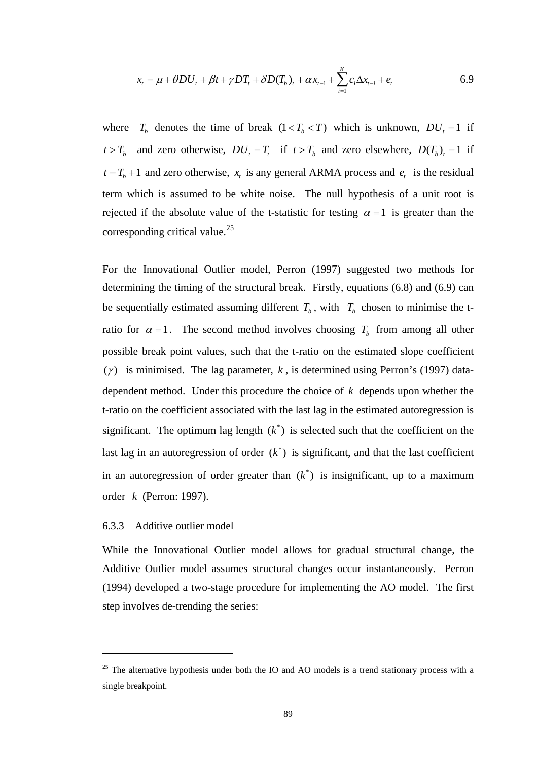$$
x_{t} = \mu + \theta DU_{t} + \beta t + \gamma DT_{t} + \delta D(T_{b})_{t} + \alpha x_{t-1} + \sum_{i=1}^{K} c_{i} \Delta x_{t-i} + e_{t}
$$

where  $T_b$  denotes the time of break  $(1 \lt T_b \lt T)$  which is unknown,  $DU_t = 1$  if  $t > T_b$  and zero otherwise,  $DU_t = T_t$  if  $t > T_b$  and zero elsewhere,  $D(T_b)_t = 1$  if  $t = T<sub>b</sub> + 1$  and zero otherwise,  $x<sub>t</sub>$  is any general ARMA process and  $e<sub>t</sub>$  is the residual term which is assumed to be white noise. The null hypothesis of a unit root is rejected if the absolute value of the t-statistic for testing  $\alpha = 1$  is greater than the corresponding critical value.<sup>[25](#page-101-0)</sup>

For the Innovational Outlier model, Perron (1997) suggested two methods for determining the timing of the structural break. Firstly, equations (6.8) and (6.9) can be sequentially estimated assuming different  $T_b$ , with  $T_b$  chosen to minimise the tratio for  $\alpha = 1$ . The second method involves choosing  $T_b$  from among all other possible break point values, such that the t-ratio on the estimated slope coefficient ( $\gamma$ ) is minimised. The lag parameter,  $k$ , is determined using Perron's (1997) datadependent method. Under this procedure the choice of *k* depends upon whether the t-ratio on the coefficient associated with the last lag in the estimated autoregression is significant. The optimum lag length  $(k^*)$  is selected such that the coefficient on the last lag in an autoregression of order  $(k^*)$  is significant, and that the last coefficient in an autoregression of order greater than  $(k^*)$  is insignificant, up to a maximum order *k* (Perron: 1997).

## 6.3.3 Additive outlier model

While the Innovational Outlier model allows for gradual structural change, the Additive Outlier model assumes structural changes occur instantaneously. Perron (1994) developed a two-stage procedure for implementing the AO model. The first step involves de-trending the series:

<span id="page-101-0"></span><sup>&</sup>lt;sup>25</sup> The alternative hypothesis under both the IO and AO models is a trend stationary process with a single breakpoint.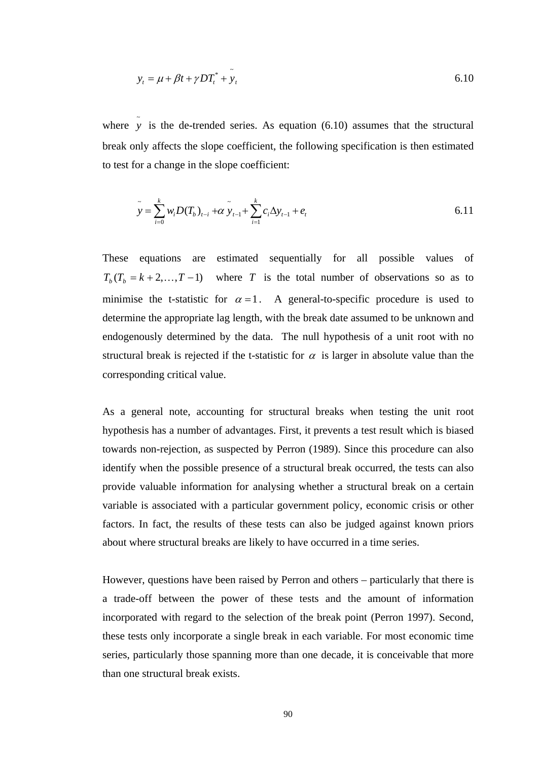$$
y_t = \mu + \beta t + \gamma D T_t^* + \tilde{y}_t \tag{6.10}
$$

where  $\tilde{y}$  is the de-trended series. As equation (6.10) assumes that the structural break only affects the slope coefficient, the following specification is then estimated to test for a change in the slope coefficient:

$$
\tilde{y} = \sum_{i=0}^{k} w_i D(T_b)_{t-i} + \alpha \tilde{y}_{t-1} + \sum_{i=1}^{k} c_i \Delta y_{t-1} + e_t
$$

These equations are estimated sequentially for all possible values of  $T<sub>b</sub>(T<sub>b</sub> = k + 2,...,T - 1)$  where *T* is the total number of observations so as to minimise the t-statistic for  $\alpha = 1$ . A general-to-specific procedure is used to determine the appropriate lag length, with the break date assumed to be unknown and endogenously determined by the data. The null hypothesis of a unit root with no structural break is rejected if the t-statistic for  $\alpha$  is larger in absolute value than the corresponding critical value.

As a general note, accounting for structural breaks when testing the unit root hypothesis has a number of advantages. First, it prevents a test result which is biased towards non-rejection, as suspected by Perron (1989). Since this procedure can also identify when the possible presence of a structural break occurred, the tests can also provide valuable information for analysing whether a structural break on a certain variable is associated with a particular government policy, economic crisis or other factors. In fact, the results of these tests can also be judged against known priors about where structural breaks are likely to have occurred in a time series.

However, questions have been raised by Perron and others – particularly that there is a trade-off between the power of these tests and the amount of information incorporated with regard to the selection of the break point (Perron 1997). Second, these tests only incorporate a single break in each variable. For most economic time series, particularly those spanning more than one decade, it is conceivable that more than one structural break exists.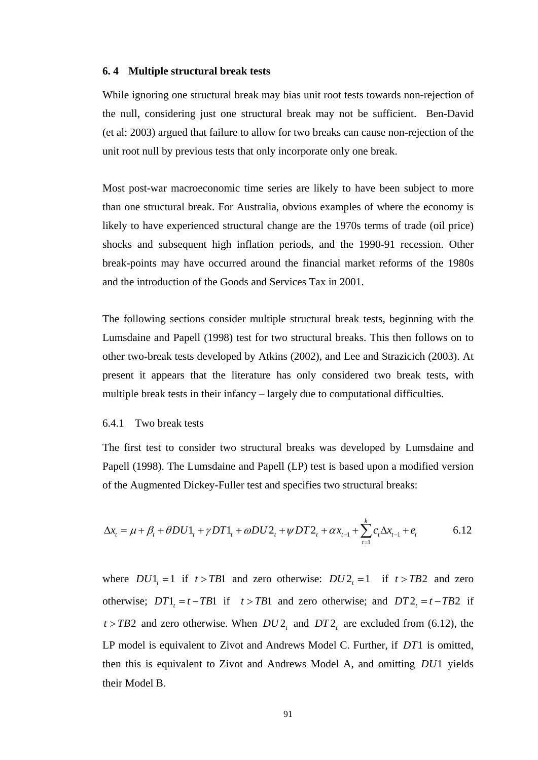### **6. 4 Multiple structural break tests**

While ignoring one structural break may bias unit root tests towards non-rejection of the null, considering just one structural break may not be sufficient. Ben-David (et al: 2003) argued that failure to allow for two breaks can cause non-rejection of the unit root null by previous tests that only incorporate only one break.

Most post-war macroeconomic time series are likely to have been subject to more than one structural break. For Australia, obvious examples of where the economy is likely to have experienced structural change are the 1970s terms of trade (oil price) shocks and subsequent high inflation periods, and the 1990-91 recession. Other break-points may have occurred around the financial market reforms of the 1980s and the introduction of the Goods and Services Tax in 2001.

The following sections consider multiple structural break tests, beginning with the Lumsdaine and Papell (1998) test for two structural breaks. This then follows on to other two-break tests developed by Atkins (2002), and Lee and Strazicich (2003). At present it appears that the literature has only considered two break tests, with multiple break tests in their infancy – largely due to computational difficulties.

### 6.4.1 Two break tests

The first test to consider two structural breaks was developed by Lumsdaine and Papell (1998). The Lumsdaine and Papell (LP) test is based upon a modified version of the Augmented Dickey-Fuller test and specifies two structural breaks:

$$
\Delta x_t = \mu + \beta_t + \theta D U 1_t + \gamma D T 1_t + \omega D U 2_t + \psi D T 2_t + \alpha x_{t-1} + \sum_{t=1}^k c_t \Delta x_{t-1} + e_t
$$

where  $DU1_1 = 1$  if  $t > TB1$  and zero otherwise:  $DU2_1 = 1$  if  $t > TB2$  and zero otherwise;  $DT1 = t - TB1$  if  $t > TB1$  and zero otherwise; and  $DT2 = t - TB2$  if  $t > TB2$  and zero otherwise. When  $DU2<sub>t</sub>$  and  $DT2<sub>t</sub>$  are excluded from (6.12), the LP model is equivalent to Zivot and Andrews Model C. Further, if DT1 is omitted, then this is equivalent to Zivot and Andrews Model A, and omitting *DU*1 yields their Model B.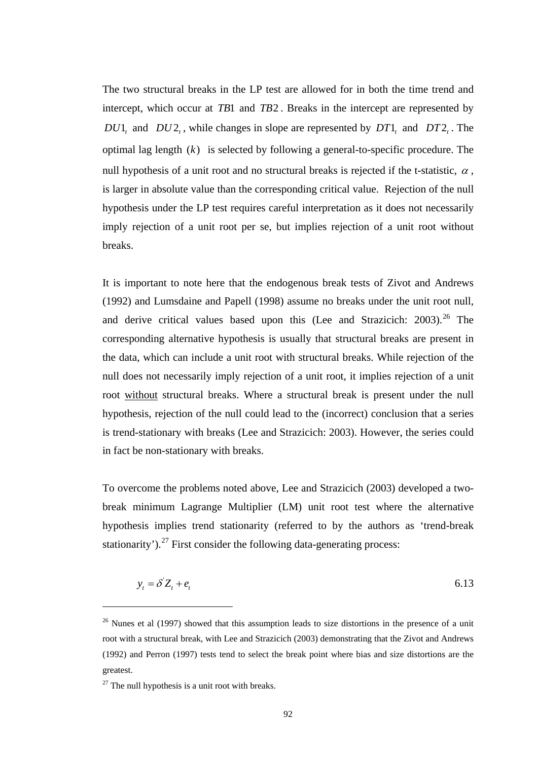The two structural breaks in the LP test are allowed for in both the time trend and intercept, which occur at *TB*1 and *TB*2 . Breaks in the intercept are represented by  $DU1$ , and  $DU2$ , while changes in slope are represented by  $DT1$ , and  $DT2$ . The optimal lag length  $(k)$  is selected by following a general-to-specific procedure. The null hypothesis of a unit root and no structural breaks is rejected if the t-statistic,  $\alpha$ , is larger in absolute value than the corresponding critical value. Rejection of the null hypothesis under the LP test requires careful interpretation as it does not necessarily imply rejection of a unit root per se, but implies rejection of a unit root without breaks.

It is important to note here that the endogenous break tests of Zivot and Andrews (1992) and Lumsdaine and Papell (1998) assume no breaks under the unit root null, and derive critical values based upon this (Lee and Strazicich:  $2003$ ).<sup>[26](#page-104-0)</sup> The corresponding alternative hypothesis is usually that structural breaks are present in the data, which can include a unit root with structural breaks. While rejection of the null does not necessarily imply rejection of a unit root, it implies rejection of a unit root without structural breaks. Where a structural break is present under the null hypothesis, rejection of the null could lead to the (incorrect) conclusion that a series is trend-stationary with breaks (Lee and Strazicich: 2003). However, the series could in fact be non-stationary with breaks.

To overcome the problems noted above, Lee and Strazicich (2003) developed a twobreak minimum Lagrange Multiplier (LM) unit root test where the alternative hypothesis implies trend stationarity (referred to by the authors as 'trend-break stationarity').<sup>27</sup> First consider the following data-generating process:

$$
y_t = \delta Z_t + e_t \tag{6.13}
$$

 $\overline{a}$ 

<span id="page-104-0"></span> $26$  Nunes et al (1997) showed that this assumption leads to size distortions in the presence of a unit root with a structural break, with Lee and Strazicich (2003) demonstrating that the Zivot and Andrews (1992) and Perron (1997) tests tend to select the break point where bias and size distortions are the greatest.

<span id="page-104-1"></span> $27$  The null hypothesis is a unit root with breaks.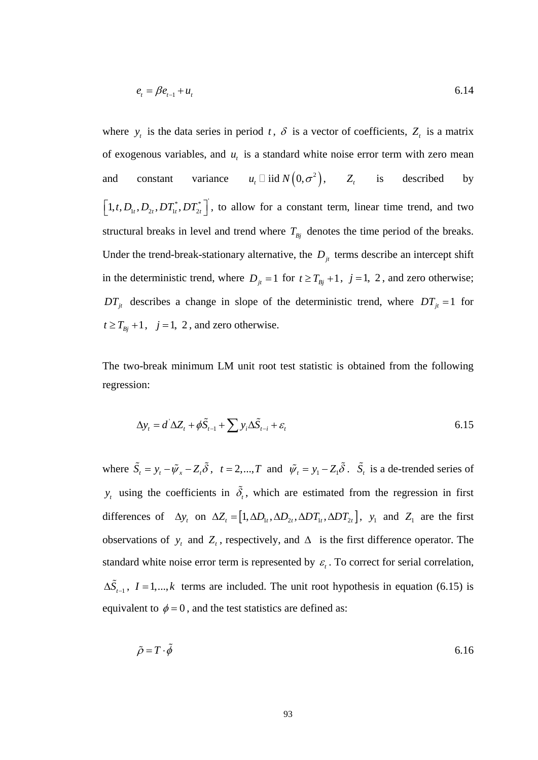$$
e_t = \beta e_{t-1} + u_t \tag{6.14}
$$

where  $y_t$  is the data series in period t,  $\delta$  is a vector of coefficients,  $Z_t$  is a matrix of exogenous variables, and  $u_t$  is a standard white noise error term with zero mean and constant variance  $u_t \Box$  iid  $N(0, \sigma^2)$ ,  $Z_t$  is described by  $\left[1, t, D_{1t}, D_{2t}, DT_{1t}^*, DT_{2t}^*\right]$ , to allow for a constant term, linear time trend, and two structural breaks in level and trend where  $T_{Bi}$  denotes the time period of the breaks. Under the trend-break-stationary alternative, the  $D_{it}$  terms describe an intercept shift in the deterministic trend, where  $D_{jt} = 1$  for  $t \ge T_{Bj} + 1$ ,  $j = 1, 2$ , and zero otherwise;  $DT_{it}$  describes a change in slope of the deterministic trend, where  $DT_{it} = 1$  for  $t \geq T_{Bj} + 1$ ,  $j = 1, 2$ , and zero otherwise.

The two-break minimum LM unit root test statistic is obtained from the following regression:

$$
\Delta y_t = d^{\dagger} \Delta Z_t + \phi \tilde{S}_{t-1} + \sum y_i \Delta \tilde{S}_{t-i} + \varepsilon_t
$$
\n(6.15)

where  $\tilde{S}_t = y_t - \tilde{\psi}_x - Z_t \tilde{\delta}$ ,  $t = 2, ..., T$  and  $\tilde{\psi}_t = y_t - Z_t \tilde{\delta}$ .  $\tilde{S}_t$  is a de-trended series of  $y_t$  using the coefficients in  $\tilde{\delta}_t$ , which are estimated from the regression in first differences of  $\Delta y_t$  on  $\Delta Z_t = [1, \Delta D_{1t}, \Delta D_{2t}, \Delta DT_{1t}, \Delta DT_{2t}]$ ,  $y_1$  and  $Z_1$  are the first observations of  $y_t$  and  $Z_t$ , respectively, and  $\Delta$  is the first difference operator. The standard white noise error term is represented by  $\varepsilon_t$ . To correct for serial correlation,  $\Delta \tilde{S}_{t-1}$ ,  $I = 1,...,k$  terms are included. The unit root hypothesis in equation (6.15) is equivalent to  $\phi = 0$ , and the test statistics are defined as:

$$
\tilde{\rho} = T \cdot \tilde{\phi} \tag{6.16}
$$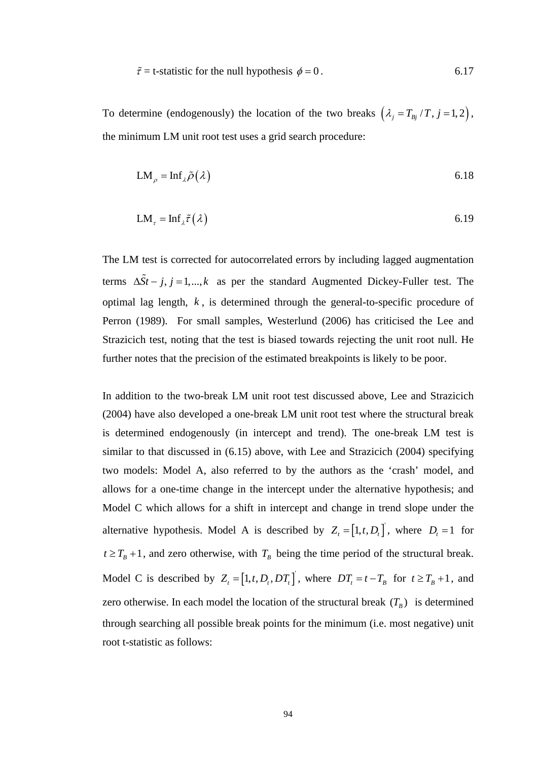$$
\tilde{\tau} = \text{t-statistic for the null hypothesis } \phi = 0. \tag{6.17}
$$

To determine (endogenously) the location of the two breaks  $(\lambda_j = T_{Bj}/T, j = 1,2)$ , the minimum LM unit root test uses a grid search procedure:

$$
LM_{\rho} = Inf_{\lambda} \tilde{\rho}(\lambda) \tag{6.18}
$$

$$
LM_{\tau} = Inf_{\lambda} \tilde{\tau}(\lambda) \tag{6.19}
$$

The LM test is corrected for autocorrelated errors by including lagged augmentation terms  $\Delta \tilde{S}t - j$ ,  $j = 1,..., k$  as per the standard Augmented Dickey-Fuller test. The optimal lag length, *k* , is determined through the general-to-specific procedure of Perron (1989). For small samples, Westerlund (2006) has criticised the Lee and Strazicich test, noting that the test is biased towards rejecting the unit root null. He further notes that the precision of the estimated breakpoints is likely to be poor.

In addition to the two-break LM unit root test discussed above, Lee and Strazicich (2004) have also developed a one-break LM unit root test where the structural break is determined endogenously (in intercept and trend). The one-break LM test is similar to that discussed in (6.15) above, with Lee and Strazicich (2004) specifying two models: Model A, also referred to by the authors as the 'crash' model, and allows for a one-time change in the intercept under the alternative hypothesis; and Model C which allows for a shift in intercept and change in trend slope under the alternative hypothesis. Model A is described by  $Z_t = [1, t, D_t]$ , where  $D_t = 1$  for  $t \geq T_B + 1$ , and zero otherwise, with  $T_B$  being the time period of the structural break. Model C is described by  $Z_t = [1, t, D_t, DT_t]$ , where  $DT_t = t - T_B$  for  $t \geq T_B + 1$ , and zero otherwise. In each model the location of the structural break  $(T_B)$  is determined through searching all possible break points for the minimum (i.e. most negative) unit root t-statistic as follows: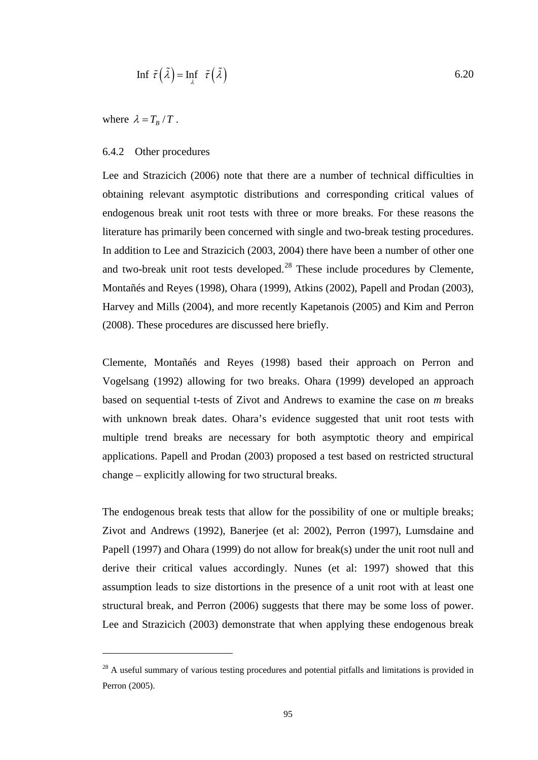$$
\text{Inf } \tilde{\tau} \left( \tilde{\lambda} \right) = \text{Inf } \tilde{\tau} \left( \tilde{\lambda} \right) \tag{6.20}
$$

where  $\lambda = T_B / T$ .

 $\overline{a}$ 

## 6.4.2 Other procedures

Lee and Strazicich (2006) note that there are a number of technical difficulties in obtaining relevant asymptotic distributions and corresponding critical values of endogenous break unit root tests with three or more breaks. For these reasons the literature has primarily been concerned with single and two-break testing procedures. In addition to Lee and Strazicich (2003, 2004) there have been a number of other one and two-break unit root tests developed. $^{28}$  $^{28}$  $^{28}$  These include procedures by Clemente, Montañés and Reyes (1998), Ohara (1999), Atkins (2002), Papell and Prodan (2003), Harvey and Mills (2004), and more recently Kapetanois (2005) and Kim and Perron (2008). These procedures are discussed here briefly.

Clemente, Montañés and Reyes (1998) based their approach on Perron and Vogelsang (1992) allowing for two breaks. Ohara (1999) developed an approach based on sequential t-tests of Zivot and Andrews to examine the case on *m* breaks with unknown break dates. Ohara's evidence suggested that unit root tests with multiple trend breaks are necessary for both asymptotic theory and empirical applications. Papell and Prodan (2003) proposed a test based on restricted structural change – explicitly allowing for two structural breaks.

The endogenous break tests that allow for the possibility of one or multiple breaks; Zivot and Andrews (1992), Banerjee (et al: 2002), Perron (1997), Lumsdaine and Papell (1997) and Ohara (1999) do not allow for break(s) under the unit root null and derive their critical values accordingly. Nunes (et al: 1997) showed that this assumption leads to size distortions in the presence of a unit root with at least one structural break, and Perron (2006) suggests that there may be some loss of power. Lee and Strazicich (2003) demonstrate that when applying these endogenous break

<span id="page-107-0"></span><sup>&</sup>lt;sup>28</sup> A useful summary of various testing procedures and potential pitfalls and limitations is provided in Perron (2005).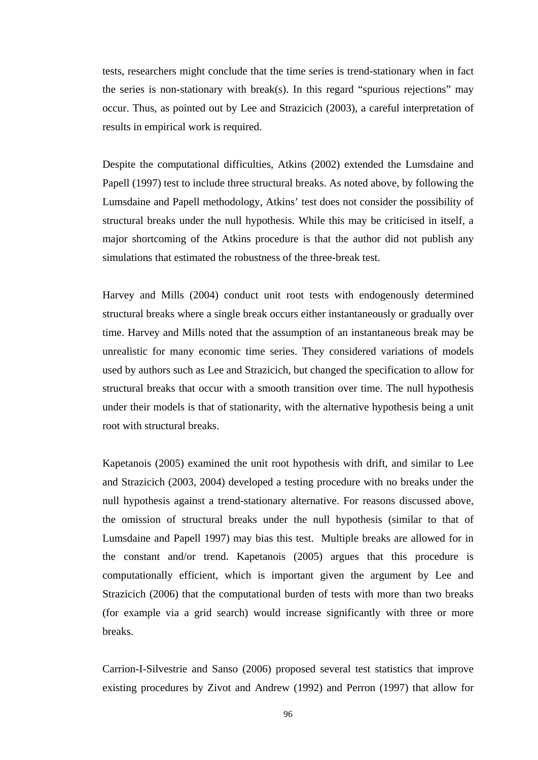tests, researchers might conclude that the time series is trend-stationary when in fact the series is non-stationary with break(s). In this regard "spurious rejections" may occur. Thus, as pointed out by Lee and Strazicich (2003), a careful interpretation of results in empirical work is required.

Despite the computational difficulties, Atkins (2002) extended the Lumsdaine and Papell (1997) test to include three structural breaks. As noted above, by following the Lumsdaine and Papell methodology, Atkins' test does not consider the possibility of structural breaks under the null hypothesis. While this may be criticised in itself, a major shortcoming of the Atkins procedure is that the author did not publish any simulations that estimated the robustness of the three-break test.

Harvey and Mills (2004) conduct unit root tests with endogenously determined structural breaks where a single break occurs either instantaneously or gradually over time. Harvey and Mills noted that the assumption of an instantaneous break may be unrealistic for many economic time series. They considered variations of models used by authors such as Lee and Strazicich, but changed the specification to allow for structural breaks that occur with a smooth transition over time. The null hypothesis under their models is that of stationarity, with the alternative hypothesis being a unit root with structural breaks.

Kapetanois (2005) examined the unit root hypothesis with drift, and similar to Lee and Strazicich (2003, 2004) developed a testing procedure with no breaks under the null hypothesis against a trend-stationary alternative. For reasons discussed above, the omission of structural breaks under the null hypothesis (similar to that of Lumsdaine and Papell 1997) may bias this test. Multiple breaks are allowed for in the constant and/or trend. Kapetanois (2005) argues that this procedure is computationally efficient, which is important given the argument by Lee and Strazicich (2006) that the computational burden of tests with more than two breaks (for example via a grid search) would increase significantly with three or more breaks.

Carrion-I-Silvestrie and Sanso (2006) proposed several test statistics that improve existing procedures by Zivot and Andrew (1992) and Perron (1997) that allow for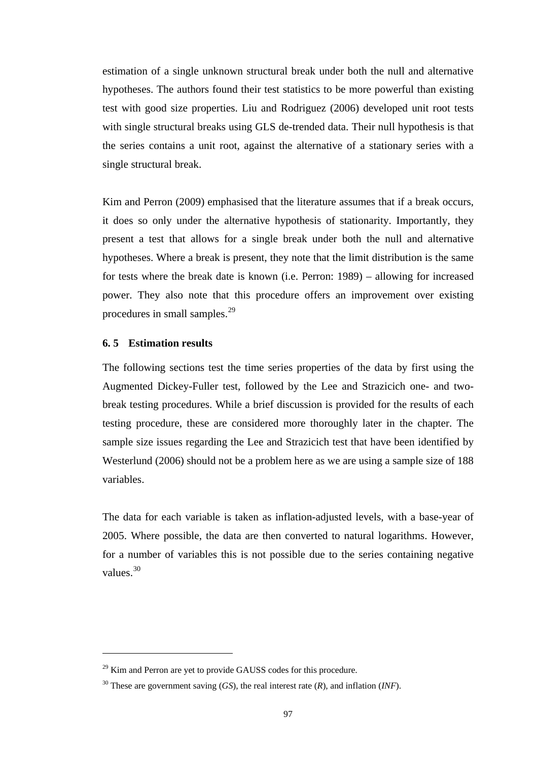estimation of a single unknown structural break under both the null and alternative hypotheses. The authors found their test statistics to be more powerful than existing test with good size properties. Liu and Rodriguez (2006) developed unit root tests with single structural breaks using GLS de-trended data. Their null hypothesis is that the series contains a unit root, against the alternative of a stationary series with a single structural break.

Kim and Perron (2009) emphasised that the literature assumes that if a break occurs, it does so only under the alternative hypothesis of stationarity. Importantly, they present a test that allows for a single break under both the null and alternative hypotheses. Where a break is present, they note that the limit distribution is the same for tests where the break date is known (i.e. Perron: 1989) – allowing for increased power. They also note that this procedure offers an improvement over existing procedures in small samples.<sup>[29](#page-109-0)</sup>

# **6. 5 Estimation results**

 $\overline{a}$ 

The following sections test the time series properties of the data by first using the Augmented Dickey-Fuller test, followed by the Lee and Strazicich one- and twobreak testing procedures. While a brief discussion is provided for the results of each testing procedure, these are considered more thoroughly later in the chapter. The sample size issues regarding the Lee and Strazicich test that have been identified by Westerlund (2006) should not be a problem here as we are using a sample size of 188 variables.

The data for each variable is taken as inflation-adjusted levels, with a base-year of 2005. Where possible, the data are then converted to natural logarithms. However, for a number of variables this is not possible due to the series containing negative values.[30](#page-109-1)

<span id="page-109-0"></span> $29$  Kim and Perron are yet to provide GAUSS codes for this procedure.

<span id="page-109-1"></span><sup>30</sup> These are government saving (*GS*), the real interest rate (*R*), and inflation (*INF*).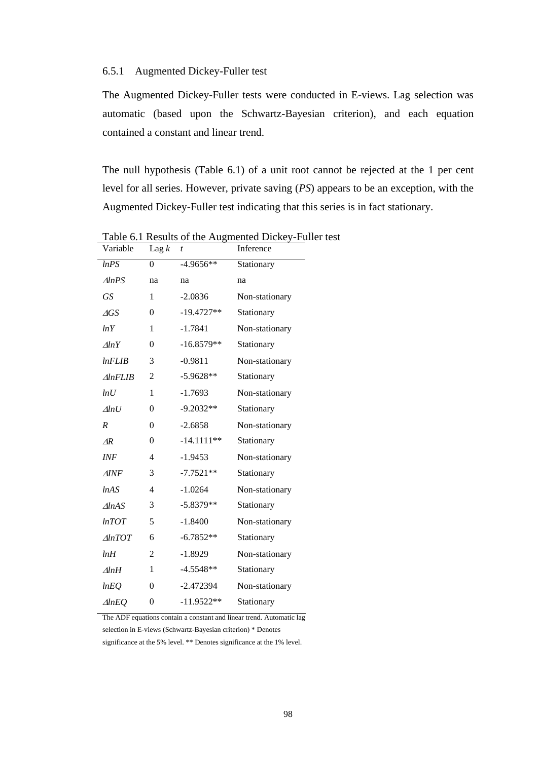## 6.5.1 Augmented Dickey-Fuller test

The Augmented Dickey-Fuller tests were conducted in E-views. Lag selection was automatic (based upon the Schwartz-Bayesian criterion), and each equation contained a constant and linear trend.

The null hypothesis (Table 6.1) of a unit root cannot be rejected at the 1 per cent level for all series. However, private saving (*PS*) appears to be an exception, with the Augmented Dickey-Fuller test indicating that this series is in fact stationary.

| Variable             | Lag $k$          | $\boldsymbol{t}$ | Inference      |
|----------------------|------------------|------------------|----------------|
| lnPS                 | 0                | $-4.9656**$      | Stationary     |
| $\triangle l n PS$   | na               | na               | na             |
| <b>GS</b>            | 1                | $-2.0836$        | Non-stationary |
| $\triangle$ GS       | $\overline{0}$   | $-19.4727**$     | Stationary     |
| lnY                  | 1                | $-1.7841$        | Non-stationary |
| $\triangle lnY$      | $\overline{0}$   | $-16.8579**$     | Stationary     |
| lnFLIB               | 3                | $-0.9811$        | Non-stationary |
| $\triangle InFLIB$   | 2                | $-5.9628**$      | Stationary     |
| ln U                 | 1                | $-1.7693$        | Non-stationary |
| $\Delta ln U$        | 0                | $-9.2032**$      | Stationary     |
| $\boldsymbol{R}$     | $\overline{0}$   | $-2.6858$        | Non-stationary |
| $\Delta R$           | $\boldsymbol{0}$ | $-14.1111**$     | Stationary     |
| INF                  | 4                | $-1.9453$        | Non-stationary |
| $\triangle$ INF      | 3                | $-7.7521**$      | Stationary     |
| lnAS                 | 4                | $-1.0264$        | Non-stationary |
| $\triangle l$ n $AS$ | 3                | $-5.8379**$      | Stationary     |
| lnTOT                | 5                | $-1.8400$        | Non-stationary |
| $\triangle lnTOT$    | 6                | $-6.7852**$      | Stationary     |
| lnH                  | 2                | $-1.8929$        | Non-stationary |
| $\Delta lnH$         | $\mathbf{1}$     | $-4.5548**$      | Stationary     |
| lnEQ                 | $\overline{0}$   | $-2.472394$      | Non-stationary |
| $\triangle l n EQ$   | $\boldsymbol{0}$ | $-11.9522**$     | Stationary     |

Table 6.1 Results of the Augmented Dickey-Fuller test

The ADF equations contain a constant and linear trend. Automatic lag selection in E-views (Schwartz-Bayesian criterion) \* Denotes

significance at the 5% level. \*\* Denotes significance at the 1% level.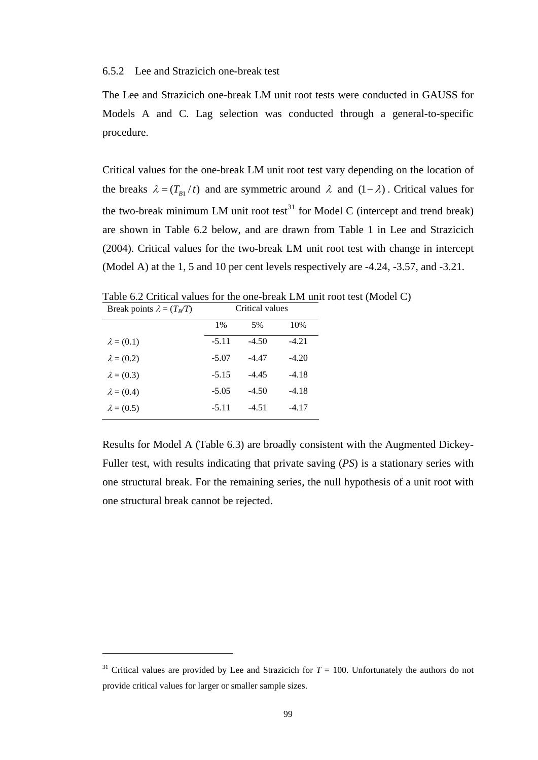# 6.5.2 Lee and Strazicich one-break test

The Lee and Strazicich one-break LM unit root tests were conducted in GAUSS for Models A and C. Lag selection was conducted through a general-to-specific procedure.

Critical values for the one-break LM unit root test vary depending on the location of the breaks  $\lambda = (T_{B1}/t)$  and are symmetric around  $\lambda$  and  $(1 - \lambda)$ . Critical values for the two-break minimum LM unit root test<sup>31</sup> for Model C (intercept and trend break) are shown in Table 6.2 below, and are drawn from Table 1 in Lee and Strazicich (2004). Critical values for the two-break LM unit root test with change in intercept (Model A) at the 1, 5 and 10 per cent levels respectively are -4.24, -3.57, and -3.21.

| Table 6.2 Critical values for the one-break LM unit root test (Model C) |       |                 |        |  |
|-------------------------------------------------------------------------|-------|-----------------|--------|--|
| Break points $\lambda = (T_R/T)$                                        |       | Critical values |        |  |
|                                                                         | $1\%$ | $5\%$           | $10\%$ |  |

|                   | 1%      | 5%      | 10%     |
|-------------------|---------|---------|---------|
| $\lambda = (0.1)$ | $-5.11$ | $-4.50$ | $-4.21$ |
| $\lambda = (0.2)$ | $-5.07$ | $-4.47$ | $-4.20$ |
| $\lambda = (0.3)$ | $-5.15$ | $-4.45$ | $-4.18$ |
| $\lambda = (0.4)$ | $-5.05$ | $-4.50$ | $-4.18$ |
| $\lambda = (0.5)$ | $-5.11$ | $-4.51$ | -4.17   |

 $\overline{a}$ 

Results for Model A (Table 6.3) are broadly consistent with the Augmented Dickey-Fuller test, with results indicating that private saving (*PS*) is a stationary series with one structural break. For the remaining series, the null hypothesis of a unit root with one structural break cannot be rejected.

<span id="page-111-0"></span><sup>&</sup>lt;sup>31</sup> Critical values are provided by Lee and Strazicich for  $T = 100$ . Unfortunately the authors do not provide critical values for larger or smaller sample sizes.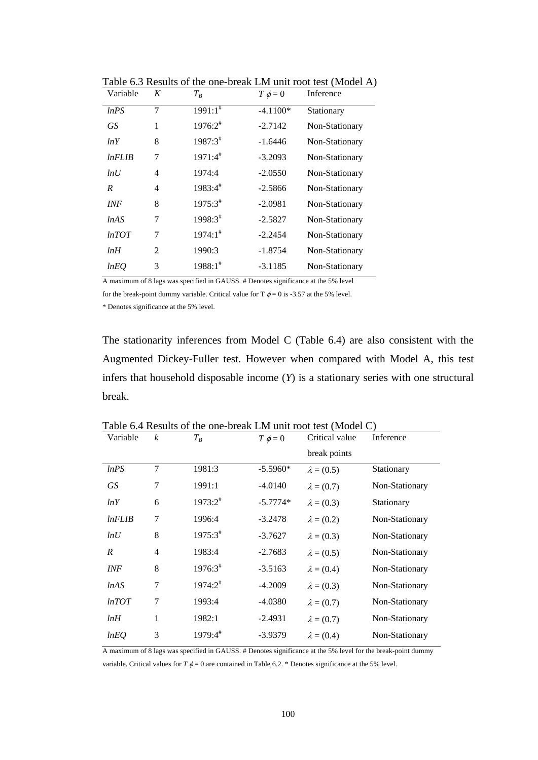| Variable   | K | $T_R$                   | $T \phi = 0$ | Inference      |
|------------|---|-------------------------|--------------|----------------|
| ln PS      | 7 | $1991:1^{\overline{*}}$ | $-4.1100*$   | Stationary     |
| GS.        | 1 | $1976:2^{\#}$           | $-2.7142$    | Non-Stationary |
| lnY        | 8 | 1987:3#                 | $-1.6446$    | Non-Stationary |
| $ln$ FLIB  | 7 | $1971:4^{\#}$           | $-3.2093$    | Non-Stationary |
| ln U       | 4 | 1974:4                  | $-2.0550$    | Non-Stationary |
| R          | 4 | $1983:4^{\#}$           | $-2.5866$    | Non-Stationary |
| <b>INF</b> | 8 | $1975:3^{\#}$           | $-2.0981$    | Non-Stationary |
| lnAS       | 7 | 1998:3#                 | $-2.5827$    | Non-Stationary |
| lnTOT      | 7 | $1974:1^*$              | $-2.2454$    | Non-Stationary |
| lnH        | 2 | 1990:3                  | $-1.8754$    | Non-Stationary |
| lnEQ       | 3 | $1988:1^*$              | $-3.1185$    | Non-Stationary |

Table 6.3 Results of the one-break LM unit root test (Model A)

A maximum of 8 lags was specified in GAUSS. # Denotes significance at the 5% level

for the break-point dummy variable. Critical value for T  $\phi = 0$  is -3.57 at the 5% level.

\* Denotes significance at the 5% level.

The stationarity inferences from Model C (Table 6.4) are also consistent with the Augmented Dickey-Fuller test. However when compared with Model A, this test infers that household disposable income (*Y*) is a stationary series with one structural break.

| Variable  | $\boldsymbol{k}$ | $T_B$               | $T \phi = 0$ | Critical value    | Inference      |
|-----------|------------------|---------------------|--------------|-------------------|----------------|
|           |                  |                     |              | break points      |                |
| ln PS     | 7                | 1981:3              | $-5.5960*$   | $\lambda = (0.5)$ | Stationary     |
| <b>GS</b> | 7                | 1991:1              | $-4.0140$    | $\lambda = (0.7)$ | Non-Stationary |
| lnY       | 6                | $1973:2^{\#}$       | $-5.7774*$   | $\lambda = (0.3)$ | Stationary     |
| lnFLIB    | 7                | 1996:4              | $-3.2478$    | $\lambda = (0.2)$ | Non-Stationary |
| lnU       | 8                | $1975:3^{\#}$       | $-3.7627$    | $\lambda = (0.3)$ | Non-Stationary |
| R         | 4                | 1983:4              | $-2.7683$    | $\lambda = (0.5)$ | Non-Stationary |
| INF       | 8                | $1976:3^{\text{*}}$ | $-3.5163$    | $\lambda = (0.4)$ | Non-Stationary |
| lnAS      | 7                | $1974:2^{\#}$       | $-4.2009$    | $\lambda = (0.3)$ | Non-Stationary |
| lnTOT     | 7                | 1993:4              | $-4.0380$    | $\lambda = (0.7)$ | Non-Stationary |
| lnH       | $\mathbf{1}$     | 1982:1              | $-2.4931$    | $\lambda = (0.7)$ | Non-Stationary |
| lnEQ      | 3                | $1979:4^{\#}$       | $-3.9379$    | $\lambda = (0.4)$ | Non-Stationary |

Table 6.4 Results of the one-break LM unit root test (Model C)

A maximum of 8 lags was specified in GAUSS. # Denotes significance at the 5% level for the break-point dummy

variable. Critical values for  $T \phi = 0$  are contained in Table 6.2. \* Denotes significance at the 5% level.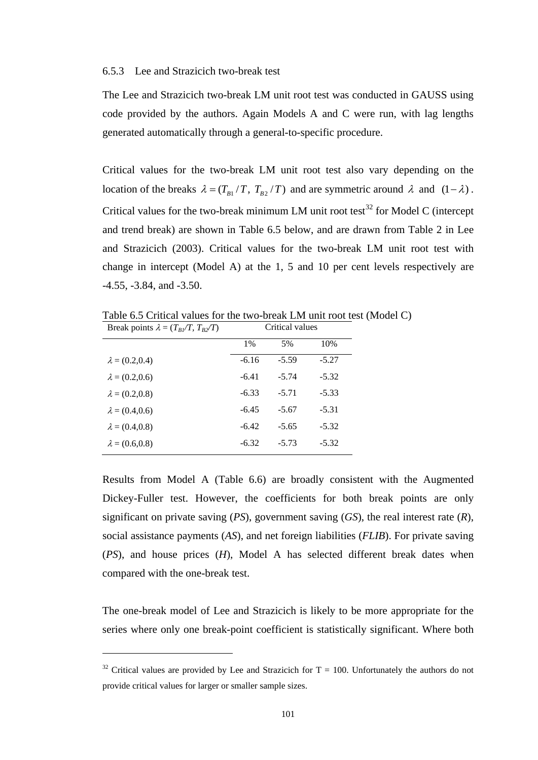### 6.5.3 Lee and Strazicich two-break test

The Lee and Strazicich two-break LM unit root test was conducted in GAUSS using code provided by the authors. Again Models A and C were run, with lag lengths generated automatically through a general-to-specific procedure.

Critical values for the two-break LM unit root test also vary depending on the location of the breaks  $\lambda = (T_{B1}/T, T_{B2}/T)$  and are symmetric around  $\lambda$  and  $(1 - \lambda)$ . Critical values for the two-break minimum LM unit root test<sup>32</sup> for Model C (intercept and trend break) are shown in Table 6.5 below, and are drawn from Table 2 in Lee and Strazicich (2003). Critical values for the two-break LM unit root test with change in intercept (Model A) at the 1, 5 and 10 per cent levels respectively are -4.55, -3.84, and -3.50.

Table 6.5 Critical values for the two-break LM unit root test (Model C)

| Break points $\lambda = (T_{B}/T, T_{B}/T)$ | Critical values |         |         |  |
|---------------------------------------------|-----------------|---------|---------|--|
|                                             | $1\%$           | 5%      | 10%     |  |
| $\lambda = (0.2, 0.4)$                      | $-6.16$         | $-5.59$ | $-5.27$ |  |
| $\lambda = (0.2, 0.6)$                      | $-6.41$         | $-5.74$ | $-5.32$ |  |
| $\lambda = (0.2, 0.8)$                      | $-6.33$         | $-5.71$ | $-5.33$ |  |
| $\lambda = (0.4, 0.6)$                      | $-6.45$         | $-5.67$ | $-5.31$ |  |
| $\lambda = (0.4, 0.8)$                      | $-6.42$         | $-5.65$ | $-5.32$ |  |
| $\lambda = (0.6, 0.8)$                      | $-6.32$         | $-5.73$ | $-5.32$ |  |

 $\overline{a}$ 

Results from Model A (Table 6.6) are broadly consistent with the Augmented Dickey-Fuller test. However, the coefficients for both break points are only significant on private saving (*PS*), government saving (*GS*), the real interest rate (*R*), social assistance payments (*AS*), and net foreign liabilities (*FLIB*). For private saving (*PS*), and house prices (*H*), Model A has selected different break dates when compared with the one-break test.

The one-break model of Lee and Strazicich is likely to be more appropriate for the series where only one break-point coefficient is statistically significant. Where both

<span id="page-113-0"></span> $32$  Critical values are provided by Lee and Strazicich for T = 100. Unfortunately the authors do not provide critical values for larger or smaller sample sizes.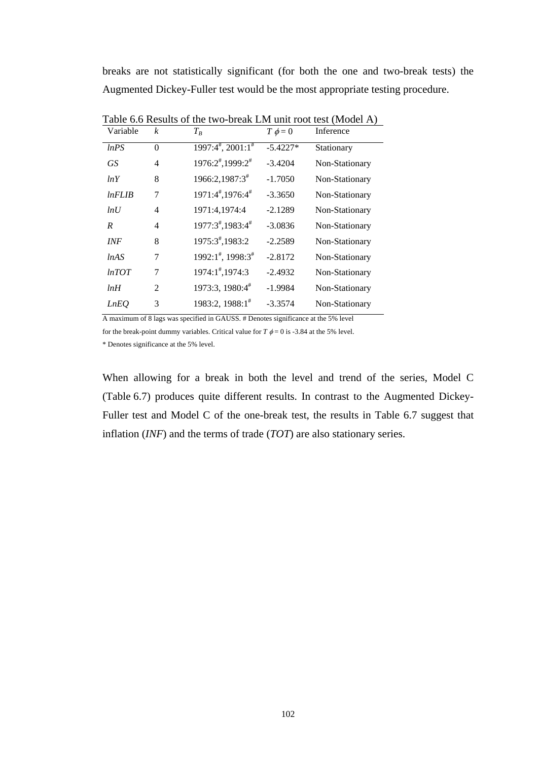breaks are not statistically significant (for both the one and two-break tests) the Augmented Dickey-Fuller test would be the most appropriate testing procedure.

| Variable    | $\boldsymbol{k}$ | $T_B$                                           | $T \phi = 0$ | Inference      |
|-------------|------------------|-------------------------------------------------|--------------|----------------|
| lnPS        | $\theta$         | $1997:4^{\frac{4}{7}}$ , $2001:1^{\frac{4}{7}}$ | $-5.4227*$   | Stationary     |
| GS          | 4                | 1976:2#,1999:2#                                 | $-3.4204$    | Non-Stationary |
| lnY         | 8                | 1966:2,1987:3 <sup>#</sup>                      | $-1.7050$    | Non-Stationary |
| lnFLIB      | 7                | 1971:4#,1976:4#                                 | $-3.3650$    | Non-Stationary |
| ln U        | 4                | 1971:4,1974:4                                   | $-2.1289$    | Non-Stationary |
| R           | 4                | 1977:3#,1983:4#                                 | $-3.0836$    | Non-Stationary |
| <b>INF</b>  | 8                | 1975:3#,1983:2                                  | $-2.2589$    | Non-Stationary |
| lnAS        | 7                | 1992:1#, 1998:3#                                | $-2.8172$    | Non-Stationary |
| lnTOT       | 7                | 1974:1#,1974:3                                  | $-2.4932$    | Non-Stationary |
| lnH         | $\overline{c}$   | 1973:3, 1980:4#                                 | $-1.9984$    | Non-Stationary |
| <b>LnEO</b> | 3                | 1983:2, 1988:1#                                 | $-3.3574$    | Non-Stationary |

Table 6.6 Results of the two-break LM unit root test (Model A)

A maximum of 8 lags was specified in GAUSS. # Denotes significance at the 5% level

for the break-point dummy variables. Critical value for  $T \phi = 0$  is -3.84 at the 5% level.

\* Denotes significance at the 5% level.

When allowing for a break in both the level and trend of the series, Model C (Table 6.7) produces quite different results. In contrast to the Augmented Dickey-Fuller test and Model C of the one-break test, the results in Table 6.7 suggest that inflation (*INF*) and the terms of trade (*TOT*) are also stationary series.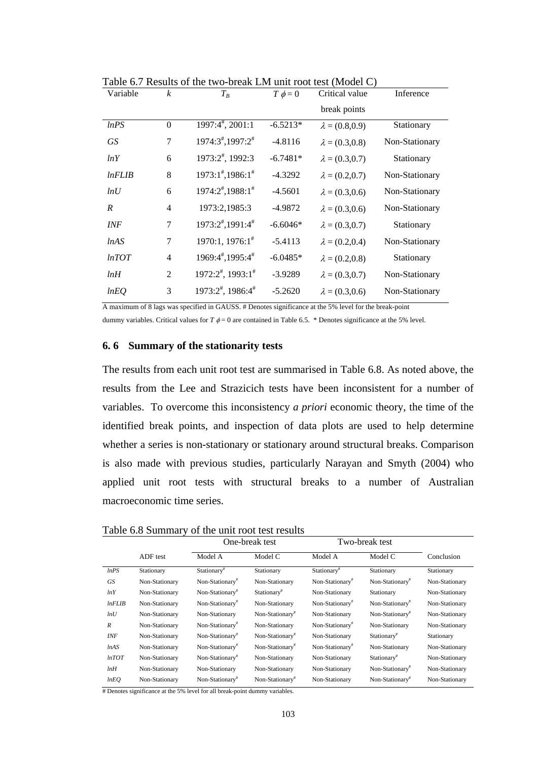| Variable         | $\boldsymbol{k}$ | $T_B$                         | $T \phi = 0$ | Critical value         | Inference      |
|------------------|------------------|-------------------------------|--------------|------------------------|----------------|
|                  |                  |                               |              | break points           |                |
| ln PS            | $\Omega$         | 1997:4#, 2001:1               | $-6.5213*$   | $\lambda = (0.8, 0.9)$ | Stationary     |
| <b>GS</b>        | 7                | 1974:3#,1997:2#               | $-4.8116$    | $\lambda = (0.3, 0.8)$ | Non-Stationary |
| lnY              | 6                | 1973:2#, 1992:3               | $-6.7481*$   | $\lambda = (0.3, 0.7)$ | Stationary     |
| lnFLIB           | 8                | $1973:1^{\#}, 1986:1^{\#}$    | $-4.3292$    | $\lambda = (0.2, 0.7)$ | Non-Stationary |
| ln U             | 6                | 1974:2#,1988:1#               | $-4.5601$    | $\lambda = (0.3, 0.6)$ | Non-Stationary |
| $\boldsymbol{R}$ | $\overline{4}$   | 1973:2,1985:3                 | $-4.9872$    | $\lambda = (0.3, 0.6)$ | Non-Stationary |
| <b>INF</b>       | 7                | 1973:2#,1991:4#               | $-6.6046*$   | $\lambda = (0.3, 0.7)$ | Stationary     |
| lnAS             | 7                | $1970:1, 1976:1^*$            | $-5.4113$    | $\lambda = (0.2, 0.4)$ | Non-Stationary |
| lnTOT            | $\overline{4}$   | 1969:4#,1995:4#               | $-6.0485*$   | $\lambda = (0.2, 0.8)$ | Stationary     |
| lnH              | $\overline{2}$   | $1972:2^{\#}$ , $1993:1^{\#}$ | $-3.9289$    | $\lambda = (0.3, 0.7)$ | Non-Stationary |
| lnEQ             | 3                | 1973:2#, 1986:4#              | $-5.2620$    | $\lambda = (0.3, 0.6)$ | Non-Stationary |

Table 6.7 Results of the two-break LM unit root test (Model C)

A maximum of 8 lags was specified in GAUSS. # Denotes significance at the 5% level for the break-point

dummy variables. Critical values for  $T \phi = 0$  are contained in Table 6.5. \* Denotes significance at the 5% level.

## **6. 6 Summary of the stationarity tests**

The results from each unit root test are summarised in Table 6.8. As noted above, the results from the Lee and Strazicich tests have been inconsistent for a number of variables. To overcome this inconsistency *a priori* economic theory, the time of the identified break points, and inspection of data plots are used to help determine whether a series is non-stationary or stationary around structural breaks. Comparison is also made with previous studies, particularly Narayan and Smyth (2004) who applied unit root tests with structural breaks to a number of Australian macroeconomic time series.

| Table 6.8 Summary of the unit root test results |  |  |
|-------------------------------------------------|--|--|
|-------------------------------------------------|--|--|

|                  |                | One-break test              |                             | Two-break test              |                             |                |
|------------------|----------------|-----------------------------|-----------------------------|-----------------------------|-----------------------------|----------------|
|                  | ADF test       | Model A                     | Model C                     | Model A                     | Model C                     | Conclusion     |
| lnPS             | Stationary     | Stationary <sup>#</sup>     | Stationary                  | Stationary <sup>#</sup>     | Stationary                  | Stationary     |
| GS               | Non-Stationary | Non-Stationary#             | Non-Stationary              | Non-Stationary <sup>#</sup> | Non-Stationary <sup>#</sup> | Non-Stationary |
| lnY              | Non-Stationary | Non-Stationary#             | Stationary <sup>#</sup>     | Non-Stationary              | Stationary                  | Non-Stationary |
| lnFLIB           | Non-Stationary | Non-Stationary <sup>#</sup> | Non-Stationary              | Non-Stationary <sup>#</sup> | Non-Stationary <sup>#</sup> | Non-Stationary |
| lnU              | Non-Stationary | Non-Stationary              | Non-Stationary <sup>#</sup> | Non-Stationary              | Non-Stationary <sup>#</sup> | Non-Stationary |
| $\boldsymbol{R}$ | Non-Stationary | Non-Stationary <sup>#</sup> | Non-Stationary              | Non-Stationary <sup>#</sup> | Non-Stationary              | Non-Stationary |
| <b>INF</b>       | Non-Stationary | Non-Stationary <sup>#</sup> | Non-Stationary <sup>#</sup> | Non-Stationary              | Stationary <sup>#</sup>     | Stationary     |
| lnAS             | Non-Stationary | Non-Stationary <sup>#</sup> | Non-Stationary <sup>#</sup> | Non-Stationary <sup>#</sup> | Non-Stationary              | Non-Stationary |
| lnTOT            | Non-Stationary | Non-Stationary <sup>#</sup> | Non-Stationary              | Non-Stationary              | Stationary <sup>π</sup>     | Non-Stationary |
| lnH              | Non-Stationary | Non-Stationary              | Non-Stationary              | Non-Stationary              | Non-Stationary <sup>#</sup> | Non-Stationary |
| lnEQ             | Non-Stationary | Non-Stationary <sup>#</sup> | Non-Stationary <sup>#</sup> | Non-Stationary              | Non-Stationary <sup>#</sup> | Non-Stationary |

# Denotes significance at the 5% level for all break-point dummy variables.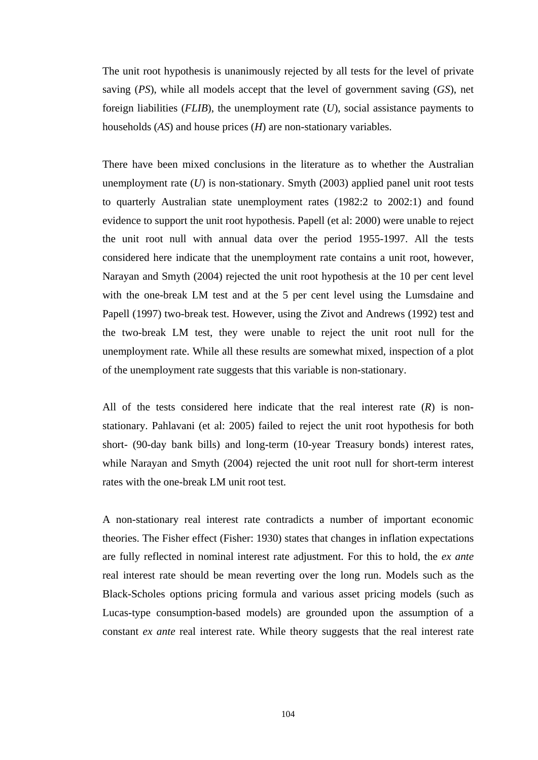The unit root hypothesis is unanimously rejected by all tests for the level of private saving (*PS*), while all models accept that the level of government saving (*GS*), net foreign liabilities (*FLIB*), the unemployment rate (*U*), social assistance payments to households (*AS*) and house prices (*H*) are non-stationary variables.

There have been mixed conclusions in the literature as to whether the Australian unemployment rate (*U*) is non-stationary. Smyth (2003) applied panel unit root tests to quarterly Australian state unemployment rates (1982:2 to 2002:1) and found evidence to support the unit root hypothesis. Papell (et al: 2000) were unable to reject the unit root null with annual data over the period 1955-1997. All the tests considered here indicate that the unemployment rate contains a unit root, however, Narayan and Smyth (2004) rejected the unit root hypothesis at the 10 per cent level with the one-break LM test and at the 5 per cent level using the Lumsdaine and Papell (1997) two-break test. However, using the Zivot and Andrews (1992) test and the two-break LM test, they were unable to reject the unit root null for the unemployment rate. While all these results are somewhat mixed, inspection of a plot of the unemployment rate suggests that this variable is non-stationary.

All of the tests considered here indicate that the real interest rate (*R*) is nonstationary. Pahlavani (et al: 2005) failed to reject the unit root hypothesis for both short- (90-day bank bills) and long-term (10-year Treasury bonds) interest rates, while Narayan and Smyth (2004) rejected the unit root null for short-term interest rates with the one-break LM unit root test.

A non-stationary real interest rate contradicts a number of important economic theories. The Fisher effect (Fisher: 1930) states that changes in inflation expectations are fully reflected in nominal interest rate adjustment. For this to hold, the *ex ante* real interest rate should be mean reverting over the long run. Models such as the Black-Scholes options pricing formula and various asset pricing models (such as Lucas-type consumption-based models) are grounded upon the assumption of a constant *ex ante* real interest rate. While theory suggests that the real interest rate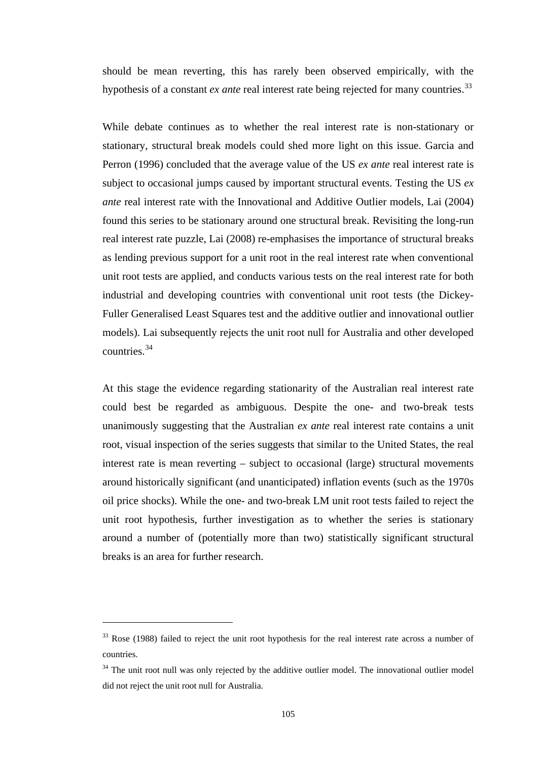should be mean reverting, this has rarely been observed empirically, with the hypothesis of a constant *ex ante* real interest rate being rejected for many countries.<sup>[33](#page-117-0)</sup>

While debate continues as to whether the real interest rate is non-stationary or stationary, structural break models could shed more light on this issue. Garcia and Perron (1996) concluded that the average value of the US *ex ante* real interest rate is subject to occasional jumps caused by important structural events. Testing the US *ex ante* real interest rate with the Innovational and Additive Outlier models, Lai (2004) found this series to be stationary around one structural break. Revisiting the long-run real interest rate puzzle, Lai (2008) re-emphasises the importance of structural breaks as lending previous support for a unit root in the real interest rate when conventional unit root tests are applied, and conducts various tests on the real interest rate for both industrial and developing countries with conventional unit root tests (the Dickey-Fuller Generalised Least Squares test and the additive outlier and innovational outlier models). Lai subsequently rejects the unit root null for Australia and other developed countries.[34](#page-117-1)

At this stage the evidence regarding stationarity of the Australian real interest rate could best be regarded as ambiguous. Despite the one- and two-break tests unanimously suggesting that the Australian *ex ante* real interest rate contains a unit root, visual inspection of the series suggests that similar to the United States, the real interest rate is mean reverting – subject to occasional (large) structural movements around historically significant (and unanticipated) inflation events (such as the 1970s oil price shocks). While the one- and two-break LM unit root tests failed to reject the unit root hypothesis, further investigation as to whether the series is stationary around a number of (potentially more than two) statistically significant structural breaks is an area for further research.

 $\overline{a}$ 

<span id="page-117-0"></span> $33$  Rose (1988) failed to reject the unit root hypothesis for the real interest rate across a number of countries.

<span id="page-117-1"></span> $34$  The unit root null was only rejected by the additive outlier model. The innovational outlier model did not reject the unit root null for Australia.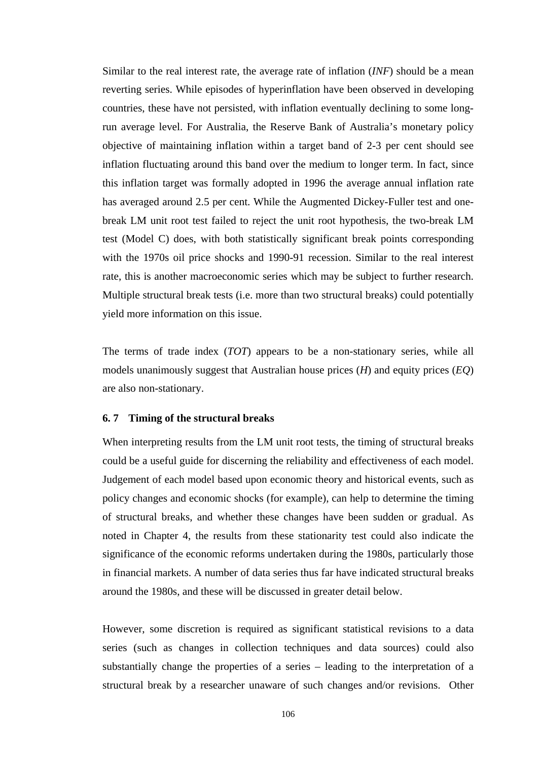Similar to the real interest rate, the average rate of inflation (*INF*) should be a mean reverting series. While episodes of hyperinflation have been observed in developing countries, these have not persisted, with inflation eventually declining to some longrun average level. For Australia, the Reserve Bank of Australia's monetary policy objective of maintaining inflation within a target band of 2-3 per cent should see inflation fluctuating around this band over the medium to longer term. In fact, since this inflation target was formally adopted in 1996 the average annual inflation rate has averaged around 2.5 per cent. While the Augmented Dickey-Fuller test and onebreak LM unit root test failed to reject the unit root hypothesis, the two-break LM test (Model C) does, with both statistically significant break points corresponding with the 1970s oil price shocks and 1990-91 recession. Similar to the real interest rate, this is another macroeconomic series which may be subject to further research. Multiple structural break tests (i.e. more than two structural breaks) could potentially yield more information on this issue.

The terms of trade index (*TOT*) appears to be a non-stationary series, while all models unanimously suggest that Australian house prices (*H*) and equity prices (*EQ*) are also non-stationary.

### **6. 7 Timing of the structural breaks**

When interpreting results from the LM unit root tests, the timing of structural breaks could be a useful guide for discerning the reliability and effectiveness of each model. Judgement of each model based upon economic theory and historical events, such as policy changes and economic shocks (for example), can help to determine the timing of structural breaks, and whether these changes have been sudden or gradual. As noted in Chapter 4, the results from these stationarity test could also indicate the significance of the economic reforms undertaken during the 1980s, particularly those in financial markets. A number of data series thus far have indicated structural breaks around the 1980s, and these will be discussed in greater detail below.

However, some discretion is required as significant statistical revisions to a data series (such as changes in collection techniques and data sources) could also substantially change the properties of a series – leading to the interpretation of a structural break by a researcher unaware of such changes and/or revisions. Other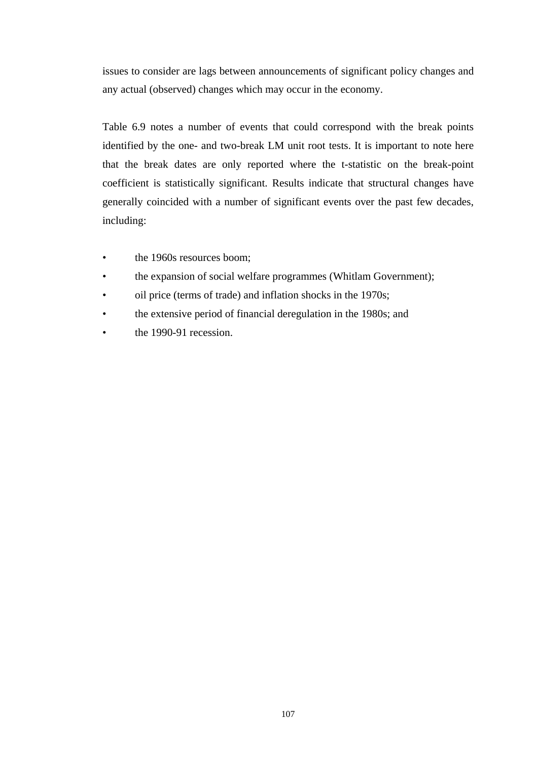issues to consider are lags between announcements of significant policy changes and any actual (observed) changes which may occur in the economy.

Table 6.9 notes a number of events that could correspond with the break points identified by the one- and two-break LM unit root tests. It is important to note here that the break dates are only reported where the t-statistic on the break-point coefficient is statistically significant. Results indicate that structural changes have generally coincided with a number of significant events over the past few decades, including:

- the 1960s resources boom;
- the expansion of social welfare programmes (Whitlam Government);
- oil price (terms of trade) and inflation shocks in the 1970s;
- the extensive period of financial deregulation in the 1980s; and
- the 1990-91 recession.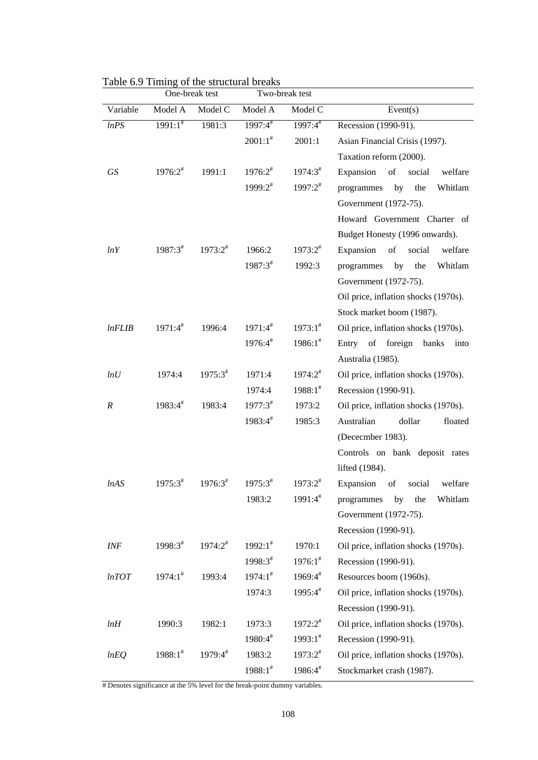|                  |               | One-break test      |                     | Two-break test |                                      |
|------------------|---------------|---------------------|---------------------|----------------|--------------------------------------|
| Variable         | Model A       | Model C             | Model A             | Model C        | Event(s)                             |
| lnPS             | $1991:1^*$    | 1981:3              | $1997:4^{\#}$       | $1997:4^{\#}$  | Recession (1990-91).                 |
|                  |               |                     | $2001:1^*$          | 2001:1         | Asian Financial Crisis (1997).       |
|                  |               |                     |                     |                | Taxation reform (2000).              |
| GS               | $1976:2^{\#}$ | 1991:1              | $1976:2^{\#}$       | $1974:3^{\#}$  | Expansion of<br>social<br>welfare    |
|                  |               |                     | $1999:2^{\#}$       | $1997:2^{\#}$  | programmes by<br>the<br>Whitlam      |
|                  |               |                     |                     |                | Government (1972-75).                |
|                  |               |                     |                     |                | Howard Government Charter of         |
|                  |               |                     |                     |                | Budget Honesty (1996 onwards).       |
| lnY              | $1987:3^{\#}$ | $1973:2^{\#}$       | 1966:2              | $1973:2^{\#}$  | Expansion of social<br>welfare       |
|                  |               |                     | $1987:3^{\#}$       | 1992:3         | programmes by the<br>Whitlam         |
|                  |               |                     |                     |                | Government (1972-75).                |
|                  |               |                     |                     |                | Oil price, inflation shocks (1970s). |
|                  |               |                     |                     |                | Stock market boom (1987).            |
| lnFLIB           | $1971:4^{\#}$ | 1996:4              | $1971:4^{\#}$       | $1973:1^*$     | Oil price, inflation shocks (1970s). |
|                  |               |                     | $1976:4^{\#}$       | $1986:1^*$     | Entry of foreign banks<br>into       |
|                  |               |                     |                     |                | Australia (1985).                    |
| lnU              | 1974:4        | $1975:3^{\#}$       | 1971:4              | $1974:2^{\#}$  | Oil price, inflation shocks (1970s). |
|                  |               |                     | 1974:4              | $1988:1^*$     | Recession (1990-91).                 |
| $\boldsymbol{R}$ | $1983:4^{\#}$ | 1983:4              | $1977:3^{\#}$       | 1973:2         | Oil price, inflation shocks (1970s). |
|                  |               |                     | $1983:4^{\#}$       | 1985:3         | Australian<br>dollar<br>floated      |
|                  |               |                     |                     |                | (Dececmber 1983).                    |
|                  |               |                     |                     |                | Controls on bank deposit rates       |
|                  |               |                     |                     |                | lifted (1984).                       |
| lnAS             | $1975:3^{\#}$ | $1976:3^{\text{*}}$ | $1975:3^{\text{*}}$ | $1973:2^{\#}$  | Expansion of<br>social<br>welfare    |
|                  |               |                     | 1983:2              | $1991:4^{\#}$  | Whitlam<br>programmes<br>by<br>the   |
|                  |               |                     |                     |                | Government (1972-75).                |
|                  |               |                     |                     |                | Recession (1990-91).                 |
| INF              | $1998:3^{\#}$ | $1974:2^{\#}$       | $1992:1^*$          | 1970:1         | Oil price, inflation shocks (1970s). |
|                  |               |                     | 1998:3#             | $1976:1^*$     | Recession (1990-91).                 |
| lnTOT            | $1974:1^*$    | 1993:4              | $1974:1^*$          | $1969:4^{\#}$  | Resources boom (1960s).              |
|                  |               |                     | 1974:3              | 1995:4#        | Oil price, inflation shocks (1970s). |
|                  |               |                     |                     |                | Recession (1990-91).                 |
| lnH              | 1990:3        | 1982:1              | 1973:3              | $1972:2^{\#}$  | Oil price, inflation shocks (1970s). |
|                  |               |                     | 1980:4#             | $1993:1^*$     | Recession (1990-91).                 |
| lnEQ             | $1988:1^*$    | 1979:4#             | 1983:2              | $1973:2^{\#}$  | Oil price, inflation shocks (1970s). |
|                  |               |                     | $1988:1^*$          | $1986:4^{\#}$  | Stockmarket crash (1987).            |

Table 6.9 Timing of the structural breaks

# Denotes significance at the 5% level for the break-point dummy variables.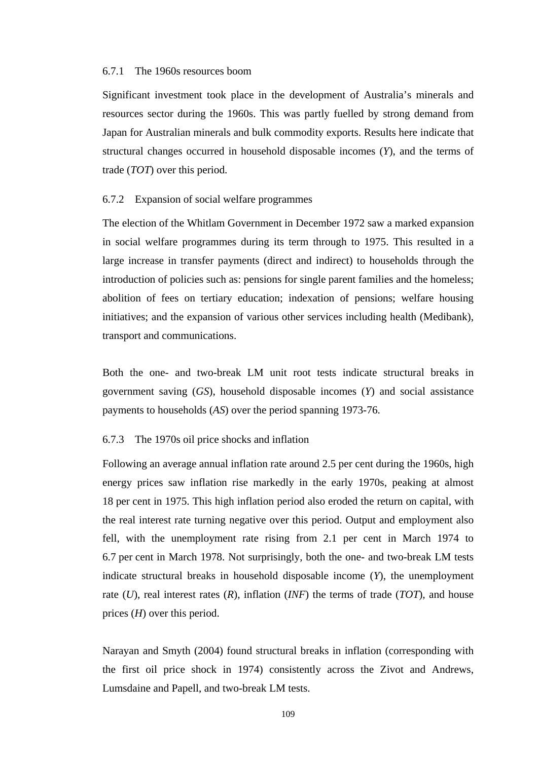## 6.7.1 The 1960s resources boom

Significant investment took place in the development of Australia's minerals and resources sector during the 1960s. This was partly fuelled by strong demand from Japan for Australian minerals and bulk commodity exports. Results here indicate that structural changes occurred in household disposable incomes (*Y*), and the terms of trade (*TOT*) over this period.

### 6.7.2 Expansion of social welfare programmes

The election of the Whitlam Government in December 1972 saw a marked expansion in social welfare programmes during its term through to 1975. This resulted in a large increase in transfer payments (direct and indirect) to households through the introduction of policies such as: pensions for single parent families and the homeless; abolition of fees on tertiary education; indexation of pensions; welfare housing initiatives; and the expansion of various other services including health (Medibank), transport and communications.

Both the one- and two-break LM unit root tests indicate structural breaks in government saving (*GS*), household disposable incomes (*Y*) and social assistance payments to households (*AS*) over the period spanning 1973-76.

## 6.7.3 The 1970s oil price shocks and inflation

Following an average annual inflation rate around 2.5 per cent during the 1960s, high energy prices saw inflation rise markedly in the early 1970s, peaking at almost 18 per cent in 1975. This high inflation period also eroded the return on capital, with the real interest rate turning negative over this period. Output and employment also fell, with the unemployment rate rising from 2.1 per cent in March 1974 to 6.7 per cent in March 1978. Not surprisingly, both the one- and two-break LM tests indicate structural breaks in household disposable income (*Y*), the unemployment rate (*U*), real interest rates (*R*), inflation (*INF*) the terms of trade (*TOT*), and house prices (*H*) over this period.

Narayan and Smyth (2004) found structural breaks in inflation (corresponding with the first oil price shock in 1974) consistently across the Zivot and Andrews, Lumsdaine and Papell, and two-break LM tests.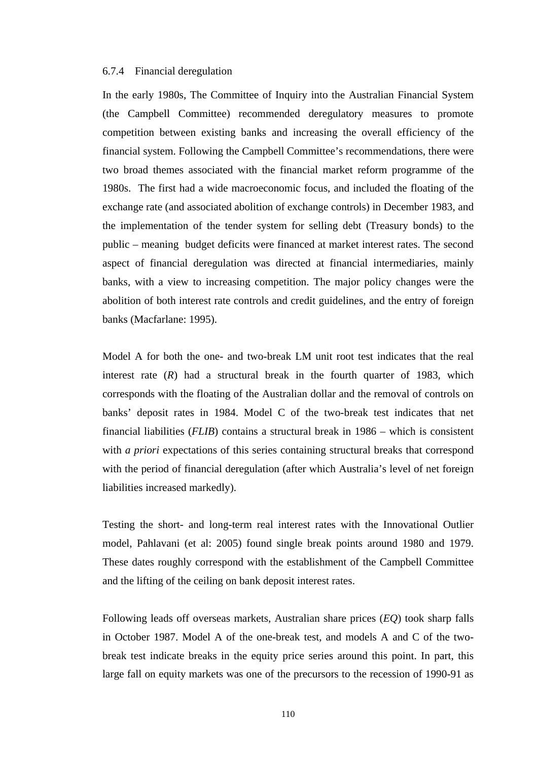## 6.7.4 Financial deregulation

In the early 1980s, The Committee of Inquiry into the Australian Financial System (the Campbell Committee) recommended deregulatory measures to promote competition between existing banks and increasing the overall efficiency of the financial system. Following the Campbell Committee's recommendations, there were two broad themes associated with the financial market reform programme of the 1980s. The first had a wide macroeconomic focus, and included the floating of the exchange rate (and associated abolition of exchange controls) in December 1983, and the implementation of the tender system for selling debt (Treasury bonds) to the public – meaning budget deficits were financed at market interest rates. The second aspect of financial deregulation was directed at financial intermediaries, mainly banks, with a view to increasing competition. The major policy changes were the abolition of both interest rate controls and credit guidelines, and the entry of foreign banks (Macfarlane: 1995).

Model A for both the one- and two-break LM unit root test indicates that the real interest rate (*R*) had a structural break in the fourth quarter of 1983, which corresponds with the floating of the Australian dollar and the removal of controls on banks' deposit rates in 1984. Model C of the two-break test indicates that net financial liabilities (*FLIB*) contains a structural break in 1986 – which is consistent with *a priori* expectations of this series containing structural breaks that correspond with the period of financial deregulation (after which Australia's level of net foreign liabilities increased markedly).

Testing the short- and long-term real interest rates with the Innovational Outlier model, Pahlavani (et al: 2005) found single break points around 1980 and 1979. These dates roughly correspond with the establishment of the Campbell Committee and the lifting of the ceiling on bank deposit interest rates.

Following leads off overseas markets, Australian share prices (*EQ*) took sharp falls in October 1987. Model A of the one-break test, and models A and C of the twobreak test indicate breaks in the equity price series around this point. In part, this large fall on equity markets was one of the precursors to the recession of 1990-91 as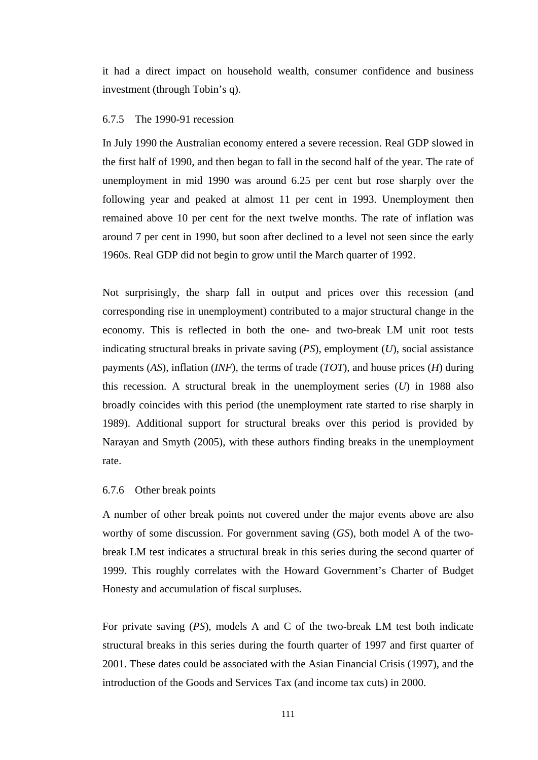it had a direct impact on household wealth, consumer confidence and business investment (through Tobin's q).

# 6.7.5 The 1990-91 recession

In July 1990 the Australian economy entered a severe recession. Real GDP slowed in the first half of 1990, and then began to fall in the second half of the year. The rate of unemployment in mid 1990 was around 6.25 per cent but rose sharply over the following year and peaked at almost 11 per cent in 1993. Unemployment then remained above 10 per cent for the next twelve months. The rate of inflation was around 7 per cent in 1990, but soon after declined to a level not seen since the early 1960s. Real GDP did not begin to grow until the March quarter of 1992.

Not surprisingly, the sharp fall in output and prices over this recession (and corresponding rise in unemployment) contributed to a major structural change in the economy. This is reflected in both the one- and two-break LM unit root tests indicating structural breaks in private saving (*PS*), employment (*U*), social assistance payments (*AS*), inflation (*INF*), the terms of trade (*TOT*), and house prices (*H*) during this recession. A structural break in the unemployment series (*U*) in 1988 also broadly coincides with this period (the unemployment rate started to rise sharply in 1989). Additional support for structural breaks over this period is provided by Narayan and Smyth (2005), with these authors finding breaks in the unemployment rate.

## 6.7.6 Other break points

A number of other break points not covered under the major events above are also worthy of some discussion. For government saving (*GS*), both model A of the twobreak LM test indicates a structural break in this series during the second quarter of 1999. This roughly correlates with the Howard Government's Charter of Budget Honesty and accumulation of fiscal surpluses.

For private saving (*PS*), models A and C of the two-break LM test both indicate structural breaks in this series during the fourth quarter of 1997 and first quarter of 2001. These dates could be associated with the Asian Financial Crisis (1997), and the introduction of the Goods and Services Tax (and income tax cuts) in 2000.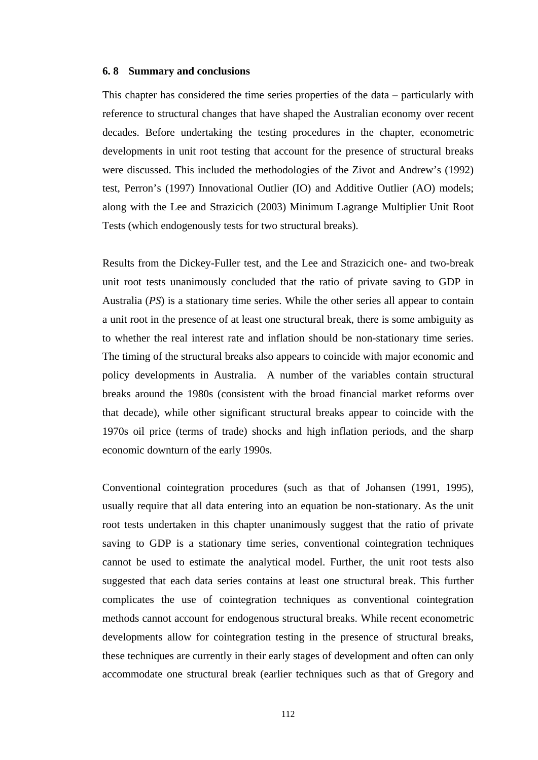### **6. 8 Summary and conclusions**

This chapter has considered the time series properties of the data – particularly with reference to structural changes that have shaped the Australian economy over recent decades. Before undertaking the testing procedures in the chapter, econometric developments in unit root testing that account for the presence of structural breaks were discussed. This included the methodologies of the Zivot and Andrew's (1992) test, Perron's (1997) Innovational Outlier (IO) and Additive Outlier (AO) models; along with the Lee and Strazicich (2003) Minimum Lagrange Multiplier Unit Root Tests (which endogenously tests for two structural breaks).

Results from the Dickey-Fuller test, and the Lee and Strazicich one- and two-break unit root tests unanimously concluded that the ratio of private saving to GDP in Australia (*PS*) is a stationary time series. While the other series all appear to contain a unit root in the presence of at least one structural break, there is some ambiguity as to whether the real interest rate and inflation should be non-stationary time series. The timing of the structural breaks also appears to coincide with major economic and policy developments in Australia. A number of the variables contain structural breaks around the 1980s (consistent with the broad financial market reforms over that decade), while other significant structural breaks appear to coincide with the 1970s oil price (terms of trade) shocks and high inflation periods, and the sharp economic downturn of the early 1990s.

Conventional cointegration procedures (such as that of Johansen (1991, 1995), usually require that all data entering into an equation be non-stationary. As the unit root tests undertaken in this chapter unanimously suggest that the ratio of private saving to GDP is a stationary time series, conventional cointegration techniques cannot be used to estimate the analytical model. Further, the unit root tests also suggested that each data series contains at least one structural break. This further complicates the use of cointegration techniques as conventional cointegration methods cannot account for endogenous structural breaks. While recent econometric developments allow for cointegration testing in the presence of structural breaks, these techniques are currently in their early stages of development and often can only accommodate one structural break (earlier techniques such as that of Gregory and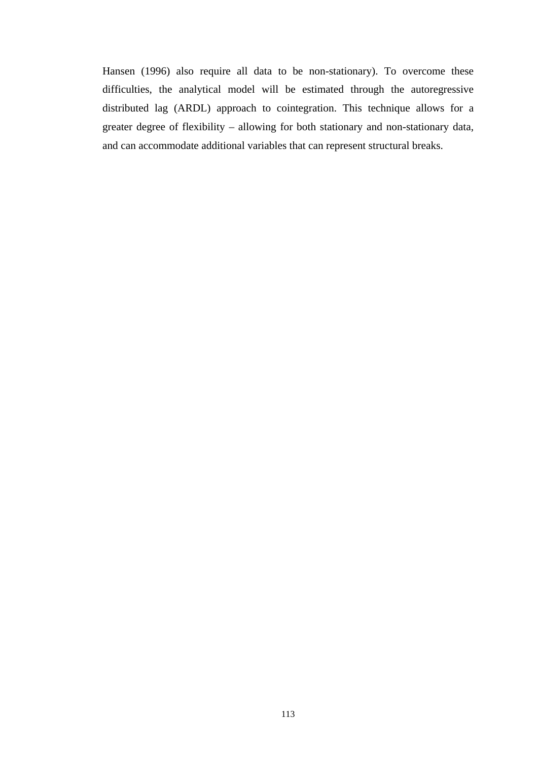Hansen (1996) also require all data to be non-stationary). To overcome these difficulties, the analytical model will be estimated through the autoregressive distributed lag (ARDL) approach to cointegration. This technique allows for a greater degree of flexibility – allowing for both stationary and non-stationary data, and can accommodate additional variables that can represent structural breaks.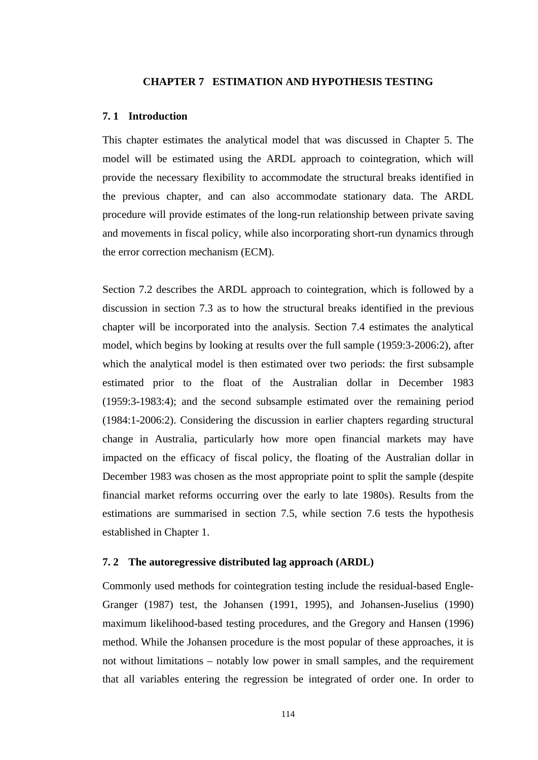### **CHAPTER 7 ESTIMATION AND HYPOTHESIS TESTING**

### **7. 1 Introduction**

This chapter estimates the analytical model that was discussed in Chapter 5. The model will be estimated using the ARDL approach to cointegration, which will provide the necessary flexibility to accommodate the structural breaks identified in the previous chapter, and can also accommodate stationary data. The ARDL procedure will provide estimates of the long-run relationship between private saving and movements in fiscal policy, while also incorporating short-run dynamics through the error correction mechanism (ECM).

Section 7.2 describes the ARDL approach to cointegration, which is followed by a discussion in section 7.3 as to how the structural breaks identified in the previous chapter will be incorporated into the analysis. Section 7.4 estimates the analytical model, which begins by looking at results over the full sample (1959:3-2006:2), after which the analytical model is then estimated over two periods: the first subsample estimated prior to the float of the Australian dollar in December 1983 (1959:3-1983:4); and the second subsample estimated over the remaining period (1984:1-2006:2). Considering the discussion in earlier chapters regarding structural change in Australia, particularly how more open financial markets may have impacted on the efficacy of fiscal policy, the floating of the Australian dollar in December 1983 was chosen as the most appropriate point to split the sample (despite financial market reforms occurring over the early to late 1980s). Results from the estimations are summarised in section 7.5, while section 7.6 tests the hypothesis established in Chapter 1.

# **7. 2 The autoregressive distributed lag approach (ARDL)**

Commonly used methods for cointegration testing include the residual-based Engle-Granger (1987) test, the Johansen (1991, 1995), and Johansen-Juselius (1990) maximum likelihood-based testing procedures, and the Gregory and Hansen (1996) method. While the Johansen procedure is the most popular of these approaches, it is not without limitations – notably low power in small samples, and the requirement that all variables entering the regression be integrated of order one. In order to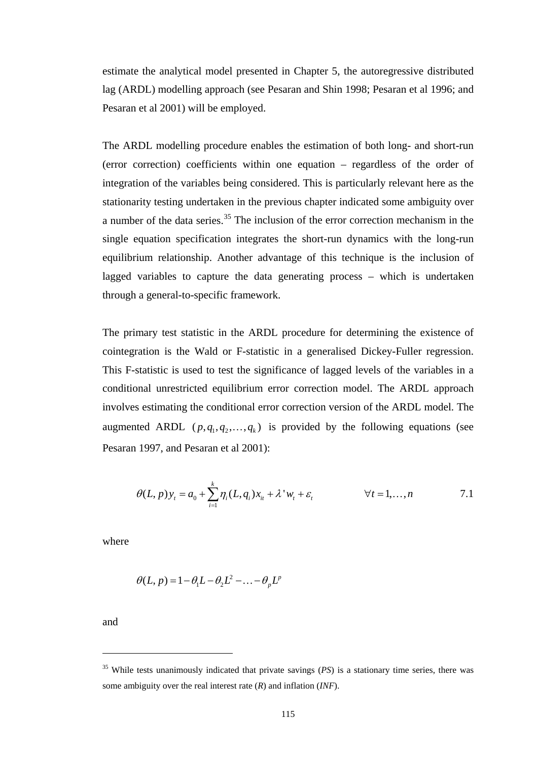estimate the analytical model presented in Chapter 5, the autoregressive distributed lag (ARDL) modelling approach (see Pesaran and Shin 1998; Pesaran et al 1996; and Pesaran et al 2001) will be employed.

The ARDL modelling procedure enables the estimation of both long- and short-run (error correction) coefficients within one equation – regardless of the order of integration of the variables being considered. This is particularly relevant here as the stationarity testing undertaken in the previous chapter indicated some ambiguity over a number of the data series.<sup>35</sup> The inclusion of the error correction mechanism in the single equation specification integrates the short-run dynamics with the long-run equilibrium relationship. Another advantage of this technique is the inclusion of lagged variables to capture the data generating process – which is undertaken through a general-to-specific framework.

The primary test statistic in the ARDL procedure for determining the existence of cointegration is the Wald or F-statistic in a generalised Dickey-Fuller regression. This F-statistic is used to test the significance of lagged levels of the variables in a conditional unrestricted equilibrium error correction model. The ARDL approach involves estimating the conditional error correction version of the ARDL model. The augmented ARDL  $(p, q_1, q_2, \ldots, q_k)$  is provided by the following equations (see Pesaran 1997, and Pesaran et al 2001):

$$
\theta(L, p) y_t = a_0 + \sum_{i=1}^k \eta_i(L, q_i) x_{it} + \lambda^* w_t + \varepsilon_t \qquad \forall t = 1, ..., n
$$

where

$$
\theta(L, p) = 1 - \theta_1 L - \theta_2 L^2 - \dots - \theta_p L^p
$$

and

 $\overline{a}$ 

<span id="page-127-0"></span><sup>35</sup> While tests unanimously indicated that private savings (*PS*) is a stationary time series, there was some ambiguity over the real interest rate (*R*) and inflation (*INF*).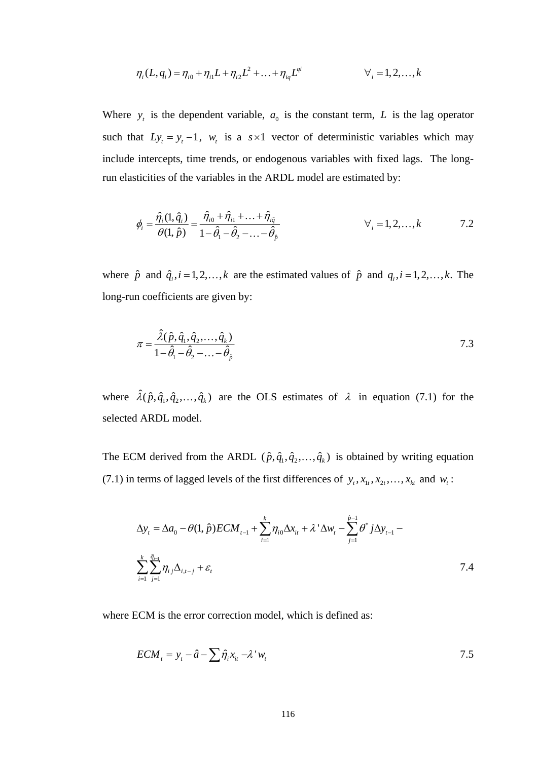$$
\eta_i(L, q_i) = \eta_{i0} + \eta_{i1}L + \eta_{i2}L^2 + \dots + \eta_{iq}L^{qi} \qquad \forall i = 1, 2, \dots, k
$$

Where  $y_t$  is the dependent variable,  $a_0$  is the constant term, L is the lag operator such that  $Ly_t = y_t - 1$ ,  $w_t$  is a  $s \times 1$  vector of deterministic variables which may include intercepts, time trends, or endogenous variables with fixed lags. The longrun elasticities of the variables in the ARDL model are estimated by:

$$
\phi_i = \frac{\hat{\eta}_i(1, \hat{q}_i)}{\theta(1, \hat{p})} = \frac{\hat{\eta}_{i0} + \hat{\eta}_{i1} + \dots + \hat{\eta}_{i\hat{q}}}{1 - \hat{\theta}_1 - \hat{\theta}_2 - \dots - \hat{\theta}_{\hat{p}}}
$$
\n
$$
\forall_i = 1, 2, \dots, k \qquad 7.2
$$

where  $\hat{p}$  and  $\hat{q}_i$ ,  $i = 1, 2, ..., k$  are the estimated values of  $\hat{p}$  and  $q_i$ ,  $i = 1, 2, ..., k$ . The long-run coefficients are given by:

$$
\pi = \frac{\hat{\lambda}(\hat{p}, \hat{q}_1, \hat{q}_2, \dots, \hat{q}_k)}{1 - \hat{\theta}_1 - \hat{\theta}_2 - \dots - \hat{\theta}_\hat{p}}
$$
\n7.3

where  $\hat{\lambda}(\hat{p}, \hat{q}_1, \hat{q}_2, \dots, \hat{q}_k)$  are the OLS estimates of  $\lambda$  in equation (7.1) for the selected ARDL model.

The ECM derived from the ARDL  $(\hat{p}, \hat{q}_1, \hat{q}_2, \dots, \hat{q}_k)$  is obtained by writing equation (7.1) in terms of lagged levels of the first differences of  $y_t, x_{1t}, x_{2t}, \ldots, x_{kt}$  and  $w_t$ :

$$
\Delta y_{t} = \Delta a_{0} - \theta(1, \hat{p}) ECM_{t-1} + \sum_{i=1}^{k} \eta_{i0} \Delta x_{it} + \lambda^{\dagger} \Delta w_{t} - \sum_{j=1}^{\hat{p}-1} \theta^{*} j \Delta y_{t-1} - \sum_{i=1}^{k} \sum_{j=1}^{\hat{q}_{i-1}} \eta_{i,j} \Delta_{i,t-j} + \varepsilon_{t}
$$
\n7.4

where ECM is the error correction model, which is defined as:

$$
ECM_{t} = y_{t} - \hat{a} - \sum \hat{\eta}_{i} x_{it} - \lambda^{t} w_{t}
$$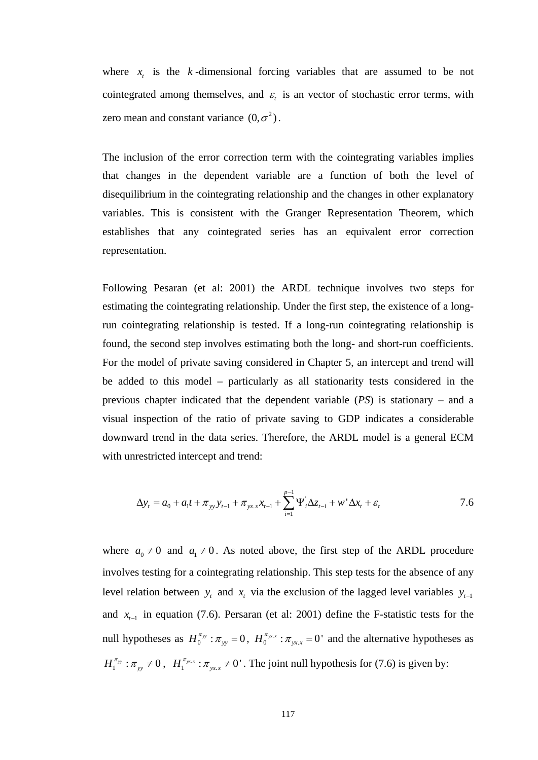where  $x_t$  is the  $k$ -dimensional forcing variables that are assumed to be not cointegrated among themselves, and  $\varepsilon$  is an vector of stochastic error terms, with zero mean and constant variance  $(0, \sigma^2)$ .

The inclusion of the error correction term with the cointegrating variables implies that changes in the dependent variable are a function of both the level of disequilibrium in the cointegrating relationship and the changes in other explanatory variables. This is consistent with the Granger Representation Theorem, which establishes that any cointegrated series has an equivalent error correction representation.

Following Pesaran (et al: 2001) the ARDL technique involves two steps for estimating the cointegrating relationship. Under the first step, the existence of a longrun cointegrating relationship is tested. If a long-run cointegrating relationship is found, the second step involves estimating both the long- and short-run coefficients. For the model of private saving considered in Chapter 5, an intercept and trend will be added to this model – particularly as all stationarity tests considered in the previous chapter indicated that the dependent variable (*PS*) is stationary – and a visual inspection of the ratio of private saving to GDP indicates a considerable downward trend in the data series. Therefore, the ARDL model is a general ECM with unrestricted intercept and trend:

$$
\Delta y_t = a_0 + a_1 t + \pi_{yy} y_{t-1} + \pi_{yx} x_{t-1} + \sum_{i=1}^{p-1} \Psi_i' \Delta z_{t-i} + w' \Delta x_t + \varepsilon_t
$$

where  $a_0 \neq 0$  and  $a_1 \neq 0$ . As noted above, the first step of the ARDL procedure involves testing for a cointegrating relationship. This step tests for the absence of any level relation between  $y_t$  and  $x_t$  via the exclusion of the lagged level variables  $y_{t-1}$ and  $x_{t-1}$  in equation (7.6). Persaran (et al: 2001) define the F-statistic tests for the null hypotheses as  $H_0^{\pi_{yy}}$ :  $\pi_{yy}$  = 0,  $H_0^{\pi_{yx}}$ :  $\pi_{yx}$  = 0' and the alternative hypotheses as  $H_1^{\pi_{yy}}$ :  $\pi_{yy} \neq 0$ ,  $H_1^{\pi_{yx}}$ :  $\pi_{yx} \neq 0'$ . The joint null hypothesis for (7.6) is given by: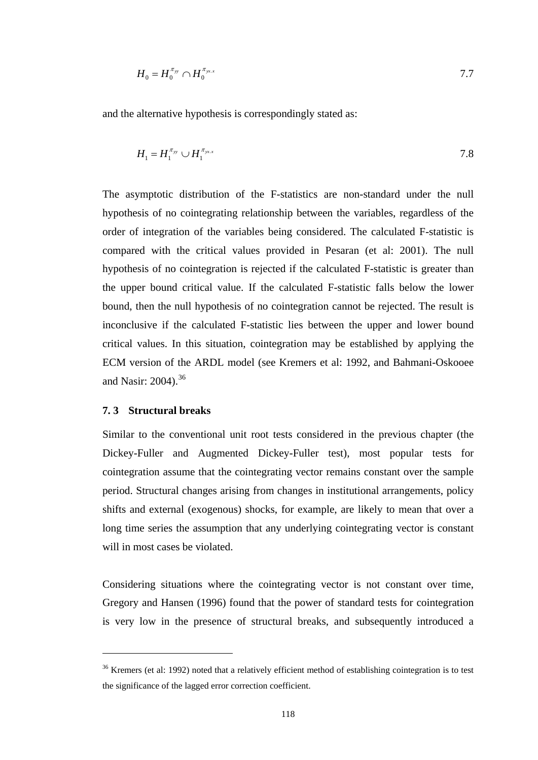$$
H_0 = H_0^{\pi_{yy}} \cap H_0^{\pi_{yx}} \tag{7.7}
$$

and the alternative hypothesis is correspondingly stated as:

$$
H_1 = H_1^{\pi_{yy}} \cup H_1^{\pi_{yx.x}} \tag{7.8}
$$

The asymptotic distribution of the F-statistics are non-standard under the null hypothesis of no cointegrating relationship between the variables, regardless of the order of integration of the variables being considered. The calculated F-statistic is compared with the critical values provided in Pesaran (et al: 2001). The null hypothesis of no cointegration is rejected if the calculated F-statistic is greater than the upper bound critical value. If the calculated F-statistic falls below the lower bound, then the null hypothesis of no cointegration cannot be rejected. The result is inconclusive if the calculated F-statistic lies between the upper and lower bound critical values. In this situation, cointegration may be established by applying the ECM version of the ARDL model (see Kremers et al: 1992, and Bahmani-Oskooee and Nasir: 2004).<sup>[36](#page-130-0)</sup>

# **7. 3 Structural breaks**

 $\overline{a}$ 

Similar to the conventional unit root tests considered in the previous chapter (the Dickey-Fuller and Augmented Dickey-Fuller test), most popular tests for cointegration assume that the cointegrating vector remains constant over the sample period. Structural changes arising from changes in institutional arrangements, policy shifts and external (exogenous) shocks, for example, are likely to mean that over a long time series the assumption that any underlying cointegrating vector is constant will in most cases be violated.

Considering situations where the cointegrating vector is not constant over time, Gregory and Hansen (1996) found that the power of standard tests for cointegration is very low in the presence of structural breaks, and subsequently introduced a

<span id="page-130-0"></span><sup>&</sup>lt;sup>36</sup> Kremers (et al: 1992) noted that a relatively efficient method of establishing cointegration is to test the significance of the lagged error correction coefficient.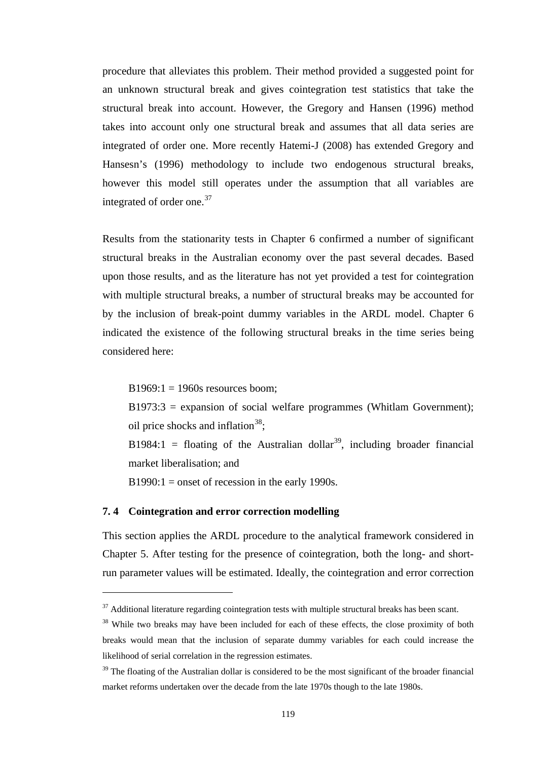procedure that alleviates this problem. Their method provided a suggested point for an unknown structural break and gives cointegration test statistics that take the structural break into account. However, the Gregory and Hansen (1996) method takes into account only one structural break and assumes that all data series are integrated of order one. More recently Hatemi-J (2008) has extended Gregory and Hansesn's (1996) methodology to include two endogenous structural breaks, however this model still operates under the assumption that all variables are integrated of order one.<sup>[37](#page-131-0)</sup>

Results from the stationarity tests in Chapter 6 confirmed a number of significant structural breaks in the Australian economy over the past several decades. Based upon those results, and as the literature has not yet provided a test for cointegration with multiple structural breaks, a number of structural breaks may be accounted for by the inclusion of break-point dummy variables in the ARDL model. Chapter 6 indicated the existence of the following structural breaks in the time series being considered here:

 $B1969:1 = 1960s$  resources boom:

 $B1973:3 =$  expansion of social welfare programmes (Whitlam Government); oil price shocks and inflation<sup>[38](#page-131-1)</sup>:

B1984:1 = floating of the Australian dollar<sup>39</sup>, including broader financial market liberalisation; and

 $B1990:1 =$  onset of recession in the early 1990s.

# **7. 4 Cointegration and error correction modelling**

 $\overline{a}$ 

This section applies the ARDL procedure to the analytical framework considered in Chapter 5. After testing for the presence of cointegration, both the long- and shortrun parameter values will be estimated. Ideally, the cointegration and error correction

<span id="page-131-0"></span> $37$  Additional literature regarding cointegration tests with multiple structural breaks has been scant.

<span id="page-131-1"></span><sup>&</sup>lt;sup>38</sup> While two breaks may have been included for each of these effects, the close proximity of both breaks would mean that the inclusion of separate dummy variables for each could increase the likelihood of serial correlation in the regression estimates.

<span id="page-131-2"></span> $39$  The floating of the Australian dollar is considered to be the most significant of the broader financial market reforms undertaken over the decade from the late 1970s though to the late 1980s.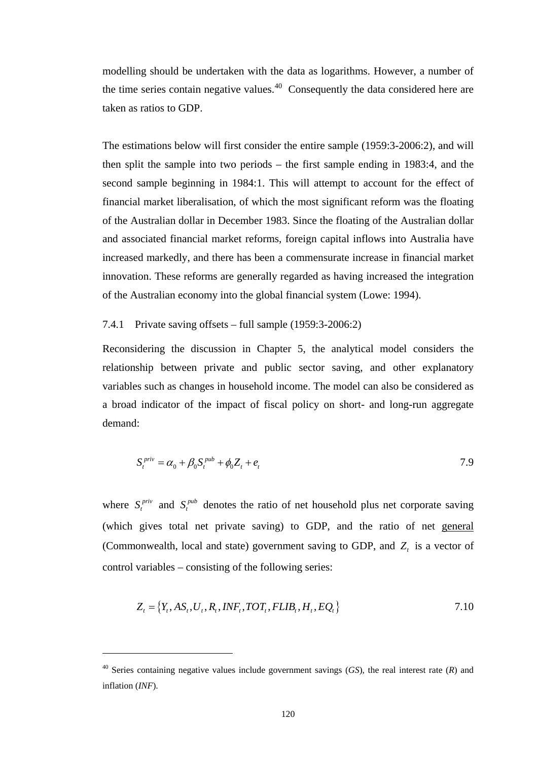modelling should be undertaken with the data as logarithms. However, a number of the time series contain negative values.[40](#page-132-0) Consequently the data considered here are taken as ratios to GDP.

The estimations below will first consider the entire sample (1959:3-2006:2), and will then split the sample into two periods – the first sample ending in 1983:4, and the second sample beginning in 1984:1. This will attempt to account for the effect of financial market liberalisation, of which the most significant reform was the floating of the Australian dollar in December 1983. Since the floating of the Australian dollar and associated financial market reforms, foreign capital inflows into Australia have increased markedly, and there has been a commensurate increase in financial market innovation. These reforms are generally regarded as having increased the integration of the Australian economy into the global financial system (Lowe: 1994).

# 7.4.1 Private saving offsets – full sample (1959:3-2006:2)

Reconsidering the discussion in Chapter 5, the analytical model considers the relationship between private and public sector saving, and other explanatory variables such as changes in household income. The model can also be considered as a broad indicator of the impact of fiscal policy on short- and long-run aggregate demand:

$$
S_t^{priv} = \alpha_0 + \beta_0 S_t^{pub} + \phi_0 Z_t + e_t
$$

where  $S_t^{priv}$  and  $S_t^{pub}$  denotes the ratio of net household plus net corporate saving (which gives total net private saving) to GDP, and the ratio of net general (Commonwealth, local and state) government saving to GDP, and  $Z<sub>t</sub>$  is a vector of control variables – consisting of the following series:

$$
Z_t = \{Y_t, AS_t, U_t, R_t, INF_t, TOT_t, FLIB_t, H_t, EQ_t\}
$$
\n
$$
\tag{7.10}
$$

 $\overline{a}$ 

<span id="page-132-0"></span><sup>40</sup> Series containing negative values include government savings (*GS*), the real interest rate (*R*) and inflation (*INF*).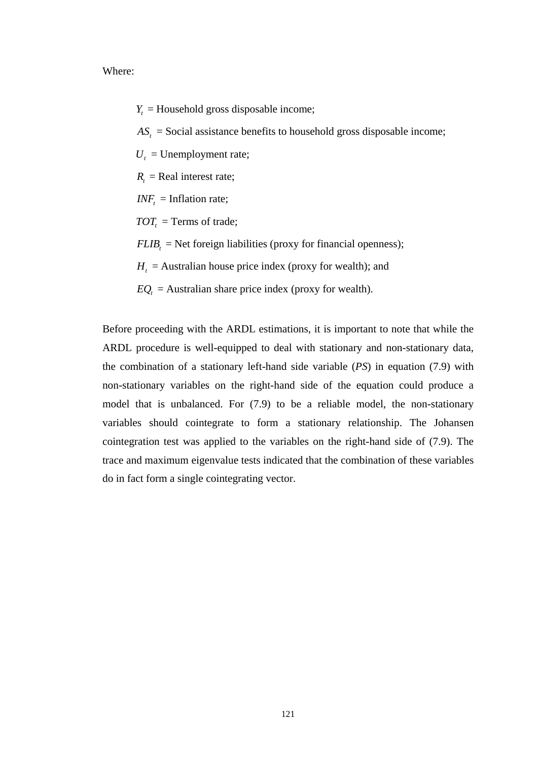Where:

 $Y_t$  = Household gross disposable income;

 $AS<sub>t</sub>$  = Social assistance benefits to household gross disposable income;

 $U_t$  = Unemployment rate;

 $R<sub>i</sub>$  = Real interest rate;

 $INF_t = Inflation rate;$ 

 $TOT<sub>t</sub>$  = Terms of trade;

 $FLIB<sub>t</sub>$  = Net foreign liabilities (proxy for financial openness);

 $H_t$  = Australian house price index (proxy for wealth); and

 $EQ<sub>t</sub>$  = Australian share price index (proxy for wealth).

Before proceeding with the ARDL estimations, it is important to note that while the ARDL procedure is well-equipped to deal with stationary and non-stationary data, the combination of a stationary left-hand side variable (*PS*) in equation (7.9) with non-stationary variables on the right-hand side of the equation could produce a model that is unbalanced. For (7.9) to be a reliable model, the non-stationary variables should cointegrate to form a stationary relationship. The Johansen cointegration test was applied to the variables on the right-hand side of (7.9). The trace and maximum eigenvalue tests indicated that the combination of these variables do in fact form a single cointegrating vector.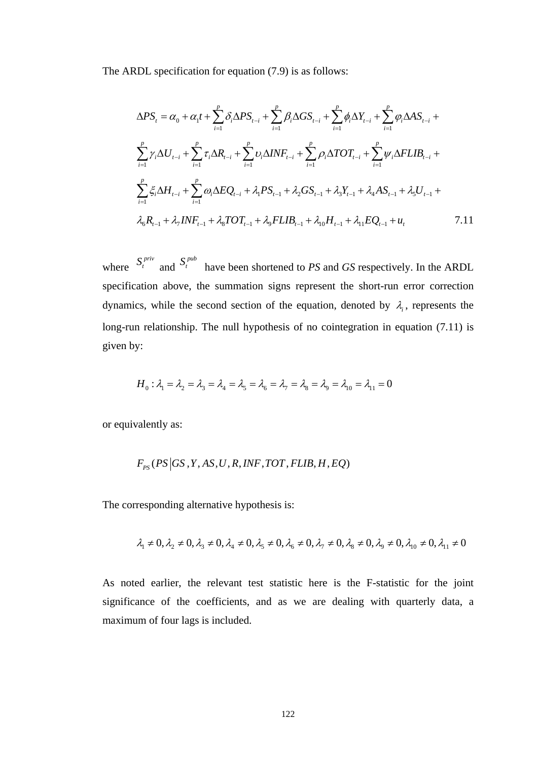The ARDL specification for equation (7.9) is as follows:

$$
\Delta PS_{t} = \alpha_{0} + \alpha_{1}t + \sum_{i=1}^{p} \delta_{i}\Delta PS_{t-i} + \sum_{i=1}^{p} \beta_{i}\Delta GS_{t-i} + \sum_{i=1}^{p} \phi_{i}\Delta Y_{t-i} + \sum_{i=1}^{p} \phi_{i}\Delta AS_{t-i} + \sum_{i=1}^{p} \gamma_{i}\Delta U_{t-i} + \sum_{i=1}^{p} \tau_{i}\Delta R_{t-i} + \sum_{i=1}^{p} \nu_{i}\Delta INF_{t-i} + \sum_{i=1}^{p} \rho_{i}\Delta TOT_{t-i} + \sum_{i=1}^{p} \psi_{i}\Delta FLIB_{t-i} + \sum_{i=1}^{p} \xi_{i}\Delta H_{t-i} + \sum_{i=1}^{p} \omega_{i}\Delta EQ_{t-i} + \lambda_{1} PS_{t-1} + \lambda_{2} GS_{t-1} + \lambda_{3} Y_{t-1} + \lambda_{4} AS_{t-1} + \lambda_{5} U_{t-1} + \lambda_{6} R_{t-1} + \lambda_{7} INF_{t-1} + \lambda_{8} TOT_{t-1} + \lambda_{9} FLIB_{t-1} + \lambda_{10} H_{t-1} + \lambda_{11} EQ_{t-1} + u_{t}
$$
7.11

where  $S_t^{priv}$  and  $S_t^{pub}$  have been shortened to *PS* and *GS* respectively. In the ARDL specification above, the summation signs represent the short-run error correction dynamics, while the second section of the equation, denoted by  $\lambda_i$ , represents the long-run relationship. The null hypothesis of no cointegration in equation (7.11) is given by:

$$
H_0: \lambda_1 = \lambda_2 = \lambda_3 = \lambda_4 = \lambda_5 = \lambda_6 = \lambda_7 = \lambda_8 = \lambda_9 = \lambda_{10} = \lambda_{11} = 0
$$

or equivalently as:

$$
F_{PS}(PS|GS,Y,AS,U,R,NF,TOT,FLIB,H,EQ)
$$

The corresponding alternative hypothesis is:

$$
\lambda_1 \neq 0, \lambda_2 \neq 0, \lambda_3 \neq 0, \lambda_4 \neq 0, \lambda_5 \neq 0, \lambda_6 \neq 0, \lambda_7 \neq 0, \lambda_8 \neq 0, \lambda_9 \neq 0, \lambda_{10} \neq 0, \lambda_{11} \neq 0
$$

As noted earlier, the relevant test statistic here is the F-statistic for the joint significance of the coefficients, and as we are dealing with quarterly data, a maximum of four lags is included.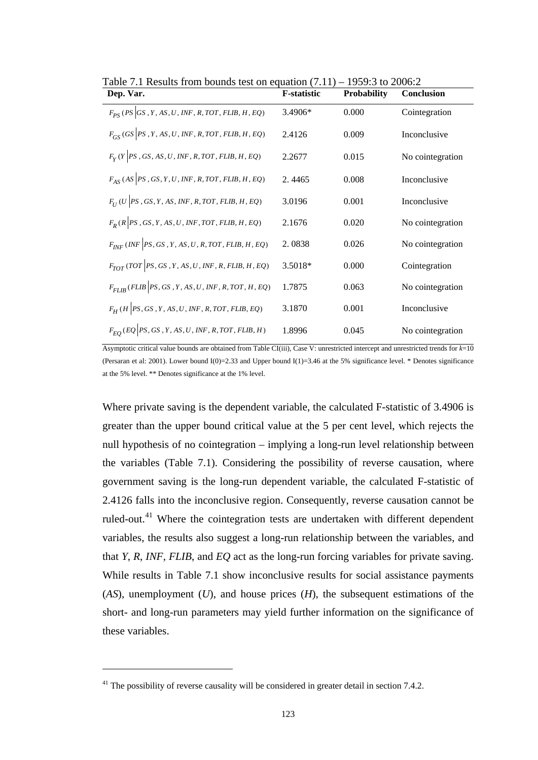| Dep. Var.                                               | <b>F-statistic</b> | <b>Probability</b> | <b>Conclusion</b> |
|---------------------------------------------------------|--------------------|--------------------|-------------------|
| $F_{PS}$ (PS GS, Y, AS, U, INF, R, TOT, FLIB, H, EQ)    | 3.4906*            | 0.000              | Cointegration     |
| $F_{GS}$ (GS  PS, Y, AS, U, INF, R, TOT, FLIB, H, EQ)   | 2.4126             | 0.009              | Inconclusive      |
| $F_Y(Y PS, GS, AS, U, INF, R, TOT, FLIB, H, EQ)$        | 2.2677             | 0.015              | No cointegration  |
| $F_{AS}$ (AS  PS, GS, Y, U, INF, R, TOT, FLIB, H, EQ)   | 2.4465             | 0.008              | Inconclusive      |
| $F_{II}$ (U  PS, GS, Y, AS, INF, R, TOT, FLIB, H, EQ)   | 3.0196             | 0.001              | Inconclusive      |
| $F_R$ (R   PS , GS, Y, AS, U, INF, TOT, FLIB, H, EQ)    | 2.1676             | 0.020              | No cointegration  |
| $F_{INF}$ (INF   PS, GS, Y, AS, U, R, TOT, FLIB, H, EQ) | 2.0838             | 0.026              | No cointegration  |
| $F_{TOT}$ (TOT PS, GS, Y, AS, U, INF, R, FLIB, H, EQ)   | 3.5018*            | 0.000              | Cointegration     |
| $F_{FLIR}(FLIB   PS, GS, Y, AS, U, INF, R, TOT, H, EQ)$ | 1.7875             | 0.063              | No cointegration  |
| $F_H$ (H  PS, GS, Y, AS, U, INF, R, TOT, FLIB, EQ)      | 3.1870             | 0.001              | Inconclusive      |
| $F_{EO}$ (EQ PS, GS, Y, AS, U, INF, R, TOT, FLIB, H)    | 1.8996             | 0.045              | No cointegration  |

Table 7.1 Results from bounds test on equation  $(7.11)$  – 1959:3 to 2006:2

Asymptotic critical value bounds are obtained from Table CI(iii), Case V: unrestricted intercept and unrestricted trends for *k*=10 (Persaran et al: 2001). Lower bound  $I(0)=2.33$  and Upper bound  $I(1)=3.46$  at the 5% significance level. \* Denotes significance at the 5% level. \*\* Denotes significance at the 1% level.

Where private saving is the dependent variable, the calculated F-statistic of 3.4906 is greater than the upper bound critical value at the 5 per cent level, which rejects the null hypothesis of no cointegration – implying a long-run level relationship between the variables (Table 7.1). Considering the possibility of reverse causation, where government saving is the long-run dependent variable, the calculated F-statistic of 2.4126 falls into the inconclusive region. Consequently, reverse causation cannot be ruled-out.<sup>41</sup> Where the cointegration tests are undertaken with different dependent variables, the results also suggest a long-run relationship between the variables, and that *Y*, *R*, *INF*, *FLIB*, and *EQ* act as the long-run forcing variables for private saving. While results in Table 7.1 show inconclusive results for social assistance payments (*AS*), unemployment (*U*), and house prices (*H*), the subsequent estimations of the short- and long-run parameters may yield further information on the significance of these variables.

 $\overline{a}$ 

<span id="page-135-0"></span> $41$ <sup>41</sup> The possibility of reverse causality will be considered in greater detail in section 7.4.2.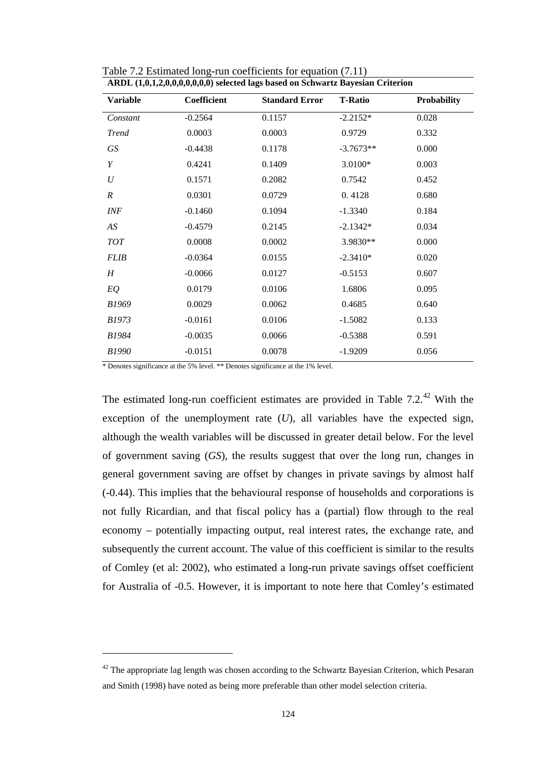| ARDL (1,0,1,2,0,0,0,0,0,0,0) selected lags based on Schwartz Bayesian Criterion |                    |                       |                |             |
|---------------------------------------------------------------------------------|--------------------|-----------------------|----------------|-------------|
| <b>Variable</b>                                                                 | <b>Coefficient</b> | <b>Standard Error</b> | <b>T-Ratio</b> | Probability |
| Constant                                                                        | $-0.2564$          | 0.1157                | $-2.2152*$     | 0.028       |
| <b>Trend</b>                                                                    | 0.0003             | 0.0003                | 0.9729         | 0.332       |
| GS                                                                              | $-0.4438$          | 0.1178                | $-3.7673**$    | 0.000       |
| Y                                                                               | 0.4241             | 0.1409                | 3.0100*        | 0.003       |
| $\boldsymbol{U}$                                                                | 0.1571             | 0.2082                | 0.7542         | 0.452       |
| $\boldsymbol{R}$                                                                | 0.0301             | 0.0729                | 0.4128         | 0.680       |
| <b>INF</b>                                                                      | $-0.1460$          | 0.1094                | $-1.3340$      | 0.184       |
| AS                                                                              | $-0.4579$          | 0.2145                | $-2.1342*$     | 0.034       |
| $TOT$                                                                           | 0.0008             | 0.0002                | 3.9830**       | 0.000       |
| <b>FLIB</b>                                                                     | $-0.0364$          | 0.0155                | $-2.3410*$     | 0.020       |
| $H_{\rm}$                                                                       | $-0.0066$          | 0.0127                | $-0.5153$      | 0.607       |
| EQ                                                                              | 0.0179             | 0.0106                | 1.6806         | 0.095       |
| B1969                                                                           | 0.0029             | 0.0062                | 0.4685         | 0.640       |
| <i>B1973</i>                                                                    | $-0.0161$          | 0.0106                | $-1.5082$      | 0.133       |
| <i>B1984</i>                                                                    | $-0.0035$          | 0.0066                | $-0.5388$      | 0.591       |
| <b>B1990</b>                                                                    | $-0.0151$          | 0.0078                | $-1.9209$      | 0.056       |
|                                                                                 |                    |                       |                |             |

Table 7.2 Estimated long-run coefficients for equation (7.11)

\* Denotes significance at the 5% level. \*\* Denotes significance at the 1% level.

 $\overline{a}$ 

The estimated long-run coefficient estimates are provided in Table  $7.2^{42}$  With the exception of the unemployment rate (*U*), all variables have the expected sign, although the wealth variables will be discussed in greater detail below. For the level of government saving (*GS*), the results suggest that over the long run, changes in general government saving are offset by changes in private savings by almost half (-0.44). This implies that the behavioural response of households and corporations is not fully Ricardian, and that fiscal policy has a (partial) flow through to the real economy – potentially impacting output, real interest rates, the exchange rate, and subsequently the current account. The value of this coefficient is similar to the results of Comley (et al: 2002), who estimated a long-run private savings offset coefficient for Australia of -0.5. However, it is important to note here that Comley's estimated

<span id="page-136-0"></span> $42$  The appropriate lag length was chosen according to the Schwartz Bayesian Criterion, which Pesaran and Smith (1998) have noted as being more preferable than other model selection criteria.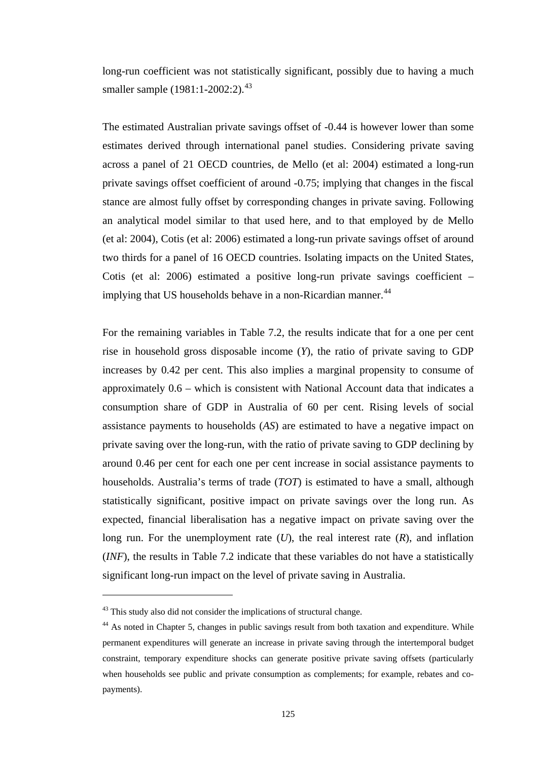long-run coefficient was not statistically significant, possibly due to having a much smaller sample (1981:1-2002:2).<sup>[43](#page-137-0)</sup>

The estimated Australian private savings offset of -0.44 is however lower than some estimates derived through international panel studies. Considering private saving across a panel of 21 OECD countries, de Mello (et al: 2004) estimated a long-run private savings offset coefficient of around -0.75; implying that changes in the fiscal stance are almost fully offset by corresponding changes in private saving. Following an analytical model similar to that used here, and to that employed by de Mello (et al: 2004), Cotis (et al: 2006) estimated a long-run private savings offset of around two thirds for a panel of 16 OECD countries. Isolating impacts on the United States, Cotis (et al: 2006) estimated a positive long-run private savings coefficient – implying that US households behave in a non-Ricardian manner.<sup>[44](#page-137-1)</sup>

For the remaining variables in Table 7.2, the results indicate that for a one per cent rise in household gross disposable income (*Y*), the ratio of private saving to GDP increases by 0.42 per cent. This also implies a marginal propensity to consume of approximately 0.6 – which is consistent with National Account data that indicates a consumption share of GDP in Australia of 60 per cent. Rising levels of social assistance payments to households (*AS*) are estimated to have a negative impact on private saving over the long-run, with the ratio of private saving to GDP declining by around 0.46 per cent for each one per cent increase in social assistance payments to households. Australia's terms of trade (*TOT*) is estimated to have a small, although statistically significant, positive impact on private savings over the long run. As expected, financial liberalisation has a negative impact on private saving over the long run. For the unemployment rate (*U*), the real interest rate (*R*), and inflation (*INF*), the results in Table 7.2 indicate that these variables do not have a statistically significant long-run impact on the level of private saving in Australia.

 $\overline{a}$ 

<span id="page-137-0"></span><sup>&</sup>lt;sup>43</sup> This study also did not consider the implications of structural change.

<span id="page-137-1"></span><sup>&</sup>lt;sup>44</sup> As noted in Chapter 5, changes in public savings result from both taxation and expenditure. While permanent expenditures will generate an increase in private saving through the intertemporal budget constraint, temporary expenditure shocks can generate positive private saving offsets (particularly when households see public and private consumption as complements; for example, rebates and copayments).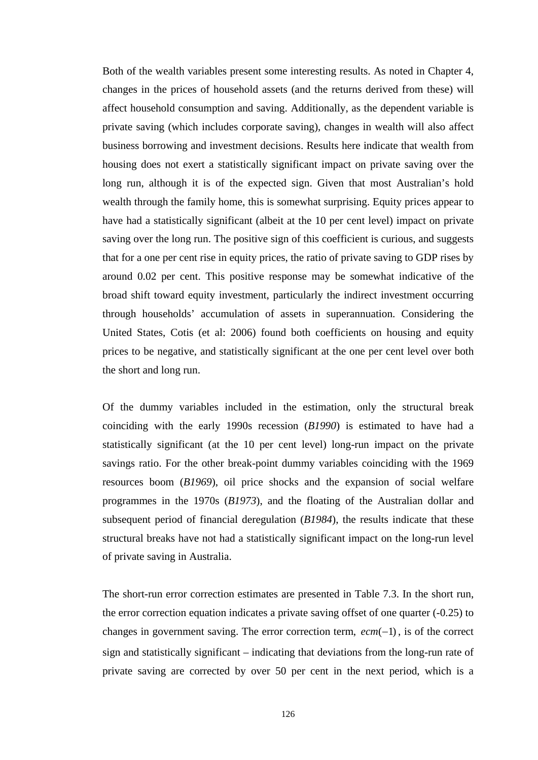Both of the wealth variables present some interesting results. As noted in Chapter 4, changes in the prices of household assets (and the returns derived from these) will affect household consumption and saving. Additionally, as the dependent variable is private saving (which includes corporate saving), changes in wealth will also affect business borrowing and investment decisions. Results here indicate that wealth from housing does not exert a statistically significant impact on private saving over the long run, although it is of the expected sign. Given that most Australian's hold wealth through the family home, this is somewhat surprising. Equity prices appear to have had a statistically significant (albeit at the 10 per cent level) impact on private saving over the long run. The positive sign of this coefficient is curious, and suggests that for a one per cent rise in equity prices, the ratio of private saving to GDP rises by around 0.02 per cent. This positive response may be somewhat indicative of the broad shift toward equity investment, particularly the indirect investment occurring through households' accumulation of assets in superannuation. Considering the United States, Cotis (et al: 2006) found both coefficients on housing and equity prices to be negative, and statistically significant at the one per cent level over both the short and long run.

Of the dummy variables included in the estimation, only the structural break coinciding with the early 1990s recession (*B1990*) is estimated to have had a statistically significant (at the 10 per cent level) long-run impact on the private savings ratio. For the other break-point dummy variables coinciding with the 1969 resources boom (*B1969*), oil price shocks and the expansion of social welfare programmes in the 1970s (*B1973*), and the floating of the Australian dollar and subsequent period of financial deregulation (*B1984*), the results indicate that these structural breaks have not had a statistically significant impact on the long-run level of private saving in Australia.

The short-run error correction estimates are presented in Table 7.3. In the short run, the error correction equation indicates a private saving offset of one quarter (-0.25) to changes in government saving. The error correction term,  $ecm(-1)$ , is of the correct sign and statistically significant – indicating that deviations from the long-run rate of private saving are corrected by over 50 per cent in the next period, which is a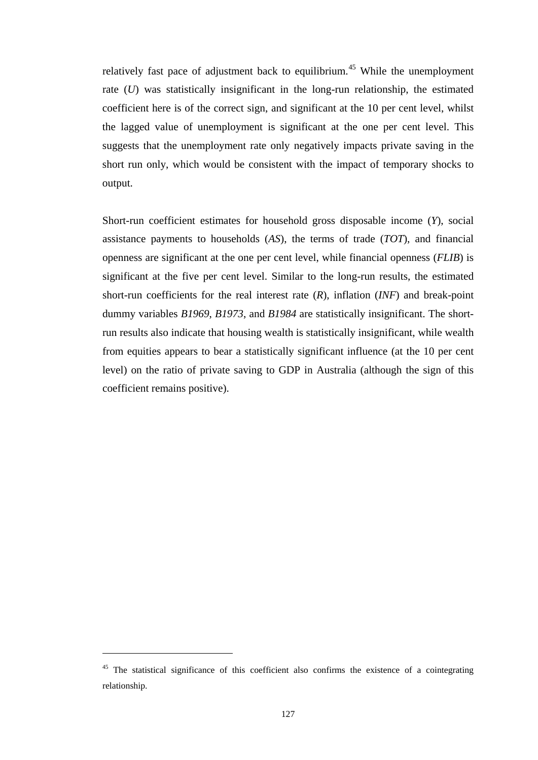relatively fast pace of adjustment back to equilibrium.<sup>45</sup> While the unemployment rate (*U*) was statistically insignificant in the long-run relationship, the estimated coefficient here is of the correct sign, and significant at the 10 per cent level, whilst the lagged value of unemployment is significant at the one per cent level. This suggests that the unemployment rate only negatively impacts private saving in the short run only, which would be consistent with the impact of temporary shocks to output.

Short-run coefficient estimates for household gross disposable income (*Y*), social assistance payments to households (*AS*), the terms of trade (*TOT*), and financial openness are significant at the one per cent level, while financial openness (*FLIB*) is significant at the five per cent level. Similar to the long-run results, the estimated short-run coefficients for the real interest rate (*R*), inflation (*INF*) and break-point dummy variables *B1969*, *B1973*, and *B1984* are statistically insignificant. The shortrun results also indicate that housing wealth is statistically insignificant, while wealth from equities appears to bear a statistically significant influence (at the 10 per cent level) on the ratio of private saving to GDP in Australia (although the sign of this coefficient remains positive).

 $\overline{a}$ 

<span id="page-139-0"></span><sup>&</sup>lt;sup>45</sup> The statistical significance of this coefficient also confirms the existence of a cointegrating relationship.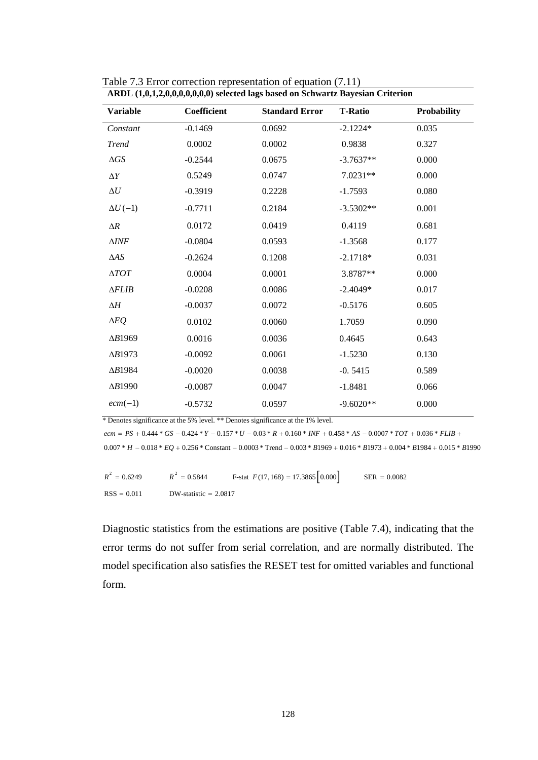| ARDL (1,0,1,2,0,0,0,0,0,0,0) selected lags based on Schwartz Bayesian Criterion |                    |                       |                |                    |
|---------------------------------------------------------------------------------|--------------------|-----------------------|----------------|--------------------|
| <b>Variable</b>                                                                 | <b>Coefficient</b> | <b>Standard Error</b> | <b>T-Ratio</b> | <b>Probability</b> |
| Constant                                                                        | $-0.1469$          | 0.0692                | $-2.1224*$     | 0.035              |
| <b>Trend</b>                                                                    | 0.0002             | 0.0002                | 0.9838         | 0.327              |
| $\Delta GS$                                                                     | $-0.2544$          | 0.0675                | $-3.7637**$    | 0.000              |
| $\Delta Y$                                                                      | 0.5249             | 0.0747                | 7.0231**       | 0.000              |
| $\Delta U$                                                                      | $-0.3919$          | 0.2228                | $-1.7593$      | 0.080              |
| $\Delta U(-1)$                                                                  | $-0.7711$          | 0.2184                | $-3.5302**$    | 0.001              |
| $\Delta R$                                                                      | 0.0172             | 0.0419                | 0.4119         | 0.681              |
| $\Delta INF$                                                                    | $-0.0804$          | 0.0593                | $-1.3568$      | 0.177              |
| $\Delta AS$                                                                     | $-0.2624$          | 0.1208                | $-2.1718*$     | 0.031              |
| $\triangle TOT$                                                                 | 0.0004             | 0.0001                | 3.8787**       | 0.000              |
| $\triangle FLIB$                                                                | $-0.0208$          | 0.0086                | $-2.4049*$     | 0.017              |
| $\Delta H$                                                                      | $-0.0037$          | 0.0072                | $-0.5176$      | 0.605              |
| $\Delta EQ$                                                                     | 0.0102             | 0.0060                | 1.7059         | 0.090              |
| $\Delta B1969$                                                                  | 0.0016             | 0.0036                | 0.4645         | 0.643              |
| $\Delta B1973$                                                                  | $-0.0092$          | 0.0061                | $-1.5230$      | 0.130              |
| $\Delta B1984$                                                                  | $-0.0020$          | 0.0038                | $-0.5415$      | 0.589              |
| $\Delta B1990$                                                                  | $-0.0087$          | 0.0047                | $-1.8481$      | 0.066              |
| $ecm(-1)$                                                                       | $-0.5732$          | 0.0597                | $-9.6020**$    | 0.000              |
|                                                                                 |                    |                       |                |                    |

Table 7.3 Error correction representation of equation (7.11)

\* Denotes significance at the 5% level. \*\* Denotes significance at the 1% level.

 $ecm = PS + 0.444 * GS - 0.424 * Y - 0.157 * U - 0.03 * R + 0.160 * INF + 0.458 * AS - 0.0007 * TOT + 0.036 * FLIB + 0.458 * A.S - 0.0007 * TOT + 0.036 * FLIB + 0.0007 * TOT + 0.0007 * TOT + 0.0007 * TOT + 0.0007 * TOT + 0.0007 * TOT + 0.0007 * TUT + 0.0007 * TUT + 0.0007 * TUT + 0.0007 * TUT + 0.0007 * TUT$ 

0.007 \*  $H - 0.018$  \*  $EQ + 0.256$  \* Constant  $- 0.0003$  \* Trend  $- 0.003$  \*  $B1969 + 0.016$  \*  $B1973 + 0.004$  \*  $B1984 + 0.015$  \*  $B1990$ 

 $R^2 = 0.6249$   $\overline{R}^2$  $\overline{R}^2$  = 0.5844 **F**-stat  $F(17,168) = 17.3865 \begin{bmatrix} 0.000 \end{bmatrix}$  SER = 0.0082  $RSS = 0.011$  DW-statistic = 2.0817

Diagnostic statistics from the estimations are positive (Table 7.4), indicating that the error terms do not suffer from serial correlation, and are normally distributed. The model specification also satisfies the RESET test for omitted variables and functional form.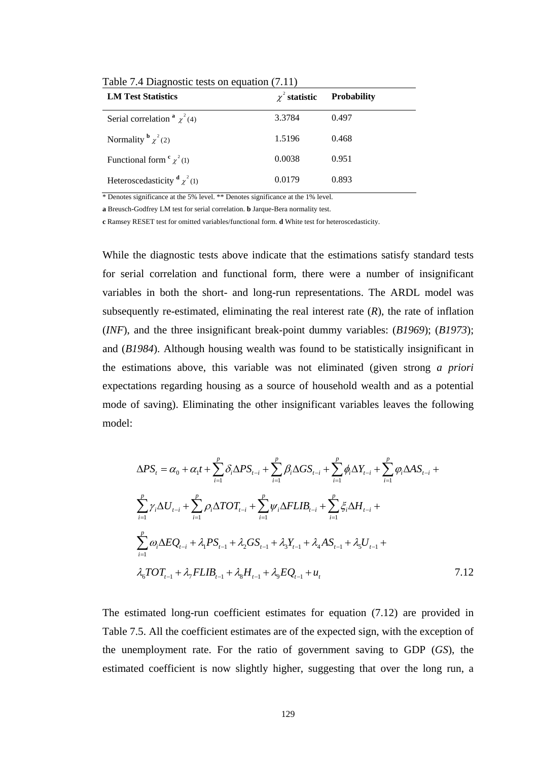| <b>LM Test Statistics</b>                  | $\chi^2$ statistic | <b>Probability</b> |
|--------------------------------------------|--------------------|--------------------|
| Serial correlation $\alpha^2$ $\chi^2$ (4) | 3.3784             | 0.497              |
| Normality $\frac{b}{\chi^2(2)}$            | 1.5196             | 0.468              |
| Functional form $\frac{c}{\chi^2(1)}$      | 0.0038             | 0.951              |
| Heteroscedasticity $\frac{d}{\chi^2(1)}$   | 0.0179             | 0.893              |

Table 7.4 Diagnostic tests on equation (7.11)

\* Denotes significance at the 5% level. \*\* Denotes significance at the 1% level.

**a** Breusch-Godfrey LM test for serial correlation. **b** Jarque-Bera normality test.

**c** Ramsey RESET test for omitted variables/functional form. **d** White test for heteroscedasticity.

While the diagnostic tests above indicate that the estimations satisfy standard tests for serial correlation and functional form, there were a number of insignificant variables in both the short- and long-run representations. The ARDL model was subsequently re-estimated, eliminating the real interest rate  $(R)$ , the rate of inflation (*INF*), and the three insignificant break-point dummy variables: (*B1969*); (*B1973*); and (*B1984*). Although housing wealth was found to be statistically insignificant in the estimations above, this variable was not eliminated (given strong *a priori* expectations regarding housing as a source of household wealth and as a potential mode of saving). Eliminating the other insignificant variables leaves the following model:

$$
\Delta PS_{t} = \alpha_{0} + \alpha_{1}t + \sum_{i=1}^{p} \delta_{i}\Delta PS_{t-i} + \sum_{i=1}^{p} \beta_{i}\Delta GS_{t-i} + \sum_{i=1}^{p} \phi_{i}\Delta Y_{t-i} + \sum_{i=1}^{p} \phi_{i}\Delta AS_{t-i} + \sum_{i=1}^{p} \gamma_{i}\Delta U_{t-i} + \sum_{i=1}^{p} \rho_{i}\Delta TOT_{t-i} + \sum_{i=1}^{p} \psi_{i}\Delta FLIB_{t-i} + \sum_{i=1}^{p} \xi_{i}\Delta H_{t-i} + \sum_{i=1}^{p} \omega_{i}\Delta EQ_{t-i} + \lambda_{1} PS_{t-1} + \lambda_{2} GS_{t-1} + \lambda_{3} Y_{t-1} + \lambda_{4} AS_{t-1} + \lambda_{5} U_{t-1} + \lambda_{6} TOT_{t-1} + \lambda_{7} FLIB_{t-1} + \lambda_{8} H_{t-1} + \lambda_{9} EQ_{t-1} + u_{t}
$$
\n7.12

The estimated long-run coefficient estimates for equation (7.12) are provided in Table 7.5. All the coefficient estimates are of the expected sign, with the exception of the unemployment rate. For the ratio of government saving to GDP (*GS*), the estimated coefficient is now slightly higher, suggesting that over the long run, a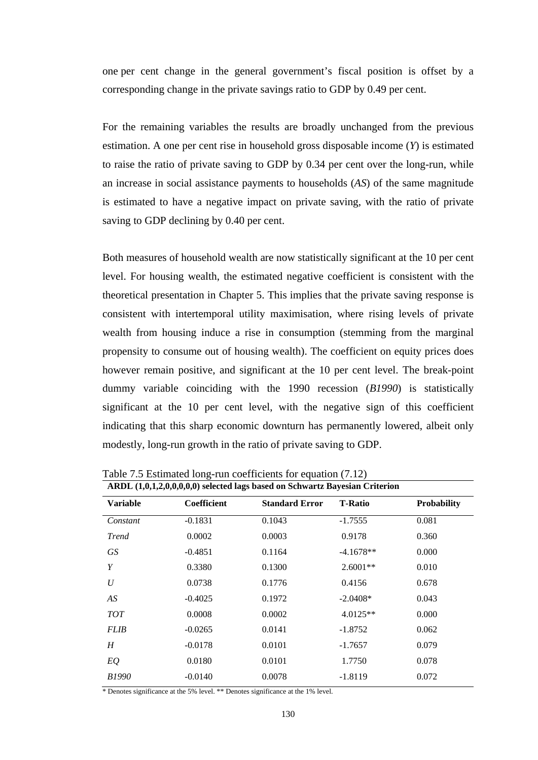one per cent change in the general government's fiscal position is offset by a corresponding change in the private savings ratio to GDP by 0.49 per cent.

For the remaining variables the results are broadly unchanged from the previous estimation. A one per cent rise in household gross disposable income (*Y*) is estimated to raise the ratio of private saving to GDP by 0.34 per cent over the long-run, while an increase in social assistance payments to households (*AS*) of the same magnitude is estimated to have a negative impact on private saving, with the ratio of private saving to GDP declining by 0.40 per cent.

Both measures of household wealth are now statistically significant at the 10 per cent level. For housing wealth, the estimated negative coefficient is consistent with the theoretical presentation in Chapter 5. This implies that the private saving response is consistent with intertemporal utility maximisation, where rising levels of private wealth from housing induce a rise in consumption (stemming from the marginal propensity to consume out of housing wealth). The coefficient on equity prices does however remain positive, and significant at the 10 per cent level. The break-point dummy variable coinciding with the 1990 recession (*B1990*) is statistically significant at the 10 per cent level, with the negative sign of this coefficient indicating that this sharp economic downturn has permanently lowered, albeit only modestly, long-run growth in the ratio of private saving to GDP.

| ARDL (1,0,1,2,0,0,0,0,0) selected lags based on Schwartz Bayesian Criterion |                    |                       |                |                    |
|-----------------------------------------------------------------------------|--------------------|-----------------------|----------------|--------------------|
| <b>Variable</b>                                                             | <b>Coefficient</b> | <b>Standard Error</b> | <b>T-Ratio</b> | <b>Probability</b> |
| Constant                                                                    | $-0.1831$          | 0.1043                | $-1.7555$      | 0.081              |
| <b>Trend</b>                                                                | 0.0002             | 0.0003                | 0.9178         | 0.360              |
| GS                                                                          | $-0.4851$          | 0.1164                | $-4.1678**$    | 0.000              |
| Y                                                                           | 0.3380             | 0.1300                | $2.6001**$     | 0.010              |
| U                                                                           | 0.0738             | 0.1776                | 0.4156         | 0.678              |
| AS                                                                          | $-0.4025$          | 0.1972                | $-2.0408*$     | 0.043              |
| <b>TOT</b>                                                                  | 0.0008             | 0.0002                | $4.0125**$     | 0.000              |
| <b>FLIB</b>                                                                 | $-0.0265$          | 0.0141                | $-1.8752$      | 0.062              |
| H                                                                           | $-0.0178$          | 0.0101                | $-1.7657$      | 0.079              |
| EQ                                                                          | 0.0180             | 0.0101                | 1.7750         | 0.078              |
| <i>B1990</i>                                                                | $-0.0140$          | 0.0078                | $-1.8119$      | 0.072              |

Table 7.5 Estimated long-run coefficients for equation (7.12)

\* Denotes significance at the 5% level. \*\* Denotes significance at the 1% level.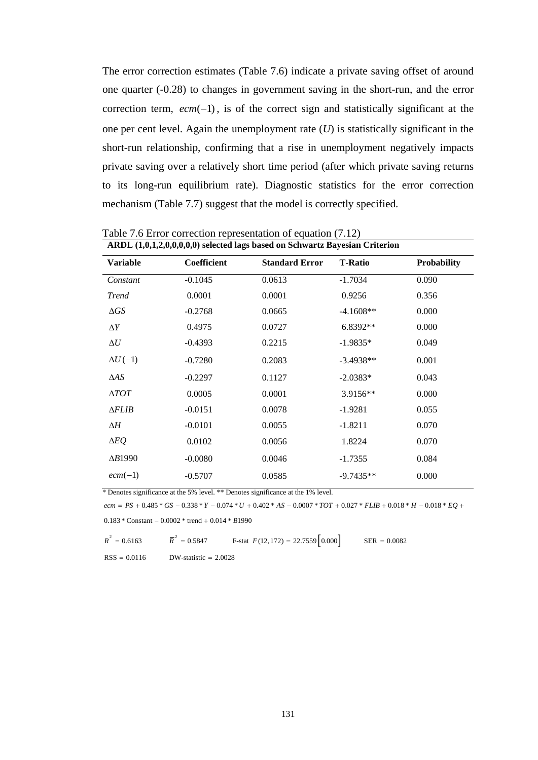The error correction estimates (Table 7.6) indicate a private saving offset of around one quarter (-0.28) to changes in government saving in the short-run, and the error correction term,  $ecm$  −1), is of the correct sign and statistically significant at the one per cent level. Again the unemployment rate (*U*) is statistically significant in the short-run relationship, confirming that a rise in unemployment negatively impacts private saving over a relatively short time period (after which private saving returns to its long-run equilibrium rate). Diagnostic statistics for the error correction mechanism (Table 7.7) suggest that the model is correctly specified.

| ARDL (1,0,1,2,0,0,0,0,0) selected lags based on Schwartz Bayesian Criterion |                    |                       |                |                    |
|-----------------------------------------------------------------------------|--------------------|-----------------------|----------------|--------------------|
| <b>Variable</b>                                                             | <b>Coefficient</b> | <b>Standard Error</b> | <b>T-Ratio</b> | <b>Probability</b> |
| Constant                                                                    | $-0.1045$          | 0.0613                | $-1.7034$      | 0.090              |
| <b>Trend</b>                                                                | 0.0001             | 0.0001                | 0.9256         | 0.356              |
| $\Delta GS$                                                                 | $-0.2768$          | 0.0665                | $-4.1608**$    | 0.000              |
| $\Delta Y$                                                                  | 0.4975             | 0.0727                | 6.8392**       | 0.000              |
| $\Delta U$                                                                  | $-0.4393$          | 0.2215                | $-1.9835*$     | 0.049              |
| $\Delta U(-1)$                                                              | $-0.7280$          | 0.2083                | $-3.4938**$    | 0.001              |
| $\triangle AS$                                                              | $-0.2297$          | 0.1127                | $-2.0383*$     | 0.043              |
| $\Delta T O T$                                                              | 0.0005             | 0.0001                | 3.9156**       | 0.000              |
| $\triangle FLIB$                                                            | $-0.0151$          | 0.0078                | $-1.9281$      | 0.055              |
| ΔΗ                                                                          | $-0.0101$          | 0.0055                | $-1.8211$      | 0.070              |
| $\Delta EQ$                                                                 | 0.0102             | 0.0056                | 1.8224         | 0.070              |
| $\Delta B1990$                                                              | $-0.0080$          | 0.0046                | $-1.7355$      | 0.084              |
| $ecm(-1)$                                                                   | $-0.5707$          | 0.0585                | $-9.7435**$    | 0.000              |

Table 7.6 Error correction representation of equation (7.12)

\* Denotes significance at the 5% level. \*\* Denotes significance at the 1% level.

 $ecm = PS + 0.485 * GS - 0.338 * Y - 0.074 * U + 0.402 * AS - 0.0007 * TOT + 0.027 * FLIB + 0.018 * H - 0.018 * EQ + 0.018 * U + 0.018 * U + 0.018 * U + 0.018 * U + 0.018 * U + 0.018 * U + 0.018 * U + 0.018 * U + 0.018 * U + 0.018 * U + 0.018 * U + 0.018 * U + 0.018 * U + 0.018 * U + 0.018 * U + 0.01$  $0.183 *$  Constant  $-0.0002 *$  trend  $+ 0.014 * B1990$ 

 $R^2 = 0.6163$   $\overline{R}^2$  $\overline{R}^2 = 0.5847$  F-stat  $F(12,172) = 22.7559 \begin{bmatrix} 0.000 \end{bmatrix}$  SER = 0.0082

 $RSS = 0.0116$  DW-statistic = 2.0028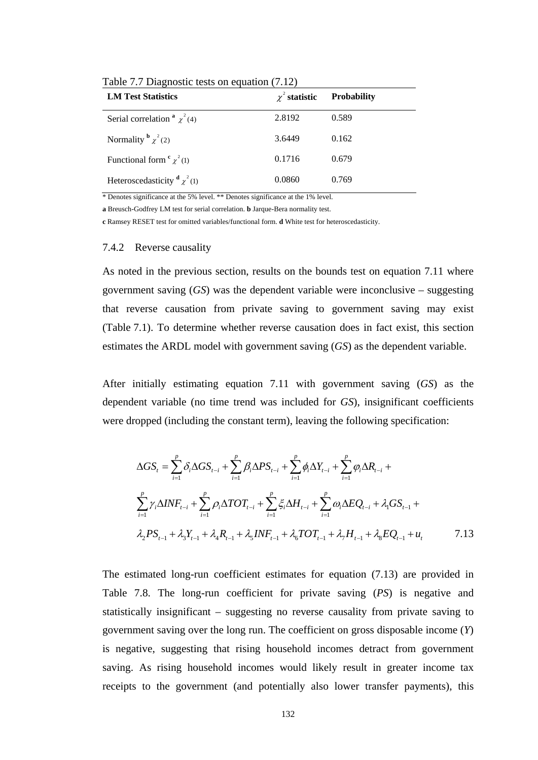| <b>LM Test Statistics</b>                  | $\chi^2$ statistic | <b>Probability</b> |
|--------------------------------------------|--------------------|--------------------|
| Serial correlation $\alpha^2$ $\chi^2$ (4) | 2.8192             | 0.589              |
| Normality $\frac{b}{\chi^2(2)}$            | 3.6449             | 0.162              |
| Functional form $\frac{c}{\chi^2(1)}$      | 0.1716             | 0.679              |
| Heteroscedasticity $\frac{d}{\chi^2(1)}$   | 0.0860             | 0.769              |

Table 7.7 Diagnostic tests on equation (7.12)

\* Denotes significance at the 5% level. \*\* Denotes significance at the 1% level.

**a** Breusch-Godfrey LM test for serial correlation. **b** Jarque-Bera normality test.

**c** Ramsey RESET test for omitted variables/functional form. **d** White test for heteroscedasticity.

#### 7.4.2 Reverse causality

As noted in the previous section, results on the bounds test on equation 7.11 where government saving (*GS*) was the dependent variable were inconclusive – suggesting that reverse causation from private saving to government saving may exist (Table 7.1). To determine whether reverse causation does in fact exist, this section estimates the ARDL model with government saving (*GS*) as the dependent variable.

After initially estimating equation 7.11 with government saving (*GS*) as the dependent variable (no time trend was included for *GS*), insignificant coefficients were dropped (including the constant term), leaving the following specification:

$$
\Delta GS_{t} = \sum_{i=1}^{p} \delta_{i} \Delta GS_{t-i} + \sum_{i=1}^{p} \beta_{i} \Delta PS_{t-i} + \sum_{i=1}^{p} \phi_{i} \Delta Y_{t-i} + \sum_{i=1}^{p} \phi_{i} \Delta R_{t-i} + \sum_{i=1}^{p} \gamma_{i} \Delta INF_{t-i} + \sum_{i=1}^{p} \rho_{i} \Delta TOT_{t-i} + \sum_{i=1}^{p} \xi_{i} \Delta H_{t-i} + \sum_{i=1}^{p} \omega_{i} \Delta EQ_{t-i} + \lambda_{i} GS_{t-1} + \lambda_{i} PS_{t-1} + \lambda_{i} PS_{t-1} + \lambda_{i} R_{t-1} + \lambda_{i} R_{t-1} + \lambda_{i} INT_{t-1} + \lambda_{i} TOT_{t-1} + \lambda_{i} H_{t-1} + \lambda_{i} EQ_{t-1} + u_{t}
$$
7.13

The estimated long-run coefficient estimates for equation (7.13) are provided in Table 7.8. The long-run coefficient for private saving (*PS*) is negative and statistically insignificant – suggesting no reverse causality from private saving to government saving over the long run. The coefficient on gross disposable income (*Y*) is negative, suggesting that rising household incomes detract from government saving. As rising household incomes would likely result in greater income tax receipts to the government (and potentially also lower transfer payments), this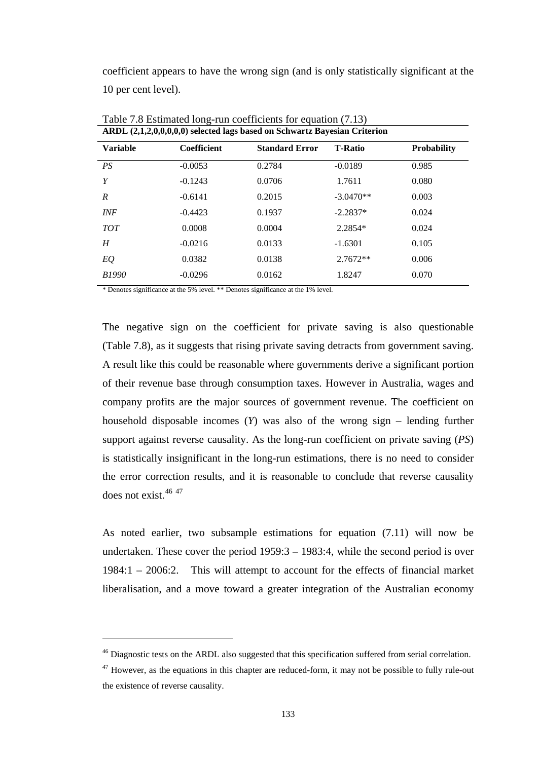coefficient appears to have the wrong sign (and is only statistically significant at the 10 per cent level).

| ARDL (2,1,2,0,0,0,0,0) selected lags based on Schwartz Bayesian Criterion |             |                       |                |                    |
|---------------------------------------------------------------------------|-------------|-----------------------|----------------|--------------------|
| <b>Variable</b>                                                           | Coefficient | <b>Standard Error</b> | <b>T-Ratio</b> | <b>Probability</b> |
| PS                                                                        | $-0.0053$   | 0.2784                | $-0.0189$      | 0.985              |
| Y                                                                         | $-0.1243$   | 0.0706                | 1.7611         | 0.080              |
| R                                                                         | $-0.6141$   | 0.2015                | $-3.0470**$    | 0.003              |
| <b>INF</b>                                                                | $-0.4423$   | 0.1937                | $-2.2837*$     | 0.024              |
| <b>TOT</b>                                                                | 0.0008      | 0.0004                | 2.2854*        | 0.024              |
| H                                                                         | $-0.0216$   | 0.0133                | $-1.6301$      | 0.105              |
| EQ                                                                        | 0.0382      | 0.0138                | $2.7672**$     | 0.006              |
| B1990                                                                     | $-0.0296$   | 0.0162                | 1.8247         | 0.070              |
|                                                                           |             |                       |                |                    |

Table 7.8 Estimated long-run coefficients for equation (7.13)

\* Denotes significance at the 5% level. \*\* Denotes significance at the 1% level.

 $\overline{a}$ 

The negative sign on the coefficient for private saving is also questionable (Table 7.8), as it suggests that rising private saving detracts from government saving. A result like this could be reasonable where governments derive a significant portion of their revenue base through consumption taxes. However in Australia, wages and company profits are the major sources of government revenue. The coefficient on household disposable incomes (*Y*) was also of the wrong sign – lending further support against reverse causality. As the long-run coefficient on private saving (*PS*) is statistically insignificant in the long-run estimations, there is no need to consider the error correction results, and it is reasonable to conclude that reverse causality does not exist.<sup>[46](#page-145-0) [47](#page-145-1)</sup>

As noted earlier, two subsample estimations for equation (7.11) will now be undertaken. These cover the period 1959:3 – 1983:4, while the second period is over 1984:1 – 2006:2. This will attempt to account for the effects of financial market liberalisation, and a move toward a greater integration of the Australian economy

<span id="page-145-0"></span><sup>&</sup>lt;sup>46</sup> Diagnostic tests on the ARDL also suggested that this specification suffered from serial correlation.

<span id="page-145-1"></span> $47$  However, as the equations in this chapter are reduced-form, it may not be possible to fully rule-out the existence of reverse causality.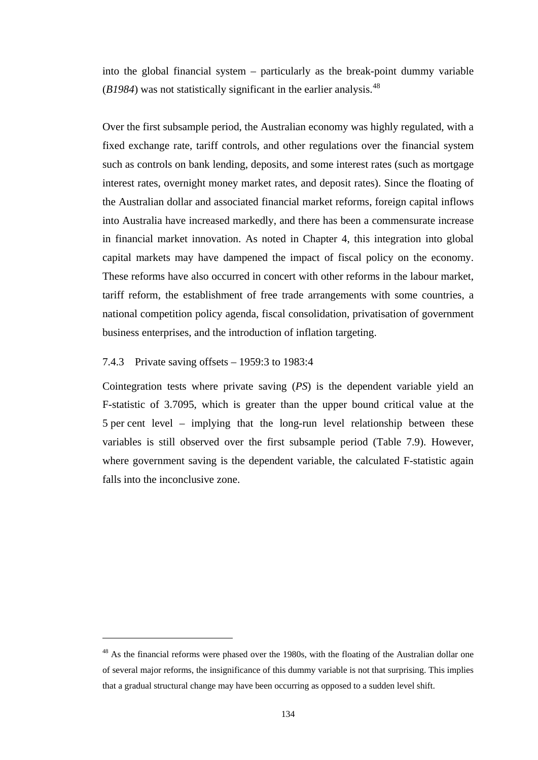into the global financial system – particularly as the break-point dummy variable  $(B1984)$  was not statistically significant in the earlier analysis.<sup>[48](#page-146-0)</sup>

Over the first subsample period, the Australian economy was highly regulated, with a fixed exchange rate, tariff controls, and other regulations over the financial system such as controls on bank lending, deposits, and some interest rates (such as mortgage interest rates, overnight money market rates, and deposit rates). Since the floating of the Australian dollar and associated financial market reforms, foreign capital inflows into Australia have increased markedly, and there has been a commensurate increase in financial market innovation. As noted in Chapter 4, this integration into global capital markets may have dampened the impact of fiscal policy on the economy. These reforms have also occurred in concert with other reforms in the labour market, tariff reform, the establishment of free trade arrangements with some countries, a national competition policy agenda, fiscal consolidation, privatisation of government business enterprises, and the introduction of inflation targeting.

# 7.4.3 Private saving offsets – 1959:3 to 1983:4

 $\overline{a}$ 

Cointegration tests where private saving (*PS*) is the dependent variable yield an F-statistic of 3.7095, which is greater than the upper bound critical value at the 5 per cent level – implying that the long-run level relationship between these variables is still observed over the first subsample period (Table 7.9). However, where government saving is the dependent variable, the calculated F-statistic again falls into the inconclusive zone.

<span id="page-146-0"></span><sup>&</sup>lt;sup>48</sup> As the financial reforms were phased over the 1980s, with the floating of the Australian dollar one of several major reforms, the insignificance of this dummy variable is not that surprising. This implies that a gradual structural change may have been occurring as opposed to a sudden level shift.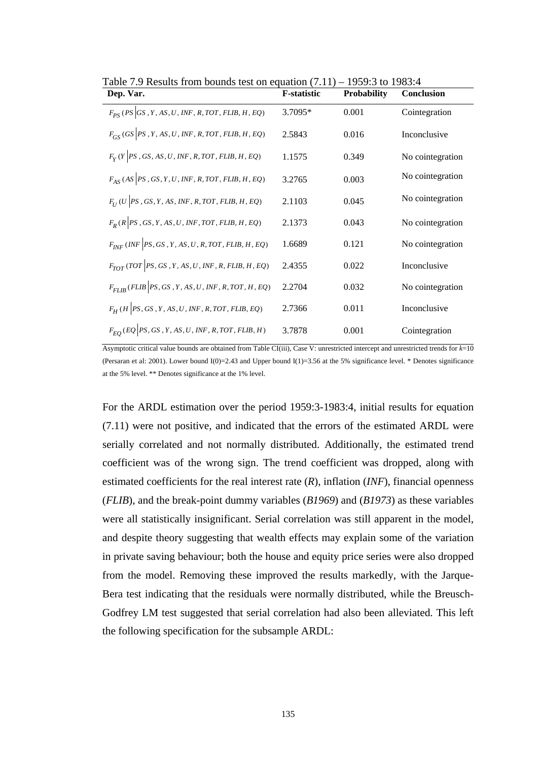| Dep. Var.                                                | <b>F-statistic</b> | <b>Probability</b> | <b>Conclusion</b> |
|----------------------------------------------------------|--------------------|--------------------|-------------------|
| $F_{PS}$ (PS GS, Y, AS, U, INF, R, TOT, FLIB, H, EQ)     | 3.7095*            | 0.001              | Cointegration     |
| $F_{GS}$ (GS  PS, Y, AS, U, INF, R, TOT, FLIB, H, EQ)    | 2.5843             | 0.016              | Inconclusive      |
| $F_Y(Y PS, GS, AS, U, INF, R, TOT, FLIB, H, EQ)$         | 1.1575             | 0.349              | No cointegration  |
| $F_{AS}$ (AS PS, GS, Y, U, INF, R, TOT, FLIB, H, EQ)     | 3.2765             | 0.003              | No cointegration  |
| $F_{II}$ (U  PS, GS, Y, AS, INF, R, TOT, FLIB, H, EQ)    | 2.1103             | 0.045              | No cointegration  |
| $F_R$ (R   PS , GS, Y, AS, U, INF, TOT, FLIB, H, EQ)     | 2.1373             | 0.043              | No cointegration  |
| $F_{INF}$ (INF PS, GS, Y, AS, U, R, TOT, FLIB, H, EQ)    | 1.6689             | 0.121              | No cointegration  |
| $F_{TOT}$ (TOT PS, GS, Y, AS, U, INF, R, FLIB, H, EQ)    | 2.4355             | 0.022              | Inconclusive      |
| $F_{FIJR}$ (FLIB   PS, GS, Y, AS, U, INF, R, TOT, H, EQ) | 2.2704             | 0.032              | No cointegration  |
| $F_H$ (H PS, GS, Y, AS, U, INF, R, TOT, FLIB, EQ)        | 2.7366             | 0.011              | Inconclusive      |
| $F_{EO}$ (EQ PS, GS, Y, AS, U, INF, R, TOT, FLIB, H)     | 3.7878             | 0.001              | Cointegration     |

Table 7.9 Results from bounds test on equation  $(7.11)$  – 1959:3 to 1983:4

Asymptotic critical value bounds are obtained from Table CI(iii), Case V: unrestricted intercept and unrestricted trends for *k*=10 (Persaran et al: 2001). Lower bound  $I(0)=2.43$  and Upper bound  $I(1)=3.56$  at the 5% significance level. \* Denotes significance at the 5% level. \*\* Denotes significance at the 1% level.

For the ARDL estimation over the period 1959:3-1983:4, initial results for equation (7.11) were not positive, and indicated that the errors of the estimated ARDL were serially correlated and not normally distributed. Additionally, the estimated trend coefficient was of the wrong sign. The trend coefficient was dropped, along with estimated coefficients for the real interest rate (*R*), inflation (*INF*), financial openness (*FLIB*), and the break-point dummy variables (*B1969*) and (*B1973*) as these variables were all statistically insignificant. Serial correlation was still apparent in the model, and despite theory suggesting that wealth effects may explain some of the variation in private saving behaviour; both the house and equity price series were also dropped from the model. Removing these improved the results markedly, with the Jarque-Bera test indicating that the residuals were normally distributed, while the Breusch-Godfrey LM test suggested that serial correlation had also been alleviated. This left the following specification for the subsample ARDL: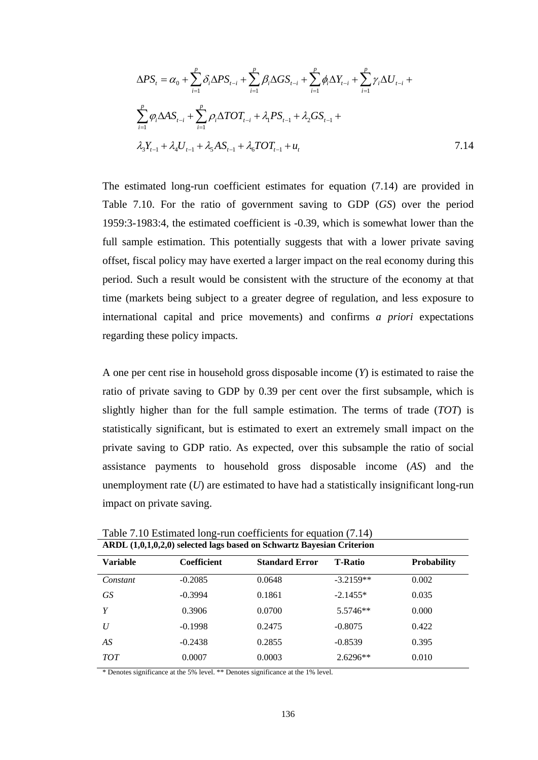$$
\Delta PS_{t} = \alpha_{0} + \sum_{i=1}^{p} \delta_{i} \Delta PS_{t-i} + \sum_{i=1}^{p} \beta_{i} \Delta GS_{t-i} + \sum_{i=1}^{p} \phi_{i} \Delta Y_{t-i} + \sum_{i=1}^{p} \gamma_{i} \Delta U_{t-i} + \sum_{i=1}^{p} \phi_{i} \Delta AS_{t-i} + \sum_{i=1}^{p} \rho_{i} \Delta TOT_{t-i} + \lambda_{1} PS_{t-1} + \lambda_{2} GS_{t-1} + \lambda_{3} X_{t-1} + \lambda_{4} U_{t-1} + \lambda_{5} AS_{t-1} + \lambda_{6} TOT_{t-1} + u_{t}
$$
\n7.14

The estimated long-run coefficient estimates for equation (7.14) are provided in Table 7.10. For the ratio of government saving to GDP (*GS*) over the period 1959:3-1983:4, the estimated coefficient is -0.39, which is somewhat lower than the full sample estimation. This potentially suggests that with a lower private saving offset, fiscal policy may have exerted a larger impact on the real economy during this period. Such a result would be consistent with the structure of the economy at that time (markets being subject to a greater degree of regulation, and less exposure to international capital and price movements) and confirms *a priori* expectations regarding these policy impacts.

A one per cent rise in household gross disposable income (*Y*) is estimated to raise the ratio of private saving to GDP by 0.39 per cent over the first subsample, which is slightly higher than for the full sample estimation. The terms of trade (*TOT*) is statistically significant, but is estimated to exert an extremely small impact on the private saving to GDP ratio. As expected, over this subsample the ratio of social assistance payments to household gross disposable income (*AS*) and the unemployment rate (*U*) are estimated to have had a statistically insignificant long-run impact on private saving.

|                 | $11101$ (1,0,1,0,1,0,2,0) beleeved tags based on Sen wat to Day column Criterion |                       |                |                    |  |
|-----------------|----------------------------------------------------------------------------------|-----------------------|----------------|--------------------|--|
| <b>Variable</b> | Coefficient                                                                      | <b>Standard Error</b> | <b>T-Ratio</b> | <b>Probability</b> |  |
| Constant        | $-0.2085$                                                                        | 0.0648                | $-3.2159**$    | 0.002              |  |
| <b>GS</b>       | $-0.3994$                                                                        | 0.1861                | $-2.1455*$     | 0.035              |  |
| Y               | 0.3906                                                                           | 0.0700                | 5.5746**       | 0.000              |  |
| U               | $-0.1998$                                                                        | 0.2475                | $-0.8075$      | 0.422              |  |
| AS              | $-0.2438$                                                                        | 0.2855                | $-0.8539$      | 0.395              |  |
| <b>TOT</b>      | 0.0007                                                                           | 0.0003                | $2.6296**$     | 0.010              |  |
|                 |                                                                                  |                       |                |                    |  |

Table 7.10 Estimated long-run coefficients for equation (7.14) **ARDL (1,0,1,0,2,0) selected lags based on Schwartz Bayesian Criterion** 

\* Denotes significance at the 5% level. \*\* Denotes significance at the 1% level.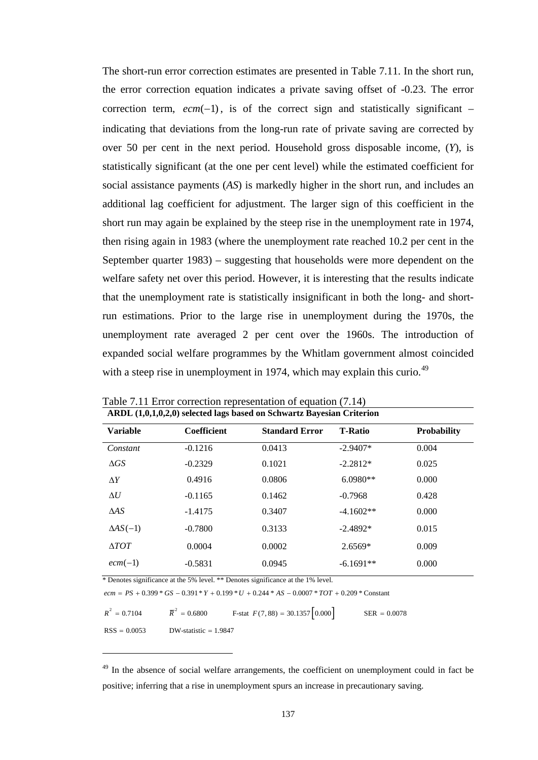The short-run error correction estimates are presented in Table 7.11. In the short run, the error correction equation indicates a private saving offset of -0.23. The error correction term,  $ecm(-1)$ , is of the correct sign and statistically significant – indicating that deviations from the long-run rate of private saving are corrected by over 50 per cent in the next period. Household gross disposable income, (*Y*), is statistically significant (at the one per cent level) while the estimated coefficient for social assistance payments (*AS*) is markedly higher in the short run, and includes an additional lag coefficient for adjustment. The larger sign of this coefficient in the short run may again be explained by the steep rise in the unemployment rate in 1974, then rising again in 1983 (where the unemployment rate reached 10.2 per cent in the September quarter 1983) – suggesting that households were more dependent on the welfare safety net over this period. However, it is interesting that the results indicate that the unemployment rate is statistically insignificant in both the long- and shortrun estimations. Prior to the large rise in unemployment during the 1970s, the unemployment rate averaged 2 per cent over the 1960s. The introduction of expanded social welfare programmes by the Whitlam government almost coincided with a steep rise in unemployment in 1974, which may explain this curio.<sup>[49](#page-149-0)</sup>

| ARDL (1,0,1,0,2,0) selected lags based on Schwartz Bayesian Criterion |                    |                       |                |                    |
|-----------------------------------------------------------------------|--------------------|-----------------------|----------------|--------------------|
| <b>Variable</b>                                                       | <b>Coefficient</b> | <b>Standard Error</b> | <b>T-Ratio</b> | <b>Probability</b> |
| Constant                                                              | $-0.1216$          | 0.0413                | $-2.9407*$     | 0.004              |
| $\Delta GS$                                                           | $-0.2329$          | 0.1021                | $-2.2812*$     | 0.025              |
| $\Delta Y$                                                            | 0.4916             | 0.0806                | $6.0980**$     | 0.000              |
| $\Delta U$                                                            | $-0.1165$          | 0.1462                | $-0.7968$      | 0.428              |
| $\triangle AS$                                                        | $-1.4175$          | 0.3407                | $-4.1602**$    | 0.000              |
| $\Delta AS(-1)$                                                       | $-0.7800$          | 0.3133                | $-2.4892*$     | 0.015              |
| $\triangle TOT$                                                       | 0.0004             | 0.0002                | $2.6569*$      | 0.009              |
| $ecm(-1)$                                                             | $-0.5831$          | 0.0945                | $-6.1691**$    | 0.000              |

Table 7.11 Error correction representation of equation (7.14)

\* Denotes significance at the 5% level. \*\* Denotes significance at the 1% level.

 $\overline{a}$ 

 $ecm = PS + 0.399 * GS - 0.391 * Y + 0.199 * U + 0.244 * AS - 0.0007 * TOT + 0.209 * Constant$ 

| $R^2 = 0.7104$ | $\overline{R}^2 = 0.6800$ | F-stat $F(7,88) = 30.1357 \begin{bmatrix} 0.000 \end{bmatrix}$ | $SER = 0.0078$ |
|----------------|---------------------------|----------------------------------------------------------------|----------------|
| $RSS = 0.0053$ | $DW$ -statistic = 1.9847  |                                                                |                |

<span id="page-149-0"></span> $49$  In the absence of social welfare arrangements, the coefficient on unemployment could in fact be positive; inferring that a rise in unemployment spurs an increase in precautionary saving.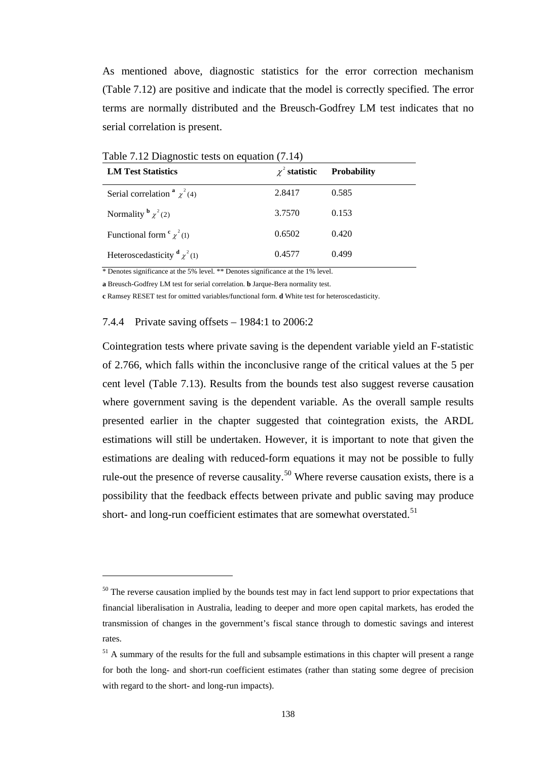As mentioned above, diagnostic statistics for the error correction mechanism (Table 7.12) are positive and indicate that the model is correctly specified. The error terms are normally distributed and the Breusch-Godfrey LM test indicates that no serial correlation is present.

| <b>LM Test Statistics</b>               | $\chi^2$ statistic | <b>Probability</b> |
|-----------------------------------------|--------------------|--------------------|
| Serial correlation $\alpha^2 \chi^2(4)$ | 2.8417             | 0.585              |
| Normality $\frac{b}{\chi^2(2)}$         | 3.7570             | 0.153              |
| Functional form $\frac{c}{\chi^2(1)}$   | 0.6502             | 0.420              |
| Heteroscedasticity $\alpha_{\chi^2(1)}$ | 0.4577             | 0.499              |

Table 7.12 Diagnostic tests on equation (7.14)

\* Denotes significance at the 5% level. \*\* Denotes significance at the 1% level.

**a** Breusch-Godfrey LM test for serial correlation. **b** Jarque-Bera normality test.

**c** Ramsey RESET test for omitted variables/functional form. **d** White test for heteroscedasticity.

#### 7.4.4 Private saving offsets – 1984:1 to 2006:2

 $\overline{a}$ 

Cointegration tests where private saving is the dependent variable yield an F-statistic of 2.766, which falls within the inconclusive range of the critical values at the 5 per cent level (Table 7.13). Results from the bounds test also suggest reverse causation where government saving is the dependent variable. As the overall sample results presented earlier in the chapter suggested that cointegration exists, the ARDL estimations will still be undertaken. However, it is important to note that given the estimations are dealing with reduced-form equations it may not be possible to fully rule-out the presence of reverse causality.<sup>50</sup> Where reverse causation exists, there is a possibility that the feedback effects between private and public saving may produce short- and long-run coefficient estimates that are somewhat overstated.<sup>[51](#page-150-1)</sup>

<span id="page-150-0"></span><sup>&</sup>lt;sup>50</sup> The reverse causation implied by the bounds test may in fact lend support to prior expectations that financial liberalisation in Australia, leading to deeper and more open capital markets, has eroded the transmission of changes in the government's fiscal stance through to domestic savings and interest rates.

<span id="page-150-1"></span><sup>&</sup>lt;sup>51</sup> A summary of the results for the full and subsample estimations in this chapter will present a range for both the long- and short-run coefficient estimates (rather than stating some degree of precision with regard to the short- and long-run impacts).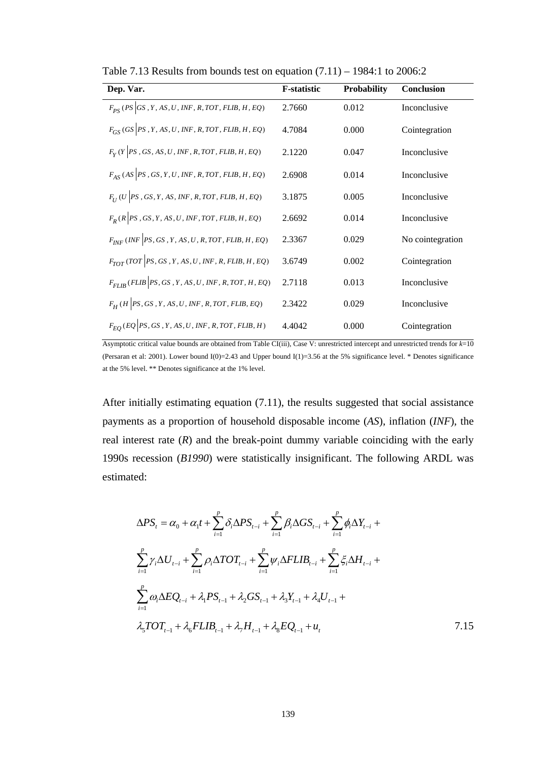| Dep. Var.                                                 | <b>F-statistic</b> | Probability | <b>Conclusion</b> |
|-----------------------------------------------------------|--------------------|-------------|-------------------|
| $F_{PS}$ (PS GS, Y, AS, U, INF, R, TOT, FLIB, H, EQ)      | 2.7660             | 0.012       | Inconclusive      |
| $F_{GS}$ (GS  PS, Y, AS, U, INF, R, TOT, FLIB, H, EQ)     | 4.7084             | 0.000       | Cointegration     |
| $F_V(Y PS, GS, AS, U, INF, R, TOT, FLIB, H, EQ)$          | 2.1220             | 0.047       | Inconclusive      |
| $F_{AS}$ (AS  PS, GS, Y, U, INF, R, TOT, FLIB, H, EQ)     | 2.6908             | 0.014       | Inconclusive      |
| $F_{II}$ (U  PS, GS, Y, AS, INF, R, TOT, FLIB, H, EQ)     | 3.1875             | 0.005       | Inconclusive      |
| $F_R$ (R   PS, GS, Y, AS, U, INF, TOT, FLIB, H, EQ)       | 2.6692             | 0.014       | Inconclusive      |
| $F_{INF}(INF \mid PS, GS, Y, AS, U, R, TOT, FLIB, H, EQ)$ | 2.3367             | 0.029       | No cointegration  |
| $F_{TOT}$ (TOT  PS, GS, Y, AS, U, INF, R, FLIB, H, EQ)    | 3.6749             | 0.002       | Cointegration     |
| $F_{FIIR}(FLIB   PS, GS, Y, AS, U, INF, R, TOT, H, EQ)$   | 2.7118             | 0.013       | Inconclusive      |
| $F_H$ (H  PS, GS, Y, AS, U, INF, R, TOT, FLIB, EQ)        | 2.3422             | 0.029       | Inconclusive      |
| $F_{EO}$ (EQ PS, GS, Y, AS, U, INF, R, TOT, FLIB, H)      | 4.4042             | 0.000       | Cointegration     |

Table 7.13 Results from bounds test on equation  $(7.11)$  – 1984:1 to 2006:2

Asymptotic critical value bounds are obtained from Table CI(iii), Case V: unrestricted intercept and unrestricted trends for *k*=10 (Persaran et al: 2001). Lower bound  $I(0)=2.43$  and Upper bound  $I(1)=3.56$  at the 5% significance level. \* Denotes significance at the 5% level. \*\* Denotes significance at the 1% level.

After initially estimating equation (7.11), the results suggested that social assistance payments as a proportion of household disposable income (*AS*), inflation (*INF*), the real interest rate  $(R)$  and the break-point dummy variable coinciding with the early 1990s recession (*B1990*) were statistically insignificant. The following ARDL was estimated:

$$
\Delta PS_{t} = \alpha_{0} + \alpha_{1}t + \sum_{i=1}^{p} \delta_{i}\Delta PS_{t-i} + \sum_{i=1}^{p} \beta_{i}\Delta GS_{t-i} + \sum_{i=1}^{p} \phi_{i}\Delta Y_{t-i} + \sum_{i=1}^{p} \gamma_{i}\Delta U_{t-i} + \sum_{i=1}^{p} \rho_{i}\Delta TOT_{t-i} + \sum_{i=1}^{p} \psi_{i}\Delta FLIB_{t-i} + \sum_{i=1}^{p} \xi_{i}\Delta H_{t-i} + \sum_{i=1}^{p} \omega_{i}\Delta EQ_{t-i} + \lambda_{1} PS_{t-1} + \lambda_{2} GS_{t-1} + \lambda_{3} Y_{t-1} + \lambda_{4} U_{t-1} + \lambda_{5} TOT_{t-1} + \lambda_{6} FLIB_{t-1} + \lambda_{7} H_{t-1} + \lambda_{8} EQ_{t-1} + u_{t}
$$
\n7.15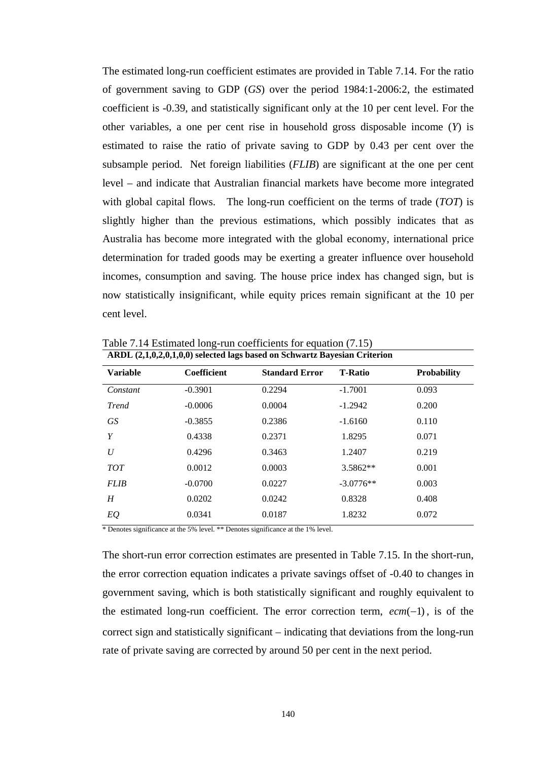The estimated long-run coefficient estimates are provided in Table 7.14. For the ratio of government saving to GDP (*GS*) over the period 1984:1-2006:2, the estimated coefficient is -0.39, and statistically significant only at the 10 per cent level. For the other variables, a one per cent rise in household gross disposable income (*Y*) is estimated to raise the ratio of private saving to GDP by 0.43 per cent over the subsample period. Net foreign liabilities (*FLIB*) are significant at the one per cent level – and indicate that Australian financial markets have become more integrated with global capital flows. The long-run coefficient on the terms of trade (*TOT*) is slightly higher than the previous estimations, which possibly indicates that as Australia has become more integrated with the global economy, international price determination for traded goods may be exerting a greater influence over household incomes, consumption and saving. The house price index has changed sign, but is now statistically insignificant, while equity prices remain significant at the 10 per cent level.

| ARDL (2,1,0,2,0,1,0,0) selected lags based on Schwartz Bayesian Criterion |             |                       |                |                    |
|---------------------------------------------------------------------------|-------------|-----------------------|----------------|--------------------|
| <b>Variable</b>                                                           | Coefficient | <b>Standard Error</b> | <b>T-Ratio</b> | <b>Probability</b> |
| Constant                                                                  | $-0.3901$   | 0.2294                | $-1.7001$      | 0.093              |
| <b>Trend</b>                                                              | $-0.0006$   | 0.0004                | $-1.2942$      | 0.200              |
| <b>GS</b>                                                                 | $-0.3855$   | 0.2386                | $-1.6160$      | 0.110              |
| Y                                                                         | 0.4338      | 0.2371                | 1.8295         | 0.071              |
| U                                                                         | 0.4296      | 0.3463                | 1.2407         | 0.219              |
| <b>TOT</b>                                                                | 0.0012      | 0.0003                | $3.5862**$     | 0.001              |
| <b>FLIB</b>                                                               | $-0.0700$   | 0.0227                | $-3.0776**$    | 0.003              |
| H                                                                         | 0.0202      | 0.0242                | 0.8328         | 0.408              |
| EQ                                                                        | 0.0341      | 0.0187                | 1.8232         | 0.072              |

Table 7.14 Estimated long-run coefficients for equation (7.15)

\* Denotes significance at the 5% level. \*\* Denotes significance at the 1% level.

The short-run error correction estimates are presented in Table 7.15. In the short-run, the error correction equation indicates a private savings offset of -0.40 to changes in government saving, which is both statistically significant and roughly equivalent to the estimated long-run coefficient. The error correction term,  $ecm(-1)$ , is of the correct sign and statistically significant – indicating that deviations from the long-run rate of private saving are corrected by around 50 per cent in the next period.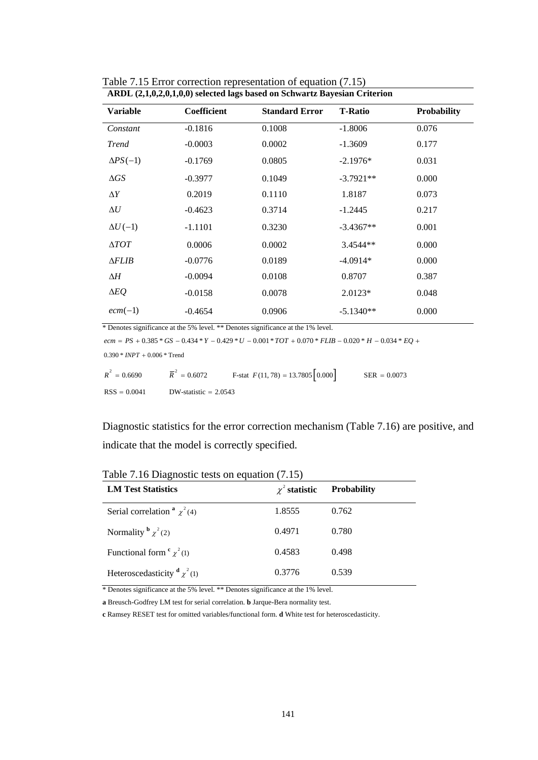| ARDL (2,1,0,2,0,1,0,0) selected lags based on Schwartz Bayesian Criterion |                       |                |                    |  |
|---------------------------------------------------------------------------|-----------------------|----------------|--------------------|--|
| <b>Coefficient</b>                                                        | <b>Standard Error</b> | <b>T-Ratio</b> | <b>Probability</b> |  |
| $-0.1816$                                                                 | 0.1008                | $-1.8006$      | 0.076              |  |
| $-0.0003$                                                                 | 0.0002                | $-1.3609$      | 0.177              |  |
| $-0.1769$                                                                 | 0.0805                | $-2.1976*$     | 0.031              |  |
| $-0.3977$                                                                 | 0.1049                | $-3.7921**$    | 0.000              |  |
| 0.2019                                                                    | 0.1110                | 1.8187         | 0.073              |  |
| $-0.4623$                                                                 | 0.3714                | $-1.2445$      | 0.217              |  |
| $-1.1101$                                                                 | 0.3230                | $-3.4367**$    | 0.001              |  |
| 0.0006                                                                    | 0.0002                | 3.4544**       | 0.000              |  |
| $-0.0776$                                                                 | 0.0189                | $-4.0914*$     | 0.000              |  |
| $-0.0094$                                                                 | 0.0108                | 0.8707         | 0.387              |  |
| $-0.0158$                                                                 | 0.0078                | $2.0123*$      | 0.048              |  |
| $-0.4654$                                                                 | 0.0906                | $-5.1340**$    | 0.000              |  |
|                                                                           |                       |                |                    |  |

Table 7.15 Error correction representation of equation (7.15)

\* Denotes significance at the 5% level. \*\* Denotes significance at the 1% level.

 $ecm = PS + 0.385 * GS - 0.434 * Y - 0.429 * U - 0.001 * TOT + 0.070 * FLIB - 0.020 * H - 0.034 * EQ +$  $0.390 * *INPT* + 0.006 * *Trend*$ 2

| $R^2 = 0.6690$ | $\overline{R}^2 = 0.6072$ | F-stat $F(11, 78) = 13.7805 \begin{bmatrix} 0.000 \end{bmatrix}$ | $SER = 0.0073$ |
|----------------|---------------------------|------------------------------------------------------------------|----------------|
| $RSS = 0.0041$ | DW-statistic $= 2.0543$   |                                                                  |                |

Diagnostic statistics for the error correction mechanism (Table 7.16) are positive, and indicate that the model is correctly specified.

| <b>LM Test Statistics</b>                | $\chi^2$ statistic | <b>Probability</b> |
|------------------------------------------|--------------------|--------------------|
| Serial correlation $\alpha \chi^2(4)$    | 1.8555             | 0.762              |
| Normality $\frac{b}{\chi^2(2)}$          | 0.4971             | 0.780              |
| Functional form $\frac{c}{\chi^2(1)}$    | 0.4583             | 0.498              |
| Heteroscedasticity $\frac{d}{\chi^2(1)}$ | 0.3776             | 0.539              |

Table 7.16 Diagnostic tests on equation (7.15)

\* Denotes significance at the 5% level. \*\* Denotes significance at the 1% level.

**a** Breusch-Godfrey LM test for serial correlation. **b** Jarque-Bera normality test.

**c** Ramsey RESET test for omitted variables/functional form. **d** White test for heteroscedasticity.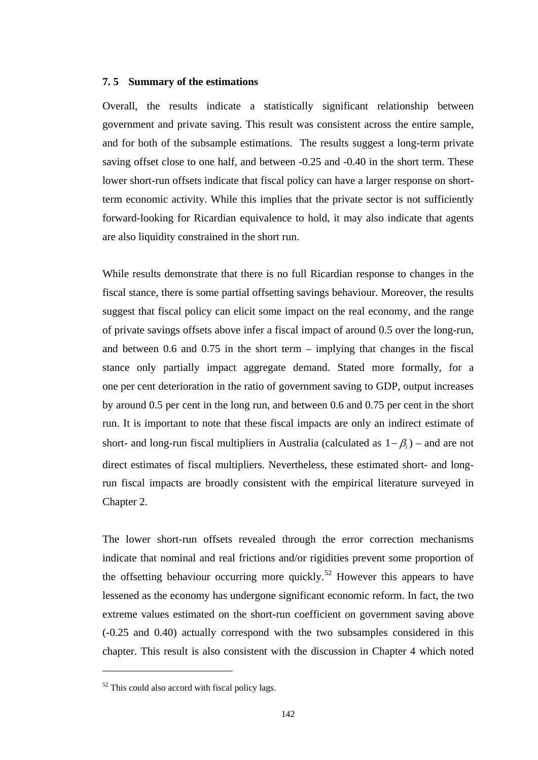### **7. 5 Summary of the estimations**

Overall, the results indicate a statistically significant relationship between government and private saving. This result was consistent across the entire sample, and for both of the subsample estimations. The results suggest a long-term private saving offset close to one half, and between -0.25 and -0.40 in the short term. These lower short-run offsets indicate that fiscal policy can have a larger response on shortterm economic activity. While this implies that the private sector is not sufficiently forward-looking for Ricardian equivalence to hold, it may also indicate that agents are also liquidity constrained in the short run.

While results demonstrate that there is no full Ricardian response to changes in the fiscal stance, there is some partial offsetting savings behaviour. Moreover, the results suggest that fiscal policy can elicit some impact on the real economy, and the range of private savings offsets above infer a fiscal impact of around 0.5 over the long-run, and between 0.6 and 0.75 in the short term – implying that changes in the fiscal stance only partially impact aggregate demand. Stated more formally, for a one per cent deterioration in the ratio of government saving to GDP, output increases by around 0.5 per cent in the long run, and between 0.6 and 0.75 per cent in the short run. It is important to note that these fiscal impacts are only an indirect estimate of short- and long-run fiscal multipliers in Australia (calculated as 1− β*i*) – and are not direct estimates of fiscal multipliers. Nevertheless, these estimated short- and longrun fiscal impacts are broadly consistent with the empirical literature surveyed in Chapter 2.

The lower short-run offsets revealed through the error correction mechanisms indicate that nominal and real frictions and/or rigidities prevent some proportion of the offsetting behaviour occurring more quickly.<sup>[52](#page-154-0)</sup> However this appears to have lessened as the economy has undergone significant economic reform. In fact, the two extreme values estimated on the short-run coefficient on government saving above (-0.25 and 0.40) actually correspond with the two subsamples considered in this chapter. This result is also consistent with the discussion in Chapter 4 which noted

 $\overline{a}$ 

<span id="page-154-0"></span> $52$  This could also accord with fiscal policy lags.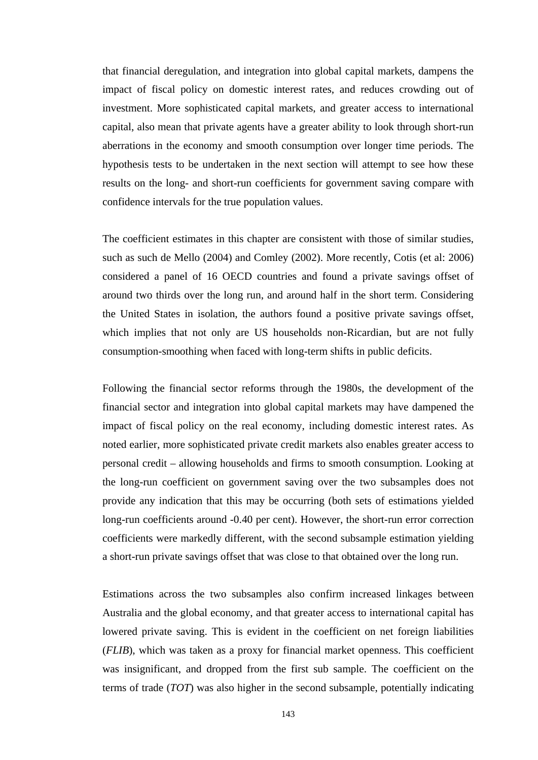that financial deregulation, and integration into global capital markets, dampens the impact of fiscal policy on domestic interest rates, and reduces crowding out of investment. More sophisticated capital markets, and greater access to international capital, also mean that private agents have a greater ability to look through short-run aberrations in the economy and smooth consumption over longer time periods. The hypothesis tests to be undertaken in the next section will attempt to see how these results on the long- and short-run coefficients for government saving compare with confidence intervals for the true population values.

The coefficient estimates in this chapter are consistent with those of similar studies, such as such de Mello (2004) and Comley (2002). More recently, Cotis (et al: 2006) considered a panel of 16 OECD countries and found a private savings offset of around two thirds over the long run, and around half in the short term. Considering the United States in isolation, the authors found a positive private savings offset, which implies that not only are US households non-Ricardian, but are not fully consumption-smoothing when faced with long-term shifts in public deficits.

Following the financial sector reforms through the 1980s, the development of the financial sector and integration into global capital markets may have dampened the impact of fiscal policy on the real economy, including domestic interest rates. As noted earlier, more sophisticated private credit markets also enables greater access to personal credit – allowing households and firms to smooth consumption. Looking at the long-run coefficient on government saving over the two subsamples does not provide any indication that this may be occurring (both sets of estimations yielded long-run coefficients around -0.40 per cent). However, the short-run error correction coefficients were markedly different, with the second subsample estimation yielding a short-run private savings offset that was close to that obtained over the long run.

Estimations across the two subsamples also confirm increased linkages between Australia and the global economy, and that greater access to international capital has lowered private saving. This is evident in the coefficient on net foreign liabilities (*FLIB*), which was taken as a proxy for financial market openness. This coefficient was insignificant, and dropped from the first sub sample. The coefficient on the terms of trade (*TOT*) was also higher in the second subsample, potentially indicating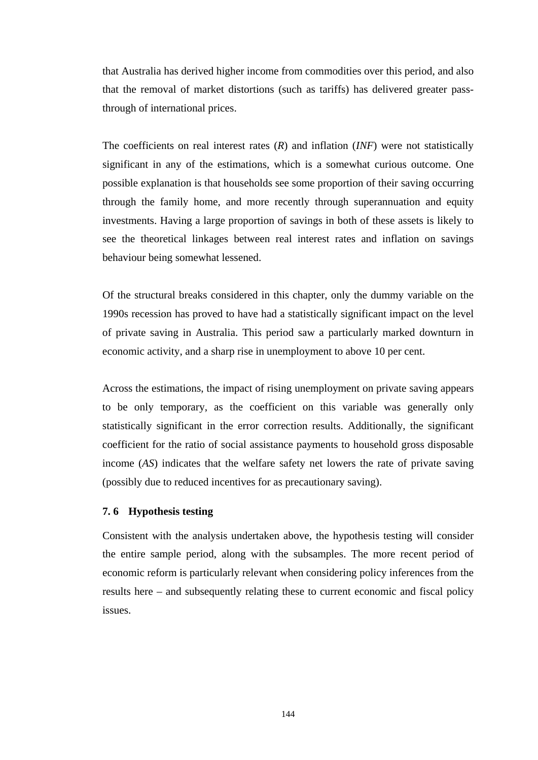that Australia has derived higher income from commodities over this period, and also that the removal of market distortions (such as tariffs) has delivered greater passthrough of international prices.

The coefficients on real interest rates (*R*) and inflation (*INF*) were not statistically significant in any of the estimations, which is a somewhat curious outcome. One possible explanation is that households see some proportion of their saving occurring through the family home, and more recently through superannuation and equity investments. Having a large proportion of savings in both of these assets is likely to see the theoretical linkages between real interest rates and inflation on savings behaviour being somewhat lessened.

Of the structural breaks considered in this chapter, only the dummy variable on the 1990s recession has proved to have had a statistically significant impact on the level of private saving in Australia. This period saw a particularly marked downturn in economic activity, and a sharp rise in unemployment to above 10 per cent.

Across the estimations, the impact of rising unemployment on private saving appears to be only temporary, as the coefficient on this variable was generally only statistically significant in the error correction results. Additionally, the significant coefficient for the ratio of social assistance payments to household gross disposable income (*AS*) indicates that the welfare safety net lowers the rate of private saving (possibly due to reduced incentives for as precautionary saving).

# **7. 6 Hypothesis testing**

Consistent with the analysis undertaken above, the hypothesis testing will consider the entire sample period, along with the subsamples. The more recent period of economic reform is particularly relevant when considering policy inferences from the results here – and subsequently relating these to current economic and fiscal policy issues.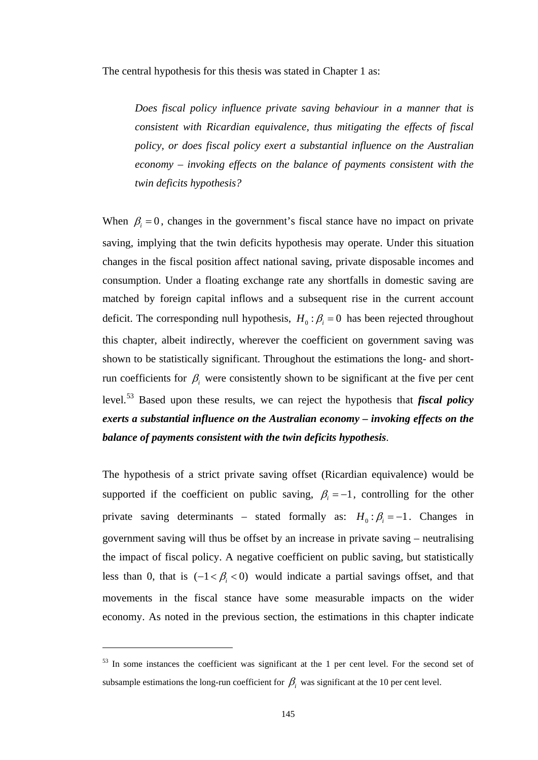The central hypothesis for this thesis was stated in Chapter 1 as:

*Does fiscal policy influence private saving behaviour in a manner that is consistent with Ricardian equivalence, thus mitigating the effects of fiscal policy, or does fiscal policy exert a substantial influence on the Australian economy – invoking effects on the balance of payments consistent with the twin deficits hypothesis?* 

When  $\beta_i = 0$ , changes in the government's fiscal stance have no impact on private saving, implying that the twin deficits hypothesis may operate. Under this situation changes in the fiscal position affect national saving, private disposable incomes and consumption. Under a floating exchange rate any shortfalls in domestic saving are matched by foreign capital inflows and a subsequent rise in the current account deficit. The corresponding null hypothesis,  $H_0 : \beta_i = 0$  has been rejected throughout this chapter, albeit indirectly, wherever the coefficient on government saving was shown to be statistically significant. Throughout the estimations the long- and shortrun coefficients for  $\beta$ <sub>*i*</sub> were consistently shown to be significant at the five per cent level.[53](#page-157-0) Based upon these results, we can reject the hypothesis that *fiscal policy exerts a substantial influence on the Australian economy – invoking effects on the balance of payments consistent with the twin deficits hypothesis*.

The hypothesis of a strict private saving offset (Ricardian equivalence) would be supported if the coefficient on public saving,  $\beta_i = -1$ , controlling for the other private saving determinants – stated formally as:  $H_0: \beta_i = -1$ . Changes in government saving will thus be offset by an increase in private saving – neutralising the impact of fiscal policy. A negative coefficient on public saving, but statistically less than 0, that is  $(-1 < \beta_{i} < 0)$  would indicate a partial savings offset, and that movements in the fiscal stance have some measurable impacts on the wider economy. As noted in the previous section, the estimations in this chapter indicate

 $\overline{a}$ 

<span id="page-157-0"></span><sup>&</sup>lt;sup>53</sup> In some instances the coefficient was significant at the 1 per cent level. For the second set of subsample estimations the long-run coefficient for  $\beta$ <sub>*i*</sub> was significant at the 10 per cent level.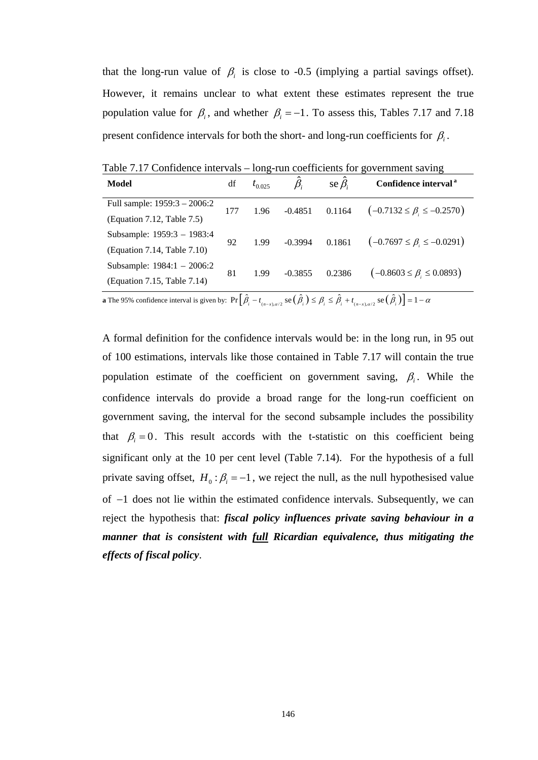that the long-run value of  $\beta$ <sub>i</sub> is close to -0.5 (implying a partial savings offset). However, it remains unclear to what extent these estimates represent the true population value for  $\beta$ <sub>i</sub>, and whether  $\beta$ <sub>i</sub> = −1. To assess this, Tables 7.17 and 7.18 present confidence intervals for both the short- and long-run coefficients for  $\beta_i$ .

| <b>Model</b>                                                                                                                                                                                                                                                                                                                       | df  | $t_{0.025}$ |           | se $\beta_i$ | Confidence interval <sup>a</sup>                                                                                                                                                                                                                                                       |
|------------------------------------------------------------------------------------------------------------------------------------------------------------------------------------------------------------------------------------------------------------------------------------------------------------------------------------|-----|-------------|-----------|--------------|----------------------------------------------------------------------------------------------------------------------------------------------------------------------------------------------------------------------------------------------------------------------------------------|
| Full sample: 1959:3 - 2006:2                                                                                                                                                                                                                                                                                                       | 177 | 1.96        | $-0.4851$ | 0.1164       | $(-0.7132 \leq \beta_{\text{A}} \leq -0.2570)$                                                                                                                                                                                                                                         |
| (Equation 7.12, Table 7.5)                                                                                                                                                                                                                                                                                                         |     |             |           |              |                                                                                                                                                                                                                                                                                        |
| Subsample: 1959:3 - 1983:4                                                                                                                                                                                                                                                                                                         | 92  | 1.99        | $-0.3994$ | 0.1861       | $(-0.7697 \leq \beta_{\text{A}} \leq -0.0291)$                                                                                                                                                                                                                                         |
| (Equation 7.14, Table 7.10)                                                                                                                                                                                                                                                                                                        |     |             |           |              |                                                                                                                                                                                                                                                                                        |
| Subsample: 1984:1 - 2006:2                                                                                                                                                                                                                                                                                                         | 81  | 1.99        | $-0.3855$ | 0.2386       | $(-0.8603 \leq \beta_{\text{A}} \leq 0.0893)$                                                                                                                                                                                                                                          |
| (Equation 7.15, Table 7.14)                                                                                                                                                                                                                                                                                                        |     |             |           |              |                                                                                                                                                                                                                                                                                        |
| $\mathbf{r}$ $\mathbf{r}$ $\mathbf{r}$ $\mathbf{r}$ $\mathbf{r}$ $\mathbf{r}$ $\mathbf{r}$ $\mathbf{r}$ $\mathbf{r}$ $\mathbf{r}$ $\mathbf{r}$ $\mathbf{r}$ $\mathbf{r}$ $\mathbf{r}$ $\mathbf{r}$ $\mathbf{r}$ $\mathbf{r}$ $\mathbf{r}$ $\mathbf{r}$ $\mathbf{r}$ $\mathbf{r}$ $\mathbf{r}$ $\mathbf{r}$ $\mathbf{r}$ $\mathbf{$ |     |             |           |              | $\hat{a}$ $\hat{a}$ $\hat{b}$ $\hat{c}$ $\hat{a}$ $\hat{c}$ $\hat{c}$ $\hat{c}$ $\hat{d}$ $\hat{d}$ $\hat{d}$ $\hat{d}$ $\hat{d}$ $\hat{d}$ $\hat{d}$ $\hat{d}$ $\hat{d}$ $\hat{d}$ $\hat{d}$ $\hat{d}$ $\hat{d}$ $\hat{d}$ $\hat{d}$ $\hat{d}$ $\hat{d}$ $\hat{d}$ $\hat{d}$ $\hat{d$ |

Table 7.17 Confidence intervals – long-run coefficients for government saving

**a** The 95% confidence interval is given by:  $Pr\left[\hat{\beta}_i - t_{(n-x),\alpha/2} \text{ se}\left(\hat{\beta}_i\right) \leq \beta_i \leq \hat{\beta}_i + t_{(n-x),\alpha/2} \text{ se}\left(\hat{\beta}_i\right)\right] = 1 - \alpha$ 

A formal definition for the confidence intervals would be: in the long run, in 95 out of 100 estimations, intervals like those contained in Table 7.17 will contain the true population estimate of the coefficient on government saving,  $\beta_i$ . While the confidence intervals do provide a broad range for the long-run coefficient on government saving, the interval for the second subsample includes the possibility that  $\beta_i = 0$ . This result accords with the t-statistic on this coefficient being significant only at the 10 per cent level (Table 7.14). For the hypothesis of a full private saving offset,  $H_0 : \beta_i = -1$ , we reject the null, as the null hypothesised value of  $-1$  does not lie within the estimated confidence intervals. Subsequently, we can reject the hypothesis that: *fiscal policy influences private saving behaviour in a manner that is consistent with full Ricardian equivalence, thus mitigating the effects of fiscal policy*.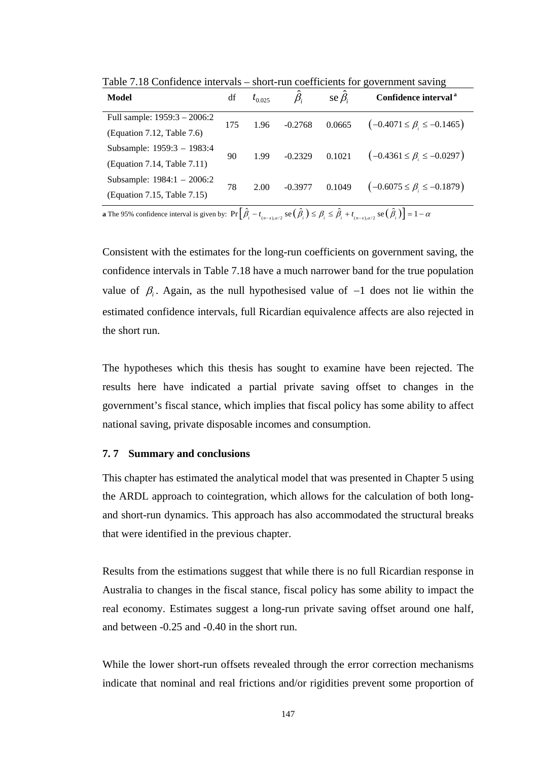| <b>Model</b>                 | df                   | $t_{0.025}$ |                                                                                                                                 | se $\beta_i$ | Confidence interval <sup>a</sup>               |
|------------------------------|----------------------|-------------|---------------------------------------------------------------------------------------------------------------------------------|--------------|------------------------------------------------|
| Full sample: 1959:3 - 2006:2 | 175                  | 1.96        | $-0.2768$                                                                                                                       | 0.0665       | $(-0.4071 \leq \beta_{i} \leq -0.1465)$        |
| (Equation 7.12, Table 7.6)   |                      |             |                                                                                                                                 |              |                                                |
| Subsample: 1959:3 - 1983:4   | 90                   | 1.99        | $-0.2329$                                                                                                                       | 0.1021       | $\left(-0.4361 \leq \beta\right) \leq -0.0297$ |
| (Equation 7.14, Table 7.11)  |                      |             |                                                                                                                                 |              |                                                |
| Subsample: $1984:1 - 2006:2$ | 78                   | 2.00        | $-0.3977$                                                                                                                       | 0.1049       | $(-0.6075 \leq \beta_{\text{A}} \leq -0.1879)$ |
| (Equation 7.15, Table 7.15)  |                      |             |                                                                                                                                 |              |                                                |
|                              | $ \Gamma$ $\sim$ $-$ |             | $\left( \begin{array}{ccc} 2 & 1 \\ 2 & 1 \end{array} \right)$ , $\left( \begin{array}{ccc} 2 & 1 \\ 2 & 1 \end{array} \right)$ |              | 7 A N T                                        |

Table 7.18 Confidence intervals – short-run coefficients for government saving

**a** The 95% confidence interval is given by:  $Pr\left[\hat{\beta}_i - t_{(n-x),\alpha/2} \text{ se}\left(\hat{\beta}_i\right) \leq \beta_i \leq \hat{\beta}_i + t_{(n-x),\alpha/2} \text{ se}\left(\hat{\beta}_i\right)\right] = 1 - \alpha$ 

Consistent with the estimates for the long-run coefficients on government saving, the confidence intervals in Table 7.18 have a much narrower band for the true population value of  $β<sub>i</sub>$ . Again, as the null hypothesised value of  $-1$  does not lie within the estimated confidence intervals, full Ricardian equivalence affects are also rejected in the short run.

The hypotheses which this thesis has sought to examine have been rejected. The results here have indicated a partial private saving offset to changes in the government's fiscal stance, which implies that fiscal policy has some ability to affect national saving, private disposable incomes and consumption.

### **7. 7 Summary and conclusions**

This chapter has estimated the analytical model that was presented in Chapter 5 using the ARDL approach to cointegration, which allows for the calculation of both longand short-run dynamics. This approach has also accommodated the structural breaks that were identified in the previous chapter.

Results from the estimations suggest that while there is no full Ricardian response in Australia to changes in the fiscal stance, fiscal policy has some ability to impact the real economy. Estimates suggest a long-run private saving offset around one half, and between -0.25 and -0.40 in the short run.

While the lower short-run offsets revealed through the error correction mechanisms indicate that nominal and real frictions and/or rigidities prevent some proportion of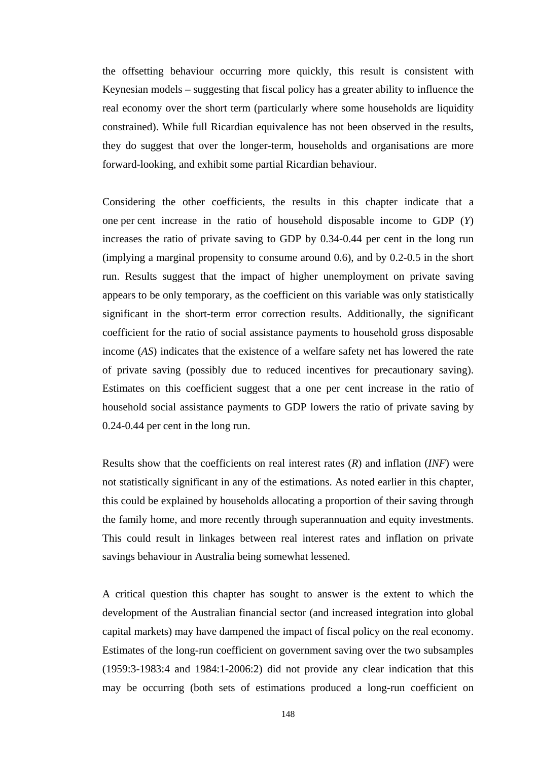the offsetting behaviour occurring more quickly, this result is consistent with Keynesian models – suggesting that fiscal policy has a greater ability to influence the real economy over the short term (particularly where some households are liquidity constrained). While full Ricardian equivalence has not been observed in the results, they do suggest that over the longer-term, households and organisations are more forward-looking, and exhibit some partial Ricardian behaviour.

Considering the other coefficients, the results in this chapter indicate that a one per cent increase in the ratio of household disposable income to GDP (*Y*) increases the ratio of private saving to GDP by 0.34-0.44 per cent in the long run (implying a marginal propensity to consume around 0.6), and by 0.2-0.5 in the short run. Results suggest that the impact of higher unemployment on private saving appears to be only temporary, as the coefficient on this variable was only statistically significant in the short-term error correction results. Additionally, the significant coefficient for the ratio of social assistance payments to household gross disposable income (*AS*) indicates that the existence of a welfare safety net has lowered the rate of private saving (possibly due to reduced incentives for precautionary saving). Estimates on this coefficient suggest that a one per cent increase in the ratio of household social assistance payments to GDP lowers the ratio of private saving by 0.24-0.44 per cent in the long run.

Results show that the coefficients on real interest rates (*R*) and inflation (*INF*) were not statistically significant in any of the estimations. As noted earlier in this chapter, this could be explained by households allocating a proportion of their saving through the family home, and more recently through superannuation and equity investments. This could result in linkages between real interest rates and inflation on private savings behaviour in Australia being somewhat lessened.

A critical question this chapter has sought to answer is the extent to which the development of the Australian financial sector (and increased integration into global capital markets) may have dampened the impact of fiscal policy on the real economy. Estimates of the long-run coefficient on government saving over the two subsamples (1959:3-1983:4 and 1984:1-2006:2) did not provide any clear indication that this may be occurring (both sets of estimations produced a long-run coefficient on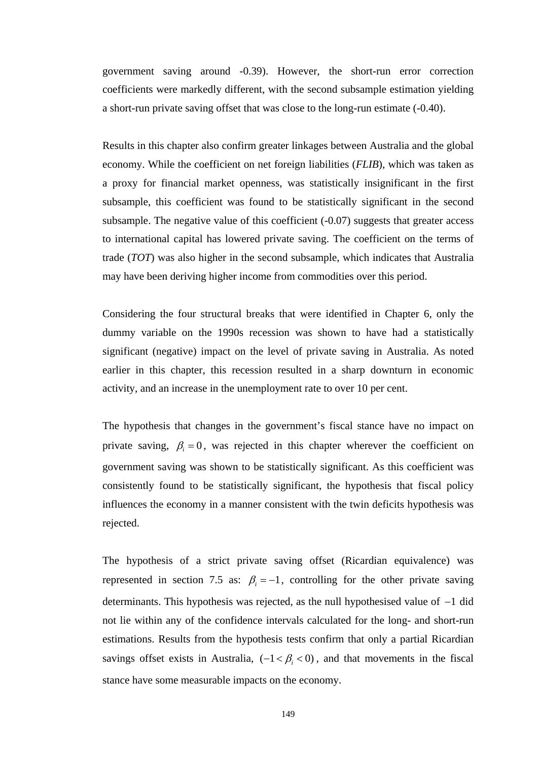government saving around -0.39). However, the short-run error correction coefficients were markedly different, with the second subsample estimation yielding a short-run private saving offset that was close to the long-run estimate (-0.40).

Results in this chapter also confirm greater linkages between Australia and the global economy. While the coefficient on net foreign liabilities (*FLIB*), which was taken as a proxy for financial market openness, was statistically insignificant in the first subsample, this coefficient was found to be statistically significant in the second subsample. The negative value of this coefficient (-0.07) suggests that greater access to international capital has lowered private saving. The coefficient on the terms of trade (*TOT*) was also higher in the second subsample, which indicates that Australia may have been deriving higher income from commodities over this period.

Considering the four structural breaks that were identified in Chapter 6, only the dummy variable on the 1990s recession was shown to have had a statistically significant (negative) impact on the level of private saving in Australia. As noted earlier in this chapter, this recession resulted in a sharp downturn in economic activity, and an increase in the unemployment rate to over 10 per cent.

The hypothesis that changes in the government's fiscal stance have no impact on private saving,  $\beta_i = 0$ , was rejected in this chapter wherever the coefficient on government saving was shown to be statistically significant. As this coefficient was consistently found to be statistically significant, the hypothesis that fiscal policy influences the economy in a manner consistent with the twin deficits hypothesis was rejected.

The hypothesis of a strict private saving offset (Ricardian equivalence) was represented in section 7.5 as:  $\beta_i = -1$ , controlling for the other private saving determinants. This hypothesis was rejected, as the null hypothesised value of −1 did not lie within any of the confidence intervals calculated for the long- and short-run estimations. Results from the hypothesis tests confirm that only a partial Ricardian savings offset exists in Australia,  $(-1 < \beta < 0)$ , and that movements in the fiscal stance have some measurable impacts on the economy.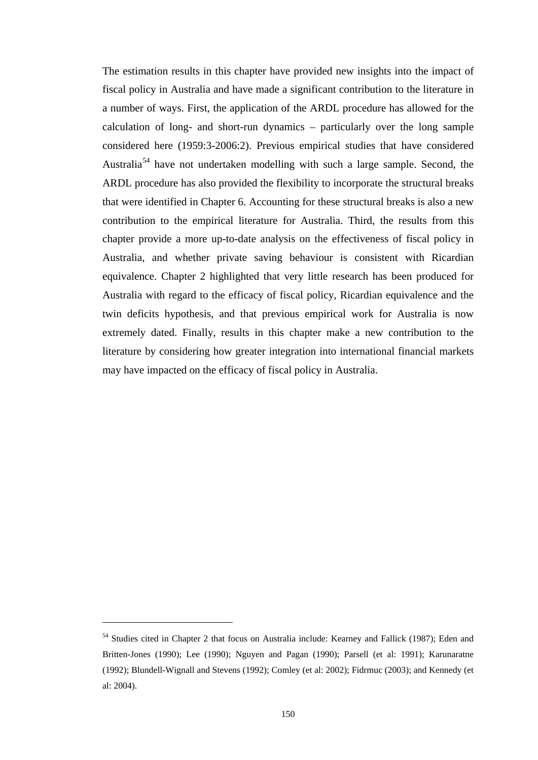The estimation results in this chapter have provided new insights into the impact of fiscal policy in Australia and have made a significant contribution to the literature in a number of ways. First, the application of the ARDL procedure has allowed for the calculation of long- and short-run dynamics – particularly over the long sample considered here (1959:3-2006:2). Previous empirical studies that have considered Australia<sup>54</sup> have not undertaken modelling with such a large sample. Second, the ARDL procedure has also provided the flexibility to incorporate the structural breaks that were identified in Chapter 6. Accounting for these structural breaks is also a new contribution to the empirical literature for Australia. Third, the results from this chapter provide a more up-to-date analysis on the effectiveness of fiscal policy in Australia, and whether private saving behaviour is consistent with Ricardian equivalence. Chapter 2 highlighted that very little research has been produced for Australia with regard to the efficacy of fiscal policy, Ricardian equivalence and the twin deficits hypothesis, and that previous empirical work for Australia is now extremely dated. Finally, results in this chapter make a new contribution to the literature by considering how greater integration into international financial markets may have impacted on the efficacy of fiscal policy in Australia.

 $\overline{a}$ 

<span id="page-162-0"></span><sup>&</sup>lt;sup>54</sup> Studies cited in Chapter 2 that focus on Australia include: Kearney and Fallick (1987); Eden and Britten-Jones (1990); Lee (1990); Nguyen and Pagan (1990); Parsell (et al: 1991); Karunaratne (1992); Blundell-Wignall and Stevens (1992); Comley (et al: 2002); Fidrmuc (2003); and Kennedy (et al: 2004).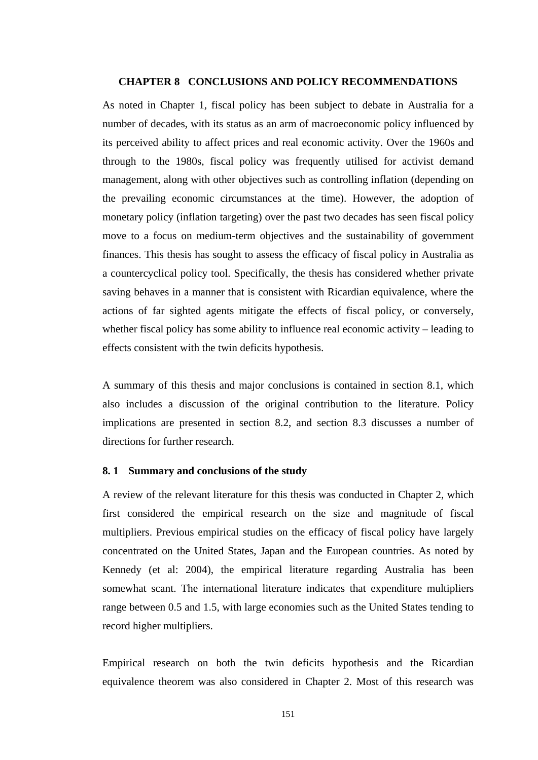### **CHAPTER 8 CONCLUSIONS AND POLICY RECOMMENDATIONS**

As noted in Chapter 1, fiscal policy has been subject to debate in Australia for a number of decades, with its status as an arm of macroeconomic policy influenced by its perceived ability to affect prices and real economic activity. Over the 1960s and through to the 1980s, fiscal policy was frequently utilised for activist demand management, along with other objectives such as controlling inflation (depending on the prevailing economic circumstances at the time). However, the adoption of monetary policy (inflation targeting) over the past two decades has seen fiscal policy move to a focus on medium-term objectives and the sustainability of government finances. This thesis has sought to assess the efficacy of fiscal policy in Australia as a countercyclical policy tool. Specifically, the thesis has considered whether private saving behaves in a manner that is consistent with Ricardian equivalence, where the actions of far sighted agents mitigate the effects of fiscal policy, or conversely, whether fiscal policy has some ability to influence real economic activity – leading to effects consistent with the twin deficits hypothesis.

A summary of this thesis and major conclusions is contained in section 8.1, which also includes a discussion of the original contribution to the literature. Policy implications are presented in section 8.2, and section 8.3 discusses a number of directions for further research.

### **8. 1 Summary and conclusions of the study**

A review of the relevant literature for this thesis was conducted in Chapter 2, which first considered the empirical research on the size and magnitude of fiscal multipliers. Previous empirical studies on the efficacy of fiscal policy have largely concentrated on the United States, Japan and the European countries. As noted by Kennedy (et al: 2004), the empirical literature regarding Australia has been somewhat scant. The international literature indicates that expenditure multipliers range between 0.5 and 1.5, with large economies such as the United States tending to record higher multipliers.

Empirical research on both the twin deficits hypothesis and the Ricardian equivalence theorem was also considered in Chapter 2. Most of this research was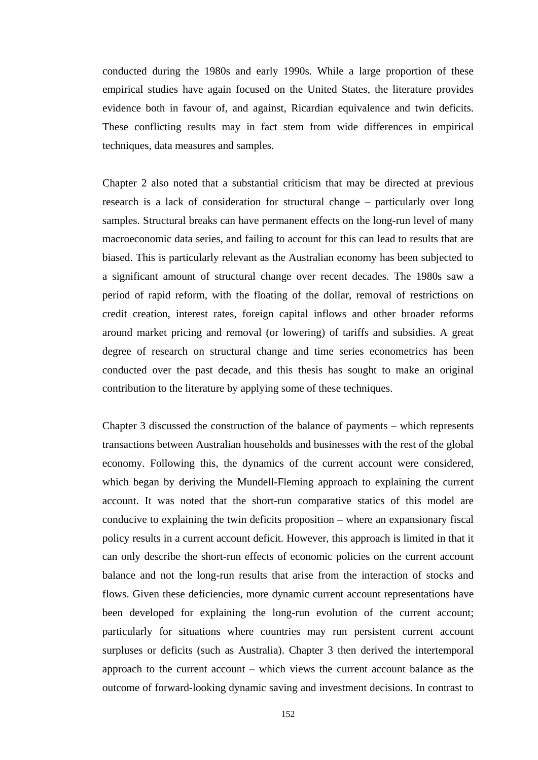conducted during the 1980s and early 1990s. While a large proportion of these empirical studies have again focused on the United States, the literature provides evidence both in favour of, and against, Ricardian equivalence and twin deficits. These conflicting results may in fact stem from wide differences in empirical techniques, data measures and samples.

Chapter 2 also noted that a substantial criticism that may be directed at previous research is a lack of consideration for structural change – particularly over long samples. Structural breaks can have permanent effects on the long-run level of many macroeconomic data series, and failing to account for this can lead to results that are biased. This is particularly relevant as the Australian economy has been subjected to a significant amount of structural change over recent decades. The 1980s saw a period of rapid reform, with the floating of the dollar, removal of restrictions on credit creation, interest rates, foreign capital inflows and other broader reforms around market pricing and removal (or lowering) of tariffs and subsidies. A great degree of research on structural change and time series econometrics has been conducted over the past decade, and this thesis has sought to make an original contribution to the literature by applying some of these techniques.

Chapter 3 discussed the construction of the balance of payments – which represents transactions between Australian households and businesses with the rest of the global economy. Following this, the dynamics of the current account were considered, which began by deriving the Mundell-Fleming approach to explaining the current account. It was noted that the short-run comparative statics of this model are conducive to explaining the twin deficits proposition – where an expansionary fiscal policy results in a current account deficit. However, this approach is limited in that it can only describe the short-run effects of economic policies on the current account balance and not the long-run results that arise from the interaction of stocks and flows. Given these deficiencies, more dynamic current account representations have been developed for explaining the long-run evolution of the current account; particularly for situations where countries may run persistent current account surpluses or deficits (such as Australia). Chapter 3 then derived the intertemporal approach to the current account – which views the current account balance as the outcome of forward-looking dynamic saving and investment decisions. In contrast to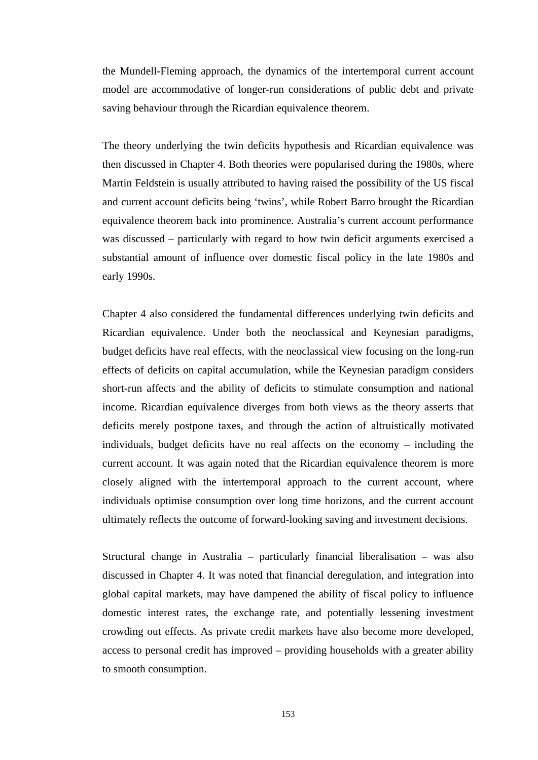the Mundell-Fleming approach, the dynamics of the intertemporal current account model are accommodative of longer-run considerations of public debt and private saving behaviour through the Ricardian equivalence theorem.

The theory underlying the twin deficits hypothesis and Ricardian equivalence was then discussed in Chapter 4. Both theories were popularised during the 1980s, where Martin Feldstein is usually attributed to having raised the possibility of the US fiscal and current account deficits being 'twins', while Robert Barro brought the Ricardian equivalence theorem back into prominence. Australia's current account performance was discussed – particularly with regard to how twin deficit arguments exercised a substantial amount of influence over domestic fiscal policy in the late 1980s and early 1990s.

Chapter 4 also considered the fundamental differences underlying twin deficits and Ricardian equivalence. Under both the neoclassical and Keynesian paradigms, budget deficits have real effects, with the neoclassical view focusing on the long-run effects of deficits on capital accumulation, while the Keynesian paradigm considers short-run affects and the ability of deficits to stimulate consumption and national income. Ricardian equivalence diverges from both views as the theory asserts that deficits merely postpone taxes, and through the action of altruistically motivated individuals, budget deficits have no real affects on the economy – including the current account. It was again noted that the Ricardian equivalence theorem is more closely aligned with the intertemporal approach to the current account, where individuals optimise consumption over long time horizons, and the current account ultimately reflects the outcome of forward-looking saving and investment decisions.

Structural change in Australia – particularly financial liberalisation – was also discussed in Chapter 4. It was noted that financial deregulation, and integration into global capital markets, may have dampened the ability of fiscal policy to influence domestic interest rates, the exchange rate, and potentially lessening investment crowding out effects. As private credit markets have also become more developed, access to personal credit has improved – providing households with a greater ability to smooth consumption.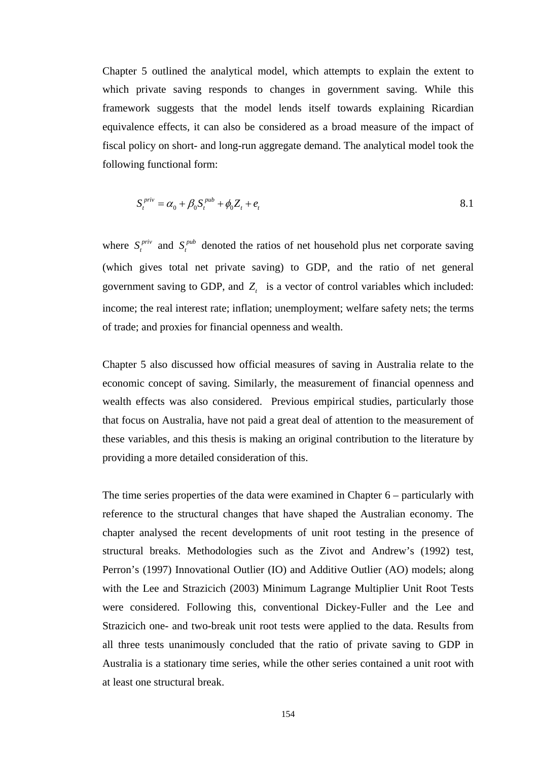Chapter 5 outlined the analytical model, which attempts to explain the extent to which private saving responds to changes in government saving. While this framework suggests that the model lends itself towards explaining Ricardian equivalence effects, it can also be considered as a broad measure of the impact of fiscal policy on short- and long-run aggregate demand. The analytical model took the following functional form:

$$
S_t^{priv} = \alpha_0 + \beta_0 S_t^{pub} + \phi_0 Z_t + e_t
$$

where  $S_t^{priv}$  and  $S_t^{pub}$  denoted the ratios of net household plus net corporate saving (which gives total net private saving) to GDP, and the ratio of net general government saving to GDP, and  $Z_t$  is a vector of control variables which included: income; the real interest rate; inflation; unemployment; welfare safety nets; the terms of trade; and proxies for financial openness and wealth.

Chapter 5 also discussed how official measures of saving in Australia relate to the economic concept of saving. Similarly, the measurement of financial openness and wealth effects was also considered. Previous empirical studies, particularly those that focus on Australia, have not paid a great deal of attention to the measurement of these variables, and this thesis is making an original contribution to the literature by providing a more detailed consideration of this.

The time series properties of the data were examined in Chapter 6 – particularly with reference to the structural changes that have shaped the Australian economy. The chapter analysed the recent developments of unit root testing in the presence of structural breaks. Methodologies such as the Zivot and Andrew's (1992) test, Perron's (1997) Innovational Outlier (IO) and Additive Outlier (AO) models; along with the Lee and Strazicich (2003) Minimum Lagrange Multiplier Unit Root Tests were considered. Following this, conventional Dickey-Fuller and the Lee and Strazicich one- and two-break unit root tests were applied to the data. Results from all three tests unanimously concluded that the ratio of private saving to GDP in Australia is a stationary time series, while the other series contained a unit root with at least one structural break.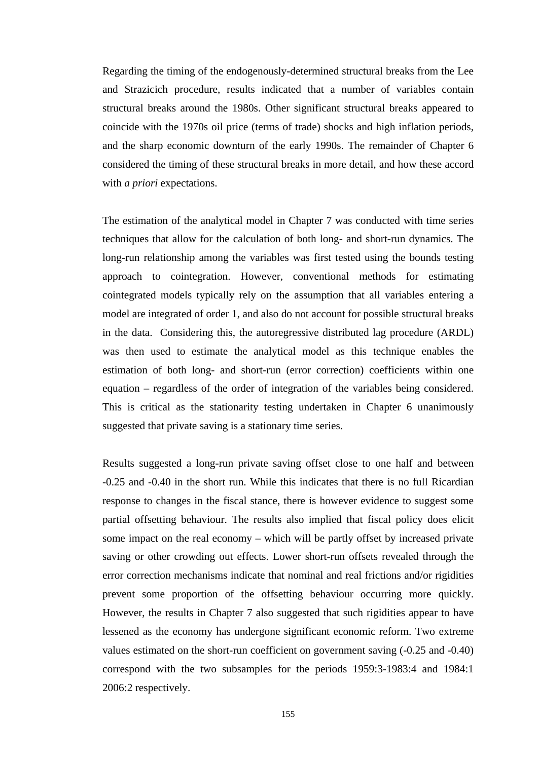Regarding the timing of the endogenously-determined structural breaks from the Lee and Strazicich procedure, results indicated that a number of variables contain structural breaks around the 1980s. Other significant structural breaks appeared to coincide with the 1970s oil price (terms of trade) shocks and high inflation periods, and the sharp economic downturn of the early 1990s. The remainder of Chapter 6 considered the timing of these structural breaks in more detail, and how these accord with *a priori* expectations.

The estimation of the analytical model in Chapter 7 was conducted with time series techniques that allow for the calculation of both long- and short-run dynamics. The long-run relationship among the variables was first tested using the bounds testing approach to cointegration. However, conventional methods for estimating cointegrated models typically rely on the assumption that all variables entering a model are integrated of order 1, and also do not account for possible structural breaks in the data. Considering this, the autoregressive distributed lag procedure (ARDL) was then used to estimate the analytical model as this technique enables the estimation of both long- and short-run (error correction) coefficients within one equation – regardless of the order of integration of the variables being considered. This is critical as the stationarity testing undertaken in Chapter 6 unanimously suggested that private saving is a stationary time series.

Results suggested a long-run private saving offset close to one half and between -0.25 and -0.40 in the short run. While this indicates that there is no full Ricardian response to changes in the fiscal stance, there is however evidence to suggest some partial offsetting behaviour. The results also implied that fiscal policy does elicit some impact on the real economy – which will be partly offset by increased private saving or other crowding out effects. Lower short-run offsets revealed through the error correction mechanisms indicate that nominal and real frictions and/or rigidities prevent some proportion of the offsetting behaviour occurring more quickly. However, the results in Chapter 7 also suggested that such rigidities appear to have lessened as the economy has undergone significant economic reform. Two extreme values estimated on the short-run coefficient on government saving (-0.25 and -0.40) correspond with the two subsamples for the periods 1959:3-1983:4 and 1984:1 2006:2 respectively.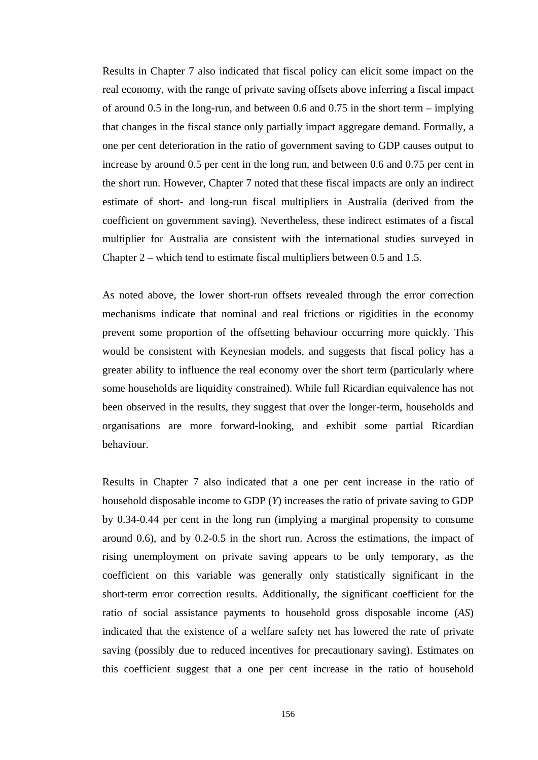Results in Chapter 7 also indicated that fiscal policy can elicit some impact on the real economy, with the range of private saving offsets above inferring a fiscal impact of around 0.5 in the long-run, and between 0.6 and 0.75 in the short term – implying that changes in the fiscal stance only partially impact aggregate demand. Formally, a one per cent deterioration in the ratio of government saving to GDP causes output to increase by around 0.5 per cent in the long run, and between 0.6 and 0.75 per cent in the short run. However, Chapter 7 noted that these fiscal impacts are only an indirect estimate of short- and long-run fiscal multipliers in Australia (derived from the coefficient on government saving). Nevertheless, these indirect estimates of a fiscal multiplier for Australia are consistent with the international studies surveyed in Chapter 2 – which tend to estimate fiscal multipliers between 0.5 and 1.5.

As noted above, the lower short-run offsets revealed through the error correction mechanisms indicate that nominal and real frictions or rigidities in the economy prevent some proportion of the offsetting behaviour occurring more quickly. This would be consistent with Keynesian models, and suggests that fiscal policy has a greater ability to influence the real economy over the short term (particularly where some households are liquidity constrained). While full Ricardian equivalence has not been observed in the results, they suggest that over the longer-term, households and organisations are more forward-looking, and exhibit some partial Ricardian behaviour.

Results in Chapter 7 also indicated that a one per cent increase in the ratio of household disposable income to GDP (*Y*) increases the ratio of private saving to GDP by 0.34-0.44 per cent in the long run (implying a marginal propensity to consume around 0.6), and by 0.2-0.5 in the short run. Across the estimations, the impact of rising unemployment on private saving appears to be only temporary, as the coefficient on this variable was generally only statistically significant in the short-term error correction results. Additionally, the significant coefficient for the ratio of social assistance payments to household gross disposable income (*AS*) indicated that the existence of a welfare safety net has lowered the rate of private saving (possibly due to reduced incentives for precautionary saving). Estimates on this coefficient suggest that a one per cent increase in the ratio of household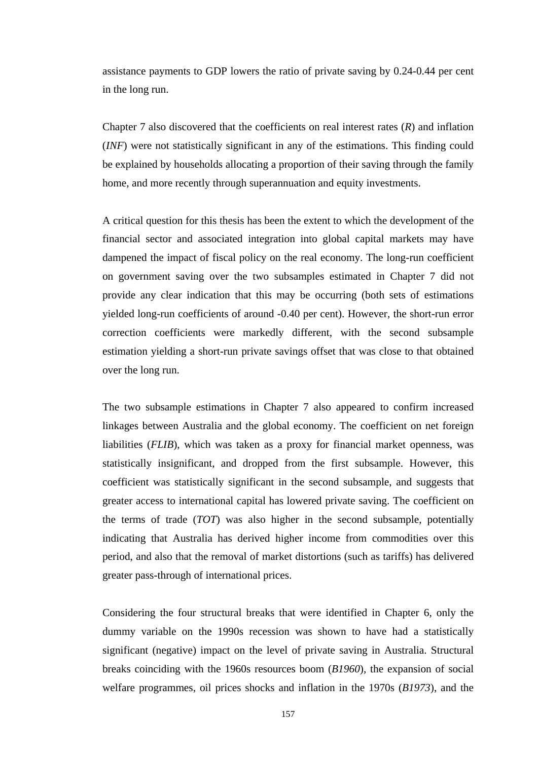assistance payments to GDP lowers the ratio of private saving by 0.24-0.44 per cent in the long run.

Chapter 7 also discovered that the coefficients on real interest rates (*R*) and inflation (*INF*) were not statistically significant in any of the estimations. This finding could be explained by households allocating a proportion of their saving through the family home, and more recently through superannuation and equity investments.

A critical question for this thesis has been the extent to which the development of the financial sector and associated integration into global capital markets may have dampened the impact of fiscal policy on the real economy. The long-run coefficient on government saving over the two subsamples estimated in Chapter 7 did not provide any clear indication that this may be occurring (both sets of estimations yielded long-run coefficients of around -0.40 per cent). However, the short-run error correction coefficients were markedly different, with the second subsample estimation yielding a short-run private savings offset that was close to that obtained over the long run.

The two subsample estimations in Chapter 7 also appeared to confirm increased linkages between Australia and the global economy. The coefficient on net foreign liabilities (*FLIB*), which was taken as a proxy for financial market openness, was statistically insignificant, and dropped from the first subsample. However, this coefficient was statistically significant in the second subsample, and suggests that greater access to international capital has lowered private saving. The coefficient on the terms of trade (*TOT*) was also higher in the second subsample, potentially indicating that Australia has derived higher income from commodities over this period, and also that the removal of market distortions (such as tariffs) has delivered greater pass-through of international prices.

Considering the four structural breaks that were identified in Chapter 6, only the dummy variable on the 1990s recession was shown to have had a statistically significant (negative) impact on the level of private saving in Australia. Structural breaks coinciding with the 1960s resources boom (*B1960*), the expansion of social welfare programmes, oil prices shocks and inflation in the 1970s (*B1973*), and the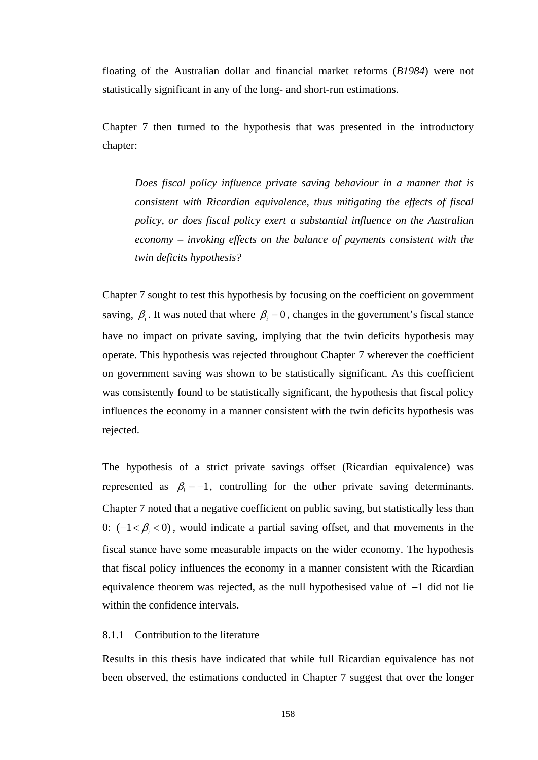floating of the Australian dollar and financial market reforms (*B1984*) were not statistically significant in any of the long- and short-run estimations.

Chapter 7 then turned to the hypothesis that was presented in the introductory chapter:

*Does fiscal policy influence private saving behaviour in a manner that is consistent with Ricardian equivalence, thus mitigating the effects of fiscal policy, or does fiscal policy exert a substantial influence on the Australian economy – invoking effects on the balance of payments consistent with the twin deficits hypothesis?* 

Chapter 7 sought to test this hypothesis by focusing on the coefficient on government saving,  $\beta$ <sub>i</sub>. It was noted that where  $\beta$ <sub>i</sub> = 0, changes in the government's fiscal stance have no impact on private saving, implying that the twin deficits hypothesis may operate. This hypothesis was rejected throughout Chapter 7 wherever the coefficient on government saving was shown to be statistically significant. As this coefficient was consistently found to be statistically significant, the hypothesis that fiscal policy influences the economy in a manner consistent with the twin deficits hypothesis was rejected.

The hypothesis of a strict private savings offset (Ricardian equivalence) was represented as  $\beta_i = -1$ , controlling for the other private saving determinants. Chapter 7 noted that a negative coefficient on public saving, but statistically less than 0:  $(-1 < \beta_i < 0)$ , would indicate a partial saving offset, and that movements in the fiscal stance have some measurable impacts on the wider economy. The hypothesis that fiscal policy influences the economy in a manner consistent with the Ricardian equivalence theorem was rejected, as the null hypothesised value of −1 did not lie within the confidence intervals.

### 8.1.1 Contribution to the literature

Results in this thesis have indicated that while full Ricardian equivalence has not been observed, the estimations conducted in Chapter 7 suggest that over the longer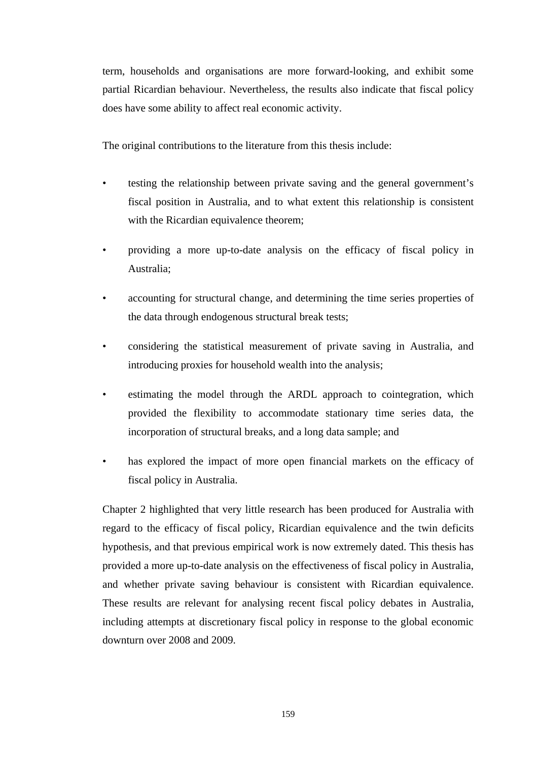term, households and organisations are more forward-looking, and exhibit some partial Ricardian behaviour. Nevertheless, the results also indicate that fiscal policy does have some ability to affect real economic activity.

The original contributions to the literature from this thesis include:

- testing the relationship between private saving and the general government's fiscal position in Australia, and to what extent this relationship is consistent with the Ricardian equivalence theorem;
- providing a more up-to-date analysis on the efficacy of fiscal policy in Australia;
- accounting for structural change, and determining the time series properties of the data through endogenous structural break tests;
- considering the statistical measurement of private saving in Australia, and introducing proxies for household wealth into the analysis;
- estimating the model through the ARDL approach to cointegration, which provided the flexibility to accommodate stationary time series data, the incorporation of structural breaks, and a long data sample; and
- has explored the impact of more open financial markets on the efficacy of fiscal policy in Australia.

Chapter 2 highlighted that very little research has been produced for Australia with regard to the efficacy of fiscal policy, Ricardian equivalence and the twin deficits hypothesis, and that previous empirical work is now extremely dated. This thesis has provided a more up-to-date analysis on the effectiveness of fiscal policy in Australia, and whether private saving behaviour is consistent with Ricardian equivalence. These results are relevant for analysing recent fiscal policy debates in Australia, including attempts at discretionary fiscal policy in response to the global economic downturn over 2008 and 2009.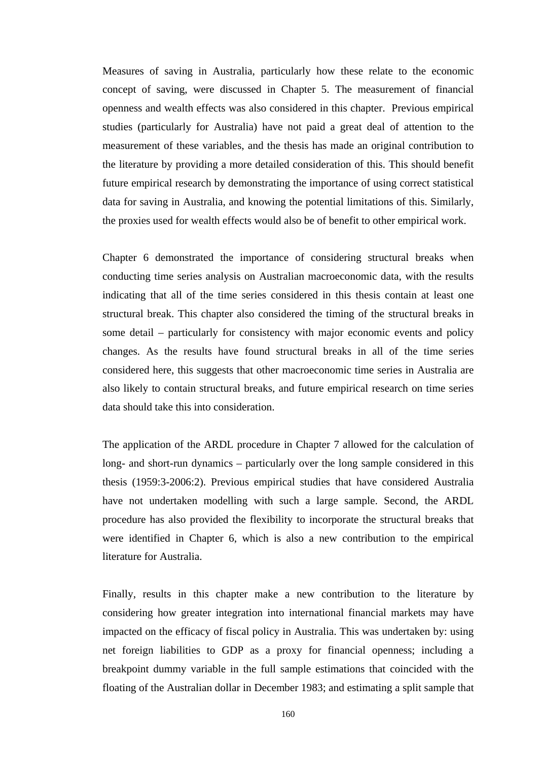Measures of saving in Australia, particularly how these relate to the economic concept of saving, were discussed in Chapter 5. The measurement of financial openness and wealth effects was also considered in this chapter. Previous empirical studies (particularly for Australia) have not paid a great deal of attention to the measurement of these variables, and the thesis has made an original contribution to the literature by providing a more detailed consideration of this. This should benefit future empirical research by demonstrating the importance of using correct statistical data for saving in Australia, and knowing the potential limitations of this. Similarly, the proxies used for wealth effects would also be of benefit to other empirical work.

Chapter 6 demonstrated the importance of considering structural breaks when conducting time series analysis on Australian macroeconomic data, with the results indicating that all of the time series considered in this thesis contain at least one structural break. This chapter also considered the timing of the structural breaks in some detail – particularly for consistency with major economic events and policy changes. As the results have found structural breaks in all of the time series considered here, this suggests that other macroeconomic time series in Australia are also likely to contain structural breaks, and future empirical research on time series data should take this into consideration.

The application of the ARDL procedure in Chapter 7 allowed for the calculation of long- and short-run dynamics – particularly over the long sample considered in this thesis (1959:3-2006:2). Previous empirical studies that have considered Australia have not undertaken modelling with such a large sample. Second, the ARDL procedure has also provided the flexibility to incorporate the structural breaks that were identified in Chapter 6, which is also a new contribution to the empirical literature for Australia.

Finally, results in this chapter make a new contribution to the literature by considering how greater integration into international financial markets may have impacted on the efficacy of fiscal policy in Australia. This was undertaken by: using net foreign liabilities to GDP as a proxy for financial openness; including a breakpoint dummy variable in the full sample estimations that coincided with the floating of the Australian dollar in December 1983; and estimating a split sample that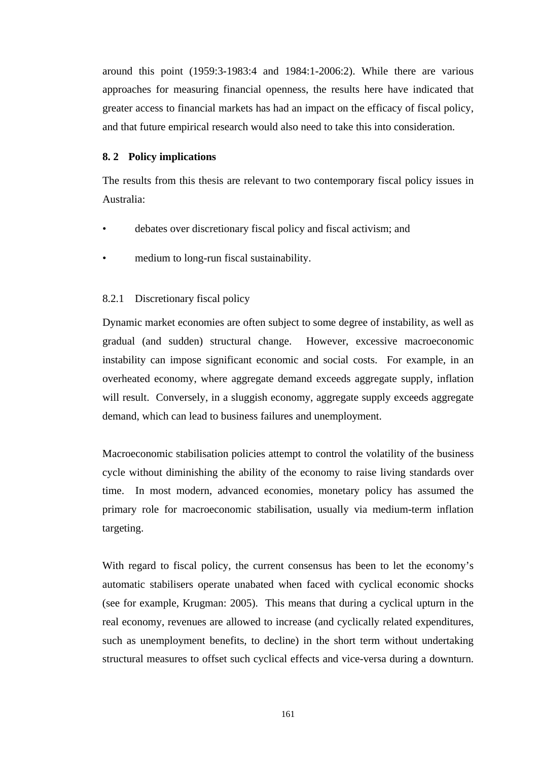around this point (1959:3-1983:4 and 1984:1-2006:2). While there are various approaches for measuring financial openness, the results here have indicated that greater access to financial markets has had an impact on the efficacy of fiscal policy, and that future empirical research would also need to take this into consideration.

## **8. 2 Policy implications**

The results from this thesis are relevant to two contemporary fiscal policy issues in Australia:

- debates over discretionary fiscal policy and fiscal activism; and
- medium to long-run fiscal sustainability.

# 8.2.1 Discretionary fiscal policy

Dynamic market economies are often subject to some degree of instability, as well as gradual (and sudden) structural change. However, excessive macroeconomic instability can impose significant economic and social costs. For example, in an overheated economy, where aggregate demand exceeds aggregate supply, inflation will result. Conversely, in a sluggish economy, aggregate supply exceeds aggregate demand, which can lead to business failures and unemployment.

Macroeconomic stabilisation policies attempt to control the volatility of the business cycle without diminishing the ability of the economy to raise living standards over time. In most modern, advanced economies, monetary policy has assumed the primary role for macroeconomic stabilisation, usually via medium-term inflation targeting.

With regard to fiscal policy, the current consensus has been to let the economy's automatic stabilisers operate unabated when faced with cyclical economic shocks (see for example, Krugman: 2005). This means that during a cyclical upturn in the real economy, revenues are allowed to increase (and cyclically related expenditures, such as unemployment benefits, to decline) in the short term without undertaking structural measures to offset such cyclical effects and vice-versa during a downturn.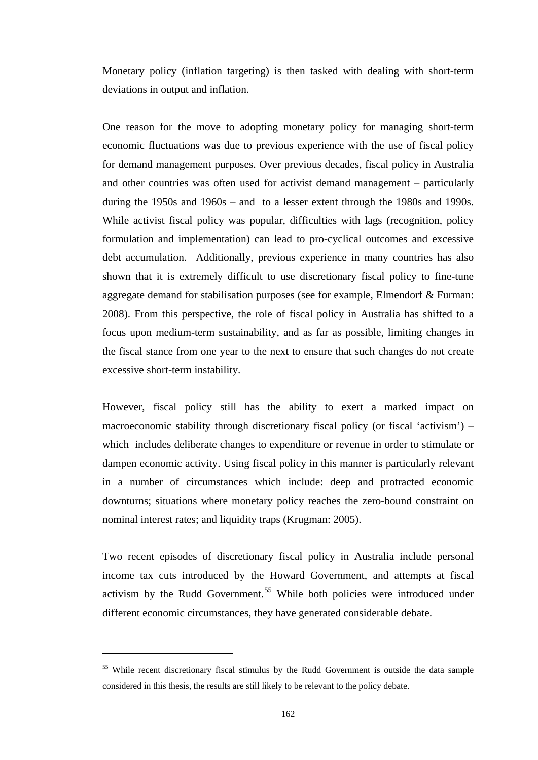Monetary policy (inflation targeting) is then tasked with dealing with short-term deviations in output and inflation.

One reason for the move to adopting monetary policy for managing short-term economic fluctuations was due to previous experience with the use of fiscal policy for demand management purposes. Over previous decades, fiscal policy in Australia and other countries was often used for activist demand management – particularly during the 1950s and 1960s – and to a lesser extent through the 1980s and 1990s. While activist fiscal policy was popular, difficulties with lags (recognition, policy formulation and implementation) can lead to pro-cyclical outcomes and excessive debt accumulation. Additionally, previous experience in many countries has also shown that it is extremely difficult to use discretionary fiscal policy to fine-tune aggregate demand for stabilisation purposes (see for example, Elmendorf & Furman: 2008). From this perspective, the role of fiscal policy in Australia has shifted to a focus upon medium-term sustainability, and as far as possible, limiting changes in the fiscal stance from one year to the next to ensure that such changes do not create excessive short-term instability.

However, fiscal policy still has the ability to exert a marked impact on macroeconomic stability through discretionary fiscal policy (or fiscal 'activism')  $$ which includes deliberate changes to expenditure or revenue in order to stimulate or dampen economic activity. Using fiscal policy in this manner is particularly relevant in a number of circumstances which include: deep and protracted economic downturns; situations where monetary policy reaches the zero-bound constraint on nominal interest rates; and liquidity traps (Krugman: 2005).

Two recent episodes of discretionary fiscal policy in Australia include personal income tax cuts introduced by the Howard Government, and attempts at fiscal activism by the Rudd Government.<sup>55</sup> While both policies were introduced under different economic circumstances, they have generated considerable debate.

 $\overline{a}$ 

<span id="page-174-0"></span><sup>&</sup>lt;sup>55</sup> While recent discretionary fiscal stimulus by the Rudd Government is outside the data sample considered in this thesis, the results are still likely to be relevant to the policy debate.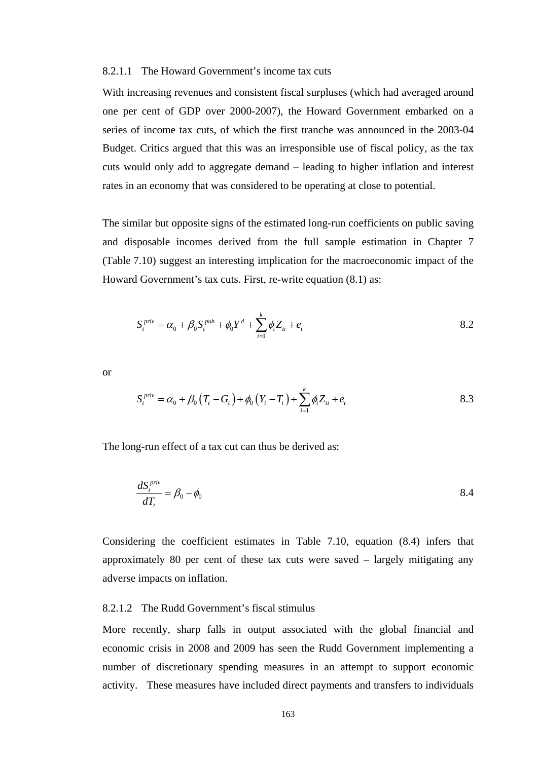### 8.2.1.1 The Howard Government's income tax cuts

With increasing revenues and consistent fiscal surpluses (which had averaged around one per cent of GDP over 2000-2007), the Howard Government embarked on a series of income tax cuts, of which the first tranche was announced in the 2003-04 Budget. Critics argued that this was an irresponsible use of fiscal policy, as the tax cuts would only add to aggregate demand – leading to higher inflation and interest rates in an economy that was considered to be operating at close to potential.

The similar but opposite signs of the estimated long-run coefficients on public saving and disposable incomes derived from the full sample estimation in Chapter 7 (Table 7.10) suggest an interesting implication for the macroeconomic impact of the Howard Government's tax cuts. First, re-write equation (8.1) as:

$$
S_t^{priv} = \alpha_0 + \beta_0 S_t^{pub} + \phi_0 Y^d + \sum_{i=1}^k \phi_i Z_{ti} + e_t
$$

or

$$
S_t^{\text{priv}} = \alpha_0 + \beta_0 (T_t - G_t) + \phi_0 (Y_t - T_t) + \sum_{i=1}^k \phi_i Z_{ti} + e_t
$$

The long-run effect of a tax cut can thus be derived as:

$$
\frac{dS_t^{priv}}{dT_t} = \beta_0 - \phi_0 \tag{8.4}
$$

Considering the coefficient estimates in Table 7.10, equation (8.4) infers that approximately 80 per cent of these tax cuts were saved – largely mitigating any adverse impacts on inflation.

# 8.2.1.2 The Rudd Government's fiscal stimulus

More recently, sharp falls in output associated with the global financial and economic crisis in 2008 and 2009 has seen the Rudd Government implementing a number of discretionary spending measures in an attempt to support economic activity. These measures have included direct payments and transfers to individuals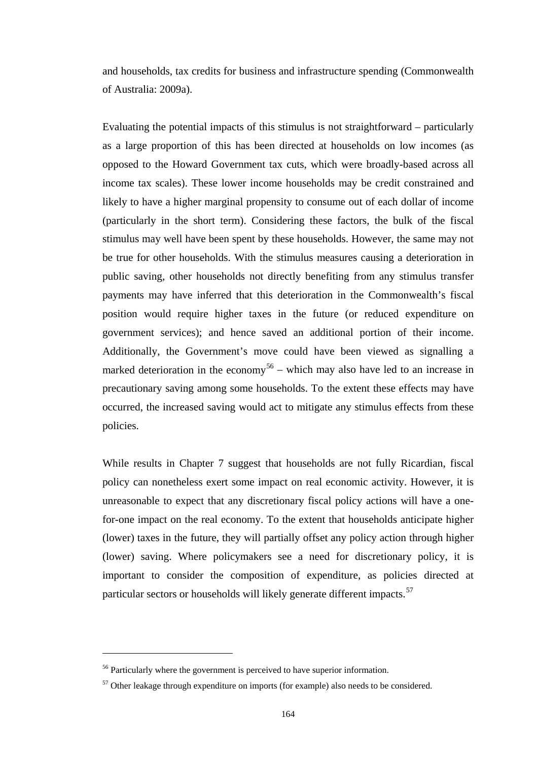and households, tax credits for business and infrastructure spending (Commonwealth of Australia: 2009a).

Evaluating the potential impacts of this stimulus is not straightforward – particularly as a large proportion of this has been directed at households on low incomes (as opposed to the Howard Government tax cuts, which were broadly-based across all income tax scales). These lower income households may be credit constrained and likely to have a higher marginal propensity to consume out of each dollar of income (particularly in the short term). Considering these factors, the bulk of the fiscal stimulus may well have been spent by these households. However, the same may not be true for other households. With the stimulus measures causing a deterioration in public saving, other households not directly benefiting from any stimulus transfer payments may have inferred that this deterioration in the Commonwealth's fiscal position would require higher taxes in the future (or reduced expenditure on government services); and hence saved an additional portion of their income. Additionally, the Government's move could have been viewed as signalling a marked deterioration in the economy<sup>[56](#page-176-0)</sup> – which may also have led to an increase in precautionary saving among some households. To the extent these effects may have occurred, the increased saving would act to mitigate any stimulus effects from these policies.

While results in Chapter 7 suggest that households are not fully Ricardian, fiscal policy can nonetheless exert some impact on real economic activity. However, it is unreasonable to expect that any discretionary fiscal policy actions will have a onefor-one impact on the real economy. To the extent that households anticipate higher (lower) taxes in the future, they will partially offset any policy action through higher (lower) saving. Where policymakers see a need for discretionary policy, it is important to consider the composition of expenditure, as policies directed at particular sectors or households will likely generate different impacts.<sup>[57](#page-176-1)</sup>

 $\overline{a}$ 

<span id="page-176-0"></span><sup>&</sup>lt;sup>56</sup> Particularly where the government is perceived to have superior information.

<span id="page-176-1"></span> $57$  Other leakage through expenditure on imports (for example) also needs to be considered.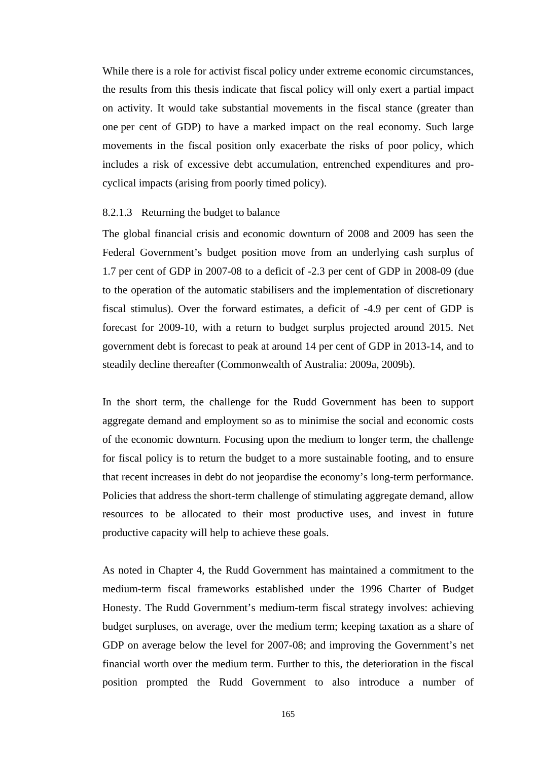While there is a role for activist fiscal policy under extreme economic circumstances, the results from this thesis indicate that fiscal policy will only exert a partial impact on activity. It would take substantial movements in the fiscal stance (greater than one per cent of GDP) to have a marked impact on the real economy. Such large movements in the fiscal position only exacerbate the risks of poor policy, which includes a risk of excessive debt accumulation, entrenched expenditures and procyclical impacts (arising from poorly timed policy).

### 8.2.1.3 Returning the budget to balance

The global financial crisis and economic downturn of 2008 and 2009 has seen the Federal Government's budget position move from an underlying cash surplus of 1.7 per cent of GDP in 2007-08 to a deficit of -2.3 per cent of GDP in 2008-09 (due to the operation of the automatic stabilisers and the implementation of discretionary fiscal stimulus). Over the forward estimates, a deficit of -4.9 per cent of GDP is forecast for 2009-10, with a return to budget surplus projected around 2015. Net government debt is forecast to peak at around 14 per cent of GDP in 2013-14, and to steadily decline thereafter (Commonwealth of Australia: 2009a, 2009b).

In the short term, the challenge for the Rudd Government has been to support aggregate demand and employment so as to minimise the social and economic costs of the economic downturn. Focusing upon the medium to longer term, the challenge for fiscal policy is to return the budget to a more sustainable footing, and to ensure that recent increases in debt do not jeopardise the economy's long-term performance. Policies that address the short-term challenge of stimulating aggregate demand, allow resources to be allocated to their most productive uses, and invest in future productive capacity will help to achieve these goals.

As noted in Chapter 4, the Rudd Government has maintained a commitment to the medium-term fiscal frameworks established under the 1996 Charter of Budget Honesty. The Rudd Government's medium-term fiscal strategy involves: achieving budget surpluses, on average, over the medium term; keeping taxation as a share of GDP on average below the level for 2007-08; and improving the Government's net financial worth over the medium term. Further to this, the deterioration in the fiscal position prompted the Rudd Government to also introduce a number of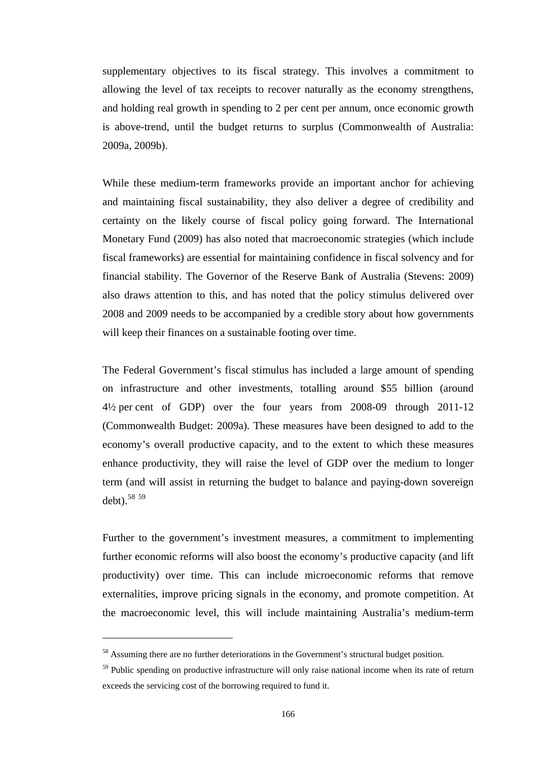supplementary objectives to its fiscal strategy. This involves a commitment to allowing the level of tax receipts to recover naturally as the economy strengthens, and holding real growth in spending to 2 per cent per annum, once economic growth is above-trend, until the budget returns to surplus (Commonwealth of Australia: 2009a, 2009b).

While these medium-term frameworks provide an important anchor for achieving and maintaining fiscal sustainability, they also deliver a degree of credibility and certainty on the likely course of fiscal policy going forward. The International Monetary Fund (2009) has also noted that macroeconomic strategies (which include fiscal frameworks) are essential for maintaining confidence in fiscal solvency and for financial stability. The Governor of the Reserve Bank of Australia (Stevens: 2009) also draws attention to this, and has noted that the policy stimulus delivered over 2008 and 2009 needs to be accompanied by a credible story about how governments will keep their finances on a sustainable footing over time.

The Federal Government's fiscal stimulus has included a large amount of spending on infrastructure and other investments, totalling around \$55 billion (around 4½ per cent of GDP) over the four years from 2008-09 through 2011-12 (Commonwealth Budget: 2009a). These measures have been designed to add to the economy's overall productive capacity, and to the extent to which these measures enhance productivity, they will raise the level of GDP over the medium to longer term (and will assist in returning the budget to balance and paying-down sovereign debt).[58](#page-178-0) [59](#page-178-1)

Further to the government's investment measures, a commitment to implementing further economic reforms will also boost the economy's productive capacity (and lift productivity) over time. This can include microeconomic reforms that remove externalities, improve pricing signals in the economy, and promote competition. At the macroeconomic level, this will include maintaining Australia's medium-term

 $\overline{a}$ 

<span id="page-178-0"></span><sup>&</sup>lt;sup>58</sup> Assuming there are no further deteriorations in the Government's structural budget position.

<span id="page-178-1"></span><sup>&</sup>lt;sup>59</sup> Public spending on productive infrastructure will only raise national income when its rate of return exceeds the servicing cost of the borrowing required to fund it.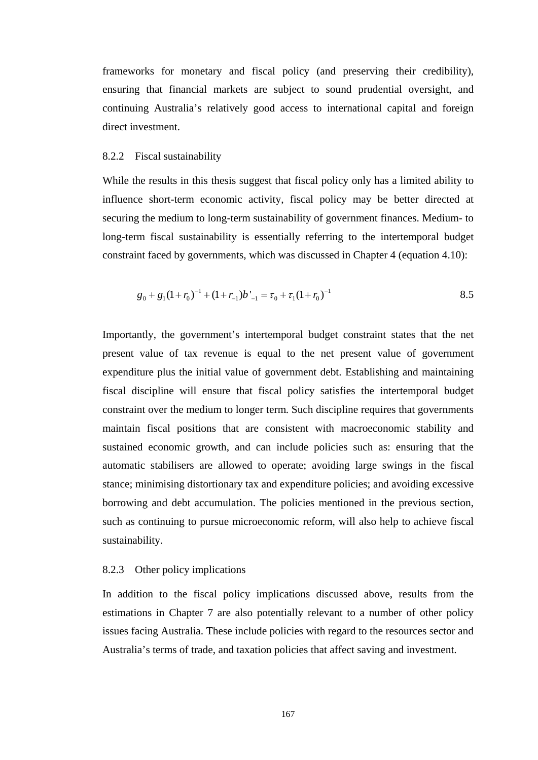frameworks for monetary and fiscal policy (and preserving their credibility), ensuring that financial markets are subject to sound prudential oversight, and continuing Australia's relatively good access to international capital and foreign direct investment.

#### 8.2.2 Fiscal sustainability

While the results in this thesis suggest that fiscal policy only has a limited ability to influence short-term economic activity, fiscal policy may be better directed at securing the medium to long-term sustainability of government finances. Medium- to long-term fiscal sustainability is essentially referring to the intertemporal budget constraint faced by governments, which was discussed in Chapter 4 (equation 4.10):

$$
g_0 + g_1(1 + r_0)^{-1} + (1 + r_{-1})b'_{-1} = \tau_0 + \tau_1(1 + r_0)^{-1}
$$

Importantly, the government's intertemporal budget constraint states that the net present value of tax revenue is equal to the net present value of government expenditure plus the initial value of government debt. Establishing and maintaining fiscal discipline will ensure that fiscal policy satisfies the intertemporal budget constraint over the medium to longer term. Such discipline requires that governments maintain fiscal positions that are consistent with macroeconomic stability and sustained economic growth, and can include policies such as: ensuring that the automatic stabilisers are allowed to operate; avoiding large swings in the fiscal stance; minimising distortionary tax and expenditure policies; and avoiding excessive borrowing and debt accumulation. The policies mentioned in the previous section, such as continuing to pursue microeconomic reform, will also help to achieve fiscal sustainability.

### 8.2.3 Other policy implications

In addition to the fiscal policy implications discussed above, results from the estimations in Chapter 7 are also potentially relevant to a number of other policy issues facing Australia. These include policies with regard to the resources sector and Australia's terms of trade, and taxation policies that affect saving and investment.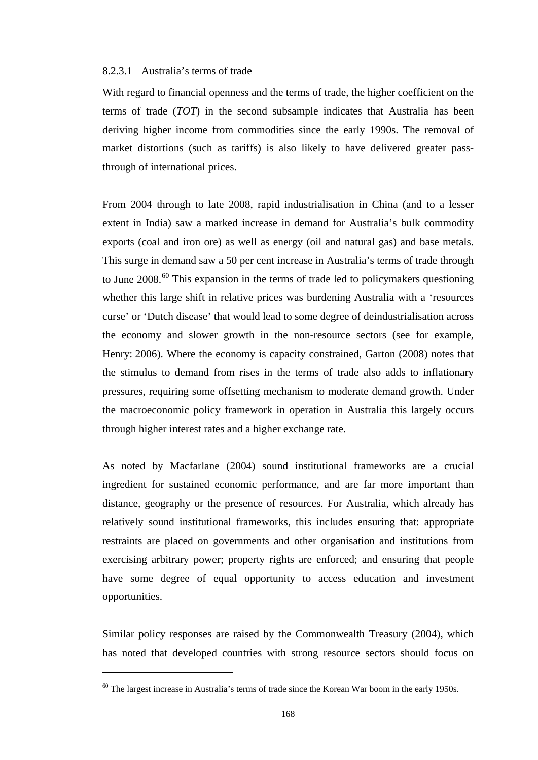## 8.2.3.1 Australia's terms of trade

With regard to financial openness and the terms of trade, the higher coefficient on the terms of trade (*TOT*) in the second subsample indicates that Australia has been deriving higher income from commodities since the early 1990s. The removal of market distortions (such as tariffs) is also likely to have delivered greater passthrough of international prices.

From 2004 through to late 2008, rapid industrialisation in China (and to a lesser extent in India) saw a marked increase in demand for Australia's bulk commodity exports (coal and iron ore) as well as energy (oil and natural gas) and base metals. This surge in demand saw a 50 per cent increase in Australia's terms of trade through to June 2008.<sup>[60](#page-180-0)</sup> This expansion in the terms of trade led to policymakers questioning whether this large shift in relative prices was burdening Australia with a 'resources curse' or 'Dutch disease' that would lead to some degree of deindustrialisation across the economy and slower growth in the non-resource sectors (see for example, Henry: 2006). Where the economy is capacity constrained, Garton (2008) notes that the stimulus to demand from rises in the terms of trade also adds to inflationary pressures, requiring some offsetting mechanism to moderate demand growth. Under the macroeconomic policy framework in operation in Australia this largely occurs through higher interest rates and a higher exchange rate.

As noted by Macfarlane (2004) sound institutional frameworks are a crucial ingredient for sustained economic performance, and are far more important than distance, geography or the presence of resources. For Australia, which already has relatively sound institutional frameworks, this includes ensuring that: appropriate restraints are placed on governments and other organisation and institutions from exercising arbitrary power; property rights are enforced; and ensuring that people have some degree of equal opportunity to access education and investment opportunities.

Similar policy responses are raised by the Commonwealth Treasury (2004), which has noted that developed countries with strong resource sectors should focus on

 $\overline{a}$ 

<span id="page-180-0"></span> $60$  The largest increase in Australia's terms of trade since the Korean War boom in the early 1950s.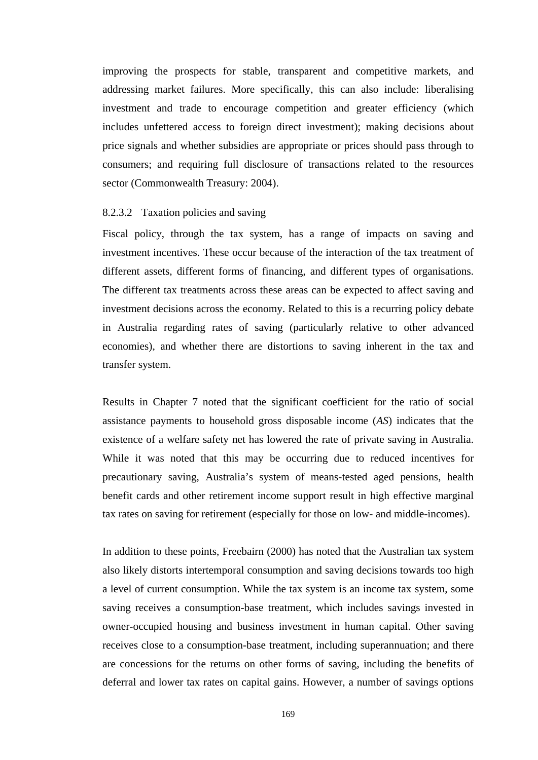improving the prospects for stable, transparent and competitive markets, and addressing market failures. More specifically, this can also include: liberalising investment and trade to encourage competition and greater efficiency (which includes unfettered access to foreign direct investment); making decisions about price signals and whether subsidies are appropriate or prices should pass through to consumers; and requiring full disclosure of transactions related to the resources sector (Commonwealth Treasury: 2004).

## 8.2.3.2 Taxation policies and saving

Fiscal policy, through the tax system, has a range of impacts on saving and investment incentives. These occur because of the interaction of the tax treatment of different assets, different forms of financing, and different types of organisations. The different tax treatments across these areas can be expected to affect saving and investment decisions across the economy. Related to this is a recurring policy debate in Australia regarding rates of saving (particularly relative to other advanced economies), and whether there are distortions to saving inherent in the tax and transfer system.

Results in Chapter 7 noted that the significant coefficient for the ratio of social assistance payments to household gross disposable income (*AS*) indicates that the existence of a welfare safety net has lowered the rate of private saving in Australia. While it was noted that this may be occurring due to reduced incentives for precautionary saving, Australia's system of means-tested aged pensions, health benefit cards and other retirement income support result in high effective marginal tax rates on saving for retirement (especially for those on low- and middle-incomes).

In addition to these points, Freebairn (2000) has noted that the Australian tax system also likely distorts intertemporal consumption and saving decisions towards too high a level of current consumption. While the tax system is an income tax system, some saving receives a consumption-base treatment, which includes savings invested in owner-occupied housing and business investment in human capital. Other saving receives close to a consumption-base treatment, including superannuation; and there are concessions for the returns on other forms of saving, including the benefits of deferral and lower tax rates on capital gains. However, a number of savings options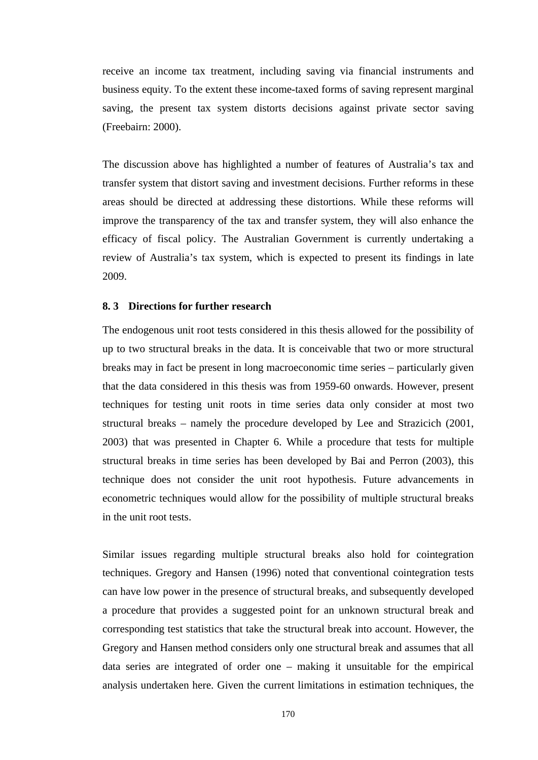receive an income tax treatment, including saving via financial instruments and business equity. To the extent these income-taxed forms of saving represent marginal saving, the present tax system distorts decisions against private sector saving (Freebairn: 2000).

The discussion above has highlighted a number of features of Australia's tax and transfer system that distort saving and investment decisions. Further reforms in these areas should be directed at addressing these distortions. While these reforms will improve the transparency of the tax and transfer system, they will also enhance the efficacy of fiscal policy. The Australian Government is currently undertaking a review of Australia's tax system, which is expected to present its findings in late 2009.

# **8. 3 Directions for further research**

The endogenous unit root tests considered in this thesis allowed for the possibility of up to two structural breaks in the data. It is conceivable that two or more structural breaks may in fact be present in long macroeconomic time series – particularly given that the data considered in this thesis was from 1959-60 onwards. However, present techniques for testing unit roots in time series data only consider at most two structural breaks – namely the procedure developed by Lee and Strazicich (2001, 2003) that was presented in Chapter 6. While a procedure that tests for multiple structural breaks in time series has been developed by Bai and Perron (2003), this technique does not consider the unit root hypothesis. Future advancements in econometric techniques would allow for the possibility of multiple structural breaks in the unit root tests.

Similar issues regarding multiple structural breaks also hold for cointegration techniques. Gregory and Hansen (1996) noted that conventional cointegration tests can have low power in the presence of structural breaks, and subsequently developed a procedure that provides a suggested point for an unknown structural break and corresponding test statistics that take the structural break into account. However, the Gregory and Hansen method considers only one structural break and assumes that all data series are integrated of order one – making it unsuitable for the empirical analysis undertaken here. Given the current limitations in estimation techniques, the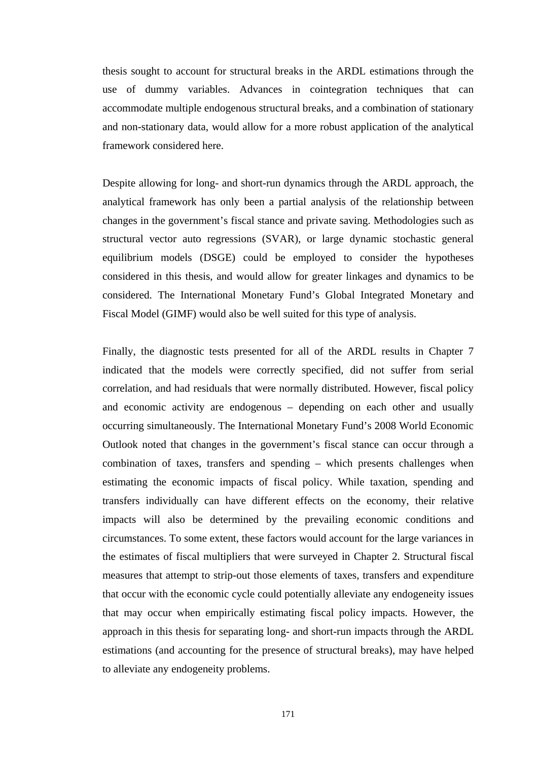thesis sought to account for structural breaks in the ARDL estimations through the use of dummy variables. Advances in cointegration techniques that can accommodate multiple endogenous structural breaks, and a combination of stationary and non-stationary data, would allow for a more robust application of the analytical framework considered here.

Despite allowing for long- and short-run dynamics through the ARDL approach, the analytical framework has only been a partial analysis of the relationship between changes in the government's fiscal stance and private saving. Methodologies such as structural vector auto regressions (SVAR), or large dynamic stochastic general equilibrium models (DSGE) could be employed to consider the hypotheses considered in this thesis, and would allow for greater linkages and dynamics to be considered. The International Monetary Fund's Global Integrated Monetary and Fiscal Model (GIMF) would also be well suited for this type of analysis.

Finally, the diagnostic tests presented for all of the ARDL results in Chapter 7 indicated that the models were correctly specified, did not suffer from serial correlation, and had residuals that were normally distributed. However, fiscal policy and economic activity are endogenous – depending on each other and usually occurring simultaneously. The International Monetary Fund's 2008 World Economic Outlook noted that changes in the government's fiscal stance can occur through a combination of taxes, transfers and spending – which presents challenges when estimating the economic impacts of fiscal policy. While taxation, spending and transfers individually can have different effects on the economy, their relative impacts will also be determined by the prevailing economic conditions and circumstances. To some extent, these factors would account for the large variances in the estimates of fiscal multipliers that were surveyed in Chapter 2. Structural fiscal measures that attempt to strip-out those elements of taxes, transfers and expenditure that occur with the economic cycle could potentially alleviate any endogeneity issues that may occur when empirically estimating fiscal policy impacts. However, the approach in this thesis for separating long- and short-run impacts through the ARDL estimations (and accounting for the presence of structural breaks), may have helped to alleviate any endogeneity problems.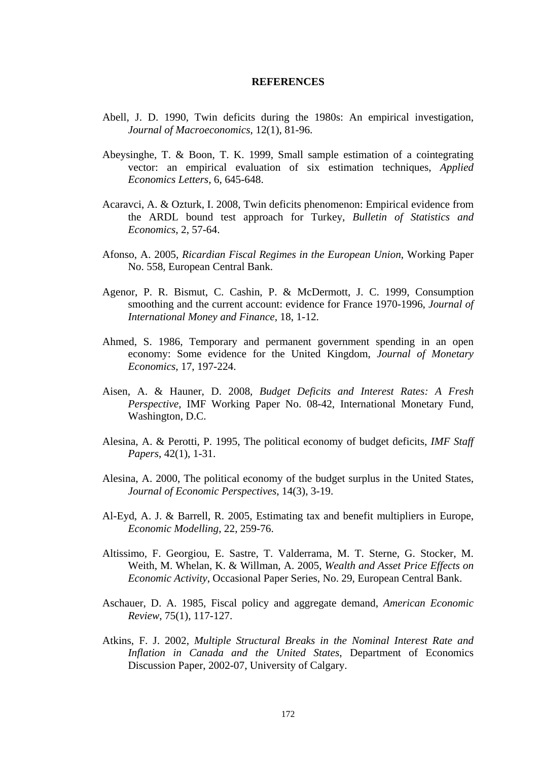#### **REFERENCES**

- Abell, J. D. 1990, Twin deficits during the 1980s: An empirical investigation, *Journal of Macroeconomics*, 12(1), 81-96.
- Abeysinghe, T. & Boon, T. K. 1999, Small sample estimation of a cointegrating vector: an empirical evaluation of six estimation techniques, *Applied Economics Letters*, 6, 645-648.
- Acaravci, A. & Ozturk, I. 2008, Twin deficits phenomenon: Empirical evidence from the ARDL bound test approach for Turkey, *Bulletin of Statistics and Economics*, 2, 57-64.
- Afonso, A. 2005, *Ricardian Fiscal Regimes in the European Union*, Working Paper No. 558, European Central Bank.
- Agenor, P. R. Bismut, C. Cashin, P. & McDermott, J. C. 1999, Consumption smoothing and the current account: evidence for France 1970-1996, *Journal of International Money and Finance*, 18, 1-12.
- Ahmed, S. 1986, Temporary and permanent government spending in an open economy: Some evidence for the United Kingdom, *Journal of Monetary Economics*, 17, 197-224.
- Aisen, A. & Hauner, D. 2008, *Budget Deficits and Interest Rates: A Fresh Perspective*, IMF Working Paper No. 08-42, International Monetary Fund, Washington, D.C.
- Alesina, A. & Perotti, P. 1995, The political economy of budget deficits, *IMF Staff Papers*, 42(1), 1-31.
- Alesina, A. 2000, The political economy of the budget surplus in the United States, *Journal of Economic Perspectives*, 14(3), 3-19.
- Al-Eyd, A. J. & Barrell, R. 2005, Estimating tax and benefit multipliers in Europe, *Economic Modelling*, 22, 259-76.
- Altissimo, F. Georgiou, E. Sastre, T. Valderrama, M. T. Sterne, G. Stocker, M. Weith, M. Whelan, K. & Willman, A. 2005, *Wealth and Asset Price Effects on Economic Activity*, Occasional Paper Series, No. 29, European Central Bank.
- Aschauer, D. A. 1985, Fiscal policy and aggregate demand, *American Economic Review*, 75(1), 117-127.
- Atkins, F. J. 2002, *Multiple Structural Breaks in the Nominal Interest Rate and Inflation in Canada and the United States*, Department of Economics Discussion Paper, 2002-07, University of Calgary.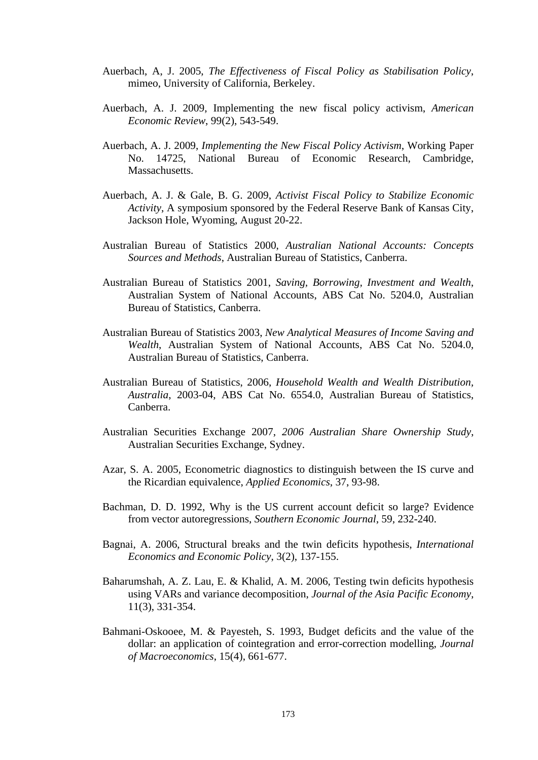- Auerbach, A, J. 2005, *The Effectiveness of Fiscal Policy as Stabilisation Policy*, mimeo, University of California, Berkeley.
- Auerbach, A. J. 2009, Implementing the new fiscal policy activism, *American Economic Review*, 99(2), 543-549.
- Auerbach, A. J. 2009, *Implementing the New Fiscal Policy Activism*, Working Paper No. 14725, National Bureau of Economic Research, Cambridge, **Massachusetts**
- Auerbach, A. J. & Gale, B. G. 2009, *Activist Fiscal Policy to Stabilize Economic Activity*, A symposium sponsored by the Federal Reserve Bank of Kansas City, Jackson Hole, Wyoming, August 20-22.
- Australian Bureau of Statistics 2000, *Australian National Accounts: Concepts Sources and Methods*, Australian Bureau of Statistics, Canberra.
- Australian Bureau of Statistics 2001, *Saving, Borrowing, Investment and Wealth*, Australian System of National Accounts, ABS Cat No. 5204.0, Australian Bureau of Statistics, Canberra.
- Australian Bureau of Statistics 2003, *New Analytical Measures of Income Saving and Wealth*, Australian System of National Accounts, ABS Cat No. 5204.0, Australian Bureau of Statistics, Canberra.
- Australian Bureau of Statistics, 2006, *Household Wealth and Wealth Distribution, Australia*, 2003-04, ABS Cat No. 6554.0, Australian Bureau of Statistics, Canberra.
- Australian Securities Exchange 2007, *2006 Australian Share Ownership Study*, Australian Securities Exchange, Sydney.
- Azar, S. A. 2005, Econometric diagnostics to distinguish between the IS curve and the Ricardian equivalence, *Applied Economics*, 37, 93-98.
- Bachman, D. D. 1992, Why is the US current account deficit so large? Evidence from vector autoregressions, *Southern Economic Journal*, 59, 232-240.
- Bagnai, A. 2006, Structural breaks and the twin deficits hypothesis, *International Economics and Economic Policy*, 3(2), 137-155.
- Baharumshah, A. Z. Lau, E. & Khalid, A. M. 2006, Testing twin deficits hypothesis using VARs and variance decomposition, *Journal of the Asia Pacific Economy*, 11(3), 331-354.
- Bahmani-Oskooee, M. & Payesteh, S. 1993, Budget deficits and the value of the dollar: an application of cointegration and error-correction modelling, *Journal of Macroeconomics*, 15(4), 661-677.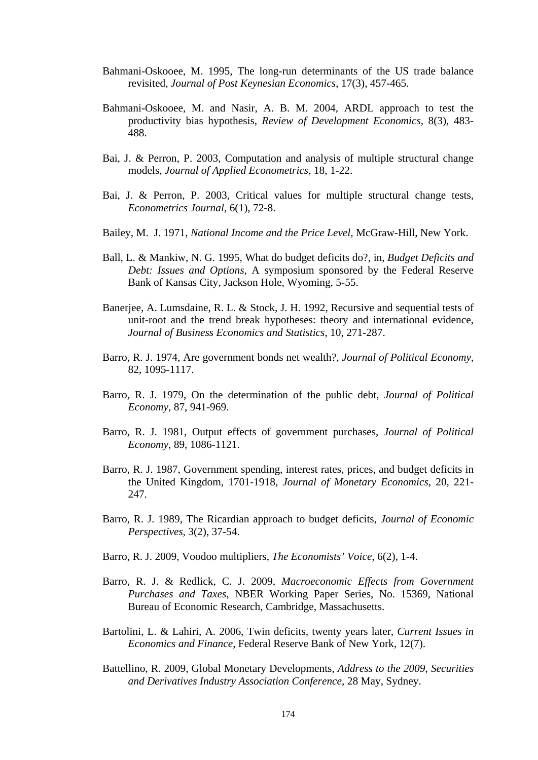- Bahmani-Oskooee, M. 1995, The long-run determinants of the US trade balance revisited, *Journal of Post Keynesian Economics*, 17(3), 457-465.
- Bahmani-Oskooee, M. and Nasir, A. B. M. 2004, ARDL approach to test the productivity bias hypothesis, *Review of Development Economics*, 8(3), 483- 488.
- Bai, J. & Perron, P. 2003, Computation and analysis of multiple structural change models, *Journal of Applied Econometrics*, 18, 1-22.
- Bai, J. & Perron, P. 2003, Critical values for multiple structural change tests, *Econometrics Journal*, 6(1), 72-8.
- Bailey, M. J. 1971, *National Income and the Price Level*, McGraw-Hill, New York.
- Ball, L. & Mankiw, N. G. 1995, What do budget deficits do?, in, *Budget Deficits and Debt: Issues and Options*, A symposium sponsored by the Federal Reserve Bank of Kansas City, Jackson Hole, Wyoming, 5-55.
- Banerjee, A. Lumsdaine, R. L. & Stock, J. H. 1992, Recursive and sequential tests of unit-root and the trend break hypotheses: theory and international evidence, *Journal of Business Economics and Statistics*, 10, 271-287.
- Barro, R. J. 1974, Are government bonds net wealth?, *Journal of Political Economy*, 82, 1095-1117.
- Barro, R. J. 1979, On the determination of the public debt, *Journal of Political Economy*, 87, 941-969.
- Barro, R. J. 1981, Output effects of government purchases, *Journal of Political Economy*, 89, 1086-1121.
- Barro, R. J. 1987, Government spending, interest rates, prices, and budget deficits in the United Kingdom, 1701-1918, *Journal of Monetary Economics*, 20, 221- 247.
- Barro, R. J. 1989, The Ricardian approach to budget deficits, *Journal of Economic Perspectives*, 3(2), 37-54.
- Barro, R. J. 2009, Voodoo multipliers, *The Economists' Voice*, 6(2), 1-4.
- Barro, R. J. & Redlick, C. J. 2009, *Macroeconomic Effects from Government Purchases and Taxes*, NBER Working Paper Series, No. 15369, National Bureau of Economic Research, Cambridge, Massachusetts.
- Bartolini, L. & Lahiri, A. 2006, Twin deficits, twenty years later, *Current Issues in Economics and Finance*, Federal Reserve Bank of New York, 12(7).
- Battellino, R. 2009, Global Monetary Developments, *Address to the 2009, Securities and Derivatives Industry Association Conference*, 28 May, Sydney.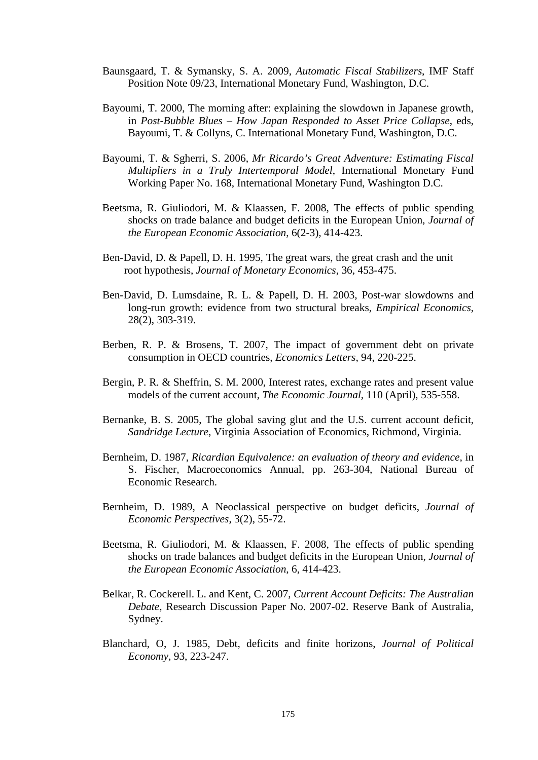- Baunsgaard, T. & Symansky, S. A. 2009, *Automatic Fiscal Stabilizers*, IMF Staff Position Note 09/23, International Monetary Fund, Washington, D.C.
- Bayoumi, T. 2000, The morning after: explaining the slowdown in Japanese growth, in *Post-Bubble Blues – How Japan Responded to Asset Price Collapse*, eds, Bayoumi, T. & Collyns, C. International Monetary Fund, Washington, D.C.
- Bayoumi, T. & Sgherri, S. 2006, *Mr Ricardo's Great Adventure: Estimating Fiscal Multipliers in a Truly Intertemporal Model*, International Monetary Fund Working Paper No. 168, International Monetary Fund, Washington D.C.
- Beetsma, R. Giuliodori, M. & Klaassen, F. 2008, The effects of public spending shocks on trade balance and budget deficits in the European Union, *Journal of the European Economic Association*, 6(2-3), 414-423.
- Ben-David, D. & Papell, D. H. 1995, The great wars, the great crash and the unit root hypothesis, *Journal of Monetary Economics*, 36, 453-475.
- Ben-David, D. Lumsdaine, R. L. & Papell, D. H. 2003, Post-war slowdowns and long-run growth: evidence from two structural breaks, *Empirical Economics*, 28(2), 303-319.
- Berben, R. P. & Brosens, T. 2007, The impact of government debt on private consumption in OECD countries, *Economics Letters*, 94, 220-225.
- Bergin, P. R. & Sheffrin, S. M. 2000, Interest rates, exchange rates and present value models of the current account, *The Economic Journal*, 110 (April), 535-558.
- Bernanke, B. S. 2005, The global saving glut and the U.S. current account deficit, *Sandridge Lecture*, Virginia Association of Economics, Richmond, Virginia.
- Bernheim, D. 1987, *Ricardian Equivalence: an evaluation of theory and evidence*, in S. Fischer, Macroeconomics Annual, pp. 263-304, National Bureau of Economic Research.
- Bernheim, D. 1989, A Neoclassical perspective on budget deficits, *Journal of Economic Perspectives*, 3(2), 55-72.
- Beetsma, R. Giuliodori, M. & Klaassen, F. 2008, The effects of public spending shocks on trade balances and budget deficits in the European Union, *Journal of the European Economic Association*, 6, 414-423.
- Belkar, R. Cockerell. L. and Kent, C. 2007, *Current Account Deficits: The Australian Debate*, Research Discussion Paper No. 2007-02. Reserve Bank of Australia, Sydney.
- Blanchard, O, J. 1985, Debt, deficits and finite horizons, *Journal of Political Economy*, 93, 223-247.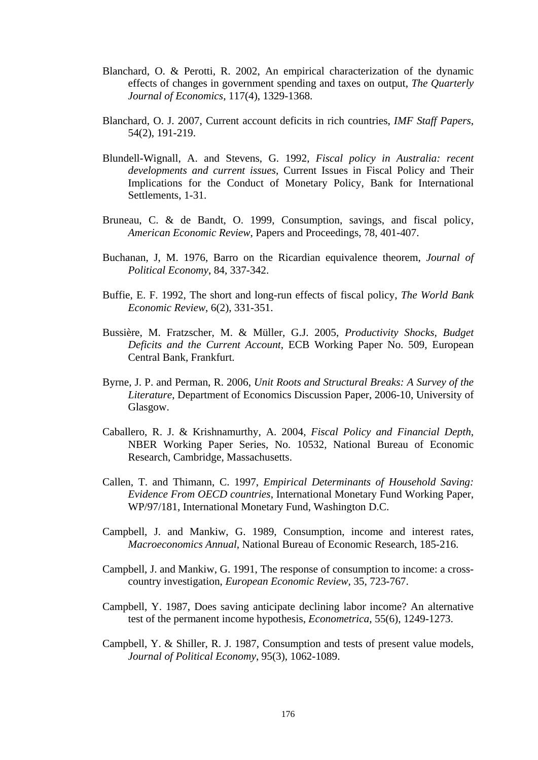- Blanchard, O. & Perotti, R. 2002, An empirical characterization of the dynamic effects of changes in government spending and taxes on output, *The Quarterly Journal of Economics*, 117(4), 1329-1368.
- Blanchard, O. J. 2007, Current account deficits in rich countries, *IMF Staff Papers*, 54(2), 191-219.
- Blundell-Wignall, A. and Stevens, G. 1992, *Fiscal policy in Australia: recent developments and current issues*, Current Issues in Fiscal Policy and Their Implications for the Conduct of Monetary Policy, Bank for International Settlements, 1-31.
- Bruneau, C. & de Bandt, O. 1999, Consumption, savings, and fiscal policy, *American Economic Review*, Papers and Proceedings, 78, 401-407.
- Buchanan, J, M. 1976, Barro on the Ricardian equivalence theorem, *Journal of Political Economy*, 84, 337-342.
- Buffie, E. F. 1992, The short and long-run effects of fiscal policy, *The World Bank Economic Review*, 6(2), 331-351.
- Bussière, M. Fratzscher, M. & Müller, G.J. 2005, *Productivity Shocks, Budget Deficits and the Current Account*, ECB Working Paper No. 509, European Central Bank, Frankfurt.
- Byrne, J. P. and Perman, R. 2006, *Unit Roots and Structural Breaks: A Survey of the Literature*, Department of Economics Discussion Paper, 2006-10, University of Glasgow.
- Caballero, R. J. & Krishnamurthy, A. 2004, *Fiscal Policy and Financial Depth*, NBER Working Paper Series, No. 10532, National Bureau of Economic Research, Cambridge, Massachusetts.
- Callen, T. and Thimann, C. 1997, *Empirical Determinants of Household Saving: Evidence From OECD countries*, International Monetary Fund Working Paper, WP/97/181, International Monetary Fund, Washington D.C.
- Campbell, J. and Mankiw, G. 1989, Consumption, income and interest rates, *Macroeconomics Annual*, National Bureau of Economic Research, 185-216.
- Campbell, J. and Mankiw, G. 1991, The response of consumption to income: a crosscountry investigation, *European Economic Review*, 35, 723-767.
- Campbell, Y. 1987, Does saving anticipate declining labor income? An alternative test of the permanent income hypothesis, *Econometrica*, 55(6), 1249-1273.
- Campbell, Y. & Shiller, R. J. 1987, Consumption and tests of present value models, *Journal of Political Economy*, 95(3), 1062-1089.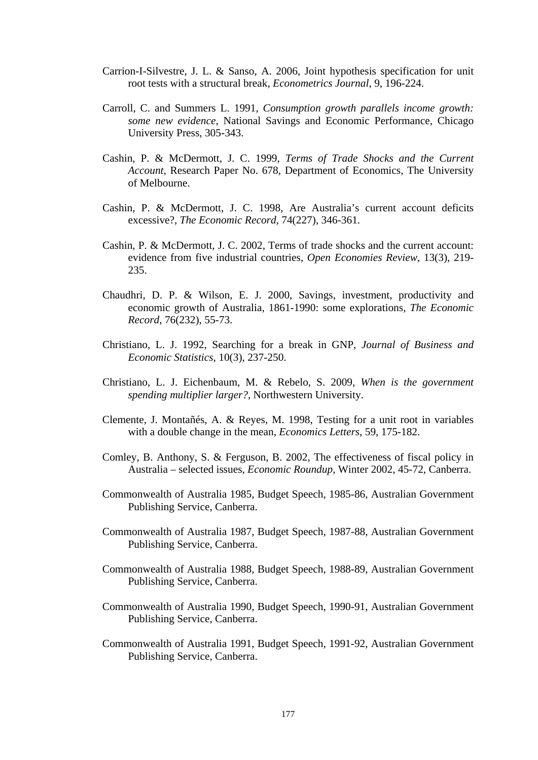- Carrion-I-Silvestre, J. L. & Sanso, A. 2006, Joint hypothesis specification for unit root tests with a structural break, *Econometrics Journal*, 9, 196-224.
- Carroll, C. and Summers L. 1991, *Consumption growth parallels income growth: some new evidence*, National Savings and Economic Performance, Chicago University Press, 305-343.
- Cashin, P. & McDermott, J. C. 1999, *Terms of Trade Shocks and the Current Account*, Research Paper No. 678, Department of Economics, The University of Melbourne.
- Cashin, P. & McDermott, J. C. 1998, Are Australia's current account deficits excessive?, *The Economic Record*, 74(227), 346-361.
- Cashin, P. & McDermott, J. C. 2002, Terms of trade shocks and the current account: evidence from five industrial countries, *Open Economies Review*, 13(3), 219- 235.
- Chaudhri, D. P. & Wilson, E. J. 2000, Savings, investment, productivity and economic growth of Australia, 1861-1990: some explorations, *The Economic Record*, 76(232), 55-73.
- Christiano, L. J. 1992, Searching for a break in GNP, *Journal of Business and Economic Statistics*, 10(3), 237-250.
- Christiano, L. J. Eichenbaum, M. & Rebelo, S. 2009, *When is the government spending multiplier larger?*, Northwestern University.
- Clemente, J. Montañés, A. & Reyes, M. 1998, Testing for a unit root in variables with a double change in the mean, *Economics Letters*, 59, 175-182.
- Comley, B. Anthony, S. & Ferguson, B. 2002, The effectiveness of fiscal policy in Australia – selected issues, *Economic Roundup*, Winter 2002, 45-72, Canberra.
- Commonwealth of Australia 1985, Budget Speech, 1985-86, Australian Government Publishing Service, Canberra.
- Commonwealth of Australia 1987, Budget Speech, 1987-88, Australian Government Publishing Service, Canberra.
- Commonwealth of Australia 1988, Budget Speech, 1988-89, Australian Government Publishing Service, Canberra.
- Commonwealth of Australia 1990, Budget Speech, 1990-91, Australian Government Publishing Service, Canberra.
- Commonwealth of Australia 1991, Budget Speech, 1991-92, Australian Government Publishing Service, Canberra.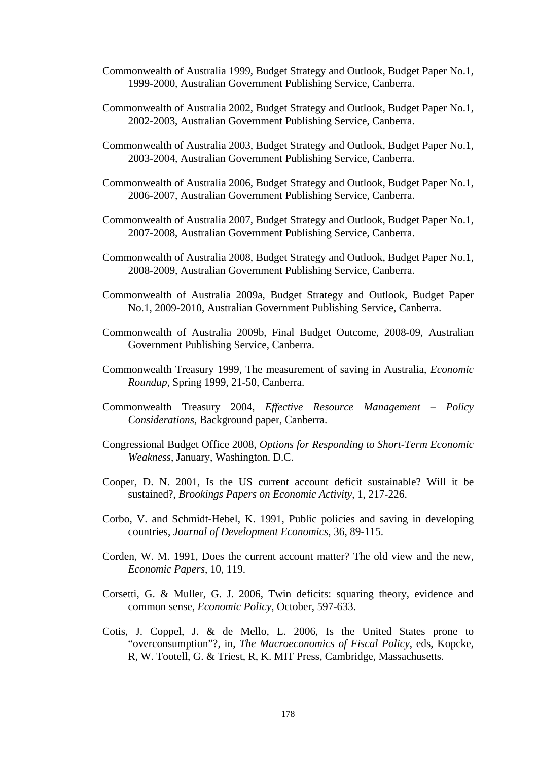- Commonwealth of Australia 1999, Budget Strategy and Outlook, Budget Paper No.1, 1999-2000, Australian Government Publishing Service, Canberra.
- Commonwealth of Australia 2002, Budget Strategy and Outlook, Budget Paper No.1, 2002-2003, Australian Government Publishing Service, Canberra.
- Commonwealth of Australia 2003, Budget Strategy and Outlook, Budget Paper No.1, 2003-2004, Australian Government Publishing Service, Canberra.
- Commonwealth of Australia 2006, Budget Strategy and Outlook, Budget Paper No.1, 2006-2007, Australian Government Publishing Service, Canberra.
- Commonwealth of Australia 2007, Budget Strategy and Outlook, Budget Paper No.1, 2007-2008, Australian Government Publishing Service, Canberra.
- Commonwealth of Australia 2008, Budget Strategy and Outlook, Budget Paper No.1, 2008-2009, Australian Government Publishing Service, Canberra.
- Commonwealth of Australia 2009a, Budget Strategy and Outlook, Budget Paper No.1, 2009-2010, Australian Government Publishing Service, Canberra.
- Commonwealth of Australia 2009b, Final Budget Outcome, 2008-09, Australian Government Publishing Service, Canberra.
- Commonwealth Treasury 1999, The measurement of saving in Australia, *Economic Roundup*, Spring 1999, 21-50, Canberra.
- Commonwealth Treasury 2004, *Effective Resource Management Policy Considerations*, Background paper, Canberra.
- Congressional Budget Office 2008, *Options for Responding to Short-Term Economic Weakness*, January, Washington. D.C.
- Cooper, D. N. 2001, Is the US current account deficit sustainable? Will it be sustained?, *Brookings Papers on Economic Activity*, 1, 217-226.
- Corbo, V. and Schmidt-Hebel, K. 1991, Public policies and saving in developing countries, *Journal of Development Economics*, 36, 89-115.
- Corden, W. M. 1991, Does the current account matter? The old view and the new, *Economic Papers*, 10, 119.
- Corsetti, G. & Muller, G. J. 2006, Twin deficits: squaring theory, evidence and common sense, *Economic Policy*, October, 597-633.
- Cotis, J. Coppel, J. & de Mello, L. 2006, Is the United States prone to "overconsumption"?, in, *The Macroeconomics of Fiscal Policy*, eds, Kopcke, R, W. Tootell, G. & Triest, R, K. MIT Press, Cambridge, Massachusetts.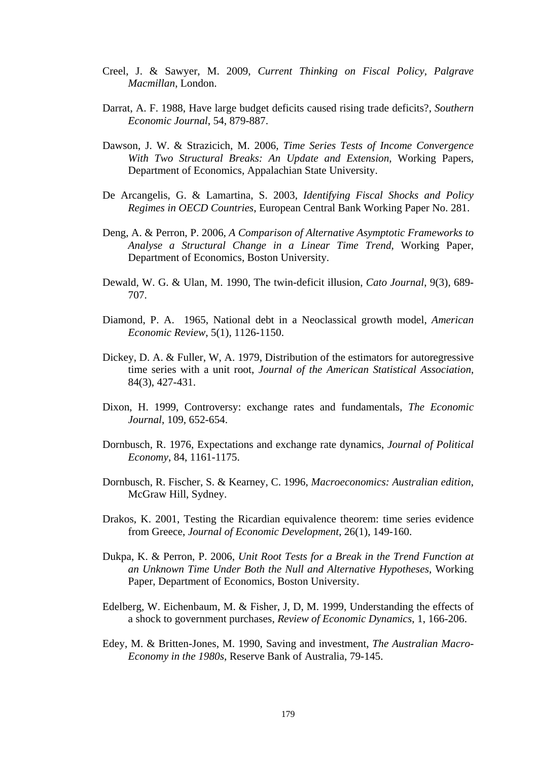- Creel, J. & Sawyer, M. 2009, *Current Thinking on Fiscal Policy, Palgrave Macmillan*, London.
- Darrat, A. F. 1988, Have large budget deficits caused rising trade deficits?, *Southern Economic Journal*, 54, 879-887.
- Dawson, J. W. & Strazicich, M. 2006, *Time Series Tests of Income Convergence With Two Structural Breaks: An Update and Extension*, Working Papers, Department of Economics, Appalachian State University.
- De Arcangelis, G. & Lamartina, S. 2003, *Identifying Fiscal Shocks and Policy Regimes in OECD Countries*, European Central Bank Working Paper No. 281.
- Deng, A. & Perron, P. 2006, *A Comparison of Alternative Asymptotic Frameworks to Analyse a Structural Change in a Linear Time Trend*, Working Paper, Department of Economics, Boston University.
- Dewald, W. G. & Ulan, M. 1990, The twin-deficit illusion, *Cato Journal*, 9(3), 689- 707.
- Diamond, P. A. 1965, National debt in a Neoclassical growth model, *American Economic Review*, 5(1), 1126-1150.
- Dickey, D. A. & Fuller, W, A. 1979, Distribution of the estimators for autoregressive time series with a unit root, *Journal of the American Statistical Association*, 84(3), 427-431.
- Dixon, H. 1999, Controversy: exchange rates and fundamentals, *The Economic Journal*, 109, 652-654.
- Dornbusch, R. 1976, Expectations and exchange rate dynamics, *Journal of Political Economy*, 84, 1161-1175.
- Dornbusch, R. Fischer, S. & Kearney, C. 1996, *Macroeconomics: Australian edition*, McGraw Hill, Sydney.
- Drakos, K. 2001, Testing the Ricardian equivalence theorem: time series evidence from Greece, *Journal of Economic Development*, 26(1), 149-160.
- Dukpa, K. & Perron, P. 2006, *Unit Root Tests for a Break in the Trend Function at an Unknown Time Under Both the Null and Alternative Hypotheses*, Working Paper, Department of Economics, Boston University.
- Edelberg, W. Eichenbaum, M. & Fisher, J, D, M. 1999, Understanding the effects of a shock to government purchases, *Review of Economic Dynamics*, 1, 166-206.
- Edey, M. & Britten-Jones, M. 1990, Saving and investment, *The Australian Macro-Economy in the 1980s*, Reserve Bank of Australia, 79-145.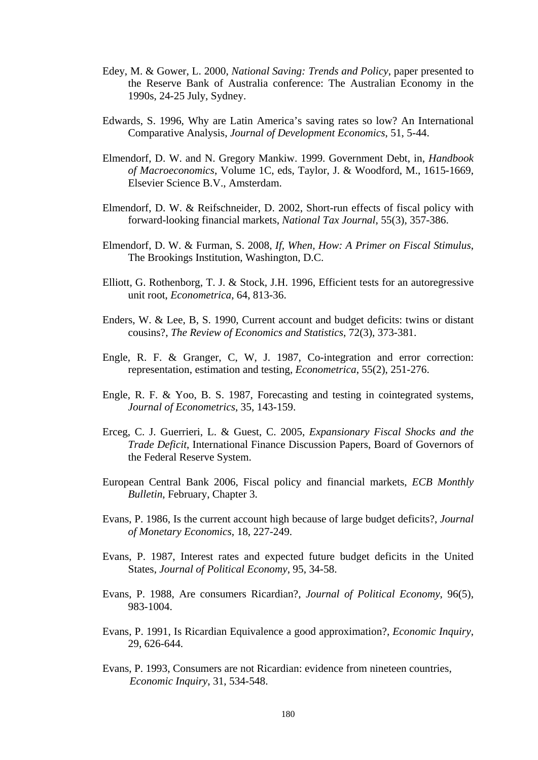- Edey, M. & Gower, L. 2000, *National Saving: Trends and Policy*, paper presented to the Reserve Bank of Australia conference: The Australian Economy in the 1990s, 24-25 July, Sydney.
- Edwards, S. 1996, Why are Latin America's saving rates so low? An International Comparative Analysis, *Journal of Development Economics*, 51, 5-44.
- Elmendorf, D. W. and N. Gregory Mankiw. 1999. Government Debt, in, *Handbook of Macroeconomics*, Volume 1C, eds, Taylor, J. & Woodford, M., 1615-1669, Elsevier Science B.V., Amsterdam.
- Elmendorf, D. W. & Reifschneider, D. 2002, Short-run effects of fiscal policy with forward-looking financial markets, *National Tax Journal*, 55(3), 357-386.
- Elmendorf, D. W. & Furman, S. 2008, *If, When, How: A Primer on Fiscal Stimulus*, The Brookings Institution, Washington, D.C.
- Elliott, G. Rothenborg, T. J. & Stock, J.H. 1996, Efficient tests for an autoregressive unit root, *Econometrica*, 64, 813-36.
- Enders, W. & Lee, B, S. 1990, Current account and budget deficits: twins or distant cousins?, *The Review of Economics and Statistics*, 72(3), 373-381.
- Engle, R. F. & Granger, C, W, J. 1987, Co-integration and error correction: representation, estimation and testing, *Econometrica*, 55(2), 251-276.
- Engle, R. F. & Yoo, B. S. 1987, Forecasting and testing in cointegrated systems, *Journal of Econometrics*, 35, 143-159.
- Erceg, C. J. Guerrieri, L. & Guest, C. 2005, *Expansionary Fiscal Shocks and the Trade Deficit*, International Finance Discussion Papers, Board of Governors of the Federal Reserve System.
- European Central Bank 2006, Fiscal policy and financial markets, *ECB Monthly Bulletin*, February, Chapter 3.
- Evans, P. 1986, Is the current account high because of large budget deficits?, *Journal of Monetary Economics*, 18, 227-249.
- Evans, P. 1987, Interest rates and expected future budget deficits in the United States, *Journal of Political Economy*, 95, 34-58.
- Evans, P. 1988, Are consumers Ricardian?, *Journal of Political Economy*, 96(5), 983-1004.
- Evans, P. 1991, Is Ricardian Equivalence a good approximation?, *Economic Inquiry*, 29, 626-644.
- Evans, P. 1993, Consumers are not Ricardian: evidence from nineteen countries,  *Economic Inquiry*, 31, 534-548.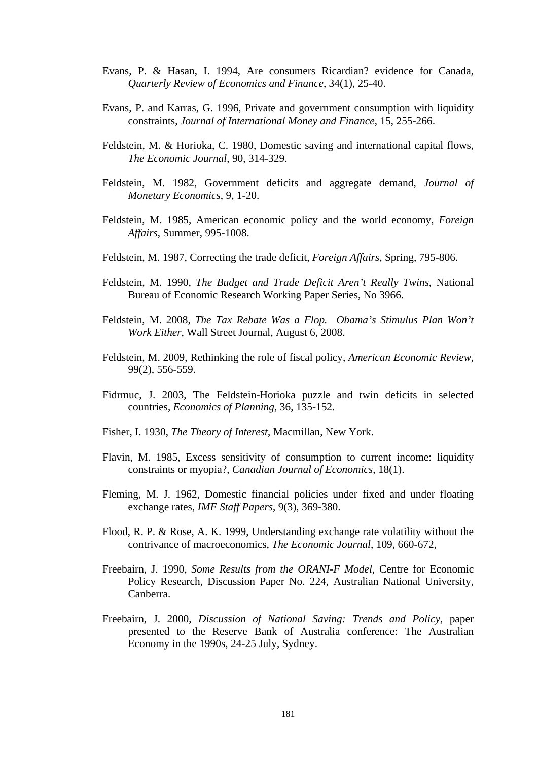- Evans, P. & Hasan, I. 1994, Are consumers Ricardian? evidence for Canada, *Quarterly Review of Economics and Finance*, 34(1), 25-40.
- Evans, P. and Karras, G. 1996, Private and government consumption with liquidity constraints, *Journal of International Money and Finance*, 15, 255-266.
- Feldstein, M. & Horioka, C. 1980, Domestic saving and international capital flows, *The Economic Journal*, 90, 314-329.
- Feldstein, M. 1982, Government deficits and aggregate demand, *Journal of Monetary Economics*, 9, 1-20.
- Feldstein, M. 1985, American economic policy and the world economy, *Foreign Affairs*, Summer, 995-1008.
- Feldstein, M. 1987, Correcting the trade deficit, *Foreign Affairs*, Spring, 795-806.
- Feldstein, M. 1990, *The Budget and Trade Deficit Aren't Really Twins*, National Bureau of Economic Research Working Paper Series, No 3966.
- Feldstein, M. 2008, *The Tax Rebate Was a Flop. Obama's Stimulus Plan Won't Work Either*, Wall Street Journal, August 6, 2008.
- Feldstein, M. 2009, Rethinking the role of fiscal policy, *American Economic Review*, 99(2), 556-559.
- Fidrmuc, J. 2003, The Feldstein-Horioka puzzle and twin deficits in selected countries, *Economics of Planning*, 36, 135-152.
- Fisher, I. 1930, *The Theory of Interest*, Macmillan, New York.
- Flavin, M. 1985, Excess sensitivity of consumption to current income: liquidity constraints or myopia?, *Canadian Journal of Economics*, 18(1).
- Fleming, M. J. 1962, Domestic financial policies under fixed and under floating exchange rates, *IMF Staff Papers*, 9(3), 369-380.
- Flood, R. P. & Rose, A. K. 1999, Understanding exchange rate volatility without the contrivance of macroeconomics, *The Economic Journal*, 109, 660-672,
- Freebairn, J. 1990, *Some Results from the ORANI-F Model,* Centre for Economic Policy Research, Discussion Paper No. 224, Australian National University, Canberra.
- Freebairn, J. 2000, *Discussion of National Saving: Trends and Policy*, paper presented to the Reserve Bank of Australia conference: The Australian Economy in the 1990s, 24-25 July, Sydney.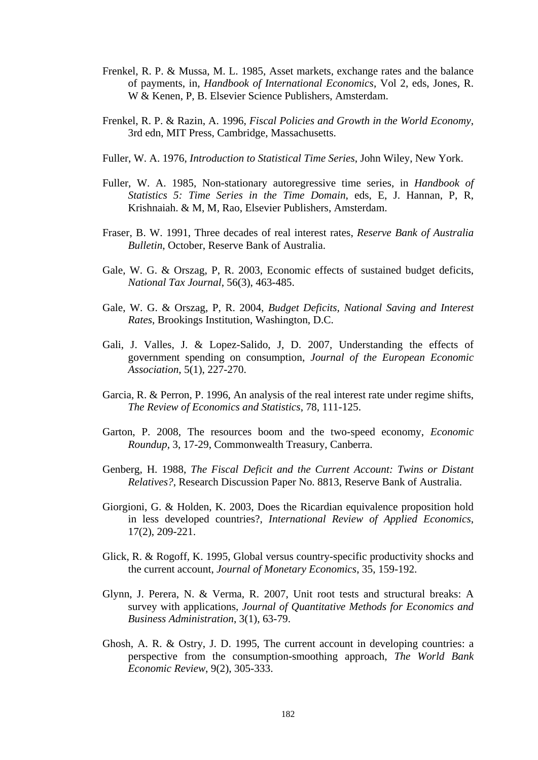- Frenkel, R. P. & Mussa, M. L. 1985, Asset markets, exchange rates and the balance of payments, in, *Handbook of International Economics*, Vol 2, eds, Jones, R. W & Kenen, P, B. Elsevier Science Publishers, Amsterdam.
- Frenkel, R. P. & Razin, A. 1996, *Fiscal Policies and Growth in the World Economy*, 3rd edn, MIT Press, Cambridge, Massachusetts.
- Fuller, W. A. 1976, *Introduction to Statistical Time Series*, John Wiley, New York.
- Fuller, W. A. 1985, Non-stationary autoregressive time series, in *Handbook of Statistics 5: Time Series in the Time Domain*, eds, E, J. Hannan, P, R, Krishnaiah. & M, M, Rao, Elsevier Publishers, Amsterdam.
- Fraser, B. W. 1991, Three decades of real interest rates, *Reserve Bank of Australia Bulletin*, October, Reserve Bank of Australia.
- Gale, W. G. & Orszag, P, R. 2003, Economic effects of sustained budget deficits, *National Tax Journal*, 56(3), 463-485.
- Gale, W. G. & Orszag, P, R. 2004, *Budget Deficits, National Saving and Interest Rates*, Brookings Institution, Washington, D.C.
- Gali, J. Valles, J. & Lopez-Salido, J, D. 2007, Understanding the effects of government spending on consumption, *Journal of the European Economic Association*, 5(1), 227-270.
- Garcia, R. & Perron, P. 1996, An analysis of the real interest rate under regime shifts, *The Review of Economics and Statistics*, 78, 111-125.
- Garton, P. 2008, The resources boom and the two-speed economy, *Economic Roundup*, 3, 17-29, Commonwealth Treasury, Canberra.
- Genberg, H. 1988, *The Fiscal Deficit and the Current Account: Twins or Distant Relatives?*, Research Discussion Paper No. 8813, Reserve Bank of Australia.
- Giorgioni, G. & Holden, K. 2003, Does the Ricardian equivalence proposition hold in less developed countries?, *International Review of Applied Economics*, 17(2), 209-221.
- Glick, R. & Rogoff, K. 1995, Global versus country-specific productivity shocks and the current account, *Journal of Monetary Economics*, 35, 159-192.
- Glynn, J. Perera, N. & Verma, R. 2007, Unit root tests and structural breaks: A survey with applications, *Journal of Quantitative Methods for Economics and Business Administration*, 3(1), 63-79.
- Ghosh, A. R. & Ostry, J. D. 1995, The current account in developing countries: a perspective from the consumption-smoothing approach, *The World Bank Economic Review*, 9(2), 305-333.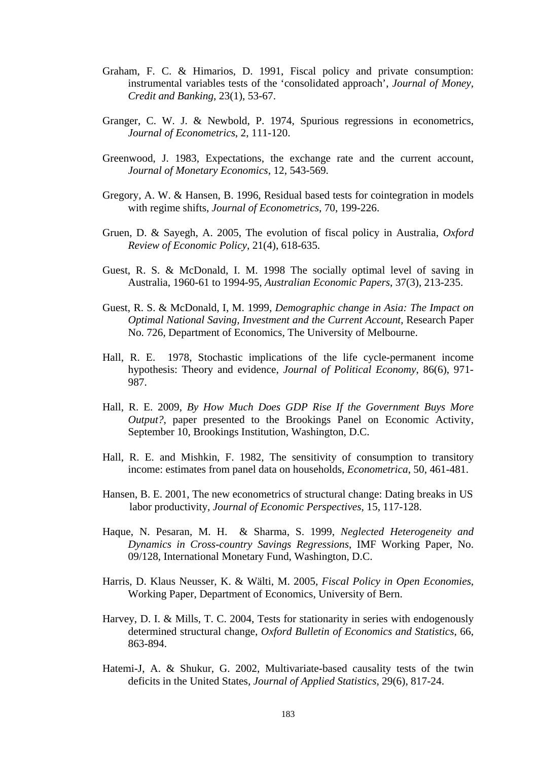- Graham, F. C. & Himarios, D. 1991, Fiscal policy and private consumption: instrumental variables tests of the 'consolidated approach', *Journal of Money, Credit and Banking*, 23(1), 53-67.
- Granger, C. W. J. & Newbold, P. 1974, Spurious regressions in econometrics, *Journal of Econometrics*, 2, 111-120.
- Greenwood, J. 1983, Expectations, the exchange rate and the current account, *Journal of Monetary Economics*, 12, 543-569.
- Gregory, A. W. & Hansen, B. 1996, Residual based tests for cointegration in models with regime shifts, *Journal of Econometrics*, 70, 199-226.
- Gruen, D. & Sayegh, A. 2005, The evolution of fiscal policy in Australia, *Oxford Review of Economic Policy*, 21(4), 618-635.
- Guest, R. S. & McDonald, I. M. 1998 The socially optimal level of saving in Australia, 1960-61 to 1994-95, *Australian Economic Papers*, 37(3), 213-235.
- Guest, R. S. & McDonald, I, M. 1999, *Demographic change in Asia: The Impact on Optimal National Saving, Investment and the Current Account*, Research Paper No. 726, Department of Economics, The University of Melbourne.
- Hall, R. E. 1978, Stochastic implications of the life cycle-permanent income hypothesis: Theory and evidence, *Journal of Political Economy*, 86(6), 971- 987.
- Hall, R. E. 2009, *By How Much Does GDP Rise If the Government Buys More Output?*, paper presented to the Brookings Panel on Economic Activity, September 10, Brookings Institution, Washington, D.C.
- Hall, R. E. and Mishkin, F. 1982, The sensitivity of consumption to transitory income: estimates from panel data on households, *Econometrica*, 50, 461-481.
- Hansen, B. E. 2001, The new econometrics of structural change: Dating breaks in US labor productivity, *Journal of Economic Perspectives*, 15, 117-128.
- Haque, N. Pesaran, M. H. & Sharma, S. 1999, *Neglected Heterogeneity and Dynamics in Cross-country Savings Regressions*, IMF Working Paper, No. 09/128, International Monetary Fund, Washington, D.C.
- Harris, D. Klaus Neusser, K. & Wälti, M. 2005, *Fiscal Policy in Open Economies*, Working Paper, Department of Economics, University of Bern.
- Harvey, D. I. & Mills, T. C. 2004, Tests for stationarity in series with endogenously determined structural change, *Oxford Bulletin of Economics and Statistics*, 66, 863-894.
- Hatemi-J, A. & Shukur, G. 2002, Multivariate-based causality tests of the twin deficits in the United States, *Journal of Applied Statistics*, 29(6), 817-24.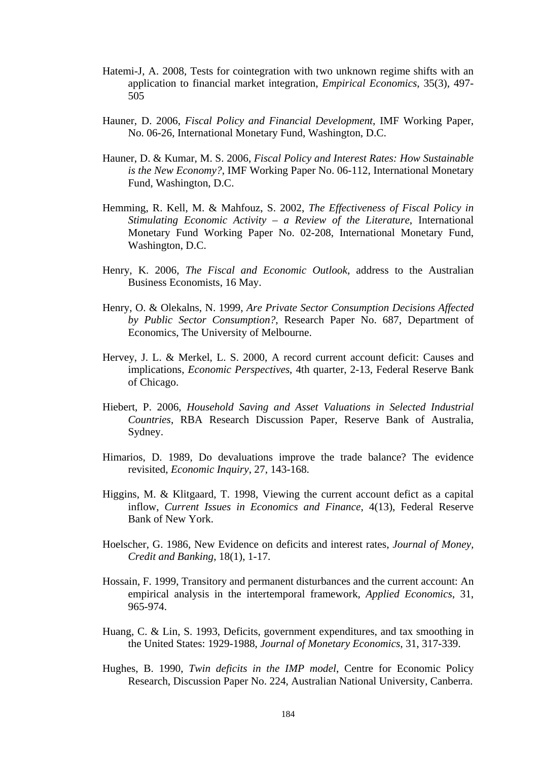- Hatemi-J, A. 2008, Tests for cointegration with two unknown regime shifts with an application to financial market integration, *Empirical Economics*, 35(3), 497- 505
- Hauner, D. 2006, *Fiscal Policy and Financial Development*, IMF Working Paper, No. 06-26, International Monetary Fund, Washington, D.C.
- Hauner, D. & Kumar, M. S. 2006, *Fiscal Policy and Interest Rates: How Sustainable is the New Economy?*, IMF Working Paper No. 06-112, International Monetary Fund, Washington, D.C.
- Hemming, R. Kell, M. & Mahfouz, S. 2002, *The Effectiveness of Fiscal Policy in Stimulating Economic Activity – a Review of the Literature*, International Monetary Fund Working Paper No. 02-208, International Monetary Fund, Washington, D.C.
- Henry, K. 2006, *The Fiscal and Economic Outlook*, address to the Australian Business Economists, 16 May.
- Henry, O. & Olekalns, N. 1999, *Are Private Sector Consumption Decisions Affected by Public Sector Consumption?*, Research Paper No. 687, Department of Economics, The University of Melbourne.
- Hervey, J. L. & Merkel, L. S. 2000, A record current account deficit: Causes and implications, *Economic Perspectives*, 4th quarter, 2-13, Federal Reserve Bank of Chicago.
- Hiebert, P. 2006, *Household Saving and Asset Valuations in Selected Industrial Countries*, RBA Research Discussion Paper, Reserve Bank of Australia, Sydney.
- Himarios, D. 1989, Do devaluations improve the trade balance? The evidence revisited, *Economic Inquiry*, 27, 143-168.
- Higgins, M. & Klitgaard, T. 1998, Viewing the current account defict as a capital inflow, *Current Issues in Economics and Finance*, 4(13), Federal Reserve Bank of New York.
- Hoelscher, G. 1986, New Evidence on deficits and interest rates, *Journal of Money, Credit and Banking*, 18(1), 1-17.
- Hossain, F. 1999, Transitory and permanent disturbances and the current account: An empirical analysis in the intertemporal framework, *Applied Economics*, 31, 965-974.
- Huang, C. & Lin, S. 1993, Deficits, government expenditures, and tax smoothing in the United States: 1929-1988, *Journal of Monetary Economics*, 31, 317-339.
- Hughes, B. 1990, *Twin deficits in the IMP model*, Centre for Economic Policy Research, Discussion Paper No. 224, Australian National University, Canberra.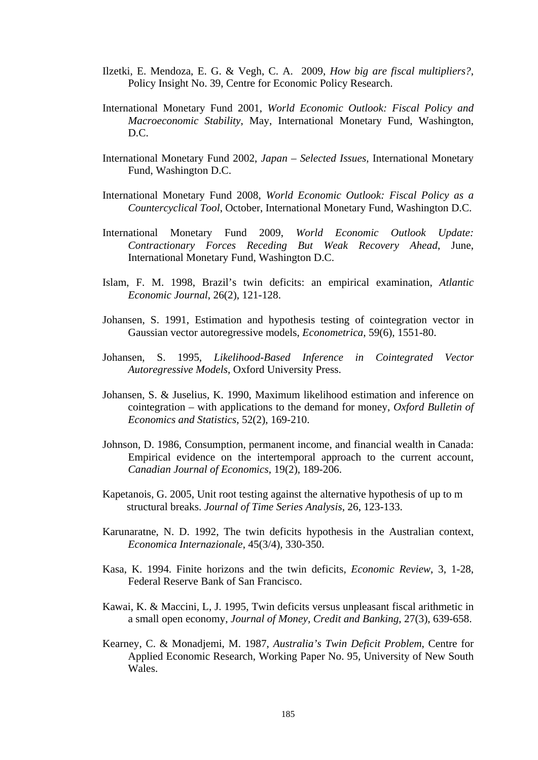- Ilzetki, E. Mendoza, E. G. & Vegh, C. A. 2009, *How big are fiscal multipliers?*, Policy Insight No. 39, Centre for Economic Policy Research.
- International Monetary Fund 2001, *World Economic Outlook: Fiscal Policy and Macroeconomic Stability*, May, International Monetary Fund, Washington, D.C.
- International Monetary Fund 2002, *Japan Selected Issues,* International Monetary Fund, Washington D.C.
- International Monetary Fund 2008, *World Economic Outlook: Fiscal Policy as a Countercyclical Tool*, October, International Monetary Fund, Washington D.C.
- International Monetary Fund 2009, *World Economic Outlook Update: Contractionary Forces Receding But Weak Recovery Ahead*, June, International Monetary Fund, Washington D.C.
- Islam, F. M. 1998, Brazil's twin deficits: an empirical examination, *Atlantic Economic Journal*, 26(2), 121-128.
- Johansen, S. 1991, Estimation and hypothesis testing of cointegration vector in Gaussian vector autoregressive models, *Econometrica*, 59(6), 1551-80.
- Johansen, S. 1995, *Likelihood-Based Inference in Cointegrated Vector Autoregressive Models*, Oxford University Press.
- Johansen, S. & Juselius, K. 1990, Maximum likelihood estimation and inference on cointegration – with applications to the demand for money, *Oxford Bulletin of Economics and Statistics*, 52(2), 169-210.
- Johnson, D. 1986, Consumption, permanent income, and financial wealth in Canada: Empirical evidence on the intertemporal approach to the current account, *Canadian Journal of Economics*, 19(2), 189-206.
- Kapetanois, G. 2005, Unit root testing against the alternative hypothesis of up to m structural breaks. *Journal of Time Series Analysis*, 26, 123-133.
- Karunaratne, N. D. 1992, The twin deficits hypothesis in the Australian context, *Economica Internazionale*, 45(3/4), 330-350.
- Kasa, K. 1994. Finite horizons and the twin deficits, *Economic Review*, 3, 1-28, Federal Reserve Bank of San Francisco.
- Kawai, K. & Maccini, L, J. 1995, Twin deficits versus unpleasant fiscal arithmetic in a small open economy, *Journal of Money, Credit and Banking*, 27(3), 639-658.
- Kearney, C. & Monadjemi, M. 1987, *Australia's Twin Deficit Problem*, Centre for Applied Economic Research, Working Paper No. 95, University of New South Wales.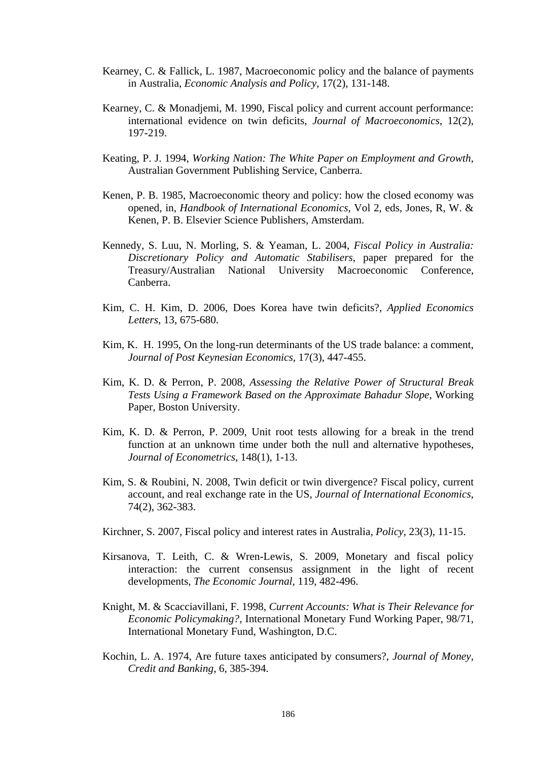- Kearney, C. & Fallick, L. 1987, Macroeconomic policy and the balance of payments in Australia, *Economic Analysis and Policy*, 17(2), 131-148.
- Kearney, C. & Monadjemi, M. 1990, Fiscal policy and current account performance: international evidence on twin deficits, *Journal of Macroeconomics*, 12(2), 197-219.
- Keating, P. J. 1994, *Working Nation: The White Paper on Employment and Growth*, Australian Government Publishing Service, Canberra.
- Kenen, P. B. 1985, Macroeconomic theory and policy: how the closed economy was opened, in, *Handbook of International Economics*, Vol 2, eds, Jones, R, W. & Kenen, P. B. Elsevier Science Publishers, Amsterdam.
- Kennedy, S. Luu, N. Morling, S. & Yeaman, L. 2004, *Fiscal Policy in Australia: Discretionary Policy and Automatic Stabilisers*, paper prepared for the Treasury/Australian National University Macroeconomic Conference, Canberra.
- Kim, C. H. Kim, D. 2006, Does Korea have twin deficits?, *Applied Economics Letters*, 13, 675-680.
- Kim, K. H. 1995, On the long-run determinants of the US trade balance: a comment, *Journal of Post Keynesian Economics*, 17(3), 447-455.
- Kim, K. D. & Perron, P. 2008, *Assessing the Relative Power of Structural Break Tests Using a Framework Based on the Approximate Bahadur Slope*, Working Paper, Boston University.
- Kim, K. D. & Perron, P. 2009, Unit root tests allowing for a break in the trend function at an unknown time under both the null and alternative hypotheses, *Journal of Econometrics*, 148(1), 1-13.
- Kim, S. & Roubini, N. 2008, Twin deficit or twin divergence? Fiscal policy, current account, and real exchange rate in the US, *Journal of International Economics*, 74(2), 362-383.
- Kirchner, S. 2007, Fiscal policy and interest rates in Australia, *Policy*, 23(3), 11-15.
- Kirsanova, T. Leith, C. & Wren-Lewis, S. 2009, Monetary and fiscal policy interaction: the current consensus assignment in the light of recent developments, *The Economic Journal*, 119, 482-496.
- Knight, M. & Scacciavillani, F. 1998, *Current Accounts: What is Their Relevance for Economic Policymaking?*, International Monetary Fund Working Paper, 98/71, International Monetary Fund, Washington, D.C.
- Kochin, L. A. 1974, Are future taxes anticipated by consumers?, *Journal of Money, Credit and Banking*, 6, 385-394.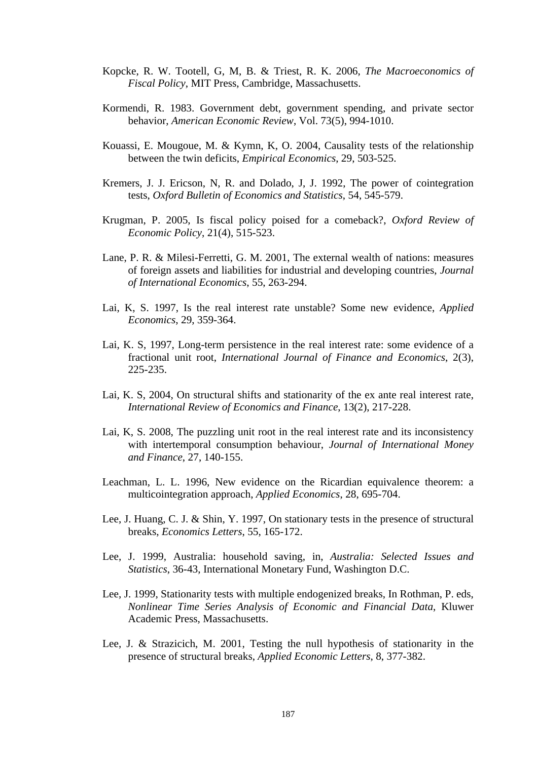- Kopcke, R. W. Tootell, G, M, B. & Triest, R. K. 2006, *The Macroeconomics of Fiscal Policy*, MIT Press, Cambridge, Massachusetts.
- Kormendi, R. 1983. Government debt, government spending, and private sector behavior, *American Economic Review*, Vol. 73(5), 994-1010.
- Kouassi, E. Mougoue, M. & Kymn, K, O. 2004, Causality tests of the relationship between the twin deficits, *Empirical Economics*, 29, 503-525.
- Kremers, J. J. Ericson, N, R. and Dolado, J, J. 1992, The power of cointegration tests, *Oxford Bulletin of Economics and Statistics*, 54, 545-579.
- Krugman, P. 2005, Is fiscal policy poised for a comeback?, *Oxford Review of Economic Policy*, 21(4), 515-523.
- Lane, P. R. & Milesi-Ferretti, G. M. 2001, The external wealth of nations: measures of foreign assets and liabilities for industrial and developing countries, *Journal of International Economics*, 55, 263-294.
- Lai, K, S. 1997, Is the real interest rate unstable? Some new evidence, *Applied Economics*, 29, 359-364.
- Lai, K. S, 1997, Long-term persistence in the real interest rate: some evidence of a fractional unit root, *International Journal of Finance and Economics*, 2(3), 225-235.
- Lai, K. S, 2004, On structural shifts and stationarity of the ex ante real interest rate, *International Review of Economics and Finance*, 13(2), 217-228.
- Lai, K, S. 2008, The puzzling unit root in the real interest rate and its inconsistency with intertemporal consumption behaviour, *Journal of International Money and Finance*, 27, 140-155.
- Leachman, L. L. 1996, New evidence on the Ricardian equivalence theorem: a multicointegration approach, *Applied Economics*, 28, 695-704.
- Lee, J. Huang, C. J. & Shin, Y. 1997, On stationary tests in the presence of structural breaks, *Economics Letters*, 55, 165-172.
- Lee, J. 1999, Australia: household saving, in, *Australia: Selected Issues and Statistics*, 36-43, International Monetary Fund, Washington D.C.
- Lee, J. 1999, Stationarity tests with multiple endogenized breaks, In Rothman, P. eds, *Nonlinear Time Series Analysis of Economic and Financial Data*, Kluwer Academic Press, Massachusetts.
- Lee, J. & Strazicich, M. 2001, Testing the null hypothesis of stationarity in the presence of structural breaks, *Applied Economic Letters*, 8, 377-382.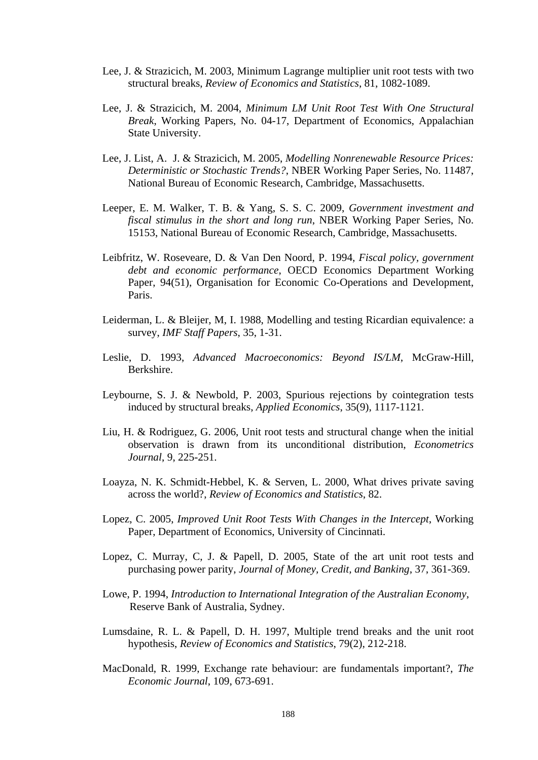- Lee, J. & Strazicich, M. 2003, Minimum Lagrange multiplier unit root tests with two structural breaks, *Review of Economics and Statistics*, 81, 1082-1089.
- Lee, J. & Strazicich, M. 2004, *Minimum LM Unit Root Test With One Structural Break*, Working Papers, No. 04-17, Department of Economics, Appalachian State University.
- Lee, J. List, A. J. & Strazicich, M. 2005, *Modelling Nonrenewable Resource Prices: Deterministic or Stochastic Trends?*, NBER Working Paper Series, No. 11487, National Bureau of Economic Research, Cambridge, Massachusetts.
- Leeper, E. M. Walker, T. B. & Yang, S. S. C. 2009, *Government investment and fiscal stimulus in the short and long run*, NBER Working Paper Series, No. 15153, National Bureau of Economic Research, Cambridge, Massachusetts.
- Leibfritz, W. Roseveare, D. & Van Den Noord, P. 1994, *Fiscal policy, government debt and economic performance*, OECD Economics Department Working Paper, 94(51), Organisation for Economic Co-Operations and Development, Paris.
- Leiderman, L. & Bleijer, M, I. 1988, Modelling and testing Ricardian equivalence: a survey, *IMF Staff Papers*, 35, 1-31.
- Leslie, D. 1993, *Advanced Macroeconomics: Beyond IS/LM*, McGraw-Hill, Berkshire.
- Leybourne, S. J. & Newbold, P. 2003, Spurious rejections by cointegration tests induced by structural breaks, *Applied Economics*, 35(9), 1117-1121.
- Liu, H. & Rodriguez, G. 2006, Unit root tests and structural change when the initial observation is drawn from its unconditional distribution, *Econometrics Journal*, 9, 225-251.
- Loayza, N. K. Schmidt-Hebbel, K. & Serven, L. 2000, What drives private saving across the world?, *Review of Economics and Statistics*, 82.
- Lopez, C. 2005, *Improved Unit Root Tests With Changes in the Intercept*, Working Paper, Department of Economics, University of Cincinnati.
- Lopez, C. Murray, C, J. & Papell, D. 2005, State of the art unit root tests and purchasing power parity, *Journal of Money, Credit, and Banking*, 37, 361-369.
- Lowe, P. 1994, *Introduction to International Integration of the Australian Economy*, Reserve Bank of Australia, Sydney.
- Lumsdaine, R. L. & Papell, D. H. 1997, Multiple trend breaks and the unit root hypothesis, *Review of Economics and Statistics*, 79(2), 212-218.
- MacDonald, R. 1999, Exchange rate behaviour: are fundamentals important?, *The Economic Journal*, 109, 673-691.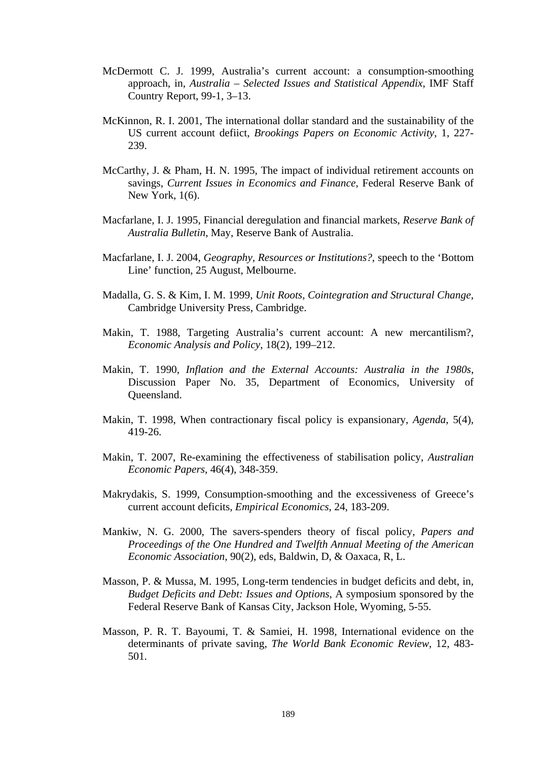- McDermott C. J. 1999, Australia's current account: a consumption-smoothing approach, in, *Australia – Selected Issues and Statistical Appendix*, IMF Staff Country Report, 99-1, 3–13.
- McKinnon, R. I. 2001, The international dollar standard and the sustainability of the US current account defiict, *Brookings Papers on Economic Activity*, 1, 227- 239.
- McCarthy, J. & Pham, H. N. 1995, The impact of individual retirement accounts on savings, *Current Issues in Economics and Finance*, Federal Reserve Bank of New York, 1(6).
- Macfarlane, I. J. 1995, Financial deregulation and financial markets, *Reserve Bank of Australia Bulletin*, May, Reserve Bank of Australia.
- Macfarlane, I. J. 2004, *Geography, Resources or Institutions?*, speech to the 'Bottom Line' function, 25 August, Melbourne.
- Madalla, G. S. & Kim, I. M. 1999, *Unit Roots, Cointegration and Structural Change*, Cambridge University Press, Cambridge.
- Makin, T. 1988, Targeting Australia's current account: A new mercantilism?, *Economic Analysis and Policy*, 18(2), 199–212.
- Makin, T. 1990, *Inflation and the External Accounts: Australia in the 1980s*, Discussion Paper No. 35, Department of Economics, University of Queensland.
- Makin, T. 1998, When contractionary fiscal policy is expansionary, *Agenda*, 5(4), 419-26.
- Makin, T. 2007, Re-examining the effectiveness of stabilisation policy, *Australian Economic Papers*, 46(4), 348-359.
- Makrydakis, S. 1999, Consumption-smoothing and the excessiveness of Greece's current account deficits, *Empirical Economics*, 24, 183-209.
- Mankiw, N. G. 2000, The savers-spenders theory of fiscal policy, *Papers and Proceedings of the One Hundred and Twelfth Annual Meeting of the American Economic Association*, 90(2), eds, Baldwin, D, & Oaxaca, R, L.
- Masson, P. & Mussa, M. 1995, Long-term tendencies in budget deficits and debt, in, *Budget Deficits and Debt: Issues and Options*, A symposium sponsored by the Federal Reserve Bank of Kansas City, Jackson Hole, Wyoming, 5-55.
- Masson, P. R. T. Bayoumi, T. & Samiei, H. 1998, International evidence on the determinants of private saving, *The World Bank Economic Review*, 12, 483- 501.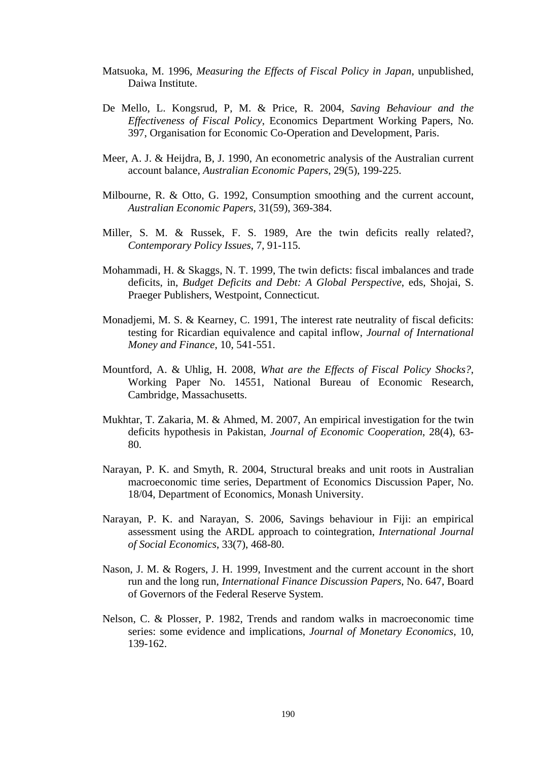- Matsuoka, M. 1996, *Measuring the Effects of Fiscal Policy in Japan*, unpublished, Daiwa Institute.
- De Mello, L. Kongsrud, P, M. & Price, R. 2004, *Saving Behaviour and the Effectiveness of Fiscal Policy*, Economics Department Working Papers, No. 397, Organisation for Economic Co-Operation and Development, Paris.
- Meer, A. J. & Heijdra, B, J. 1990, An econometric analysis of the Australian current account balance, *Australian Economic Papers*, 29(5), 199-225.
- Milbourne, R. & Otto, G. 1992, Consumption smoothing and the current account, *Australian Economic Papers*, 31(59), 369-384.
- Miller, S. M. & Russek, F. S. 1989, Are the twin deficits really related?, *Contemporary Policy Issues*, 7, 91-115.
- Mohammadi, H. & Skaggs, N. T. 1999, The twin deficts: fiscal imbalances and trade deficits, in, *Budget Deficits and Debt: A Global Perspective*, eds, Shojai, S. Praeger Publishers, Westpoint, Connecticut.
- Monadjemi, M. S. & Kearney, C. 1991, The interest rate neutrality of fiscal deficits: testing for Ricardian equivalence and capital inflow, *Journal of International Money and Finance*, 10, 541-551.
- Mountford, A. & Uhlig, H. 2008, *What are the Effects of Fiscal Policy Shocks?*, Working Paper No. 14551, National Bureau of Economic Research, Cambridge, Massachusetts.
- Mukhtar, T. Zakaria, M. & Ahmed, M. 2007, An empirical investigation for the twin deficits hypothesis in Pakistan, *Journal of Economic Cooperation*, 28(4), 63- 80.
- Narayan, P. K. and Smyth, R. 2004, Structural breaks and unit roots in Australian macroeconomic time series, Department of Economics Discussion Paper, No. 18/04, Department of Economics, Monash University.
- Narayan, P. K. and Narayan, S. 2006, Savings behaviour in Fiji: an empirical assessment using the ARDL approach to cointegration, *International Journal of Social Economics*, 33(7), 468-80.
- Nason, J. M. & Rogers, J. H. 1999, Investment and the current account in the short run and the long run, *International Finance Discussion Papers*, No. 647, Board of Governors of the Federal Reserve System.
- Nelson, C. & Plosser, P. 1982, Trends and random walks in macroeconomic time series: some evidence and implications, *Journal of Monetary Economics*, 10, 139-162.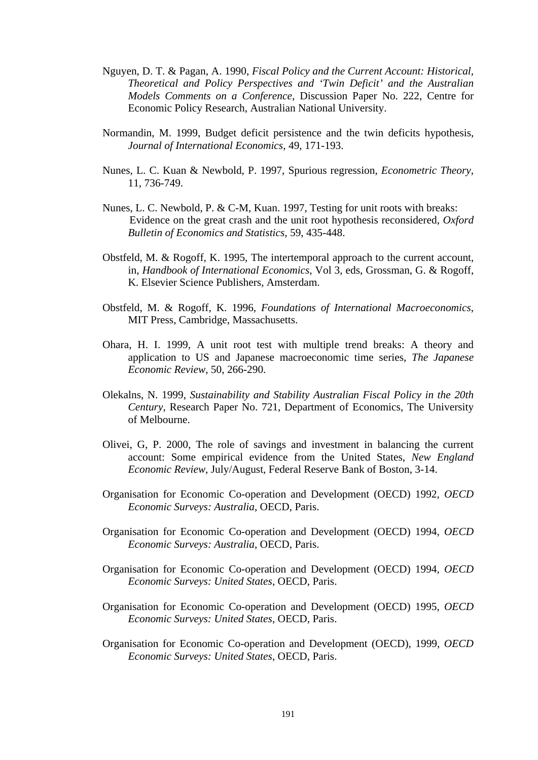- Nguyen, D. T. & Pagan, A. 1990, *Fiscal Policy and the Current Account: Historical, Theoretical and Policy Perspectives and 'Twin Deficit' and the Australian Models Comments on a Conference*, Discussion Paper No. 222, Centre for Economic Policy Research, Australian National University.
- Normandin, M. 1999, Budget deficit persistence and the twin deficits hypothesis, *Journal of International Economics*, 49, 171-193.
- Nunes, L. C. Kuan & Newbold, P. 1997, Spurious regression, *Econometric Theory*, 11, 736-749.
- Nunes, L. C. Newbold, P. & C-M, Kuan. 1997, Testing for unit roots with breaks: Evidence on the great crash and the unit root hypothesis reconsidered, *Oxford Bulletin of Economics and Statistics*, 59, 435-448.
- Obstfeld, M. & Rogoff, K. 1995, The intertemporal approach to the current account, in, *Handbook of International Economics*, Vol 3, eds, Grossman, G. & Rogoff, K. Elsevier Science Publishers, Amsterdam.
- Obstfeld, M. & Rogoff, K. 1996, *Foundations of International Macroeconomics*, MIT Press, Cambridge, Massachusetts.
- Ohara, H. I. 1999, A unit root test with multiple trend breaks: A theory and application to US and Japanese macroeconomic time series, *The Japanese Economic Review*, 50, 266-290.
- Olekalns, N. 1999, *Sustainability and Stability Australian Fiscal Policy in the 20th Century*, Research Paper No. 721, Department of Economics, The University of Melbourne.
- Olivei, G, P. 2000, The role of savings and investment in balancing the current account: Some empirical evidence from the United States, *New England Economic Review*, July/August, Federal Reserve Bank of Boston, 3-14.
- Organisation for Economic Co-operation and Development (OECD) 1992, *OECD Economic Surveys: Australia*, OECD, Paris.
- Organisation for Economic Co-operation and Development (OECD) 1994, *OECD Economic Surveys: Australia*, OECD, Paris.
- Organisation for Economic Co-operation and Development (OECD) 1994, *OECD Economic Surveys: United States*, OECD, Paris.
- Organisation for Economic Co-operation and Development (OECD) 1995, *OECD Economic Surveys: United States*, OECD, Paris.
- Organisation for Economic Co-operation and Development (OECD), 1999, *OECD Economic Surveys: United States*, OECD, Paris.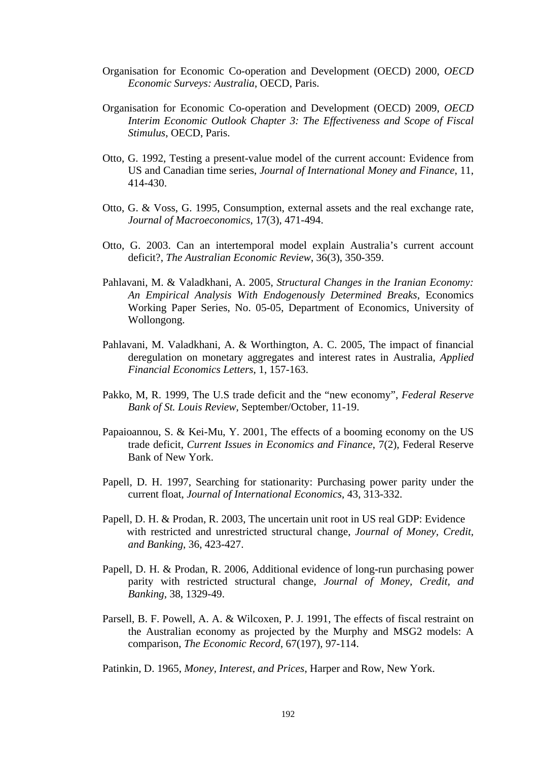- Organisation for Economic Co-operation and Development (OECD) 2000, *OECD Economic Surveys: Australia*, OECD, Paris.
- Organisation for Economic Co-operation and Development (OECD) 2009, *OECD Interim Economic Outlook Chapter 3: The Effectiveness and Scope of Fiscal Stimulus*, OECD, Paris.
- Otto, G. 1992, Testing a present-value model of the current account: Evidence from US and Canadian time series, *Journal of International Money and Finance*, 11, 414-430.
- Otto, G. & Voss, G. 1995, Consumption, external assets and the real exchange rate, *Journal of Macroeconomics*, 17(3), 471-494.
- Otto, G. 2003. Can an intertemporal model explain Australia's current account deficit?, *The Australian Economic Review*, 36(3), 350-359.
- Pahlavani, M. & Valadkhani, A. 2005, *Structural Changes in the Iranian Economy: An Empirical Analysis With Endogenously Determined Breaks*, Economics Working Paper Series, No. 05-05, Department of Economics, University of Wollongong.
- Pahlavani, M. Valadkhani, A. & Worthington, A. C. 2005, The impact of financial deregulation on monetary aggregates and interest rates in Australia, *Applied Financial Economics Letters*, 1, 157-163.
- Pakko, M, R. 1999, The U.S trade deficit and the "new economy", *Federal Reserve Bank of St. Louis Review*, September/October, 11-19.
- Papaioannou, S. & Kei-Mu, Y. 2001, The effects of a booming economy on the US trade deficit, *Current Issues in Economics and Finance*, 7(2), Federal Reserve Bank of New York.
- Papell, D. H. 1997, Searching for stationarity: Purchasing power parity under the current float, *Journal of International Economics*, 43, 313-332.
- Papell, D. H. & Prodan, R. 2003, The uncertain unit root in US real GDP: Evidence with restricted and unrestricted structural change, *Journal of Money, Credit, and Banking*, 36, 423-427.
- Papell, D. H. & Prodan, R. 2006, Additional evidence of long-run purchasing power parity with restricted structural change, *Journal of Money, Credit, and Banking*, 38, 1329-49.
- Parsell, B. F. Powell, A. A. & Wilcoxen, P. J. 1991, The effects of fiscal restraint on the Australian economy as projected by the Murphy and MSG2 models: A comparison, *The Economic Record*, 67(197), 97-114.

Patinkin, D. 1965, *Money, Interest, and Prices*, Harper and Row, New York.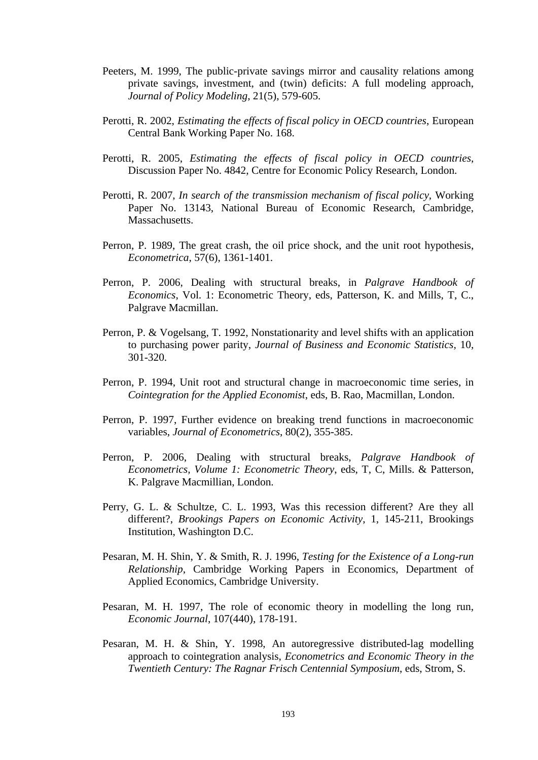- Peeters, M. 1999, The public-private savings mirror and causality relations among private savings, investment, and (twin) deficits: A full modeling approach, *Journal of Policy Modeling*, 21(5), 579-605.
- Perotti, R. 2002, *Estimating the effects of fiscal policy in OECD countries*, European Central Bank Working Paper No. 168.
- Perotti, R. 2005, *Estimating the effects of fiscal policy in OECD countries*, Discussion Paper No. 4842, Centre for Economic Policy Research, London.
- Perotti, R. 2007, *In search of the transmission mechanism of fiscal policy*, Working Paper No. 13143, National Bureau of Economic Research, Cambridge, Massachusetts.
- Perron, P. 1989, The great crash, the oil price shock, and the unit root hypothesis, *Econometrica*, 57(6), 1361-1401.
- Perron, P. 2006, Dealing with structural breaks, in *Palgrave Handbook of Economics*, Vol. 1: Econometric Theory, eds, Patterson, K. and Mills, T, C., Palgrave Macmillan.
- Perron, P. & Vogelsang, T. 1992, Nonstationarity and level shifts with an application to purchasing power parity, *Journal of Business and Economic Statistics*, 10, 301-320.
- Perron, P. 1994, Unit root and structural change in macroeconomic time series, in *Cointegration for the Applied Economist*, eds, B. Rao, Macmillan, London.
- Perron, P. 1997, Further evidence on breaking trend functions in macroeconomic variables, *Journal of Econometrics*, 80(2), 355-385.
- Perron, P. 2006, Dealing with structural breaks, *Palgrave Handbook of Econometrics, Volume 1: Econometric Theory*, eds, T, C, Mills. & Patterson, K. Palgrave Macmillian, London.
- Perry, G. L. & Schultze, C. L. 1993, Was this recession different? Are they all different?, *Brookings Papers on Economic Activity*, 1, 145-211, Brookings Institution, Washington D.C.
- Pesaran, M. H. Shin, Y. & Smith, R. J. 1996, *Testing for the Existence of a Long-run Relationship*, Cambridge Working Papers in Economics, Department of Applied Economics, Cambridge University.
- Pesaran, M. H. 1997, The role of economic theory in modelling the long run, *Economic Journal*, 107(440), 178-191.
- Pesaran, M. H. & Shin, Y. 1998, An autoregressive distributed-lag modelling approach to cointegration analysis, *Econometrics and Economic Theory in the Twentieth Century: The Ragnar Frisch Centennial Symposium*, eds, Strom, S.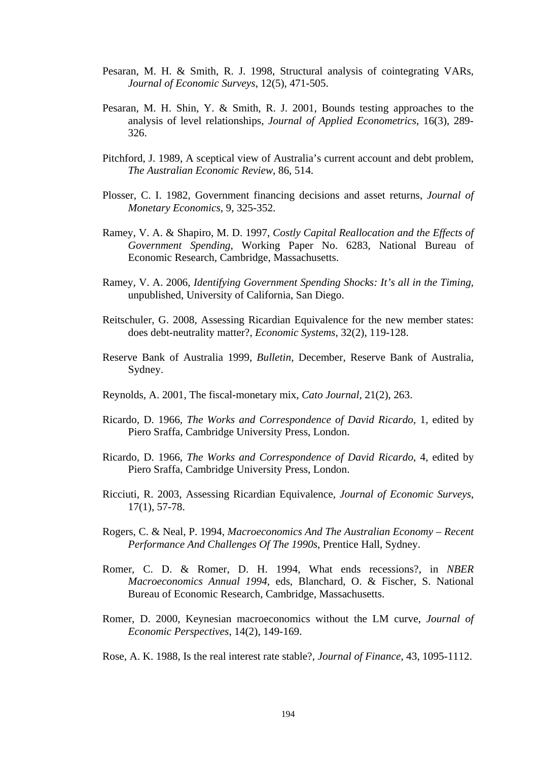- Pesaran, M. H. & Smith, R. J. 1998, Structural analysis of cointegrating VARs, *Journal of Economic Surveys*, 12(5), 471-505.
- Pesaran, M. H. Shin, Y. & Smith, R. J. 2001, Bounds testing approaches to the analysis of level relationships, *Journal of Applied Econometrics*, 16(3), 289- 326.
- Pitchford, J. 1989, A sceptical view of Australia's current account and debt problem, *The Australian Economic Review*, 86, 514.
- Plosser, C. I. 1982, Government financing decisions and asset returns, *Journal of Monetary Economics*, 9, 325-352.
- Ramey, V. A. & Shapiro, M. D. 1997, *Costly Capital Reallocation and the Effects of Government Spending*, Working Paper No. 6283, National Bureau of Economic Research, Cambridge, Massachusetts.
- Ramey, V. A. 2006, *Identifying Government Spending Shocks: It's all in the Timing,*  unpublished, University of California, San Diego.
- Reitschuler, G. 2008, Assessing Ricardian Equivalence for the new member states: does debt-neutrality matter?, *Economic Systems*, 32(2), 119-128.
- Reserve Bank of Australia 1999, *Bulletin*, December, Reserve Bank of Australia, Sydney.
- Reynolds, A. 2001, The fiscal-monetary mix, *Cato Journal*, 21(2), 263.
- Ricardo, D. 1966, *The Works and Correspondence of David Ricardo*, 1, edited by Piero Sraffa, Cambridge University Press, London.
- Ricardo, D. 1966, *The Works and Correspondence of David Ricardo*, 4, edited by Piero Sraffa, Cambridge University Press, London.
- Ricciuti, R. 2003, Assessing Ricardian Equivalence, *Journal of Economic Surveys*, 17(1), 57-78.
- Rogers, C. & Neal, P. 1994, *Macroeconomics And The Australian Economy Recent Performance And Challenges Of The 1990s*, Prentice Hall, Sydney.
- Romer, C. D. & Romer, D. H. 1994, What ends recessions?, in *NBER Macroeconomics Annual 1994*, eds, Blanchard, O. & Fischer, S. National Bureau of Economic Research, Cambridge, Massachusetts.
- Romer, D. 2000, Keynesian macroeconomics without the LM curve, *Journal of Economic Perspectives*, 14(2), 149-169.
- Rose, A. K. 1988, Is the real interest rate stable?, *Journal of Finance*, 43, 1095-1112.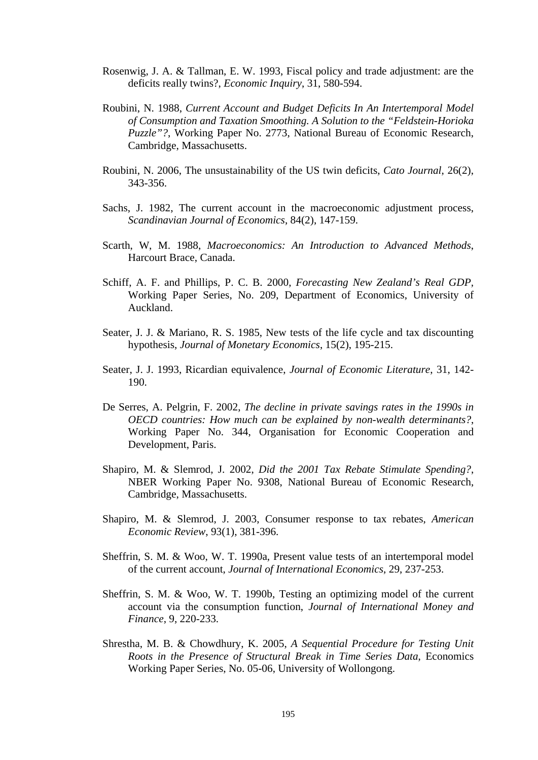- Rosenwig, J. A. & Tallman, E. W. 1993, Fiscal policy and trade adjustment: are the deficits really twins?, *Economic Inquiry*, 31, 580-594.
- Roubini, N. 1988, *Current Account and Budget Deficits In An Intertemporal Model of Consumption and Taxation Smoothing. A Solution to the "Feldstein-Horioka Puzzle"?*, Working Paper No. 2773, National Bureau of Economic Research, Cambridge, Massachusetts.
- Roubini, N. 2006, The unsustainability of the US twin deficits, *Cato Journal*, 26(2), 343-356.
- Sachs, J. 1982, The current account in the macroeconomic adjustment process, *Scandinavian Journal of Economics*, 84(2), 147-159.
- Scarth, W, M. 1988, *Macroeconomics: An Introduction to Advanced Methods*, Harcourt Brace, Canada.
- Schiff, A. F. and Phillips, P. C. B. 2000, *Forecasting New Zealand's Real GDP,*  Working Paper Series, No. 209, Department of Economics, University of Auckland.
- Seater, J. J. & Mariano, R. S. 1985, New tests of the life cycle and tax discounting hypothesis, *Journal of Monetary Economics*, 15(2), 195-215.
- Seater, J. J. 1993, Ricardian equivalence, *Journal of Economic Literature*, 31, 142- 190.
- De Serres, A. Pelgrin, F. 2002, *The decline in private savings rates in the 1990s in OECD countries: How much can be explained by non-wealth determinants?*, Working Paper No. 344, Organisation for Economic Cooperation and Development, Paris.
- Shapiro, M. & Slemrod, J. 2002, *Did the 2001 Tax Rebate Stimulate Spending?*, NBER Working Paper No. 9308, National Bureau of Economic Research, Cambridge, Massachusetts.
- Shapiro, M. & Slemrod, J. 2003, Consumer response to tax rebates, *American Economic Review*, 93(1), 381-396.
- Sheffrin, S. M. & Woo, W. T. 1990a, Present value tests of an intertemporal model of the current account, *Journal of International Economics*, 29, 237-253.
- Sheffrin, S. M. & Woo, W. T. 1990b, Testing an optimizing model of the current account via the consumption function, *Journal of International Money and Finance*, 9, 220-233.
- Shrestha, M. B. & Chowdhury, K. 2005, *A Sequential Procedure for Testing Unit Roots in the Presence of Structural Break in Time Series Data*, Economics Working Paper Series, No. 05-06, University of Wollongong.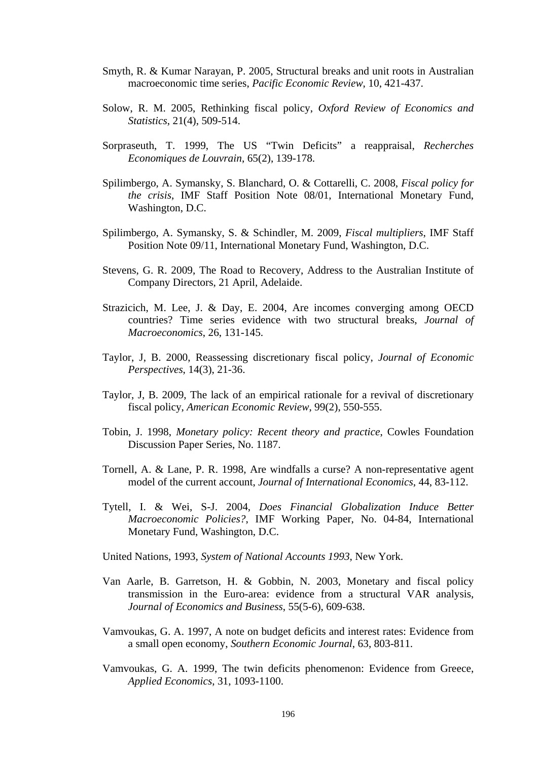- Smyth, R. & Kumar Narayan, P. 2005, Structural breaks and unit roots in Australian macroeconomic time series, *Pacific Economic Review*, 10, 421-437.
- Solow, R. M. 2005, Rethinking fiscal policy, *Oxford Review of Economics and Statistics*, 21(4), 509-514.
- Sorpraseuth, T. 1999, The US "Twin Deficits" a reappraisal, *Recherches Economiques de Louvrain*, 65(2), 139-178.
- Spilimbergo, A. Symansky, S. Blanchard, O. & Cottarelli, C. 2008, *Fiscal policy for the crisis*, IMF Staff Position Note 08/01, International Monetary Fund, Washington, D.C.
- Spilimbergo, A. Symansky, S. & Schindler, M. 2009, *Fiscal multipliers*, IMF Staff Position Note 09/11, International Monetary Fund, Washington, D.C.
- Stevens, G. R. 2009, The Road to Recovery, Address to the Australian Institute of Company Directors, 21 April, Adelaide.
- Strazicich, M. Lee, J. & Day, E. 2004, Are incomes converging among OECD countries? Time series evidence with two structural breaks, *Journal of Macroeconomics*, 26, 131-145.
- Taylor, J, B. 2000, Reassessing discretionary fiscal policy, *Journal of Economic Perspectives*, 14(3), 21-36.
- Taylor, J, B. 2009, The lack of an empirical rationale for a revival of discretionary fiscal policy, *American Economic Review*, 99(2), 550-555.
- Tobin, J. 1998, *Monetary policy: Recent theory and practice*, Cowles Foundation Discussion Paper Series, No. 1187.
- Tornell, A. & Lane, P. R. 1998, Are windfalls a curse? A non-representative agent model of the current account, *Journal of International Economics*, 44, 83-112.
- Tytell, I. & Wei, S-J. 2004, *Does Financial Globalization Induce Better Macroeconomic Policies?*, IMF Working Paper, No. 04-84, International Monetary Fund, Washington, D.C.
- United Nations, 1993, *System of National Accounts 1993*, New York.
- Van Aarle, B. Garretson, H. & Gobbin, N. 2003, Monetary and fiscal policy transmission in the Euro-area: evidence from a structural VAR analysis, *Journal of Economics and Business*, 55(5-6), 609-638.
- Vamvoukas, G. A. 1997, A note on budget deficits and interest rates: Evidence from a small open economy, *Southern Economic Journal*, 63, 803-811.
- Vamvoukas, G. A. 1999, The twin deficits phenomenon: Evidence from Greece, *Applied Economics*, 31, 1093-1100.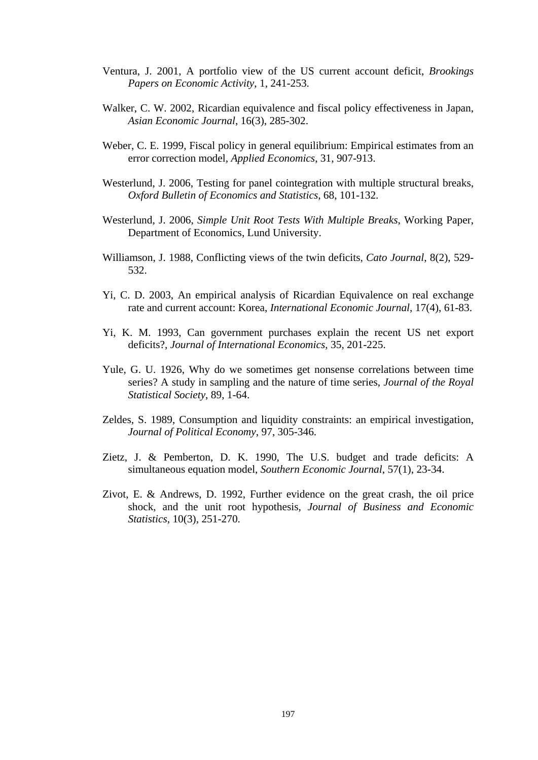- Ventura, J. 2001, A portfolio view of the US current account deficit, *Brookings Papers on Economic Activity*, 1, 241-253.
- Walker, C. W. 2002, Ricardian equivalence and fiscal policy effectiveness in Japan, *Asian Economic Journal*, 16(3), 285-302.
- Weber, C. E. 1999, Fiscal policy in general equilibrium: Empirical estimates from an error correction model, *Applied Economics*, 31, 907-913.
- Westerlund, J. 2006, Testing for panel cointegration with multiple structural breaks, *Oxford Bulletin of Economics and Statistics*, 68, 101-132.
- Westerlund, J. 2006, *Simple Unit Root Tests With Multiple Breaks*, Working Paper, Department of Economics, Lund University.
- Williamson, J. 1988, Conflicting views of the twin deficits, *Cato Journal*, 8(2), 529- 532.
- Yi, C. D. 2003, An empirical analysis of Ricardian Equivalence on real exchange rate and current account: Korea, *International Economic Journal*, 17(4), 61-83.
- Yi, K. M. 1993, Can government purchases explain the recent US net export deficits?, *Journal of International Economics*, 35, 201-225.
- Yule, G. U. 1926, Why do we sometimes get nonsense correlations between time series? A study in sampling and the nature of time series, *Journal of the Royal Statistical Society*, 89, 1-64.
- Zeldes, S. 1989, Consumption and liquidity constraints: an empirical investigation, *Journal of Political Economy*, 97, 305-346.
- Zietz, J. & Pemberton, D. K. 1990, The U.S. budget and trade deficits: A simultaneous equation model, *Southern Economic Journal*, 57(1), 23-34.
- Zivot, E. & Andrews, D. 1992, Further evidence on the great crash, the oil price shock, and the unit root hypothesis, *Journal of Business and Economic Statistics*, 10(3), 251-270.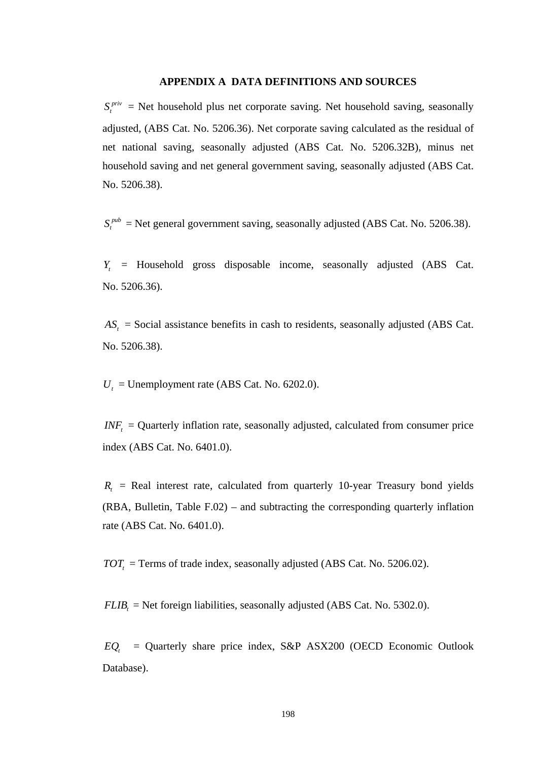### **APPENDIX A DATA DEFINITIONS AND SOURCES**

 $S_t^{priv}$  = Net household plus net corporate saving. Net household saving, seasonally adjusted, (ABS Cat. No. 5206.36). Net corporate saving calculated as the residual of net national saving, seasonally adjusted (ABS Cat. No. 5206.32B), minus net household saving and net general government saving, seasonally adjusted (ABS Cat. No. 5206.38).

 $S_t^{pub}$  = Net general government saving, seasonally adjusted (ABS Cat. No. 5206.38).

*Yt* = Household gross disposable income, seasonally adjusted (ABS Cat. No. 5206.36).

 $AS_t$  = Social assistance benefits in cash to residents, seasonally adjusted (ABS Cat. No. 5206.38).

 $U_t$  = Unemployment rate (ABS Cat. No. 6202.0).

 $INF<sub>t</sub>$  = Quarterly inflation rate, seasonally adjusted, calculated from consumer price index (ABS Cat. No. 6401.0).

 $R<sub>t</sub>$  = Real interest rate, calculated from quarterly 10-year Treasury bond yields (RBA, Bulletin, Table F.02) – and subtracting the corresponding quarterly inflation rate (ABS Cat. No. 6401.0).

 $TOT<sub>t</sub>$  = Terms of trade index, seasonally adjusted (ABS Cat. No. 5206.02).

 $FLIB<sub>t</sub>$  = Net foreign liabilities, seasonally adjusted (ABS Cat. No. 5302.0).

 $EQ_t$  = Quarterly share price index, S&P ASX200 (OECD Economic Outlook Database).